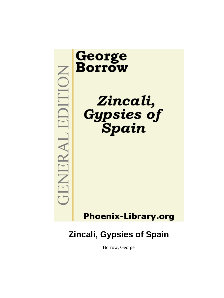

# **Zincali, Gypsies of Spain**

Borrow, George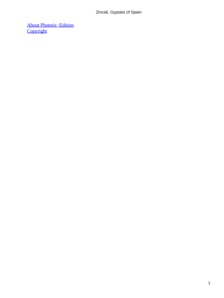[About Phoenix−Edition](#page-187-0) **[Copyright](#page-188-0)**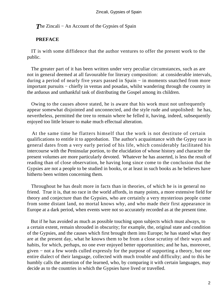*The Zincali* − An Account of the Gypsies of Spain

## **PREFACE**

 IT is with some diffidence that the author ventures to offer the present work to the public.

 The greater part of it has been written under very peculiar circumstances, such as are not in general deemed at all favourable for literary composition: at considerable intervals, during a period of nearly five years passed in Spain − in moments snatched from more important pursuits − chiefly in ventas and posadas, whilst wandering through the country in the arduous and unthankful task of distributing the Gospel among its children.

 Owing to the causes above stated, he is aware that his work must not unfrequently appear somewhat disjointed and unconnected, and the style rude and unpolished: he has, nevertheless, permitted the tree to remain where he felled it, having, indeed, subsequently enjoyed too little leisure to make much effectual alteration.

 At the same time he flatters himself that the work is not destitute of certain qualifications to entitle it to approbation. The author's acquaintance with the Gypsy race in general dates from a very early period of his life, which considerably facilitated his intercourse with the Peninsular portion, to the elucidation of whose history and character the present volumes are more particularly devoted. Whatever he has asserted, is less the result of reading than of close observation, he having long since come to the conclusion that the Gypsies are not a people to be studied in books, or at least in such books as he believes have hitherto been written concerning them.

 Throughout he has dealt more in facts than in theories, of which he is in general no friend. True it is, that no race in the world affords, in many points, a more extensive field for theory and conjecture than the Gypsies, who are certainly a very mysterious people come from some distant land, no mortal knows why, and who made their first appearance in Europe at a dark period, when events were not so accurately recorded as at the present time.

 But if he has avoided as much as possible touching upon subjects which must always, to a certain extent, remain shrouded in obscurity; for example, the, original state and condition of the Gypsies, and the causes which first brought them into Europe; he has stated what they are at the present day, what he knows them to be from a close scrutiny of their ways and habits, for which, perhaps, no one ever enjoyed better opportunities; and he has, moreover, given − not a few words culled expressly for the purpose of supporting a theory, but one entire dialect of their language, collected with much trouble and difficulty; and to this he humbly calls the attention of the learned, who, by comparing it with certain languages, may decide as to the countries in which the Gypsies have lived or travelled.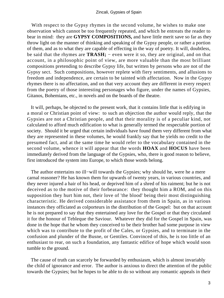With respect to the Gypsy rhymes in the second volume, he wishes to make one observation which cannot be too frequently repeated, and which he entreats the reader to bear in mind: they are **GYPSY COMPOSITIONS,** and have little merit save so far as they throw light on the manner of thinking and speaking of the Gypsy people, or rather a portion of them, and as to what they are capable of effecting in the way of poetry. It will, doubtless, be said that the rhymes are **TRASH;** − even were it so, they are original, and on that account, in a philosophic point of view, are more valuable than the most brilliant compositions pretending to describe Gypsy life, but written by persons who are not of the Gypsy sect. Such compositions, however replete with fiery sentiments, and allusions to freedom and independence, are certain to be tainted with affectation. Now in the Gypsy rhymes there is no affectation, and on that very account they are different in every respect from the poetry of those interesting personages who figure, under the names of Gypsies, Gitanos, Bohemians, etc., in novels and on the boards of the theatre.

 It will, perhaps, be objected to the present work, that it contains little that is edifying in a moral or Christian point of view: to such an objection the author would reply, that the Gypsies are not a Christian people, and that their morality is of a peculiar kind, not calculated to afford much edification to what is generally termed the respectable portion of society. Should it be urged that certain individuals have found them very different from what they are represented in these volumes, he would frankly say that he yields no credit to the presumed fact, and at the same time he would refer to the vocabulary contained in the second volume, whence it will appear that the words **HOAX** and **HOCUS** have been immediately derived from the language of the Gypsies, who, there is good reason to believe, first introduced the system into Europe, to which those words belong.

 The author entertains no ill−will towards the Gypsies; why should he, were he a mere carnal reasoner? He has known them for upwards of twenty years, in various countries, and they never injured a hair of his head, or deprived him of a shred of his raiment; but he is not deceived as to the motive of their forbearance: they thought him a ROM, and on this supposition they hurt him not, their love of 'the blood' being their most distinguishing characteristic. He derived considerable assistance from them in Spain, as in various instances they officiated as colporteurs in the distribution of the Gospel: but on that account he is not prepared to say that they entertained any love for the Gospel or that they circulated it for the honour of Tebleque the Saviour. Whatever they did for the Gospel in Spain, was done in the hope that he whom they conceived to be their brother had some purpose in view which was to contribute to the profit of the Cales, or Gypsies, and to terminate in the confusion and plunder of the Busne, or Gentiles. Convinced of this, he is too little of an enthusiast to rear, on such a foundation, any fantastic edifice of hope which would soon tumble to the ground.

 The cause of truth can scarcely be forwarded by enthusiasm, which is almost invariably the child of ignorance and error. The author is anxious to direct the attention of the public towards the Gypsies; but he hopes to be able to do so without any romantic appeals in their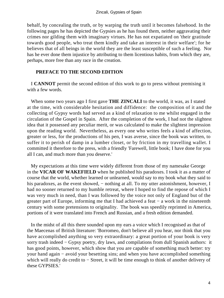behalf, by concealing the truth, or by warping the truth until it becomes falsehood. In the following pages he has depicted the Gypsies as he has found them, neither aggravating their crimes nor gilding them with imaginary virtues. He has not expatiated on 'their gratitude towards good people, who treat them kindly and take an interest in their welfare'; for he believes that of all beings in the world they are the least susceptible of such a feeling. Nor has he ever done them injustice by attributing to them licentious habits, from which they are, perhaps, more free than any race in the creation.

## **PREFACE TO THE SECOND EDITION**

 I **CANNOT** permit the second edition of this work to go to press without premising it with a few words.

 When some two years ago I first gave **THE ZINCALI** to the world, it was, as I stated at the time, with considerable hesitation and diffidence: the composition of it and the collecting of Gypsy words had served as a kind of relaxation to me whilst engaged in the circulation of the Gospel in Spain. After the completion of the work, I had not the slightest idea that it possessed any peculiar merit, or was calculated to make the slightest impression upon the reading world. Nevertheless, as every one who writes feels a kind of affection, greater or less, for the productions of his pen, I was averse, since the book was written, to suffer it to perish of damp in a lumber closet, or by friction in my travelling wallet. I committed it therefore to the press, with a friendly 'Farewell, little book; I have done for you all I can, and much more than you deserve.'

 My expectations at this time were widely different from those of my namesake George in the **VICAR OF WAKEFIELD** when he published his paradoxes. I took it as a matter of course that the world, whether learned or unlearned, would say to my book what they said to his paradoxes, as the event showed, – nothing at all. To my utter astonishment, however, I had no sooner returned to my humble retreat, where I hoped to find the repose of which I was very much in need, than I was followed by the voice not only of England but of the greater part of Europe, informing me that I had achieved a feat − a work in the nineteenth century with some pretensions to originality. The book was speedily reprinted in America, portions of it were translated into French and Russian, and a fresh edition demanded.

 In the midst of all this there sounded upon my ears a voice which I recognised as that of the Maecenas of British literature: 'Borromeo, don't believe all you hear, nor think that you have accomplished anything so very extraordinary: a great portion of your book is very sorry trash indeed – Gypsy poetry, dry laws, and compilations from dull Spanish authors: it has good points, however, which show that you are capable of something much better: try your hand again − avoid your besetting sins; and when you have accomplished something which will really do credit to – Street, it will be time enough to think of another delivery of these GYPSIES.'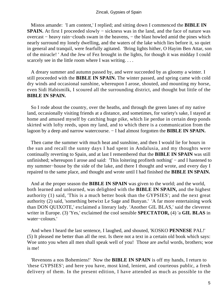Mistos amande: 'I am content,' I replied; and sitting down I commenced the **BIBLE IN SPAIN.** At first I proceeded slowly – sickness was in the land, and the face of nature was overcast – heavy rain–clouds swam in the heavens, – the blast howled amid the pines which nearly surround my lonely dwelling, and the waters of the lake which lies before it, so quiet in general and tranquil, were fearfully agitated. 'Bring lights hither, O Hayim Ben Attar, son of the miracle! ' And the Jew of Fez brought in the lights, for though it was midday I could scarcely see in the little room where I was writing. . . .

 A dreary summer and autumn passed by, and were succeeded by as gloomy a winter. I still proceeded with the **BIBLE IN SPAIN.** The winter passed, and spring came with cold dry winds and occasional sunshine, whereupon I arose, shouted, and mounting my horse, even Sidi Habismilk, I scoured all the surrounding district, and thought but little of the **BIBLE IN SPAIN.**

 So I rode about the country, over the heaths, and through the green lanes of my native land, occasionally visiting friends at a distance, and sometimes, for variety's sake, I stayed at home and amused myself by catching huge pike, which lie perdue in certain deep ponds skirted with lofty reeds, upon my land, and to which there is a communication from the lagoon by a deep and narrow watercourse. − I had almost forgotten the **BIBLE IN SPAIN.**

 Then came the summer with much heat and sunshine, and then I would lie for hours in the sun and recall the sunny days I had spent in Andalusia, and my thoughts were continually reverting to Spain, and at last I remembered that the **BIBLE IN SPAIN** was still unfinished; whereupon I arose and said: 'This loitering profiteth nothing' – and I hastened to my summer−house by the side of the lake, and there I thought and wrote, and every day I repaired to the same place, and thought and wrote until I had finished the **BIBLE IN SPAIN.**

 And at the proper season the **BIBLE IN SPAIN** was given to the world; and the world, both learned and unlearned, was delighted with the **BIBLE IN SPAIN,** and the highest authority (1) said, 'This is a much better book than the GYPSIES'; and the next great authority (2) said, 'something betwixt Le Sage and Bunyan.' 'A far more entertaining work than DON QUIXOTE,' exclaimed a literary lady. 'Another GIL BLAS,' said the cleverest writer in Europe. (3) 'Yes,' exclaimed the cool sensible **SPECTATOR,** (4) 'a **GIL BLAS** in water−colours.'

 And when I heard the last sentence, I laughed, and shouted, 'KOSKO **PENNESE** PAL!' (5) It pleased me better than all the rest. Is there not a text in a certain old book which says: Woe unto you when all men shall speak well of you! Those are awful words, brothers; woe is me!

 'Revenons a nos Bohemiens!' Now the **BIBLE IN SPAIN** is off my hands, I return to 'these GYPSIES'; and here you have, most kind, lenient, and courteous public, a fresh delivery of them. In the present edition, I have attended as much as possible to the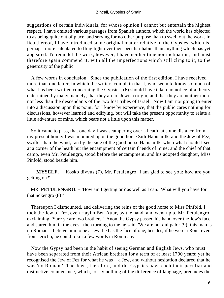suggestions of certain individuals, for whose opinion I cannot but entertain the highest respect. I have omitted various passages from Spanish authors, which the world has objected to as being quite out of place, and serving for no other purpose than to swell out the work. In lieu thereof, I have introduced some original matter relative to the Gypsies, which is, perhaps, more calculated to fling light over their peculiar habits than anything which has yet appeared. To remodel the work, however, I have neither time nor inclination, and must therefore again commend it, with all the imperfections which still cling to it, to the generosity of the public.

 A few words in conclusion. Since the publication of the first edition, I have received more than one letter, in which the writers complain that I, who seem to know so much of what has been written concerning the Gypsies, (6) should have taken no notice of a theory entertained by many, namely, that they are of Jewish origin, and that they are neither more nor less than the descendants of the two lost tribes of Israel. Now I am not going to enter into a discussion upon this point, for I know by experience, that the public cares nothing for discussions, however learned and edifying, but will take the present opportunity to relate a little adventure of mine, which bears not a little upon this matter.

 So it came to pass, that one day I was scampering over a heath, at some distance from my present home: I was mounted upon the good horse Sidi Habismilk, and the Jew of Fez, swifter than the wind, ran by the side of the good horse Habismilk, when what should I see at a corner of the heath but the encampment of certain friends of mine; and the chief of that camp, even Mr. Petulengro, stood before the encampment, and his adopted daughter, Miss Pinfold, stood beside him.

**MYSELF.** − 'Kosko divvus (7), Mr. Petulengro! I am glad to see you: how are you getting on?'

MR. **PETULENGRO.** − 'How am I getting on? as well as I can. What will you have for that nokengro (8)?'

 Thereupon I dismounted, and delivering the reins of the good horse to Miss Pinfold, I took the Jew of Fez, even Hayim Ben Attar, by the hand, and went up to Mr. Petulengro, exclaiming, 'Sure ye are two brothers.' Anon the Gypsy passed his hand over the Jew's face, and stared him in the eyes: then turning to me he said, 'We are not dui palor (9); this man is no Roman; I believe him to be a Jew; he has the face of one; besides, if he were a Rom, even from Jericho, he could rokra a few words in Rommany.'

 Now the Gypsy had been in the habit of seeing German and English Jews, who must have been separated from their African brethren for a term of at least 1700 years; yet he recognised the Jew of Fez for what he was − a Jew, and without hesitation declared that he was 'no Roman.' The Jews, therefore, and the Gypsies have each their peculiar and distinctive countenance, which, to say nothing of the difference of language, precludes the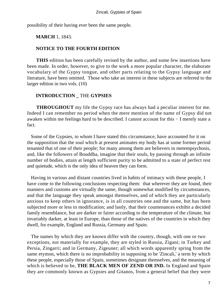possibility of their having ever been the same people.

#### **MARCH** 1, 1843.

#### **NOTICE TO THE FOURTH EDITION**

**THIS** edition has been carefully revised by the author, and some few insertions have been made. In order, however, to give to the work a more popular character, the elaborate vocabulary of the Gypsy tongue, and other parts relating to the Gypsy language and literature, have been omitted. Those who take an interest in these subjects are referred to the larger edition in two vols. (10)

## **INTRODUCTION \_** THE **GYPSIES**

**THROUGHOUT** my life the Gypsy race has always had a peculiar interest for me. Indeed I can remember no period when the mere mention of the name of Gypsy did not awaken within me feelings hard to be described. I cannot account for this − I merely state a fact.

 Some of the Gypsies, to whom I have stated this circumstance, have accounted for it on the supposition that the soul which at present animates my body has at some former period tenanted that of one of their people; for many among them are believers in metempsychosis, and, like the followers of Bouddha, imagine that their souls, by passing through an infinite number of bodies, attain at length sufficient purity to be admitted to a state of perfect rest and quietude, which is the only idea of heaven they can form.

 Having in various and distant countries lived in habits of intimacy with these people, I have come to the following conclusions respecting them: that wherever they are found, their manners and customs are virtually the same, though somewhat modified by circumstances, and that the language they speak amongst themselves, and of which they are particularly anxious to keep others in ignorance, is in all countries one and the same, but has been subjected more or less to modification; and lastly, that their countenances exhibit a decided family resemblance, but are darker or fairer according to the temperature of the climate, but invariably darker, at least in Europe, than those of the natives of the countries in which they dwell, for example, England and Russia, Germany and Spain.

 The names by which they are known differ with the country, though, with one or two exceptions, not materially for example, they are styled in Russia, Zigani; in Turkey and Persia, Zingarri; and in Germany, Zigeuner; all which words apparently spring from the same etymon, which there is no improbability in supposing to be 'Zincali,' a term by which these people, especially those of Spain, sometimes designate themselves, and the meaning of which is believed to be, **THE BLACK MEN OF ZEND OR IND.** In England and Spain they are commonly known as Gypsies and Gitanos, from a general belief that they were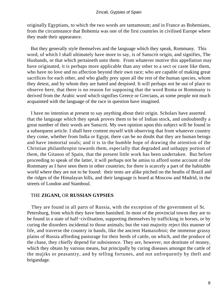originally Egyptians, to which the two words are tantamount; and in France as Bohemians, from the circumstance that Bohemia was one of the first countries in civilised Europe where they made their appearance.

 But they generally style themselves and the language which they speak, Rommany. This word, of which I shall ultimately have more to say, is of Sanscrit origin, and signifies, The Husbands, or that which pertaineth unto them. From whatever motive this appellation may have originated, it is perhaps more applicable than any other to a sect or caste like them, who have no love and no affection beyond their own race; who are capable of making great sacrifices for each other, and who gladly prey upon all the rest of the human species, whom they detest, and by whom they are hated and despised. It will perhaps not be out of place to observe here, that there is no reason for supposing that the word Roma or Rommany is derived from the Arabic word which signifies Greece or Grecians, as some people not much acquainted with the language of the race in question have imagined.

 I have no intention at present to say anything about their origin. Scholars have asserted that the language which they speak proves them to be of Indian stock, and undoubtedly a great number of their words are Sanscrit. My own opinion upon this subject will be found in a subsequent article. I shall here content myself with observing that from whatever country they come, whether from India or Egypt, there can be no doubt that they are human beings and have immortal souls; and it is in the humble hope of drawing the attention of the Christian philanthropist towards them, especially that degraded and unhappy portion of them, the Gitanos of Spain, that the present little work has been undertaken. But before proceeding to speak of the latter, it will perhaps not be amiss to afford some account of the Rommany as I have seen them in other countries; for there is scarcely a part of the habitable world where they are not to be found: their tents are alike pitched on the heaths of Brazil and the ridges of the Himalayan hills, and their language is heard at Moscow and Madrid, in the streets of London and Stamboul.

#### THE **ZIGANI,** OR **RUSSIAN GYPSIES**

 They are found in all parts of Russia, with the exception of the government of St. Petersburg, from which they have been banished. In most of the provincial towns they are to be found in a state of half−civilisation, supporting themselves by trafficking in horses, or by curing the disorders incidental to those animals; but the vast majority reject this manner of life, and traverse the country in bands, like the ancient Hamaxobioi; the immense grassy plains of Russia affording pasturage for their herds of cattle, on which, and the produce of the chase, they chiefly depend for subsistence. They are, however, not destitute of money, which they obtain by various means, but principally by curing diseases amongst the cattle of the mujiks or peasantry, and by telling fortunes, and not unfrequently by theft and brigandage.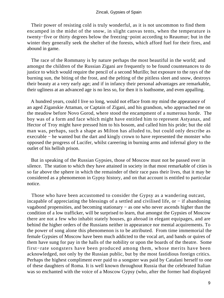Their power of resisting cold is truly wonderful, as it is not uncommon to find them encamped in the midst of the snow, in slight canvas tents, when the temperature is twenty−five or thirty degrees below the freezing−point according to Reaumur; but in the winter they generally seek the shelter of the forests, which afford fuel for their fires, and abound in game.

 The race of the Rommany is by nature perhaps the most beautiful in the world; and amongst the children of the Russian Zigani are frequently to be found countenances to do justice to which would require the pencil of a second Murillo; but exposure to the rays of the burning sun, the biting of the frost, and the pelting of the pitiless sleet and snow, destroys their beauty at a very early age; and if in infancy their personal advantages are remarkable, their ugliness at an advanced age is no less so, for then it is loathsome, and even appalling.

 A hundred years, could I live so long, would not efface from my mind the appearance of an aged Ziganskie Attaman, or Captain of Zigani, and his grandson, who approached me on the meadow before Novo Gorod, where stood the encampment of a numerous horde. The boy was of a form and face which might have entitled him to represent Astyanax, and Hector of Troy might have pressed him to his bosom, and called him his pride; but the old man was, perhaps, such a shape as Milton has alluded to, but could only describe as execrable − he wanted but the dart and kingly crown to have represented the monster who opposed the progress of Lucifer, whilst careering in burning arms and infernal glory to the outlet of his hellish prison.

 But in speaking of the Russian Gypsies, those of Moscow must not be passed over in silence. The station to which they have attained in society in that most remarkable of cities is so far above the sphere in which the remainder of their race pass their lives, that it may be considered as a phenomenon in Gypsy history, and on that account is entitled to particular notice.

 Those who have been accustomed to consider the Gypsy as a wandering outcast, incapable of appreciating the blessings of a settled and civilised life, or − if abandoning vagabond propensities, and becoming stationary − as one who never ascends higher than the condition of a low trafficker, will be surprised to learn, that amongst the Gypsies of Moscow there are not a few who inhabit stately houses, go abroad in elegant equipages, and are behind the higher orders of the Russians neither in appearance nor mental acquirements. To the power of song alone this phenomenon is to be attributed. From time immemorial the female Gypsies of Moscow have been much addicted to the vocal art, and bands or quires of them have sung for pay in the halls of the nobility or upon the boards of the theatre. Some first−rate songsters have been produced among them, whose merits have been acknowledged, not only by the Russian public, but by the most fastidious foreign critics. Perhaps the highest compliment ever paid to a songster was paid by Catalani herself to one of these daughters of Roma. It is well known throughout Russia that the celebrated Italian was so enchanted with the voice of a Moscow Gypsy (who, after the former had displayed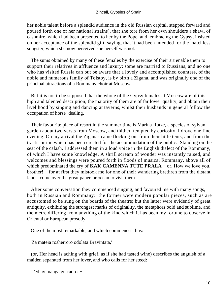her noble talent before a splendid audience in the old Russian capital, stepped forward and poured forth one of her national strains), that she tore from her own shoulders a shawl of cashmire, which had been presented to her by the Pope, and, embracing the Gypsy, insisted on her acceptance of the splendid gift, saying, that it had been intended for the matchless songster, which she now perceived she herself was not.

 The sums obtained by many of these females by the exercise of their art enable them to support their relatives in affluence and luxury: some are married to Russians, and no one who has visited Russia can but be aware that a lovely and accomplished countess, of the noble and numerous family of Tolstoy, is by birth a Zigana, and was originally one of the principal attractions of a Rommany choir at Moscow.

 But it is not to be supposed that the whole of the Gypsy females at Moscow are of this high and talented description; the majority of them are of far lower quality, and obtain their livelihood by singing and dancing at taverns, whilst their husbands in general follow the occupation of horse−dealing.

 Their favourite place of resort in the summer time is Marina Rotze, a species of sylvan garden about two versts from Moscow, and thither, tempted by curiosity, I drove one fine evening. On my arrival the Ziganas came flocking out from their little tents, and from the tractir or inn which has been erected for the accommodation of the public. Standing on the seat of the calash, I addressed them in a loud voice in the English dialect of the Rommany, of which I have some knowledge. A shrill scream of wonder was instantly raised, and welcomes and blessings were poured forth in floods of musical Rommany, above all of which predominated the cry of **KAK CAMENNA TUTE PRALA −** or, How we love you, brother! − for at first they mistook me for one of their wandering brethren from the distant lands, come over the great panee or ocean to visit them.

 After some conversation they commenced singing, and favoured me with many songs, both in Russian and Rommany: the former were modern popular pieces, such as are accustomed to be sung on the boards of the theatre; but the latter were evidently of great antiquity, exhibiting the strongest marks of originality, the metaphors bold and sublime, and the metre differing from anything of the kind which it has been my fortune to observe in Oriental or European prosody.

One of the most remarkable, and which commences thus:

'Za mateia rosherroro odolata Bravintata,'

 (or, Her head is aching with grief, as if she had tasted wine) describes the anguish of a maiden separated from her lover, and who calls for her steed:

'Tedjav manga gurraoro' −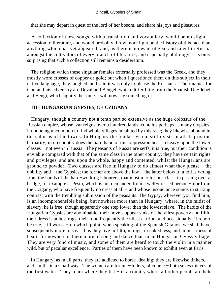that she may depart in quest of the lord of her bosom, and share his joys and pleasures.

 A collection of these songs, with a translation and vocabulary, would be no slight accession to literature, and would probably throw more light on the history of this race than anything which has yet appeared; and, as there is no want of zeal and talent in Russia amongst the cultivators of every branch of literature, and especially philology, it is only surprising that such a collection still remains a desideratum.

 The religion which these singular females externally professed was the Greek, and they mostly wore crosses of copper or gold; but when I questioned them on this subject in their native language, they laughed, and said it was only to please the Russians. Their names for God and his adversary are Deval and Bengel, which differ little from the Spanish Un−debel and Bengi, which signify the same. I will now say something of

#### THE **HUNGARIAN GYPSIES,** OR **CZIGANY**

 Hungary, though a country not a tenth part so extensive as the huge colossus of the Russian empire, whose tzar reigns over a hundred lands, contains perhaps as many Gypsies, it not being uncommon to find whole villages inhabited by this race; they likewise abound in the suburbs of the towns. In Hungary the feudal system still exists in all its pristine barbarity; in no country does the hard hand of this oppression bear so heavy upon the lower classes − not even in Russia. The peasants of Russia are serfs, it is true, but their condition is enviable compared with that of the same class in the other country; they have certain rights and privileges, and are, upon the whole, happy and contented, whilst the Hungarians are ground to powder. Two classes are free in Hungary to do almost what they please − the nobility and − the Gypsies; the former are above the law − the latter below it: a toll is wrung from the hands of the hard−working labourers, that most meritorious class, in passing over a bridge, for example at Pesth, which is not demanded from a well−dressed person − nor from the Czigany, who have frequently no dress at all − and whose insouciance stands in striking contrast with the trembling submission of the peasants. The Gypsy, wherever you find him, is an incomprehensible being, but nowhere more than in Hungary, where, in the midst of slavery, he is free, though apparently one step lower than the lowest slave. The habits of the Hungarian Gypsies are abominable; their hovels appear sinks of the vilest poverty and filth, their dress is at best rags, their food frequently the vilest carrion, and occasionally, if report be true, still worse − on which point, when speaking of the Spanish Gitanos, we shall have subsequently more to say: thus they live in filth, in rags, in nakedness, and in merriness of heart, for nowhere is there more of song and dance than in an Hungarian Gypsy village. They are very fond of music, and some of them are heard to touch the violin in a manner wild, but of peculiar excellence. Parties of them have been known to exhibit even at Paris.

 In Hungary, as in all parts, they are addicted to horse−dealing; they are likewise tinkers, and smiths in a small way. The women are fortune−tellers, of course − both sexes thieves of the first water. They roam where they list − in a country where all other people are held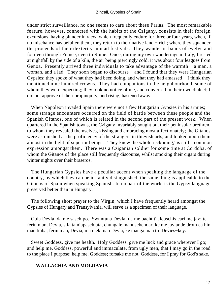under strict surveillance, no one seems to care about these Parias. The most remarkable feature, however, connected with the habits of the Czigany, consists in their foreign excursions, having plunder in view, which frequently endure for three or four years, when, if no mischance has befallen them, they return to their native land − rich; where they squander the proceeds of their dexterity in mad festivals. They wander in bands of twelve and fourteen through France, even to Rome. Once, during my own wanderings in Italy, I rested at nightfall by the side of a kiln, the air being piercingly cold; it was about four leagues from Genoa. Presently arrived three individuals to take advantage of the warmth − a man, a woman, and a lad. They soon began to discourse − and I found that they were Hungarian Gypsies; they spoke of what they had been doing, and what they had amassed − I think they mentioned nine hundred crowns. They had companions in the neighbourhood, some of whom they were expecting; they took no notice of me, and conversed in their own dialect; I did not approve of their propinquity, and rising, hastened away.

When Napoleon invaded Spain there were not a few Hungarian Gypsies in his armies; some strange encounters occurred on the field of battle between these people and the Spanish Gitanos, one of which is related in the second part of the present work. When quartered in the Spanish towns, the Czigany invariably sought out their peninsular brethren, to whom they revealed themselves, kissing and embracing most affectionately; the Gitanos were astonished at the proficiency of the strangers in thievish arts, and looked upon them almost in the light of superior beings: 'They knew the whole reckoning,' is still a common expression amongst them. There was a Cziganian soldier for some time at Cordoba, of whom the Gitanos of the place still frequently discourse, whilst smoking their cigars during winter nights over their braseros.

 The Hungarian Gypsies have a peculiar accent when speaking the language of the country, by which they can be instantly distinguished; the same thing is applicable to the Gitanos of Spain when speaking Spanish. In no part of the world is the Gypsy language preserved better than in Hungary.

 The following short prayer to the Virgin, which I have frequently heard amongst the Gypsies of Hungary and Transylvania, will serve as a specimen of their language.−

 Gula Devla, da me saschipo. Swuntuna Devla, da me bacht t' aldaschis cari me jav; te ferin man, Devla, sila ta niapaschiata, chungale manuschendar, ke me jav ande drom ca hin man traba; ferin man, Devia; ma mek man Devla, ke manga man tre Devies−key.

 Sweet Goddess, give me health. Holy Goddess, give me luck and grace wherever I go; and help me, Goddess, powerful and immaculate, from ugly men, that I may go in the road to the place I purpose: help me, Goddess; forsake me not, Goddess, for I pray for God's sake.

# **WALLACHIA AND MOLDAVIA**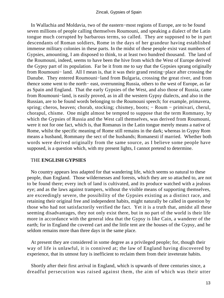In Wallachia and Moldavia, two of the eastern−most regions of Europe, are to be found seven millions of people calling themselves Roumouni, and speaking a dialect of the Latin tongue much corrupted by barbarous terms, so called. They are supposed to be in part descendants of Roman soldiers, Rome in the days of her grandeur having established immense military colonies in these parts. In the midst of these people exist vast numbers of Gypsies, amounting, I am disposed to think, to at least two hundred thousand. The land of the Roumouni, indeed, seems to have been the hive from which the West of Europe derived the Gypsy part of its population. Far be it from me to say that the Gypsies sprang originally from Roumouni− land. All I mean is, that it was their grand resting−place after crossing the Danube. They entered Roumouni−land from Bulgaria, crossing the great river, and from thence some went to the north− east, overrunning Russia, others to the west of Europe, as far as Spain and England. That the early Gypsies of the West, and also those of Russia, came from Roumouni−land, is easily proved, as in all the western Gypsy dialects, and also in the Russian, are to be found words belonging to the Roumouni speech; for example, primavera, spring; cheros, heaven; chorab, stocking; chismey, boots; – Roum – primivari, cherul, chorapul, chisme. One might almost be tempted to suppose that the term Rommany, by which the Gypsies of Russia and the West call themselves, was derived from Roumouni, were it not for one fact, which is, that Romanus in the Latin tongue merely means a native of Rome, whilst the specific meaning of Rome still remains in the dark; whereas in Gypsy Rom means a husband, Rommany the sect of the husbands; Romanesti if married. Whether both words were derived originally from the same source, as I believe some people have supposed, is a question which, with my present lights, I cannot pretend to determine.

#### THE **ENGLISH GYPSIES**

 No country appears less adapted for that wandering life, which seems so natural to these people, than England. Those wildernesses and forests, which they are so attached to, are not to be found there; every inch of land is cultivated, and its produce watched with a jealous eye; and as the laws against trampers, without the visible means of supporting themselves, are exceedingly severe, the possibility of the Gypsies existing as a distinct race, and retaining their original free and independent habits, might naturally be called in question by those who had not satisfactorily verified the fact. Yet it is a truth that, amidst all these seeming disadvantages, they not only exist there, but in no part of the world is their life more in accordance with the general idea that the Gypsy is like Cain, a wanderer of the earth; for in England the covered cart and the little tent are the houses of the Gypsy, and he seldom remains more than three days in the same place.

 At present they are considered in some degree as a privileged people; for, though their way of life is unlawful, it is connived at; the law of England having discovered by experience, that its utmost fury is inefficient to reclaim them from their inveterate habits.

 Shortly after their first arrival in England, which is upwards of three centuries since, a dreadful persecution was raised against them, the aim of which was their utter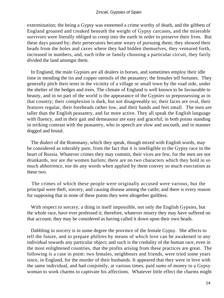extermination; the being a Gypsy was esteemed a crime worthy of death, and the gibbets of England groaned and creaked beneath the weight of Gypsy carcases, and the miserable survivors were literally obliged to creep into the earth in order to preserve their lives. But these days passed by; their persecutors became weary of pursuing them; they showed their heads from the holes and caves where they had hidden themselves, they ventured forth, increased in numbers, and, each tribe or family choosing a particular circuit, they fairly divided the land amongst them.

 In England, the male Gypsies are all dealers in horses, and sometimes employ their idle time in mending the tin and copper utensils of the peasantry; the females tell fortunes. They generally pitch their tents in the vicinity of a village or small town by the road side, under the shelter of the hedges and trees. The climate of England is well known to be favourable to beauty, and in no part of the world is the appearance of the Gypsies so prepossessing as in that country; their complexion is dark, but not disagreeably so; their faces are oval, their features regular, their foreheads rather low, and their hands and feet small. The men are taller than the English peasantry, and far more active. They all speak the English language with fluency, and in their gait and demeanour are easy and graceful; in both points standing in striking contrast with the peasantry, who in speech are slow and uncouth, and in manner dogged and brutal.

 The dialect of the Rommany, which they speak, though mixed with English words, may be considered as tolerably pure, from the fact that it is intelligible to the Gypsy race in the heart of Russia. Whatever crimes they may commit, their vices are few, for the men are not drunkards, nor are the women harlots; there are no two characters which they hold in so much abhorrence, nor do any words when applied by them convey so much execration as these two.

 The crimes of which these people were originally accused were various, but the principal were theft, sorcery, and causing disease among the cattle; and there is every reason for supposing that in none of these points they were altogether guiltless.

 With respect to sorcery, a thing in itself impossible, not only the English Gypsies, but the whole race, have ever professed it; therefore, whatever misery they may have suffered on that account, they may be considered as having called it down upon their own heads.

 Dabbling in sorcery is in some degree the province of the female Gypsy. She affects to tell the future, and to prepare philtres by means of which love can be awakened in any individual towards any particular object; and such is the credulity of the human race, even in the most enlightened countries, that the profits arising from these practices are great. The following is a case in point: two females, neighbours and friends, were tried some years since, in England, for the murder of their husbands. It appeared that they were in love with the same individual, and had conjointly, at various times, paid sums of money to a Gypsy woman to work charms to captivate his affections. Whatever little effect the charms might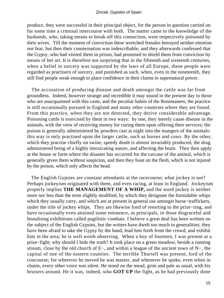#### Zincali, Gypsies of Spain

produce, they were successful in their principal object, for the person in question carried on for some time a criminal intercourse with both. The matter came to the knowledge of the husbands, who, taking means to break off this connection, were respectively poisoned by their wives. Till the moment of conviction these wretched females betrayed neither emotion nor fear, but then their consternation was indescribable; and they afterwards confessed that the Gypsy, who had visited them in prison, had promised to shield them from conviction by means of her art. It is therefore not surprising that in the fifteenth and sixteenth centuries, when a belief in sorcery was supported by the laws of all Europe, these people were regarded as practisers of sorcery, and punished as such, when, even in the nineteenth, they still find people weak enough to place confidence in their claims to supernatural power.

 The accusation of producing disease and death amongst the cattle was far from groundless. Indeed, however strange and incredible it may sound in the present day to those who are unacquainted with this caste, and the peculiar habits of the Rommanees, the practice is still occasionally pursued in England and many other countries where they are found. From this practice, when they are not detected, they derive considerable advantage. Poisoning cattle is exercised by them in two ways: by one, they merely cause disease in the animals, with the view of receiving money for curing them upon offering their services; the poison is generally administered by powders cast at night into the mangers of the animals: this way is only practised upon the larger cattle, such as horses and cows. By the other, which they practise chiefly on swine, speedy death is almost invariably produced, the drug administered being of a highly intoxicating nature, and affecting the brain. They then apply at the house or farm where the disaster has occurred for the carcase of the animal, which is generally given them without suspicion, and then they feast on the flesh, which is not injured by the poison, which only affects the head.

 The English Gypsies are constant attendants at the racecourse; what jockey is not? Perhaps jockeyism originated with them, and even racing, at least in England. Jockeyism properly implies **THE MANAGEMENT OF A WHIP,** and the word jockey is neither more nor less than the term slightly modified, by which they designate the formidable whips which they usually carry, and which are at present in general use amongst horse−traffickers, under the title of jockey whips. They are likewise fond of resorting to the prize−ring, and have occasionally even attained some eminence, as principals, in those disgraceful and brutalising exhibitions called pugilistic combats. I believe a great deal has been written on the subject of the English Gypsies, but the writers have dwelt too much in generalities; they have been afraid to take the Gypsy by the hand, lead him forth from the crowd, and exhibit him in the area; he is well worth observing. When a boy of fourteen, I was present at a prize−fight; why should I hide the truth? It took place on a green meadow, beside a running stream, close by the old church of E−, and within a league of the ancient town of N−, the capital of one of the eastern counties. The terrible Thurtell was present, lord of the concourse; for wherever he moved he was master, and whenever he spoke, even when in chains, every other voice was silent. He stood on the mead, grim and pale as usual, with his bruisers around. He it was, indeed, who **GOT UP** the fight, as he had previously done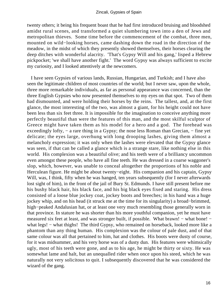twenty others; it being his frequent boast that he had first introduced bruising and bloodshed amidst rural scenes, and transformed a quiet slumbering town into a den of Jews and metropolitan thieves. Some time before the commencement of the combat, three men, mounted on wild−looking horses, came dashing down the road in the direction of the meadow, in the midst of which they presently showed themselves, their horses clearing the deep ditches with wonderful alacrity. 'That's Gypsy Will and his gang,' lisped a Hebrew pickpocket; 'we shall have another fight.' The word Gypsy was always sufficient to excite my curiosity, and I looked attentively at the newcomers.

 I have seen Gypsies of various lands, Russian, Hungarian, and Turkish; and I have also seen the legitimate children of most countries of the world; but I never saw, upon the whole, three more remarkable individuals, as far as personal appearance was concerned, than the three English Gypsies who now presented themselves to my eyes on that spot. Two of them had dismounted, and were holding their horses by the reins. The tallest, and, at the first glance, the most interesting of the two, was almost a giant, for his height could not have been less than six feet three. It is impossible for the imagination to conceive anything more perfectly beautiful than were the features of this man, and the most skilful sculptor of Greece might have taken them as his model for a hero and a god. The forehead was exceedingly lofty, – a rare thing in a Gypsy; the nose less Roman than Grecian, – fine yet delicate; the eyes large, overhung with long drooping lashes, giving them almost a melancholy expression; it was only when the lashes were elevated that the Gypsy glance was seen, if that can be called a glance which is a strange stare, like nothing else in this world. His complexion was a beautiful olive; and his teeth were of a brilliancy uncommon even amongst these people, who have all fine teeth. He was dressed in a coarse waggoner's slop, which, however, was unable to conceal altogether the proportions of his noble and Herculean figure. He might be about twenty−eight. His companion and his captain, Gypsy Will, was, I think, fifty when he was hanged, ten years subsequently (for I never afterwards lost sight of him), in the front of the jail of Bury St. Edmunds. I have still present before me his bushy black hair, his black face, and his big black eyes fixed and staring. His dress consisted of a loose blue jockey coat, jockey boots and breeches; in his hand was a huge jockey whip, and on his head (it struck me at the time for its singularity) a broad−brimmed, high−peaked Andalusian hat, or at least one very much resembling those generally worn in that province. In stature he was shorter than his more youthful companion, yet he must have measured six feet at least, and was stronger built, if possible. What brawn! – what bone! – what legs! – what thighs! The third Gypsy, who remained on horseback, looked more like a phantom than any thing human. His complexion was the colour of pale dust, and of that same colour was all that pertained to him, hat and clothes. His boots were dusty of course, for it was midsummer, and his very horse was of a dusty dun. His features were whimsically ugly, most of his teeth were gone, and as to his age, he might be thirty or sixty. He was somewhat lame and halt, but an unequalled rider when once upon his steed, which he was naturally not very solicitous to quit. I subsequently discovered that he was considered the wizard of the gang.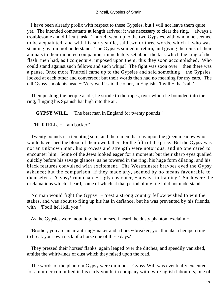I have been already prolix with respect to these Gypsies, but I will not leave them quite yet. The intended combatants at length arrived; it was necessary to clear the ring, – always a troublesome and difficult task. Thurtell went up to the two Gypsies, with whom he seemed to be acquainted, and with his surly smile, said two or three words, which I, who was standing by, did not understand. The Gypsies smiled in return, and giving the reins of their animals to their mounted companion, immediately set about the task which the king of the flash−men had, as I conjecture, imposed upon them; this they soon accomplished. Who could stand against such fellows and such whips? The fight was soon over – then there was a pause. Once more Thurtell came up to the Gypsies and said something − the Gypsies looked at each other and conversed; but their words then had no meaning for my ears. The tall Gypsy shook his head − 'Very well,' said the other, in English. 'I will − that's all.'

 Then pushing the people aside, he strode to the ropes, over which he bounded into the ring, flinging his Spanish hat high into the air.

**GYPSY WILL.** – 'The best man in England for twenty pounds!'

'THURTELL. − 'I am backer!'

 Twenty pounds is a tempting sum, and there men that day upon the green meadow who would have shed the blood of their own fathers for the fifth of the price. But the Gypsy was not an unknown man, his prowess and strength were notorious, and no one cared to encounter him. Some of the Jews looked eager for a moment; but their sharp eyes quailed quickly before his savage glances, as he towered in the ring, his huge form dilating, and his black features convulsed with excitement. The Westminster bravoes eyed the Gypsy askance; but the comparison, if they made any, seemed by no means favourable to themselves. 'Gypsy! rum chap. − Ugly customer, − always in training.' Such were the exclamations which I heard, some of which at that period of my life I did not understand.

No man would fight the Gypsy. – Yes! a strong country fellow wished to win the stakes, and was about to fling up his hat in defiance, but he was prevented by his friends, with − 'Fool! he'll kill you!'

As the Gypsies were mounting their horses, I heard the dusty phantom exclaim −

 'Brother, you are an arrant ring−maker and a horse−breaker; you'll make a hempen ring to break your own neck of a horse one of these days.'

 They pressed their horses' flanks, again leaped over the ditches, and speedily vanished, amidst the whirlwinds of dust which they raised upon the road.

 The words of the phantom Gypsy were ominous. Gypsy Will was eventually executed for a murder committed in his early youth, in company with two English labourers, one of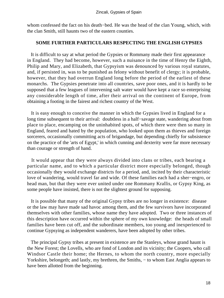whom confessed the fact on his death−bed. He was the head of the clan Young, which, with the clan Smith, still haunts two of the eastern counties.

#### **SOME FURTHER PARTICULARS RESPECTING THE ENGLISH GYPSIES**

 It is difficult to say at what period the Gypsies or Rommany made their first appearance in England. They had become, however, such a nuisance in the time of Henry the Eighth, Philip and Mary, and Elizabeth, that Gypsyism was denounced by various royal statutes, and, if persisted in, was to be punished as felony without benefit of clergy; it is probable, however, that they had overrun England long before the period of the earliest of these monarchs. The Gypsies penetrate into all countries, save poor ones, and it is hardly to be supposed that a few leagues of intervening salt water would have kept a race so enterprising any considerable length of time, after their arrival on the continent of Europe, from obtaining a footing in the fairest and richest country of the West.

 It is easy enough to conceive the manner in which the Gypsies lived in England for a long time subsequent to their arrival: doubtless in a half−savage state, wandering about from place to place, encamping on the uninhabited spots, of which there were then so many in England, feared and hated by the population, who looked upon them as thieves and foreign sorcerers, occasionally committing acts of brigandage, but depending chiefly for subsistence on the practice of the 'arts of Egypt,' in which cunning and dexterity were far more necessary than courage or strength of hand.

 It would appear that they were always divided into clans or tribes, each bearing a particular name, and to which a particular district more especially belonged, though occasionally they would exchange districts for a period, and, incited by their characteristic love of wandering, would travel far and wide. Of these families each had a sher−engro, or head man, but that they were ever united under one Rommany Krallis, or Gypsy King, as some people have insisted, there is not the slightest ground for supposing.

 It is possible that many of the original Gypsy tribes are no longer in existence: disease or the law may have made sad havoc among them, and the few survivors have incorporated themselves with other families, whose name they have adopted. Two or three instances of this description have occurred within the sphere of my own knowledge: the heads of small families have been cut off, and the subordinate members, too young and inexperienced to continue Gypsying as independent wanderers, have been adopted by other tribes.

 The principal Gypsy tribes at present in existence are the Stanleys, whose grand haunt is the New Forest; the Lovells, who are fond of London and its vicinity; the Coopers, who call Windsor Castle their home; the Hernes, to whom the north country, more especially Yorkshire, belongeth; and lastly, my brethren, the Smiths, − to whom East Anglia appears to have been allotted from the beginning.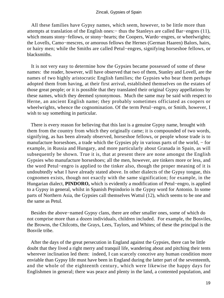All these families have Gypsy names, which seem, however, to be little more than attempts at translation of the English ones:− thus the Stanleys are called Bar−engres (11), which means stony−fellows, or stony−hearts; the Coopers, Wardo−engres, or wheelwrights; the Lovells, Camo−mescres, or amorous fellows the Hernes (German Haaren) Balors, hairs, or hairy men; while the Smiths are called Petul−engres, signifying horseshoe fellows, or blacksmiths.

 It is not very easy to determine how the Gypsies became possessed of some of these names: the reader, however, will have observed that two of them, Stanley and Lovell, are the names of two highly aristocratic English families; the Gypsies who bear them perhaps adopted them from having, at their first arrival, established themselves on the estates of those great people; or it is possible that they translated their original Gypsy appellations by these names, which they deemed synonymous. Much the same may be said with respect to Herne, an ancient English name; they probably sometimes officiated as coopers or wheelwrights, whence the cognomination. Of the term Petul−engro, or Smith, however, I wish to say something in particular.

 There is every reason for believing that this last is a genuine Gypsy name, brought with them from the country from which they originally came; it is compounded of two words, signifying, as has been already observed, horseshoe fellows, or people whose trade is to manufacture horseshoes, a trade which the Gypsies ply in various parts of the world, − for example, in Russia and Hungary, and more particularly about Granada in Spain, as will subsequently be shown. True it is, that at present there are none amongst the English Gypsies who manufacture horseshoes; all the men, however, are tinkers more or less, and the word Petul−engro is applied to the tinker also, though the proper meaning of it is undoubtedly what I have already stated above. In other dialects of the Gypsy tongue, this cognomen exists, though not exactly with the same signification; for example, in the Hungarian dialect, **PINDORO,** which is evidently a modification of Petul−engro, is applied to a Gypsy in general, whilst in Spanish Pepindorio is the Gypsy word for Antonio. In some parts of Northern Asia, the Gypsies call themselves Wattul (12), which seems to be one and the same as Petul.

 Besides the above−named Gypsy clans, there are other smaller ones, some of which do not comprise more than a dozen individuals, children included. For example, the Bosviles, the Browns, the Chilcotts, the Grays, Lees, Taylors, and Whites; of these the principal is the Bosvile tribe.

 After the days of the great persecution in England against the Gypsies, there can be little doubt that they lived a right merry and tranquil life, wandering about and pitching their tents wherever inclination led them: indeed, I can scarcely conceive any human condition more enviable than Gypsy life must have been in England during the latter part of the seventeenth, and the whole of the eighteenth century, which were likewise the happy days for Englishmen in general; there was peace and plenty in the land, a contented population, and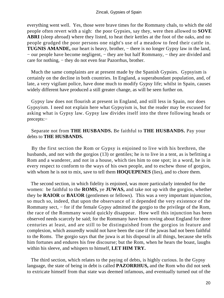everything went well. Yes, those were brave times for the Rommany chals, to which the old people often revert with a sigh: the poor Gypsies, say they, were then allowed to **SOVE ABRI** (sleep abroad) where they listed, to heat their kettles at the foot of the oaks, and no people grudged the poor persons one night's use of a meadow to feed their cattle in. **TUGNIS AMANDE,** our heart is heavy, brother, − there is no longer Gypsy law in the land, − our people have become negligent, − they are but half Rommany, − they are divided and care for nothing, − they do not even fear Pazorrhus, brother.

 Much the same complaints are at present made by the Spanish Gypsies. Gypsyism is certainly on the decline in both countries. In England, a superabundant population, and, of late, a very vigilant police, have done much to modify Gypsy life; whilst in Spain, causes widely different have produced a still greater change, as will be seen further on.

 Gypsy law does not flourish at present in England, and still less in Spain, nor does Gypsyism. I need not explain here what Gypsyism is, but the reader may be excused for asking what is Gypsy law. Gypsy law divides itself into the three following heads or precepts:−

# Separate not from **THE HUSBANDS.** Be faithful to **THE HUSBANDS.** Pay your debts to **THE HUSBANDS.**

 By the first section the Rom or Gypsy is enjoined to live with his brethren, the husbands, and not with the gorgios (13) or gentiles; he is to live in a tent, as is befitting a Rom and a wanderer, and not in a house, which ties him to one spot; in a word, he is in every respect to conform to the ways of his own people, and to eschew those of gorgios, with whom he is not to mix, save to tell them **HOQUEPENES** (lies), and to chore them.

 The second section, in which fidelity is enjoined, was more particularly intended for the women: be faithful to the **ROMS,** ye **JUWAS,** and take not up with the gorgios, whether they be **RAIOR** or **BAUOR** (gentlemen or fellows). This was a very important injunction, so much so, indeed, that upon the observance of it depended the very existence of the Rommany sect, − for if the female Gypsy admitted the gorgio to the privilege of the Rom, the race of the Rommany would quickly disappear. How well this injunction has been observed needs scarcely be said; for the Rommany have been roving about England for three centuries at least, and are still to be distinguished from the gorgios in feature and complexion, which assuredly would not have been the case if the juwas had not been faithful to the Roms. The gorgio says that the juwa is at his disposal in all things, because she tells him fortunes and endures his free discourse; but the Rom, when he hears the boast, laughs within his sleeve, and whispers to himself, **LET HIM TRY.**

 The third section, which relates to the paying of debts, is highly curious. In the Gypsy language, the state of being in debt is called **PAZORRHUS,** and the Rom who did not seek to extricate himself from that state was deemed infamous, and eventually turned out of the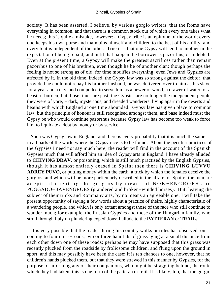society. It has been asserted, I believe, by various gorgio writers, that the Roms have everything in common, and that there is a common stock out of which every one takes what he needs; this is quite a mistake, however: a Gypsy tribe is an epitome of the world; every one keeps his own purse and maintains himself and children to the best of his ability, and every tent is independent of the other. True it is that one Gypsy will lend to another in the expectation of being repaid, and until that happen the borrower is pazorrhus, or indebted. Even at the present time, a Gypsy will make the greatest sacrifices rather than remain pazorrhus to one of his brethren, even though he be of another clan; though perhaps the feeling is not so strong as of old, for time modifies everything; even Jews and Gypsies are affected by it. In the old time, indeed, the Gypsy law was so strong against the debtor, that provided he could not repay his brother husband, he was delivered over to him as his slave for a year and a day, and compelled to serve him as a hewer of wood, a drawer of water, or a beast of burden; but those times are past, the Gypsies are no longer the independent people they were of yore, − dark, mysterious, and dreaded wanderers, living apart in the deserts and heaths with which England at one time abounded. Gypsy law has given place to common law; but the principle of honour is still recognised amongst them, and base indeed must the Gypsy be who would continue pazorrhus because Gypsy law has become too weak to force him to liquidate a debt by money or by service.

 Such was Gypsy law in England, and there is every probability that it is much the same in all parts of the world where the Gypsy race is to be found. About the peculiar practices of the Gypsies I need not say much here; the reader will find in the account of the Spanish Gypsies much that will afford him an idea of Gypsy arts in England. I have already alluded to **CHIVING DRAV,** or poisoning, which is still much practised by the English Gypsies, though it has almost entirely ceased in Spain; then there is **CHIVING LUVVU ADREY PUVO,** or putting money within the earth, a trick by which the females deceive the gorgios, and which will be more particularly described in the affairs of Spain: the men are adepts at cheating the gorgios by means of NOK−ENGROES and POGGADO−BAVENGROES (glandered and broken−winded horses). But, leaving the subject of their tricks and Rommany arts, by no means an agreeable one, I will take the present opportunity of saying a few words about a practice of theirs, highly characteristic of a wandering people, and which is only extant amongst those of the race who still continue to wander much; for example, the Russian Gypsies and those of the Hungarian family, who stroll through Italy on plundering expeditions: I allude to the **PATTERAN** or **TRAIL.**

 It is very possible that the reader during his country walks or rides has observed, on coming to four cross−roads, two or three handfuls of grass lying at a small distance from each other down one of these roads; perhaps he may have supposed that this grass was recently plucked from the roadside by frolicsome children, and flung upon the ground in sport, and this may possibly have been the case; it is ten chances to one, however, that no children's hands plucked them, but that they were strewed in this manner by Gypsies, for the purpose of informing any of their companions, who might be straggling behind, the route which they had taken; this is one form of the patteran or trail. It is likely, too, that the gorgio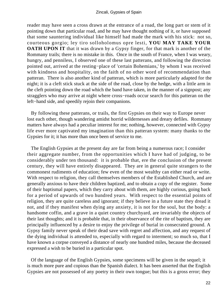reader may have seen a cross drawn at the entrance of a road, the long part or stem of it pointing down that particular road, and he may have thought nothing of it, or have supposed that some sauntering individual like himself had made the mark with his stick: not so, courteous gorgio; ley tiro solloholomus opre lesti, **YOU MAY TAKE YOUR OATH UPON IT** that it was drawn by a Gypsy finger, for that mark is another of the Rommany trails; there is no mistake in this. Once in the south of France, when I was weary, hungry, and penniless, I observed one of these last patterans, and following the direction pointed out, arrived at the resting−place of 'certain Bohemians,' by whom I was received with kindness and hospitality, on the faith of no other word of recommendation than patteran. There is also another kind of patteran, which is more particularly adapted for the night; it is a cleft stick stuck at the side of the road, close by the hedge, with a little arm in the cleft pointing down the road which the band have taken, in the manner of a signpost; any stragglers who may arrive at night where cross−roads occur search for this patteran on the left−hand side, and speedily rejoin their companions.

 By following these patterans, or trails, the first Gypsies on their way to Europe never lost each other, though wandering amidst horrid wildernesses and dreary defiles. Rommany matters have always had a peculiar interest for me; nothing, however, connected with Gypsy life ever more captivated my imagination than this patteran system: many thanks to the Gypsies for it; it has more than once been of service to me.

 The English Gypsies at the present day are far from being a numerous race; I consider their aggregate number, from the opportunities which I have had of judging, to be considerably under ten thousand: it is probable that, ere the conclusion of the present century, they will have entirely disappeared. They are in general quite strangers to the commonest rudiments of education; few even of the most wealthy can either read or write. With respect to religion, they call themselves members of the Established Church, and are generally anxious to have their children baptized, and to obtain a copy of the register. Some of their baptismal papers, which they carry about with them, are highly curious, going back for a period of upwards of two hundred years. With respect to the essential points of religion, they are quite careless and ignorant; if they believe in a future state they dread it not, and if they manifest when dying any anxiety, it is not for the soul, but the body: a handsome coffin, and a grave in a quiet country churchyard, are invariably the objects of their last thoughts; and it is probable that, in their observance of the rite of baptism, they are principally influenced by a desire to enjoy the privilege of burial in consecrated ground. A Gypsy family never speak of their dead save with regret and affection, and any request of the dying individual is attended to, especially with regard to interment; so much so, that I have known a corpse conveyed a distance of nearly one hundred miles, because the deceased expressed a wish to be buried in a particular spot.

 Of the language of the English Gypsies, some specimens will be given in the sequel; it is much more pure and copious than the Spanish dialect. It has been asserted that the English Gypsies are not possessed of any poetry in their own tongue; but this is a gross error; they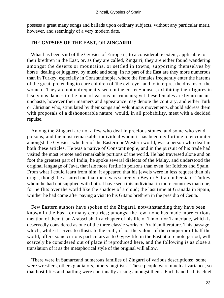possess a great many songs and ballads upon ordinary subjects, without any particular merit, however, and seemingly of a very modern date.

## THE **GYPSIES OF THE EAST,** OR **ZINGARRI**

 What has been said of the Gypsies of Europe is, to a considerable extent, applicable to their brethren in the East, or, as they are called, Zingarri; they are either found wandering amongst the deserts or mountains, or settled in towns, supporting themselves by horse−dealing or jugglery, by music and song. In no part of the East are they more numerous than in Turkey, especially in Constantinople, where the females frequently enter the harems of the great, pretending to cure children of 'the evil eye,' and to interpret the dreams of the women. They are not unfrequently seen in the coffee−houses, exhibiting their figures in lascivious dances to the tune of various instruments; yet these females are by no means unchaste, however their manners and appearance may denote the contrary, and either Turk or Christian who, stimulated by their songs and voluptuous movements, should address them with proposals of a dishonourable nature, would, in all probability, meet with a decided repulse.

 Among the Zingarri are not a few who deal in precious stones, and some who vend poisons; and the most remarkable individual whom it has been my fortune to encounter amongst the Gypsies, whether of the Eastern or Western world, was a person who dealt in both these articles. He was a native of Constantinople, and in the pursuit of his trade had visited the most remote and remarkable portions of the world. He had traversed alone and on foot the greatest part of India; he spoke several dialects of the Malay, and understood the original language of Java, that isle more fertile in poisons than even 'far Iolchos and Spain.' From what I could learn from him, it appeared that his jewels were in less request than his drugs, though he assured me that there was scarcely a Bey or Satrap in Persia or Turkey whom he had not supplied with both. I have seen this individual in more countries than one, for he flits over the world like the shadow of a cloud; the last time at Granada in Spain, whither he had come after paying a visit to his Gitano brethren in the presidio of Ceuta.

 Few Eastern authors have spoken of the Zingarri, notwithstanding they have been known in the East for many centuries; amongst the few, none has made more curious mention of them than Arabschah, in a chapter of his life of Timour or Tamerlane, which is deservedly considered as one of the three classic works of Arabian literature. This passage, which, while it serves to illustrate the craft, if not the valour of the conqueror of half the world, offers some curious particulars as to Gypsy life in the East at a remote period, will scarcely be considered out of place if reproduced here, and the following is as close a translation of it as the metaphorical style of the original will allow.

 'There were in Samarcand numerous families of Zingarri of various descriptions: some were wrestlers, others gladiators, others pugilists. These people were much at variance, so that hostilities and battling were continually arising amongst them. Each band had its chief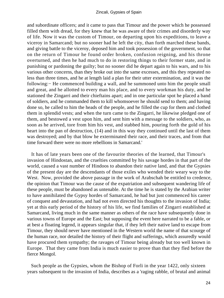and subordinate officers; and it came to pass that Timour and the power which he possessed filled them with dread, for they knew that he was aware of their crimes and disorderly way of life. Now it was the custom of Timour, on departing upon his expeditions, to leave a viceroy in Samarcand; but no sooner had he left the city, than forth marched these bands, and giving battle to the viceroy, deposed him and took possession of the government, so that on the return of Timour he found order broken, confusion reigning, and his throne overturned, and then he had much to do in restoring things to their former state, and in punishing or pardoning the guilty; but no sooner did he depart again to his wars, and to his various other concerns, than they broke out into the same excesses, and this they repeated no less than three times, and he at length laid a plan for their utter extermination, and it was the following:− He commenced building a wall, and he summoned unto him the people small and great, and he allotted to every man his place, and to every workman his duty, and he stationed the Zingarri and their chieftains apart; and in one particular spot he placed a band of soldiers, and he commanded them to kill whomsoever he should send to them; and having done so, he called to him the heads of the people, and he filled the cup for them and clothed them in splendid vests; and when the turn came to the Zingarri, he likewise pledged one of them, and bestowed a vest upon him, and sent him with a message to the soldiers, who, as soon as he arrived, tore from him his vest, and stabbed him, pouring forth the gold of his heart into the pan of destruction, (14) and in this way they continued until the last of them was destroyed; and by that blow he exterminated their race, and their traces, and from that time forward there were no more rebellions in Samarcand.'

 It has of late years been one of the favourite theories of the learned, that Timour's invasion of Hindostan, and the cruelties committed by his savage hordes in that part of the world, caused a vast number of Hindoos to abandon their native land, and that the Gypsies of the present day are the descendants of those exiles who wended their weary way to the West. Now, provided the above passage in the work of Arabschah be entitled to credence, the opinion that Timour was the cause of the expatriation and subsequent wandering life of these people, must be abandoned as untenable. At the time he is stated by the Arabian writer to have annihilated the Gypsy hordes of Samarcand, he had but just commenced his career of conquest and devastation, and had not even directed his thoughts to the invasion of India; yet at this early period of the history of his life, we find families of Zingarri established at Samarcand, living much in the same manner as others of the race have subsequently done in various towns of Europe and the East; but supposing the event here narrated to be a fable, or at best a floating legend, it appears singular that, if they left their native land to escape from Timour, they should never have mentioned in the Western world the name of that scourge of the human race, nor detailed the history of their flight and sufferings, which assuredly would have procured them sympathy; the ravages of Timour being already but too well known in Europe. That they came from India is much easier to prove than that they fled before the fierce Mongol.

 Such people as the Gypsies, whom the Bishop of Forli in the year 1422, only sixteen years subsequent to the invasion of India, describes as a 'raging rabble, of brutal and animal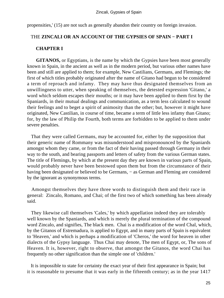propensities,' (15) are not such as generally abandon their country on foreign invasion.

#### THE **ZINCALI OR AN ACCOUNT OF THE GYPSIES OF SPAIN − PART I**

#### **CHAPTER I**

**GITANOS,** or Egyptians, is the name by which the Gypsies have been most generally known in Spain, in the ancient as well as in the modern period, but various other names have been and still are applied to them; for example, New Castilians, Germans, and Flemings; the first of which titles probably originated after the name of Gitano had begun to be considered a term of reproach and infamy. They may have thus designated themselves from an unwillingness to utter, when speaking of themselves, the detested expression 'Gitano,' a word which seldom escapes their mouths; or it may have been applied to them first by the Spaniards, in their mutual dealings and communication, as a term less calculated to wound their feelings and to beget a spirit of animosity than the other; but, however it might have originated, New Castilian, in course of time, became a term of little less infamy than Gitano; for, by the law of Philip the Fourth, both terms are forbidden to be applied to them under severe penalties.

 That they were called Germans, may be accounted for, either by the supposition that their generic name of Rommany was misunderstood and mispronounced by the Spaniards amongst whom they came, or from the fact of their having passed through Germany in their way to the south, and bearing passports and letters of safety from the various German states. The title of Flemings, by which at the present day they are known in various parts of Spain, would probably never have been bestowed upon them but from the circumstance of their having been designated or believed to be Germans, − as German and Fleming are considered by the ignorant as synonymous terms.

 Amongst themselves they have three words to distinguish them and their race in general: Zincalo, Romano, and Chai; of the first two of which something has been already said.

 They likewise call themselves 'Cales,' by which appellation indeed they are tolerably well known by the Spaniards, and which is merely the plural termination of the compound word Zincalo, and signifies, The black men. Chai is a modification of the word Chal, which, by the Gitanos of Estremadura, is applied to Egypt, and in many parts of Spain is equivalent to 'Heaven,' and which is perhaps a modification of 'Cheros,' the word for heaven in other dialects of the Gypsy language. Thus Chai may denote, The men of Egypt, or, The sons of Heaven. It is, however, right to observe, that amongst the Gitanos, the word Chai has frequently no other signification than the simple one of 'children.'

 It is impossible to state for certainty the exact year of their first appearance in Spain; but it is reasonable to presume that it was early in the fifteenth century; as in the year 1417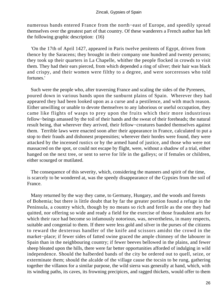numerous bands entered France from the north−east of Europe, and speedily spread themselves over the greatest part of that country. Of these wanderers a French author has left the following graphic description: (16)

 'On the 17th of April 1427, appeared in Paris twelve penitents of Egypt, driven from thence by the Saracens; they brought in their company one hundred and twenty persons; they took up their quarters in La Chapelle, whither the people flocked in crowds to visit them. They had their ears pierced, from which depended a ring of silver; their hair was black and crispy, and their women were filthy to a degree, and were sorceresses who told fortunes.'

 Such were the people who, after traversing France and scaling the sides of the Pyrenees, poured down in various bands upon the sunburnt plains of Spain. Wherever they had appeared they had been looked upon as a curse and a pestilence, and with much reason. Either unwilling or unable to devote themselves to any laborious or useful occupation, they came like flights of wasps to prey upon the fruits which their more industrious fellow−beings amassed by the toil of their hands and the sweat of their foreheads; the natural result being, that wherever they arrived, their fellow−creatures banded themselves against them. Terrible laws were enacted soon after their appearance in France, calculated to put a stop to their frauds and dishonest propensities; wherever their hordes were found, they were attacked by the incensed rustics or by the armed hand of justice, and those who were not massacred on the spot, or could not escape by flight, were, without a shadow of a trial, either hanged on the next tree, or sent to serve for life in the galleys; or if females or children, either scourged or mutilated.

 The consequence of this severity, which, considering the manners and spirit of the time, is scarcely to be wondered at, was the speedy disappearance of the Gypsies from the soil of France.

 Many returned by the way they came, to Germany, Hungary, and the woods and forests of Bohemia; but there is little doubt that by far the greater portion found a refuge in the Peninsula, a country which, though by no means so rich and fertile as the one they had quitted, nor offering so wide and ready a field for the exercise of those fraudulent arts for which their race had become so infamously notorious, was, nevertheless, in many respects, suitable and congenial to them. If there were less gold and silver in the purses of the citizens to reward the dexterous handler of the knife and scissors amidst the crowd in the market−place; if fewer sides of fatted swine graced the ample chimney of the labourer in Spain than in the neighbouring country; if fewer beeves bellowed in the plains, and fewer sheep bleated upon the hills, there were far better opportunities afforded of indulging in wild independence. Should the halberded bands of the city be ordered out to quell, seize, or exterminate them; should the alcalde of the village cause the tocsin to be rung, gathering together the villanos for a similar purpose, the wild sierra was generally at hand, which, with its winding paths, its caves, its frowning precipices, and ragged thickets, would offer to them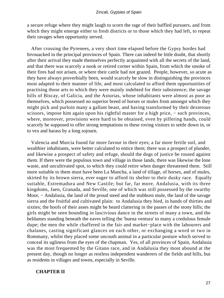a secure refuge where they might laugh to scorn the rage of their baffled pursuers, and from which they might emerge either to fresh districts or to those which they had left, to repeat their ravages when opportunity served.

 After crossing the Pyrenees, a very short time elapsed before the Gypsy hordes had bivouacked in the principal provinces of Spain. There can indeed be little doubt, that shortly after their arrival they made themselves perfectly acquainted with all the secrets of the land, and that there was scarcely a nook or retired corner within Spain, from which the smoke of their fires had not arisen, or where their cattle had not grazed. People, however, so acute as they have always proverbially been, would scarcely be slow in distinguishing the provinces most adapted to their manner of life, and most calculated to afford them opportunities of practising those arts to which they were mainly indebted for their subsistence; the savage hills of Biscay, of Galicia, and the Asturias, whose inhabitants were almost as poor as themselves, which possessed no superior breed of horses or mules from amongst which they might pick and purloin many a gallant beast, and having transformed by their dexterous scissors, impose him again upon his rightful master for a high price, – such provinces, where, moreover, provisions were hard to be obtained, even by pilfering hands, could scarcely be supposed to offer strong temptations to these roving visitors to settle down in, or to vex and harass by a long sojourn.

 Valencia and Murcia found far more favour in their eyes; a far more fertile soil, and wealthier inhabitants, were better calculated to entice them; there was a prospect of plunder, and likewise a prospect of safety and refuge, should the dogs of justice be roused against them. If there were the populous town and village in those lands, there was likewise the lone waste, and uncultivated spot, to which they could retire when danger threatened them. Still more suitable to them must have been La Mancha, a land of tillage, of horses, and of mules, skirted by its brown sierra, ever eager to afford its shelter to their dusky race. Equally suitable, Estremadura and New Castile; but far, far more, Andalusia, with its three kingdoms, Jaen, Granada, and Seville, one of which was still possessed by the swarthy Moor, – Andalusia, the land of the proud steed and the stubborn mule, the land of the savage sierra and the fruitful and cultivated plain: to Andalusia they hied, in bands of thirties and sixties; the hoofs of their asses might be heard clattering in the passes of the stony hills; the girls might be seen bounding in lascivious dance in the streets of many a town, and the beldames standing beneath the eaves telling the 'buena ventura' to many a credulous female dupe; the men the while chaffered in the fair and market−place with the labourers and chalanes, casting significant glances on each other, or exchanging a word or two in Rommany, whilst they placed some uncouth animal in a particular posture which served to conceal its ugliness from the eyes of the chapman. Yes, of all provinces of Spain, Andalusia was the most frequented by the Gitano race, and in Andalusia they most abound at the present day, though no longer as restless independent wanderers of the fields and hills, but as residents in villages and towns, especially in Seville.

#### **CHAPTER II**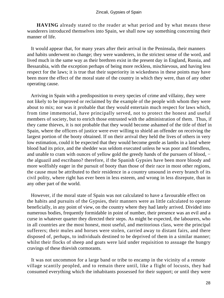**HAVING** already stated to the reader at what period and by what means these wanderers introduced themselves into Spain, we shall now say something concerning their manner of life.

 It would appear that, for many years after their arrival in the Peninsula, their manners and habits underwent no change; they were wanderers, in the strictest sense of the word, and lived much in the same way as their brethren exist in the present day in England, Russia, and Bessarabia, with the exception perhaps of being more reckless, mischievous, and having less respect for the laws; it is true that their superiority in wickedness in these points may have been more the effect of the moral state of the country in which they were, than of any other operating cause.

 Arriving in Spain with a predisposition to every species of crime and villainy, they were not likely to be improved or reclaimed by the example of the people with whom they were about to mix; nor was it probable that they would entertain much respect for laws which, from time immemorial, have principally served, not to protect the honest and useful members of society, but to enrich those entrusted with the administration of them. Thus, if they came thieves, it is not probable that they would become ashamed of the title of thief in Spain, where the officers of justice were ever willing to shield an offender on receiving the largest portion of the booty obtained. If on their arrival they held the lives of others in very low estimation, could it be expected that they would become gentle as lambs in a land where blood had its price, and the shedder was seldom executed unless he was poor and friendless, and unable to cram with ounces of yellow gold the greedy hands of the pursuers of blood, − the alguazil and escribano? therefore, if the Spanish Gypsies have been more bloody and more wolfishly eager in the pursuit of booty than those of their race in most other regions, the cause must be attributed to their residence in a country unsound in every branch of its civil polity, where right has ever been in less esteem, and wrong in less disrepute, than in any other part of the world.

 However, if the moral state of Spain was not calculated to have a favourable effect on the habits and pursuits of the Gypsies, their manners were as little calculated to operate beneficially, in any point of view, on the country where they had lately arrived. Divided into numerous bodies, frequently formidable in point of number, their presence was an evil and a curse in whatever quarter they directed their steps. As might be expected, the labourers, who in all countries are the most honest, most useful, and meritorious class, were the principal sufferers; their mules and horses were stolen, carried away to distant fairs, and there disposed of, perhaps, to individuals destined to be deprived of them in a similar manner; whilst their flocks of sheep and goats were laid under requisition to assuage the hungry cravings of these thievish cormorants.

 It was not uncommon for a large band or tribe to encamp in the vicinity of a remote village scantily peopled, and to remain there until, like a flight of locusts, they had consumed everything which the inhabitants possessed for their support; or until they were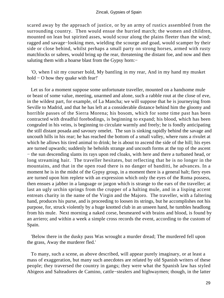scared away by the approach of justice, or by an army of rustics assembled from the surrounding country. Then would ensue the hurried march; the women and children, mounted on lean but spirited asses, would scour along the plains fleeter than the wind; ragged and savage−looking men, wielding the scourge and goad, would scamper by their side or close behind, whilst perhaps a small party on strong horses, armed with rusty matchlocks or sabres, would bring up the rear, threatening the distant foe, and now and then saluting them with a hoarse blast from the Gypsy horn:−

 'O, when I sit my courser bold, My bantling in my rear, And in my hand my musket hold − O how they quake with fear!'

 Let us for a moment suppose some unfortunate traveller, mounted on a handsome mule or beast of some value, meeting, unarmed and alone, such a rabble rout at the close of eve, in the wildest part, for example, of La Mancha; we will suppose that he is journeying from Seville to Madrid, and that he has left at a considerable distance behind him the gloomy and horrible passes of the Sierra Morena; his bosom, which for some time past has been contracted with dreadful forebodings, is beginning to expand; his blood, which has been congealed in his veins, is beginning to circulate warmly and freely; he is fondly anticipating the still distant posada and savoury omelet. The sun is sinking rapidly behind the savage and uncouth hills in his rear; he has reached the bottom of a small valley, where runs a rivulet at which he allows his tired animal to drink; he is about to ascend the side of the hill; his eyes are turned upwards; suddenly he beholds strange and uncouth forms at the top of the ascent − the sun descending slants its rays upon red cloaks, with here and there a turbaned head, or long streaming hair. The traveller hesitates, but reflecting that he is no longer in the mountains, and that in the open road there is no danger of banditti, he advances. In a moment he is in the midst of the Gypsy group, in a moment there is a general halt; fiery eyes are turned upon him replete with an expression which only the eyes of the Roma possess, then ensues a jabber in a language or jargon which is strange to the ears of the traveller; at last an ugly urchin springs from the crupper of a halting mule, and in a lisping accent entreats charity in the name of the Virgin and the Majoro. The traveller, with a faltering hand, produces his purse, and is proceeding to loosen its strings, but he accomplishes not his purpose, for, struck violently by a huge knotted club in an unseen hand, he tumbles headlong from his mule. Next morning a naked corse, besmeared with brains and blood, is found by an arriero; and within a week a simple cross records the event, according to the custom of Spain.

 'Below there in the dusky pass Was wrought a murder dread; The murdered fell upon the grass, Away the murderer fled.'

 To many, such a scene, as above described, will appear purely imaginary, or at least a mass of exaggeration, but many such anecdotes are related by old Spanish writers of these people; they traversed the country in gangs; they were what the Spanish law has styled Abigeos and Salteadores de Camino, cattle−stealers and highwaymen; though, in the latter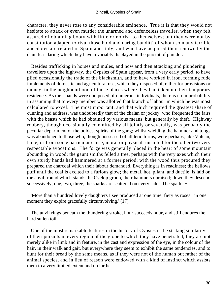character, they never rose to any considerable eminence. True it is that they would not hesitate to attack or even murder the unarmed and defenceless traveller, when they felt assured of obtaining booty with little or no risk to themselves; but they were not by constitution adapted to rival those bold and daring banditti of whom so many terrible anecdotes are related in Spain and Italy, and who have acquired their renown by the dauntless daring which they have invariably displayed in the pursuit of plunder.

 Besides trafficking in horses and mules, and now and then attacking and plundering travellers upon the highway, the Gypsies of Spain appear, from a very early period, to have plied occasionally the trade of the blacksmith, and to have worked in iron, forming rude implements of domestic and agricultural use, which they disposed of, either for provisions or money, in the neighbourhood of those places where they had taken up their temporary residence. As their bands were composed of numerous individuals, there is no improbability in assuming that to every member was allotted that branch of labour in which he was most calculated to excel. The most important, and that which required the greatest share of cunning and address, was undoubtedly that of the chalan or jockey, who frequented the fairs with the beasts which he had obtained by various means, but generally by theft. Highway robbery, though occasionally committed by all jointly or severally, was probably the peculiar department of the boldest spirits of the gang; whilst wielding the hammer and tongs was abandoned to those who, though possessed of athletic forms, were perhaps, like Vulcan, lame, or from some particular cause, moral or physical, unsuited for the other two very respectable avocations. The forge was generally placed in the heart of some mountain abounding in wood; the gaunt smiths felled a tree, perhaps with the very axes which their own sturdy hands had hammered at a former period; with the wood thus procured they prepared the charcoal which their labour demanded. Everything is in readiness; the bellows puff until the coal is excited to a furious glow; the metal, hot, pliant, and ductile, is laid on the anvil, round which stands the Cyclop group, their hammers upraised; down they descend successively, one, two, three, the sparks are scattered on every side. The sparks –

 'More than a hundred lovely daughters I see produced at one time, fiery as roses: in one moment they expire gracefully circumvolving.' (17)

 The anvil rings beneath the thundering stroke, hour succeeds hour, and still endures the hard sullen toil.

 One of the most remarkable features in the history of Gypsies is the striking similarity of their pursuits in every region of the globe to which they have penetrated; they are not merely alike in limb and in feature, in the cast and expression of the eye, in the colour of the hair, in their walk and gait, but everywhere they seem to exhibit the same tendencies, and to hunt for their bread by the same means, as if they were not of the human but rather of the animal species, and in lieu of reason were endowed with a kind of instinct which assists them to a very limited extent and no farther.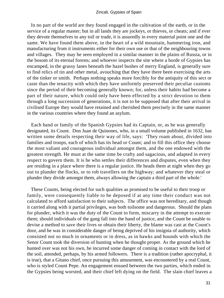In no part of the world are they found engaged in the cultivation of the earth, or in the service of a regular master; but in all lands they are jockeys, or thieves, or cheats; and if ever they devote themselves to any toil or trade, it is assuredly in every material point one and the same. We have found them above, in the heart of a wild mountain, hammering iron, and manufacturing from it instruments either for their own use or that of the neighbouring towns and villages. They may be seen employed in a similar manner in the plains of Russia, or in the bosom of its eternal forests; and whoever inspects the site where a horde of Gypsies has encamped, in the grassy lanes beneath the hazel bushes of merry England, is generally sure to find relics of tin and other metal, avouching that they have there been exercising the arts of the tinker or smith. Perhaps nothing speaks more forcibly for the antiquity of this sect or caste than the tenacity with which they have uniformly preserved their peculiar customs since the period of their becoming generally known; for, unless their habits had become a part of their nature, which could only have been effected by a strict devotion to them through a long succession of generations, it is not to be supposed that after their arrival in civilised Europe they would have retained and cherished them precisely in the same manner in the various countries where they found an asylum.

 Each band or family of the Spanish Gypsies had its Captain, or, as he was generally designated, its Count. Don Juan de Quinones, who, in a small volume published in 1632, has written some details respecting their way of life, says: 'They roam about, divided into families and troops, each of which has its head or Count; and to fill this office they choose the most valiant and courageous individual amongst them, and the one endowed with the greatest strength. He must at the same time be crafty and sagacious, and adapted in every respect to govern them. It is he who settles their differences and disputes, even when they are residing in a place where there is a regular justice. He heads them at night when they go out to plunder the flocks, or to rob travellers on the highway; and whatever they steal or plunder they divide amongst them, always allowing the captain a third part of the whole.'

 These Counts, being elected for such qualities as promised to be useful to their troop or family, were consequently liable to be deposed if at any time their conduct was not calculated to afford satisfaction to their subjects. The office was not hereditary, and though it carried along with it partial privileges, was both toilsome and dangerous. Should the plans for plunder, which it was the duty of the Count to form, miscarry in the attempt to execute them; should individuals of the gang fall into the hand of justice, and the Count be unable to devise a method to save their lives or obtain their liberty, the blame was cast at the Count's door, and he was in considerable danger of being deprived of his insignia of authority, which consisted not so much in ornaments or in dress, as in hawks and hounds with which the Senor Count took the diversion of hunting when he thought proper. As the ground which he hunted over was not his own, he incurred some danger of coming in contact with the lord of the soil, attended, perhaps, by his armed followers. There is a tradition (rather apocryphal, it is true), that a Gitano chief, once pursuing this amusement, was encountered by a real Count, who is styled Count Pepe. An engagement ensued between the two parties, which ended in the Gypsies being worsted, and their chief left dying on the field. The slain chief leaves a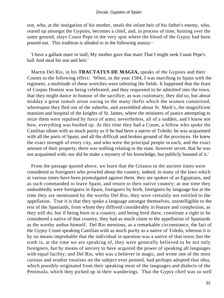son, who, at the instigation of his mother, steals the infant heir of his father's enemy, who, reared up amongst the Gypsies, becomes a chief, and, in process of time, hunting over the same ground, slays Count Pepe in the very spot where the blood of the Gypsy had been poured out. This tradition is alluded to in the following stanza:−

 'I have a gallant mare in stall; My mother gave that mare That I might seek Count Pepe's hall And steal his son and heir.'

 Martin Del Rio, in his **TRACTATUS DE MAGIA,** speaks of the Gypsies and their Counts to the following effect: 'When, in the year 1584, I was marching in Spain with the regiment, a multitude of these wretches were infesting the fields. It happened that the feast of Corpus Domini was being celebrated, and they requested to be admitted into the town, that they might dance in honour of the sacrifice, as was customary; they did so, but about midday a great tumult arose owing to the many thefts which the women committed, whereupon they fled out of the suburbs, and assembled about St. Mark's, the magnificent mansion and hospital of the knights of St. James, where the ministers of justice attempting to seize them were repulsed by force of arms; nevertheless, all of a sudden, and I know not how, everything was hushed up. At this time they had a Count, a fellow who spoke the Castilian idiom with as much purity as if he had been a native of Toledo; he was acquainted with all the ports of Spain, and all the difficult and broken ground of the provinces. He knew the exact strength of every city, and who were the principal people in each, and the exact amount of their property; there was nothing relating to the state, however secret, that he was not acquainted with; nor did he make a mystery of his knowledge, but publicly boasted of it.'

 From the passage quoted above, we learn that the Gitanos in the ancient times were considered as foreigners who prowled about the country; indeed, in many of the laws which at various times have been promulgated against them, they are spoken of as Egyptians, and as such commanded to leave Spain, and return to their native country; at one time they undoubtedly were foreigners in Spain, foreigners by birth, foreigners by language but at the time they are mentioned by the worthy Del Rio, they were certainly not entitled to the appellation. True it is that they spoke a language amongst themselves, unintelligible to the rest of the Spaniards, from whom they differed considerably in feature and complexion, as they still do; but if being born in a country, and being bred there, constitute a right to be considered a native of that country, they had as much claim to the appellation of Spaniards as the worthy author himself. Del Rio mentions, as a remarkable circumstance, the fact of the Gypsy Count speaking Castilian with as much purity as a native of Toledo, whereas it is by no means improbable that the individual in question was a native of that town; but the truth is, at the time we are speaking of, they were generally believed to be not only foreigners, but by means of sorcery to have acquired the power of speaking all languages with equal facility; and Del Rio, who was a believer in magic, and wrote one of the most curious and erudite treatises on the subject ever penned, had perhaps adopted that idea, which possibly originated from their speaking most of the languages and dialects of the Peninsula, which they picked up in their wanderings. That the Gypsy chief was so well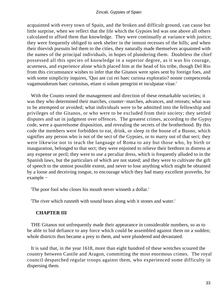#### Zincali, Gypsies of Spain

acquainted with every town of Spain, and the broken and difficult ground, can cause but little surprise, when we reflect that the life which the Gypsies led was one above all others calculated to afford them that knowledge. They were continually at variance with justice; they were frequently obliged to seek shelter in the inmost recesses of the hills; and when their thievish pursuits led them to the cities, they naturally made themselves acquainted with the names of the principal individuals, in hopes of plundering them. Doubtless the chief possessed all this species of knowledge in a superior degree, as it was his courage, acuteness, and experience alone which placed him at the head of his tribe, though Del Rio from this circumstance wishes to infer that the Gitanos were spies sent by foreign foes, and with some simplicity inquires, 'Quo ant cui rei haec curiosa exploratio? nonne compescenda vagamundorum haec curiositas, etiam si solum peregrini et inculpatae vitae.'

 With the Counts rested the management and direction of these remarkable societies; it was they who determined their marches, counter−marches, advances, and retreats; what was to be attempted or avoided; what individuals were to be admitted into the fellowship and privileges of the Gitanos, or who were to be excluded from their society; they settled disputes and sat in judgment over offences. The greatest crimes, according to the Gypsy code, were a quarrelsome disposition, and revealing the secrets of the brotherhood. By this code the members were forbidden to eat, drink, or sleep in the house of a Busno, which signifies any person who is not of the sect of the Gypsies, or to marry out of that sect; they were likewise not to teach the language of Roma to any but those who, by birth or inauguration, belonged to that sect; they were enjoined to relieve their brethren in distress at any expense or peril; they were to use a peculiar dress, which is frequently alluded to in the Spanish laws, but the particulars of which are not stated; and they were to cultivate the gift of speech to the utmost possible extent, and never to lose anything which might be obtained by a loose and deceiving tongue, to encourage which they had many excellent proverbs, for example −

'The poor fool who closes his mouth never winneth a dollar.'

'The river which runneth with sound bears along with it stones and water.'

# **CHAPTER III**

 THE Gitanos not unfrequently made their appearance in considerable numbers, so as to be able to bid defiance to any force which could be assembled against them on a sudden; whole districts thus became a prey to them, and were plundered and devastated.

 It is said that, in the year 1618, more than eight hundred of these wretches scoured the country between Castile and Aragon, committing the most enormous crimes. The royal council despatched regular troops against them, who experienced some difficulty in dispersing them.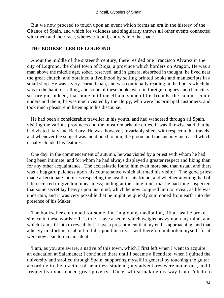But we now proceed to touch upon an event which forms an era in the history of the Gitanos of Spain, and which for wildness and singularity throws all other events connected with them and their race, wherever found, entirely into the shade.

#### THE **BOOKSELLER OF LOGRONO**

 About the middle of the sixteenth century, there resided one Francisco Alvarez in the city of Logrono, the chief town of Rioja, a province which borders on Aragon. He was a man above the middle age, sober, reserved, and in general absorbed in thought; he lived near the great church, and obtained a livelihood by selling printed books and manuscripts in a small shop. He was a very learned man, and was continually reading in the books which he was in the habit of selling, and some of these books were in foreign tongues and characters, so foreign, indeed, that none but himself and some of his friends, the canons, could understand them; he was much visited by the clergy, who were his principal customers, and took much pleasure in listening to his discourse.

 He had been a considerable traveller in his youth, and had wandered through all Spain, visiting the various provinces and the most remarkable cities. It was likewise said that he had visited Italy and Barbary. He was, however, invariably silent with respect to his travels, and whenever the subject was mentioned to him, the gloom and melancholy increased which usually clouded his features.

 One day, in the commencement of autumn, he was visited by a priest with whom he had long been intimate, and for whom he had always displayed a greater respect and liking than for any other acquaintance. The ecclesiastic found him even more sad than usual, and there was a haggard paleness upon his countenance which alarmed his visitor. The good priest made affectionate inquiries respecting the health of his friend, and whether anything had of late occurred to give him uneasiness; adding at the same time, that he had long suspected that some secret lay heavy upon his mind, which he now conjured him to reveal, as life was uncertain, and it was very possible that he might be quickly summoned from earth into the presence of his Maker.

 The bookseller continued for some time in gloomy meditation, till at last he broke silence in these words:− 'It is true I have a secret which weighs heavy upon my mind, and which I am still loth to reveal; but I have a presentiment that my end is approaching, and that a heavy misfortune is about to fall upon this city: I will therefore unburden myself, for it were now a sin to remain silent.

 'I am, as you are aware, a native of this town, which I first left when I went to acquire an education at Salamanca; I continued there until I became a licentiate, when I quitted the university and strolled through Spain, supporting myself in general by touching the guitar, according to the practice of penniless students; my adventures were numerous, and I frequently experienced great poverty. Once, whilst making my way from Toledo to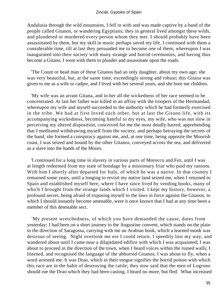#### Zincali, Gypsies of Spain

Andalusia through the wild mountains, I fell in with and was made captive by a band of the people called Gitanos, or wandering Egyptians; they in general lived amongst these wilds, and plundered or murdered every person whom they met. I should probably have been assassinated by them, but my skill in music perhaps saved my life. I continued with them a considerable time, till at last they persuaded me to become one of them, whereupon I was inaugurated into their society with many strange and horrid ceremonies, and having thus become a Gitano, I went with them to plunder and assassinate upon the roads.

 'The Count or head man of these Gitanos had an only daughter, about my own age; she was very beautiful, but, at the same time, exceedingly strong and robust; this Gitana was given to me as a wife or cadjee, and I lived with her several years, and she bore me children.

 'My wife was an arrant Gitana, and in her all the wickedness of her race seemed to be concentrated. At last her father was killed in an affray with the troopers of the Hermandad, whereupon my wife and myself succeeded to the authority which he had formerly exercised in the tribe. We had at first loved each other, but at last the Gitano life, with its accompanying wickedness, becoming hateful to my eyes, my wife, who was not slow in perceiving my altered disposition, conceived for me the most deadly hatred; apprehending that I meditated withdrawing myself from the society, and perhaps betraying the secrets of the band, she formed a conspiracy against me, and, at one time, being opposite the Moorish coast, I was seized and bound by the other Gitanos, conveyed across the sea, and delivered as a slave into the hands of the Moors.

 'I continued for a long time in slavery in various parts of Morocco and Fez, until I was at length redeemed from my state of bondage by a missionary friar who paid my ransom. With him I shortly after departed for Italy, of which he was a native. In that country I remained some years, until a longing to revisit my native land seized me, when I returned to Spain and established myself here, where I have since lived by vending books, many of which I brought from the strange lands which I visited. I kept my history, however, a profound secret, being afraid of exposing myself to the laws in force against the Gitanos, to which I should instantly become amenable, were it once known that I had at any time been a member of this detestable sect.

 'My present wretchedness, of which you have demanded the cause, dates from yesterday; I had been on a short journey to the Augustine convent, which stands on the plain in the direction of Saragossa, carrying with me an Arabian book, which a learned monk was desirous of seeing. Night overtook me ere I could return. I speedily lost my way, and wandered about until I came near a dilapidated edifice with which I was acquainted; I was about to proceed in the direction of the town, when I heard voices within the ruined walls; I listened, and recognised the language of the abhorred Gitanos; I was about to fly, when a word arrested me. It was Drao, which in their tongue signifies the horrid poison with which this race are in the habit of destroying the cattle; they now said that the men of Logrono should rue the Drao which they had been casting. I heard no more, but fled. What increased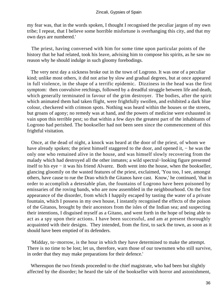my fear was, that in the words spoken, I thought I recognised the peculiar jargon of my own tribe; I repeat, that I believe some horrible misfortune is overhanging this city, and that my own days are numbered.'

 The priest, having conversed with him for some time upon particular points of the history that he had related, took his leave, advising him to compose his spirits, as he saw no reason why he should indulge in such gloomy forebodings.

 The very next day a sickness broke out in the town of Logrono. It was one of a peculiar kind; unlike most others, it did not arise by slow and gradual degrees, but at once appeared in full violence, in the shape of a terrific epidemic. Dizziness in the head was the first symptom: then convulsive retchings, followed by a dreadful struggle between life and death, which generally terminated in favour of the grim destroyer. The bodies, after the spirit which animated them had taken flight, were frightfully swollen, and exhibited a dark blue colour, checkered with crimson spots. Nothing was heard within the houses or the streets, but groans of agony; no remedy was at hand, and the powers of medicine were exhausted in vain upon this terrible pest; so that within a few days the greatest part of the inhabitants of Logrono had perished. The bookseller had not been seen since the commencement of this frightful visitation.

 Once, at the dead of night, a knock was heard at the door of the priest, of whom we have already spoken; the priest himself staggered to the door, and opened it, – he was the only one who remained alive in the house, and was himself slowly recovering from the malady which had destroyed all the other inmates; a wild spectral−looking figure presented itself to his eye − it was his friend Alvarez. Both went into the house, when the bookseller, glancing gloomily on the wasted features of the priest, exclaimed, 'You too, I see, amongst others, have cause to rue the Drao which the Gitanos have cast. Know,' he continued, 'that in order to accomplish a detestable plan, the fountains of Logrono have been poisoned by emissaries of the roving bands, who are now assembled in the neighbourhood. On the first appearance of the disorder, from which I happily escaped by tasting the water of a private fountain, which I possess in my own house, I instantly recognised the effects of the poison of the Gitanos, brought by their ancestors from the isles of the Indian sea; and suspecting their intentions, I disguised myself as a Gitano, and went forth in the hope of being able to act as a spy upon their actions. I have been successful, and am at present thoroughly acquainted with their designs. They intended, from the first, to sack the town, as soon as it should have been emptied of its defenders.

 'Midday, to−morrow, is the hour in which they have determined to make the attempt. There is no time to be lost; let us, therefore, warn those of our townsmen who still survive, in order that they may make preparations for their defence.'

 Whereupon the two friends proceeded to the chief magistrate, who had been but slightly affected by the disorder; he heard the tale of the bookseller with horror and astonishment,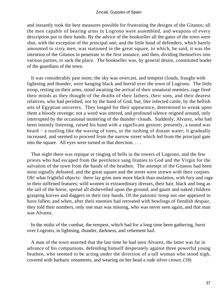and instantly took the best measures possible for frustrating the designs of the Gitanos; all the men capable of bearing arms in Logrono were assembled, and weapons of every description put in their hands. By the advice of the bookseller all the gates of the town were shut, with the exception of the principal one; and the little band of defenders, which barely amounted to sixty men, was stationed in the great square, to which, he said, it was the intention of the Gitanos to penetrate in the first instance, and then, dividing themselves into various parties, to sack the place. The bookseller was, by general desire, constituted leader of the guardians of the town.

 It was considerably past noon; the sky was overcast, and tempest clouds, fraught with lightning and thunder, were hanging black and horrid over the town of Logrono. The little troop, resting on their arms, stood awaiting the arrival of their unnatural enemies; rage fired their minds as they thought of the deaths of their fathers, their sons, and their dearest relatives, who had perished, not by the hand of God, but, like infected cattle, by the hellish arts of Egyptian sorcerers. They longed for their appearance, determined to wreak upon them a bloody revenge; not a word was uttered, and profound silence reigned around, only interrupted by the occasional muttering of the thunder−clouds. Suddenly, Alvarez, who had been intently listening, raised his hand with a significant gesture; presently, a sound was heard − a rustling like the waving of trees, or the rushing of distant water; it gradually increased, and seemed to proceed from the narrow street which led from the principal gate into the square. All eyes were turned in that direction. . . .

 That night there was repique or ringing of bells in the towers of Logrono, and the few priests who had escaped from the pestilence sang litanies to God and the Virgin for the salvation of the town from the hands of the heathen. The attempt of the Gitanos had been most signally defeated, and the great square and the street were strewn with their corpses. Oh! what frightful objects: there lay grim men more black than mulattos, with fury and rage in their stiffened features; wild women in extraordinary dresses, their hair, black and long as the tail of the horse, spread all dishevelled upon the ground; and gaunt and naked children grasping knives and daggers in their tiny hands. Of the patriotic troop not one appeared to have fallen; and when, after their enemies had retreated with howlings of fiendish despair, they told their numbers, only one man was missing, who was never seen again, and that man was Alvarez.

 In the midst of the combat, the tempest, which had for a long time been gathering, burst over Logrono, in lightning, thunder, darkness, and vehement hail.

 A man of the town asserted that the last time he had seen Alvarez, the latter was far in advance of his companions, defending himself desperately against three powerful young heathen, who seemed to be acting under the direction of a tall woman who stood nigh, covered with barbaric ornaments, and wearing on her head a rude silver crown. (18)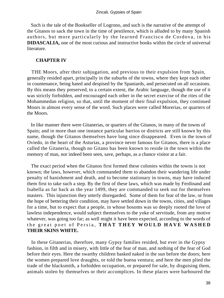Such is the tale of the Bookseller of Logrono, and such is the narrative of the attempt of the Gitanos to sack the town in the time of pestilence, which is alluded to by many Spanish authors, but more particularly by the learned Francisco de Cordova, in his **DIDASCALIA,** one of the most curious and instructive books within the circle of universal literature.

### **CHAPTER IV**

 THE Moors, after their subjugation, and previous to their expulsion from Spain, generally resided apart, principally in the suburbs of the towns, where they kept each other in countenance, being hated and despised by the Spaniards, and persecuted on all occasions. By this means they preserved, to a certain extent, the Arabic language, though the use of it was strictly forbidden, and encouraged each other in the secret exercise of the rites of the Mohammedan religion, so that, until the moment of their final expulsion, they continued Moors in almost every sense of the word. Such places were called Morerias, or quarters of the Moors.

 In like manner there were Gitanerias, or quarters of the Gitanos, in many of the towns of Spain; and in more than one instance particular barrios or districts are still known by this name, though the Gitanos themselves have long since disappeared. Even in the town of Oviedo, in the heart of the Asturias, a province never famous for Gitanos, there is a place called the Gitaneria, though no Gitano has been known to reside in the town within the memory of man, nor indeed been seen, save, perhaps, as a chance visitor at a fair.

 The exact period when the Gitanos first formed these colonies within the towns is not known; the laws, however, which commanded them to abandon their wandering life under penalty of banishment and death, and to become stationary in towns, may have induced them first to take such a step. By the first of these laws, which was made by Ferdinand and Isabella as far back as the year 1499, they are commanded to seek out for themselves masters. This injunction they utterly disregarded. Some of them for fear of the law, or from the hope of bettering their condition, may have settled down in the towns, cities, and villages for a time, but to expect that a people, in whose bosoms was so deeply rooted the love of lawless independence, would subject themselves to the yoke of servitude, from any motive whatever, was going too far; as well might it have been expected, according to the words of the great poet of Persia, **THAT THEY WOULD HAVE WASHED THEIR SKINS WHITE.**

 In these Gitanerias, therefore, many Gypsy families resided, but ever in the Gypsy fashion, in filth and in misery, with little of the fear of man, and nothing of the fear of God before their eyes. Here the swarthy children basked naked in the sun before the doors; here the women prepared love draughts, or told the buena ventura; and here the men plied the trade of the blacksmith, a forbidden occupation, or prepared for sale, by disguising them, animals stolen by themselves or their accomplices. In these places were harboured the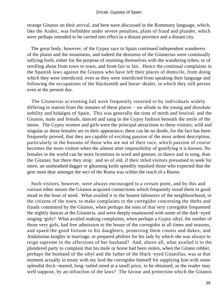strange Gitanos on their arrival, and here were discussed in the Rommany language, which, like the Arabic, was forbidden under severe penalties, plans of fraud and plunder, which were perhaps intended to be carried into effect in a distant province and a distant city.

 The great body, however, of the Gypsy race in Spain continued independent wanderers of the plains and the mountains, and indeed the denizens of the Gitanerias were continually sallying forth, either for the purpose of reuniting themselves with the wandering tribes, or of strolling about from town to town, and from fair to fair. Hence the continual complaints in the Spanish laws against the Gitanos who have left their places of domicile, from doing which they were interdicted, even as they were interdicted from speaking their language and following the occupations of the blacksmith and horse−dealer, in which they still persist even at the present day.

 The Gitanerias at evening fall were frequently resorted to by individuals widely differing in station from the inmates of these places − we allude to the young and dissolute nobility and hidalgos of Spain. This was generally the time of mirth and festival, and the Gitanos, male and female, danced and sang in the Gypsy fashion beneath the smile of the moon. The Gypsy women and girls were the principal attractions to these visitors; wild and singular as these females are in their appearance, there can be no doubt, for the fact has been frequently proved, that they are capable of exciting passion of the most ardent description, particularly in the bosoms of those who are not of their race, which passion of course becomes the more violent when the almost utter impossibility of gratifying it is known. No females in the world can be more licentious in word and gesture, in dance and in song, than the Gitanas; but there they stop: and so of old, if their titled visitors presumed to seek for more, an unsheathed dagger or gleaming knife speedily repulsed those who expected that the gem most dear amongst the sect of the Roma was within the reach of a Busno.

 Such visitors, however, were always encouraged to a certain point, and by this and various other means the Gitanos acquired connections which frequently stood them in good stead in the hour of need. What availed it to the honest labourers of the neighbourhood, or the citizens of the town, to make complaints to the corregidor concerning the thefts and frauds committed by the Gitanos, when perhaps the sons of that very corregidor frequented the nightly dances at the Gitaneria, and were deeply enamoured with some of the dark−eyed singing−girls? What availed making complaints, when perhaps a Gypsy sibyl, the mother of those very girls, had free admission to the house of the corregidor at all times and seasons, and spaed the good fortune to his daughters, promising them counts and dukes, and Andalusian knights in marriage, or prepared philtres for his lady by which she was always to reign supreme in the affections of her husband? And, above all, what availed it to the plundered party to complain that his mule or horse had been stolen, when the Gitano robber, perhaps the husband of the sibyl and the father of the black−eyed Gitanillas, was at that moment actually in treaty with my lord the corregidor himself for supplying him with some splendid thick−maned, long−tailed steed at a small price, to be obtained, as the reader may well suppose, by an infraction of the laws? The favour and protection which the Gitanos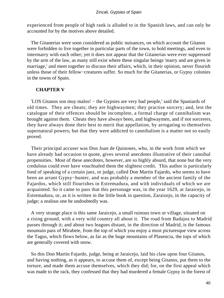experienced from people of high rank is alluded to in the Spanish laws, and can only be accounted for by the motives above detailed.

 The Gitanerias were soon considered as public nuisances, on which account the Gitanos were forbidden to live together in particular parts of the town, to hold meetings, and even to intermarry with each other; yet it does not appear that the Gitanerias were ever suppressed by the arm of the law, as many still exist where these singular beings 'marry and are given in marriage,' and meet together to discuss their affairs, which, in their opinion, never flourish unless those of their fellow−creatures suffer. So much for the Gitanerias, or Gypsy colonies in the towns of Spain.

### **CHAPTER V**

 'LOS Gitanos son muy malos! − the Gypsies are very bad people,' said the Spaniards of old times. They are cheats; they are highwaymen; they practise sorcery; and, lest the catalogue of their offences should be incomplete, a formal charge of cannibalism was brought against them. Cheats they have always been, and highwaymen, and if not sorcerers, they have always done their best to merit that appellation, by arrogating to themselves supernatural powers; but that they were addicted to cannibalism is a matter not so easily proved.

 Their principal accuser was Don Juan de Quinones, who, in the work from which we have already had occasion to quote, gives several anecdotes illustrative of their cannibal propensities. Most of these anecdotes, however, are so highly absurd, that none but the very credulous could ever have vouchsafed them the slightest credit. This author is particularly fond of speaking of a certain juez, or judge, called Don Martin Fajardo, who seems to have been an arrant Gypsy−hunter, and was probably a member of the ancient family of the Fajardos, which still flourishes in Estremadura, and with individuals of which we are acquainted. So it came to pass that this personage was, in the year 1629, at Jaraicejo, in Estremadura, or, as it is written in the little book in question, Zaraizejo, in the capacity of judge; a zealous one he undoubtedly was.

 A very strange place is this same Jaraicejo, a small ruinous town or village, situated on a rising ground, with a very wild country all about it. The road from Badajoz to Madrid passes through it; and about two leagues distant, in the direction of Madrid, is the famous mountain pass of Mirabete, from the top of which you enjoy a most picturesque view across the Tagus, which flows below, as far as the huge mountains of Plasencia, the tops of which are generally covered with snow.

 So this Don Martin Fajardo, judge, being at Jaraicejo, laid his claw upon four Gitanos, and having nothing, as it appears, to accuse them of, except being Gitanos, put them to the torture, and made them accuse themselves, which they did; for, on the first appeal which was made to the rack, they confessed that they had murdered a female Gypsy in the forest of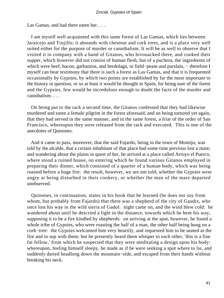Las Gamas, and had there eaten her....

 I am myself well acquainted with this same forest of Las Gamas, which lies between Jaraicejo and Trujillo; it abounds with chestnut and cork trees, and is a place very well suited either for the purpose of murder or cannibalism. It will be as well to observe that I visited it in company with a band of Gitanos, who bivouacked there, and cooked their supper, which however did not consist of human flesh, but of a puchera, the ingredients of which were beef, bacon, garbanzos, and berdolaga, or field–pease and purslain, – therefore I myself can bear testimony that there is such a forest as Las Gamas, and that it is frequented occasionally by Gypsies, by which two points are established by far the most important to the history in question, or so at least it would be thought in Spain, for being sure of the forest and the Gypsies, few would be incredulous enough to doubt the facts of the murder and cannibalism. . . .

 On being put to the rack a second time, the Gitanos confessed that they had likewise murdered and eaten a female pilgrim in the forest aforesaid; and on being tortured yet again, that they had served in the same manner, and in the same forest, a friar of the order of San Francisco, whereupon they were released from the rack and executed. This is one of the anecdotes of Quinones.

 And it came to pass, moreover, that the said Fajardo, being in the town of Montijo, was told by the alcalde, that a certain inhabitant of that place had some time previous lost a mare; and wandering about the plains in quest of her, he arrived at a place called Arroyo el Puerco, where stood a ruined house, on entering which he found various Gitanos employed in preparing their dinner, which consisted of a quarter of a human body, which was being roasted before a huge fire: the result, however, we are not told; whether the Gypsies were angry at being disturbed in their cookery, or whether the man of the mare departed unobserved.

 Quinones, in continuation, states in his book that he learned (he does not say from whom, but probably from Fajardo) that there was a shepherd of the city of Gaudix, who once lost his way in the wild sierra of Gadol: night came on, and the wind blew cold: he wandered about until he descried a light in the distance, towards which he bent his way, supposing it to be a fire kindled by shepherds: on arriving at the spot, however, he found a whole tribe of Gypsies, who were roasting the half of a man, the other half being hung on a cork−tree: the Gypsies welcomed him very heartily, and requested him to be seated at the fire and to sup with them; but he presently heard them whisper to each other, 'this is a fine fat fellow,' from which he suspected that they were meditating a design upon his body: whereupon, feeling himself sleepy, he made as if he were seeking a spot where to lie, and suddenly darted headlong down the mountain−side, and escaped from their hands without breaking his neck.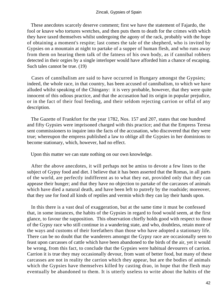These anecdotes scarcely deserve comment; first we have the statement of Fajardo, the fool or knave who tortures wretches, and then puts them to death for the crimes with which they have taxed themselves whilst undergoing the agony of the rack, probably with the hope of obtaining a moment's respite; last comes the tale of the shepherd, who is invited by Gypsies on a mountain at night to partake of a supper of human flesh, and who runs away from them on hearing them talk of the fatness of his own body, as if cannibal robbers detected in their orgies by a single interloper would have afforded him a chance of escaping. Such tales cannot be true. (19)

 Cases of cannibalism are said to have occurred in Hungary amongst the Gypsies; indeed, the whole race, in that country, has been accused of cannibalism, to which we have alluded whilst speaking of the Chingany: it is very probable, however, that they were quite innocent of this odious practice, and that the accusation had its origin in popular prejudice, or in the fact of their foul feeding, and their seldom rejecting carrion or offal of any description.

 The Gazette of Frankfort for the year 1782, Nos. 157 and 207, states that one hundred and fifty Gypsies were imprisoned charged with this practice; and that the Empress Teresa sent commissioners to inquire into the facts of the accusation, who discovered that they were true; whereupon the empress published a law to oblige all the Gypsies in her dominions to become stationary, which, however, had no effect.

Upon this matter we can state nothing on our own knowledge.

 After the above anecdotes, it will perhaps not be amiss to devote a few lines to the subject of Gypsy food and diet. I believe that it has been asserted that the Romas, in all parts of the world, are perfectly indifferent as to what they eat, provided only that they can appease their hunger; and that they have no objection to partake of the carcasses of animals which have died a natural death, and have been left to putrefy by the roadside; moreover, that they use for food all kinds of reptiles and vermin which they can lay their hands upon.

 In this there is a vast deal of exaggeration, but at the same time it must be confessed that, in some instances, the habits of the Gypsies in regard to food would seem, at the first glance, to favour the supposition. This observation chiefly holds good with respect to those of the Gypsy race who still continue in a wandering state, and who, doubtless, retain more of the ways and customs of their forefathers than those who have adopted a stationary life. There can be no doubt that the wanderers amongst the Gypsy race are occasionally seen to feast upon carcasses of cattle which have been abandoned to the birds of the air, yet it would be wrong, from this fact, to conclude that the Gypsies were habitual devourers of carrion. Carrion it is true they may occasionally devour, from want of better food, but many of these carcasses are not in reality the carrion which they appear, but are the bodies of animals which the Gypsies have themselves killed by casting drao, in hope that the flesh may eventually be abandoned to them. It is utterly useless to write about the habits of the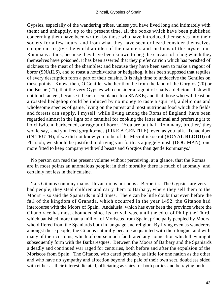Gypsies, especially of the wandering tribes, unless you have lived long and intimately with them; and unhappily, up to the present time, all the books which have been published concerning them have been written by those who have introduced themselves into their society for a few hours, and from what they have seen or heard consider themselves competent to give the world an idea of the manners and customs of the mysterious Rommany: thus, because they have been known to beg the carcass of a hog which they themselves have poisoned, it has been asserted that they prefer carrion which has perished of sickness to the meat of the shambles; and because they have been seen to make a ragout of boror (SNAILS), and to roast a hotchiwitchu or hedgehog, it has been supposed that reptiles of every description form a part of their cuisine. It is high time to undeceive the Gentiles on these points. Know, then, O Gentile, whether thou be from the land of the Gorgios (20) or the Busne (21), that the very Gypsies who consider a ragout of snails a delicious dish will not touch an eel, because it bears resemblance to a SNAKE; and that those who will feast on a roasted hedgehog could be induced by no money to taste a squirrel, a delicious and wholesome species of game, living on the purest and most nutritious food which the fields and forests can supply. I myself, while living among the Roms of England, have been regarded almost in the light of a cannibal for cooking the latter animal and preferring it to hotchiwitchu barbecued, or ragout of boror. 'You are but half Rommany, brother,' they would say, 'and you feed gorgiko−nes (LIKE A GENTILE), even as you talk. Tchachipen (IN TRUTH), if we did not know you to be of the Mecralliskoe rat (ROYAL **BLOOD)** of Pharaoh, we should be justified in driving you forth as a juggel−mush (DOG MAN), one more fitted to keep company with wild beasts and Gorgios than gentle Rommanys.'

 No person can read the present volume without perceiving, at a glance, that the Romas are in most points an anomalous people; in their morality there is much of anomaly, and certainly not less in their cuisine.

 'Los Gitanos son muy malos; llevan ninos hurtados a Berberia. The Gypsies are very bad people; they steal children and carry them to Barbary, where they sell them to the Moors' – so said the Spaniards in old times. There can be little doubt that even before the fall of the kingdom of Granada, which occurred in the year 1492, the Gitanos had intercourse with the Moors of Spain. Andalusia, which has ever been the province where the Gitano race has most abounded since its arrival, was, until the edict of Philip the Third, which banished more than a million of Moriscos from Spain, principally peopled by Moors, who differed from the Spaniards both in language and religion. By living even as wanderers amongst these people, the Gitanos naturally became acquainted with their tongue, and with many of their customs, which of course much facilitated any connection which they might subsequently form with the Barbaresques. Between the Moors of Barbary and the Spaniards a deadly and continued war raged for centuries, both before and after the expulsion of the Moriscos from Spain. The Gitanos, who cared probably as little for one nation as the other, and who have no sympathy and affection beyond the pale of their own sect, doubtless sided with either as their interest dictated, officiating as spies for both parties and betraying both.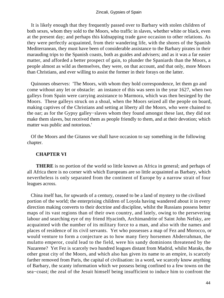It is likely enough that they frequently passed over to Barbary with stolen children of both sexes, whom they sold to the Moors, who traffic in slaves, whether white or black, even at the present day; and perhaps this kidnapping trade gave occasion to other relations. As they were perfectly acquainted, from their wandering life, with the shores of the Spanish Mediterranean, they must have been of considerable assistance to the Barbary pirates in their marauding trips to the Spanish coasts, both as guides and advisers; and as it was a far easier matter, and afforded a better prospect of gain, to plunder the Spaniards than the Moors, a people almost as wild as themselves, they were, on that account, and that only, more Moors than Christians, and ever willing to assist the former in their forays on the latter.

 Quinones observes: 'The Moors, with whom they hold correspondence, let them go and come without any let or obstacle: an instance of this was seen in the year 1627, when two galleys from Spain were carrying assistance to Marmora, which was then besieged by the Moors. These galleys struck on a shoal, when the Moors seized all the people on board, making captives of the Christians and setting at liberty all the Moors, who were chained to the oar; as for the Gypsy galley−slaves whom they found amongst these last, they did not make them slaves, but received them as people friendly to them, and at their devotion; which matter was public and notorious.'

 Of the Moors and the Gitanos we shall have occasion to say something in the following chapter.

### **CHAPTER VI**

**THERE** is no portion of the world so little known as Africa in general; and perhaps of all Africa there is no corner with which Europeans are so little acquainted as Barbary, which nevertheless is only separated from the continent of Europe by a narrow strait of four leagues across.

 China itself has, for upwards of a century, ceased to be a land of mystery to the civilised portion of the world; the enterprising children of Loyola having wandered about it in every direction making converts to their doctrine and discipline, whilst the Russians possess better maps of its vast regions than of their own country, and lately, owing to the persevering labour and searching eye of my friend Hyacinth, Archimandrite of Saint John Nefsky, are acquainted with the number of its military force to a man, and also with the names and places of residence of its civil servants. Yet who possesses a map of Fez and Morocco, or would venture to form a conjecture as to how many fiery horsemen Abderrahman, the mulatto emperor, could lead to the field, were his sandy dominions threatened by the Nazarene? Yet Fez is scarcely two hundred leagues distant from Madrid, whilst Maraks, the other great city of the Moors, and which also has given its name to an empire, is scarcely farther removed from Paris, the capital of civilisation: in a word, we scarcely know anything of Barbary, the scanty information which we possess being confined to a few towns on the sea−coast; the zeal of the Jesuit himself being insufficient to induce him to confront the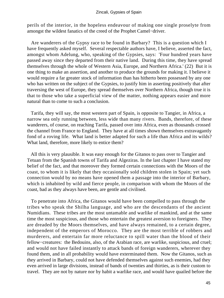perils of the interior, in the hopeless endeavour of making one single proselyte from amongst the wildest fanatics of the creed of the Prophet Camel−driver.

 Are wanderers of the Gypsy race to be found in Barbary? This is a question which I have frequently asked myself. Several respectable authors have, I believe, asserted the fact, amongst whom Adelung, who, speaking of the Gypsies, says: 'Four hundred years have passed away since they departed from their native land. During this time, they have spread themselves through the whole of Western Asia, Europe, and Northern Africa.' (22) But it is one thing to make an assertion, and another to produce the grounds for making it. I believe it would require a far greater stock of information than has hitherto been possessed by any one who has written on the subject of the Gypsies, to justify him in asserting positively that after traversing the west of Europe, they spread themselves over Northern Africa, though true it is that to those who take a superficial view of the matter, nothing appears easier and more natural than to come to such a conclusion.

 Tarifa, they will say, the most western part of Spain, is opposite to Tangier, in Africa, a narrow sea only running between, less wide than many rivers. Bands, therefore, of these wanderers, of course, on reaching Tarifa, passed over into Africa, even as thousands crossed the channel from France to England. They have at all times shown themselves extravagantly fond of a roving life. What land is better adapted for such a life than Africa and its wilds? What land, therefore, more likely to entice them?

 All this is very plausible. It was easy enough for the Gitanos to pass over to Tangier and Tetuan from the Spanish towns of Tarifa and Algeziras. In the last chapter I have stated my belief of the fact, and that moreover they formed certain connections with the Moors of the coast, to whom it is likely that they occasionally sold children stolen in Spain; yet such connection would by no means have opened them a passage into the interior of Barbary, which is inhabited by wild and fierce people, in comparison with whom the Moors of the coast, bad as they always have been, are gentle and civilised.

 To penetrate into Africa, the Gitanos would have been compelled to pass through the tribes who speak the Shilha language, and who are the descendants of the ancient Numidians. These tribes are the most untamable and warlike of mankind, and at the same time the most suspicious, and those who entertain the greatest aversion to foreigners. They are dreaded by the Moors themselves, and have always remained, to a certain degree, independent of the emperors of Morocco. They are the most terrible of robbers and murderers, and entertain far more reluctance to spill water than the blood of their fellow−creatures: the Bedouins, also, of the Arabian race, are warlike, suspicious, and cruel; and would not have failed instantly to attack bands of foreign wanderers, wherever they found them, and in all probability would have exterminated them. Now the Gitanos, such as they arrived in Barbary, could not have defended themselves against such enemies, had they even arrived in large divisions, instead of bands of twenties and thirties, as is their custom to travel. They are not by nature nor by habit a warlike race, and would have quailed before the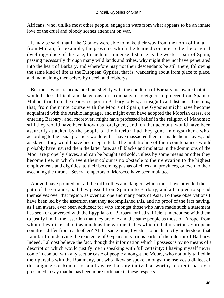Africans, who, unlike most other people, engage in wars from what appears to be an innate love of the cruel and bloody scenes attendant on war.

 It may be said, that if the Gitanos were able to make their way from the north of India, from Multan, for example, the province which the learned consider to be the original dwelling−place of the race, to such an immense distance as the western part of Spain, passing necessarily through many wild lands and tribes, why might they not have penetrated into the heart of Barbary, and wherefore may not their descendants be still there, following the same kind of life as the European Gypsies, that is, wandering about from place to place, and maintaining themselves by deceit and robbery?

 But those who are acquainted but slightly with the condition of Barbary are aware that it would be less difficult and dangerous for a company of foreigners to proceed from Spain to Multan, than from the nearest seaport in Barbary to Fez, an insignificant distance. True it is, that, from their intercourse with the Moors of Spain, the Gypsies might have become acquainted with the Arabic language, and might even have adopted the Moorish dress, ere entering Barbary; and, moreover, might have professed belief in the religion of Mahomet; still they would have been known as foreigners, and, on that account, would have been assuredly attacked by the people of the interior, had they gone amongst them, who, according to the usual practice, would either have massacred them or made them slaves; and as slaves, they would have been separated. The mulatto hue of their countenances would probably have insured them the latter fate, as all blacks and mulattos in the dominions of the Moor are properly slaves, and can be bought and sold, unless by some means or other they become free, in which event their colour is no obstacle to their elevation to the highest employments and dignities, to their becoming pashas of cities and provinces, or even to their ascending the throne. Several emperors of Morocco have been mulattos.

 Above I have pointed out all the difficulties and dangers which must have attended the path of the Gitanos, had they passed from Spain into Barbary, and attempted to spread themselves over that region, as over Europe and many parts of Asia. To these observations I have been led by the assertion that they accomplished this, and no proof of the fact having, as I am aware, ever been adduced; for who amongst those who have made such a statement has seen or conversed with the Egyptians of Barbary, or had sufficient intercourse with them to justify him in the assertion that they are one and the same people as those of Europe, from whom they differ about as much as the various tribes which inhabit various European countries differ from each other? At the same time, I wish it to be distinctly understood that I am far from denying the existence of Gypsies in various parts of the interior of Barbary. Indeed, I almost believe the fact, though the information which I possess is by no means of a description which would justify me in speaking with full certainty; I having myself never come in contact with any sect or caste of people amongst the Moors, who not only tallied in their pursuits with the Rommany, but who likewise spoke amongst themselves a dialect of the language of Roma; nor am I aware that any individual worthy of credit has ever presumed to say that he has been more fortunate in these respects.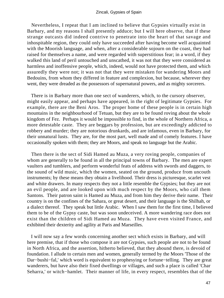Nevertheless, I repeat that I am inclined to believe that Gypsies virtually exist in Barbary, and my reasons I shall presently adduce; but I will here observe, that if these strange outcasts did indeed contrive to penetrate into the heart of that savage and inhospitable region, they could only have succeeded after having become well acquainted with the Moorish language, and when, after a considerable sojourn on the coast, they had raised for themselves a name, and were regarded with superstitious fear; in a word, if they walked this land of peril untouched and unscathed, it was not that they were considered as harmless and inoffensive people, which, indeed, would not have protected them, and which assuredly they were not; it was not that they were mistaken for wandering Moors and Bedouins, from whom they differed in feature and complexion, but because, wherever they went, they were dreaded as the possessors of supernatural powers, and as mighty sorcerers.

 There is in Barbary more than one sect of wanderers, which, to the cursory observer, might easily appear, and perhaps have appeared, in the right of legitimate Gypsies. For example, there are the Beni Aros. The proper home of these people is in certain high mountains in the neighbourhood of Tetuan, but they are to be found roving about the whole kingdom of Fez. Perhaps it would be impossible to find, in the whole of Northern Africa, a more detestable caste. They are beggars by profession, but are exceedingly addicted to robbery and murder; they are notorious drunkards, and are infamous, even in Barbary, for their unnatural lusts. They are, for the most part, well made and of comely features. I have occasionally spoken with them; they are Moors, and speak no language but the Arabic.

 Then there is the sect of Sidi Hamed au Muza, a very roving people, companies of whom are generally to be found in all the principal towns of Barbary. The men are expert vaulters and tumblers, and perform wonderful feats of address with swords and daggers, to the sound of wild music, which the women, seated on the ground, produce from uncouth instruments; by these means they obtain a livelihood. Their dress is picturesque, scarlet vest and white drawers. In many respects they not a little resemble the Gypsies; but they are not an evil people, and are looked upon with much respect by the Moors, who call them Santons. Their patron saint is Hamed au Muza, and from him they derive their name. Their country is on the confines of the Sahara, or great desert, and their language is the Shilhah, or a dialect thereof. They speak but little Arabic. When I saw them for the first time, I believed them to be of the Gypsy caste, but was soon undeceived. A more wandering race does not exist than the children of Sidi Hamed au Muza. They have even visited France, and exhibited their dexterity and agility at Paris and Marseilles.

 I will now say a few words concerning another sect which exists in Barbary, and will here premise, that if those who compose it are not Gypsies, such people are not to be found in North Africa, and the assertion, hitherto believed, that they abound there, is devoid of foundation. I allude to certain men and women, generally termed by the Moors 'Those of the Dar−bushi−fal,' which word is equivalent to prophesying or fortune−telling. They are great wanderers, but have also their fixed dwellings or villages, and such a place is called 'Char Seharra,' or witch−hamlet. Their manner of life, in every respect, resembles that of the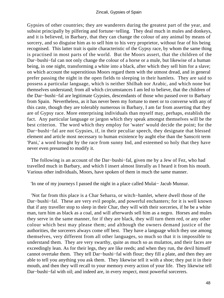Gypsies of other countries; they are wanderers during the greatest part of the year, and subsist principally by pilfering and fortune−telling. They deal much in mules and donkeys, and it is believed, in Barbary, that they can change the colour of any animal by means of sorcery, and so disguise him as to sell him to his very proprietor, without fear of his being recognised. This latter trait is quite characteristic of the Gypsy race, by whom the same thing is practised in most parts of the world. But the Moors assert, that the children of the Dar−bushi−fal can not only change the colour of a horse or a mule, but likewise of a human being, in one night, transforming a white into a black, after which they sell him for a slave; on which account the superstitious Moors regard them with the utmost dread, and in general prefer passing the night in the open fields to sleeping in their hamlets. They are said to possess a particular language, which is neither Shilhah nor Arabic, and which none but themselves understand; from all which circumstances I am led to believe, that the children of the Dar−bushi−fal are legitimate Gypsies, descendants of those who passed over to Barbary from Spain. Nevertheless, as it has never been my fortune to meet or to converse with any of this caste, though they are tolerably numerous in Barbary, I am far from asserting that they are of Gypsy race. More enterprising individuals than myself may, perhaps, establish the fact. Any particular language or jargon which they speak amongst themselves will be the best criterion. The word which they employ for 'water' would decide the point; for the Dar−bushi−fal are not Gypsies, if, in their peculiar speech, they designate that blessed element and article most necessary to human existence by aught else than the Sanscrit term 'Pani,' a word brought by the race from sunny Ind, and esteemed so holy that they have never even presumed to modify it.

 The following is an account of the Dar−bushi−fal, given me by a Jew of Fez, who had travelled much in Barbary, and which I insert almost literally as I heard it from his mouth. Various other individuals, Moors, have spoken of them in much the same manner.

'In one of my journeys I passed the night in a place called Mulai− Jacub Munsur.

 'Not far from this place is a Char Seharra, or witch−hamlet, where dwell those of the Dar−bushi−fal. These are very evil people, and powerful enchanters; for it is well known that if any traveller stop to sleep in their Char, they will with their sorceries, if he be a white man, turn him as black as a coal, and will afterwards sell him as a negro. Horses and mules they serve in the same manner, for if they are black, they will turn them red, or any other colour which best may please them; and although the owners demand justice of the authorities, the sorcerers always come off best. They have a language which they use among themselves, very different from all other languages, so much so that it is impossible to understand them. They are very swarthy, quite as much so as mulattos, and their faces are exceedingly lean. As for their legs, they are like reeds; and when they run, the devil himself cannot overtake them. They tell Dar−bushi−fal with flour; they fill a plate, and then they are able to tell you anything you ask them. They likewise tell it with a shoe; they put it in their mouth, and then they will recall to your memory every action of your life. They likewise tell Dar−bushi−fal with oil; and indeed are, in every respect, most powerful sorcerers.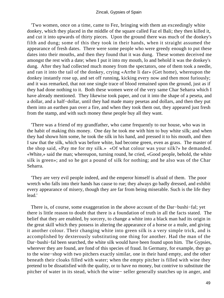'Two women, once on a time, came to Fez, bringing with them an exceedingly white donkey, which they placed in the middle of the square called Faz el Bali; they then killed it, and cut it into upwards of thirty pieces. Upon the ground there was much of the donkey's filth and dung; some of this they took in their hands, when it straight assumed the appearance of fresh dates. There were some people who were greedy enough to put these dates into their mouths, and then they found that it was dung. These women deceived me amongst the rest with a date; when I put it into my mouth, lo and behold it was the donkey's dung. After they had collected much money from the spectators, one of them took a needle, and ran it into the tail of the donkey, crying «Arrhe li dar» (Get home), whereupon the donkey instantly rose up, and set off running, kicking every now and then most furiously; and it was remarked, that not one single trace of blood remained upon the ground, just as if they had done nothing to it. Both these women were of the very same Char Seharra which I have already mentioned. They likewise took paper, and cut it into the shape of a peseta, and a dollar, and a half−dollar, until they had made many pesetas and dollars, and then they put them into an earthen pan over a fire, and when they took them out, they appeared just fresh from the stamp, and with such money these people buy all they want.

 'There was a friend of my grandfather, who came frequently to our house, who was in the habit of making this money. One day he took me with him to buy white silk; and when they had shown him some, he took the silk in his hand, and pressed it to his mouth, and then I saw that the silk, which was before white, had become green, even as grass. The master of the shop said, «Pay me for my silk.» «Of what colour was your silk?» he demanded. «White,» said the man; whereupon, turning round, he cried, «Good people, behold, the white silk is green»; and so he got a pound of silk for nothing; and he also was of the Char Seharra.

 'They are very evil people indeed, and the emperor himself is afraid of them. The poor wretch who falls into their hands has cause to rue; they always go badly dressed, and exhibit every appearance of misery, though they are far from being miserable. Such is the life they lead.'

 There is, of course, some exaggeration in the above account of the Dar−bushi−fal; yet there is little reason to doubt that there is a foundation of truth in all the facts stated. The belief that they are enabled, by sorcery, to change a white into a black man had its origin in the great skill which they possess in altering the appearance of a horse or a mule, and giving it another colour. Their changing white into green silk is a very simple trick, and is accomplished by dexterously substituting one thing for another. Had the man of the Dar–bushi–fal been searched, the white silk would have been found upon him. The Gypsies, wherever they are found, are fond of this species of fraud. In Germany, for example, they go to the wine−shop with two pitchers exactly similar, one in their hand empty, and the other beneath their cloaks filled with water; when the empty pitcher is filled with wine they pretend to be dissatisfied with the quality, or to have no money, but contrive to substitute the pitcher of water in its stead, which the wine− seller generally snatches up in anger, and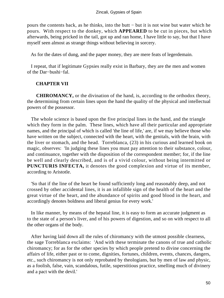pours the contents back, as he thinks, into the butt − but it is not wine but water which he pours. With respect to the donkey, which **APPEARED** to be cut in pieces, but which afterwards, being pricked in the tail, got up and ran home, I have little to say, but that I have myself seen almost as strange things without believing in sorcery.

As for the dates of dung, and the paper money, they are mere feats of legerdemain.

 I repeat, that if legitimate Gypsies really exist in Barbary, they are the men and women of the Dar−bushi−fal.

# **CHAPTER VII**

**CHIROMANCY,** or the divination of the hand, is, according to the orthodox theory, the determining from certain lines upon the hand the quality of the physical and intellectual powers of the possessor.

 The whole science is based upon the five principal lines in the hand, and the triangle which they form in the palm. These lines, which have all their particular and appropriate names, and the principal of which is called 'the line of life,' are, if we may believe those who have written on the subject, connected with the heart, with the genitals, with the brain, with the liver or stomach, and the head. Torreblanca, (23) in his curious and learned book on magic, observes: 'In judging these lines you must pay attention to their substance, colour, and continuance, together with the disposition of the correspondent member; for, if the line be well and clearly described, and is of a vivid colour, without being intermitted or **PUNCTURIS INFECTA,** it denotes the good complexion and virtue of its member, according to Aristotle.

 'So that if the line of the heart be found sufficiently long and reasonably deep, and not crossed by other accidental lines, it is an infallible sign of the health of the heart and the great virtue of the heart, and the abundance of spirits and good blood in the heart, and accordingly denotes boldness and liberal genius for every work.'

 In like manner, by means of the hepatal line, it is easy to form an accurate judgment as to the state of a person's liver, and of his powers of digestion, and so on with respect to all the other organs of the body.

 After having laid down all the rules of chiromancy with the utmost possible clearness, the sage Torreblanca exclaims: 'And with these terminate the canons of true and catholic chiromancy; for as for the other species by which people pretend to divine concerning the affairs of life, either past or to come, dignities, fortunes, children, events, chances, dangers, etc., such chiromancy is not only reprobated by theologians, but by men of law and physic, as a foolish, false, vain, scandalous, futile, superstitious practice, smelling much of divinery and a pact with the devil.'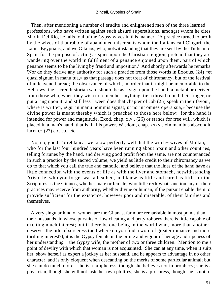Then, after mentioning a number of erudite and enlightened men of the three learned professions, who have written against such absurd superstitions, amongst whom he cites Martin Del Rio, he falls foul of the Gypsy wives in this manner: 'A practice turned to profit by the wives of that rabble of abandoned miscreants whom the Italians call Cingari, the Latins Egyptians, and we Gitanos, who, notwithstanding that they are sent by the Turks into Spain for the purpose of acting as spies upon the Christian religion, pretend that they are wandering over the world in fulfilment of a penance enjoined upon them, part of which penance seems to be the living by fraud and imposition.' And shortly afterwards he remarks: 'Nor do they derive any authority for such a practice from those words in Exodus, (24) «et quasi signum in manu tua,» as that passage does not treat of chiromancy, but of the festival of unleavened bread; the observance of which, in order that it might be memorable to the Hebrews, the sacred historian said should be as a sign upon the hand; a metaphor derived from those who, when they wish to remember anything, tie a thread round their finger, or put a ring upon it; and still less I ween does that chapter of Job (25) speak in their favour, where is written, «Qui in manu hominis signat, ut norint omnes opera sua,» because the divine power is meant thereby which is preached to those here below: for the hand is intended for power and magnitude, Exod. chap. xiv., (26) or stands for free will, which is placed in a man's hand, that is, in his power. Wisdom, chap. xxxvi. «In manibus abscondit lucem,» (27) etc. etc. etc.

 No, no, good Torreblanca, we know perfectly well that the witch− wives of Multan, who for the last four hundred years have been running about Spain and other countries, telling fortunes by the hand, and deriving good profit from the same, are not countenanced in such a practice by the sacred volume; we yield as little credit to their chiromancy as we do to that which you call the true and catholic, and believe that the lines of the hand have as little connection with the events of life as with the liver and stomach, notwithstanding Aristotle, who you forget was a heathen, and knew as little and cared as little for the Scriptures as the Gitanos, whether male or female, who little reck what sanction any of their practices may receive from authority, whether divine or human, if the pursuit enable them to provide sufficient for the existence, however poor and miserable, of their families and themselves.

 A very singular kind of women are the Gitanas, far more remarkable in most points than their husbands, in whose pursuits of low cheating and petty robbery there is little capable of exciting much interest; but if there be one being in the world who, more than another, deserves the title of sorceress (and where do you find a word of greater romance and more thrilling interest?), it is the Gypsy female in the prime and vigour of her age and ripeness of her understanding – the Gypsy wife, the mother of two or three children. Mention to me a point of devilry with which that woman is not acquainted. She can at any time, when it suits her, show herself as expert a jockey as her husband, and he appears to advantage in no other character, and is only eloquent when descanting on the merits of some particular animal; but she can do much more: she is a prophetess, though she believes not in prophecy; she is a physician, though she will not taste her own philtres; she is a procuress, though she is not to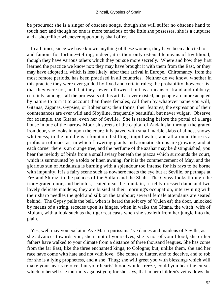be procured; she is a singer of obscene songs, though she will suffer no obscene hand to touch her; and though no one is more tenacious of the little she possesses, she is a cutpurse and a shop−lifter whenever opportunity shall offer.

 In all times, since we have known anything of these women, they have been addicted to and famous for fortune−telling; indeed, it is their only ostensible means of livelihood, though they have various others which they pursue more secretly. Where and how they first learned the practice we know not; they may have brought it with them from the East, or they may have adopted it, which is less likely, after their arrival in Europe. Chiromancy, from the most remote periods, has been practised in all countries. Neither do we know, whether in this practice they were ever guided by fixed and certain rules; the probability, however, is, that they were not, and that they never followed it but as a means of fraud and robbery; certainly, amongst all the professors of this art that ever existed, no people are more adapted by nature to turn it to account than these females, call them by whatever name you will, Gitanas, Ziganas, Gypsies, or Bohemians; their forms, their features, the expression of their countenances are ever wild and Sibylline, frequently beautiful, but never vulgar. Observe, for example, the Gitana, even her of Seville. She is standing before the portal of a large house in one of the narrow Moorish streets of the capital of Andalusia; through the grated iron door, she looks in upon the court; it is paved with small marble slabs of almost snowy whiteness; in the middle is a fountain distilling limpid water, and all around there is a profusion of macetas, in which flowering plants and aromatic shrubs are growing, and at each corner there is an orange tree, and the perfume of the azahar may be distinguished; you hear the melody of birds from a small aviary beneath the piazza which surrounds the court, which is surmounted by a toldo or linen awning, for it is the commencement of May, and the glorious sun of Andalusia is burning with a splendour too intense for his rays to be borne with impunity. It is a fairy scene such as nowhere meets the eye but at Seville, or perhaps at Fez and Shiraz, in the palaces of the Sultan and the Shah. The Gypsy looks through the iron−grated door, and beholds, seated near the fountain, a richly dressed dame and two lovely delicate maidens; they are busied at their morning's occupation, intertwining with their sharp needles the gold and silk on the tambour; several female attendants are seated behind. The Gypsy pulls the bell, when is heard the soft cry of 'Quien es'; the door, unlocked by means of a string, recedes upon its hinges, when in walks the Gitana, the witch−wife of Multan, with a look such as the tiger−cat casts when she stealeth from her jungle into the plain.

 Yes, well may you exclaim 'Ave Maria purissima,' ye dames and maidens of Seville, as she advances towards you; she is not of yourselves, she is not of your blood, she or her fathers have walked to your climate from a distance of three thousand leagues. She has come from the far East, like the three enchanted kings, to Cologne; but, unlike them, she and her race have come with hate and not with love. She comes to flatter, and to deceive, and to rob, for she is a lying prophetess, and a she−Thug; she will greet you with blessings which will make your hearts rejoice, but your hearts' blood would freeze, could you hear the curses which to herself she murmurs against you; for she says, that in her children's veins flows the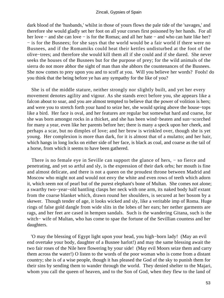dark blood of the 'husbands,' whilst in those of yours flows the pale tide of the 'savages,' and therefore she would gladly set her foot on all your corses first poisoned by her hands. For all her love − and she can love − is for the Romas; and all her hate − and who can hate like her? − is for the Busnees; for she says that the world would be a fair world if there were no Busnees, and if the Romamiks could heat their kettles undisturbed at the foot of the olive−trees; and therefore she would kill them all if she could and if she dared. She never seeks the houses of the Busnees but for the purpose of prey; for the wild animals of the sierra do not more abhor the sight of man than she abhors the countenances of the Busnees. She now comes to prey upon you and to scoff at you. Will you believe her words? Fools! do you think that the being before ye has any sympathy for the like of you?

 She is of the middle stature, neither strongly nor slightly built, and yet her every movement denotes agility and vigour. As she stands erect before you, she appears like a falcon about to soar, and you are almost tempted to believe that the power of volition is hers; and were you to stretch forth your hand to seize her, she would spring above the house−tops like a bird. Her face is oval, and her features are regular but somewhat hard and coarse, for she was born amongst rocks in a thicket, and she has been wind−beaten and sun−scorched for many a year, even like her parents before her; there is many a speck upon her cheek, and perhaps a scar, but no dimples of love; and her brow is wrinkled over, though she is yet young. Her complexion is more than dark, for it is almost that of a mulatto; and her hair, which hangs in long locks on either side of her face, is black as coal, and coarse as the tail of a horse, from which it seems to have been gathered.

There is no female eye in Seville can support the glance of hers, – so fierce and penetrating, and yet so artful and sly, is the expression of their dark orbs; her mouth is fine and almost delicate, and there is not a queen on the proudest throne between Madrid and Moscow who might not and would not envy the white and even rows of teeth which adorn it, which seem not of pearl but of the purest elephant's bone of Multan. She comes not alone; a swarthy two−year−old bantling clasps her neck with one arm, its naked body half extant from the coarse blanket which, drawn round her shoulders, is secured at her bosom by a skewer. Though tender of age, it looks wicked and sly, like a veritable imp of Roma. Huge rings of false gold dangle from wide slits in the lobes of her ears; her nether garments are rags, and her feet are cased in hempen sandals. Such is the wandering Gitana, such is the witch− wife of Multan, who has come to spae the fortune of the Sevillian countess and her daughters.

 'O may the blessing of Egypt light upon your head, you high−born lady! (May an evil end overtake your body, daughter of a Busnee harlot!) and may the same blessing await the two fair roses of the Nile here flowering by your side! (May evil Moors seize them and carry them across the water!) O listen to the words of the poor woman who is come from a distant country; she is of a wise people, though it has pleased the God of the sky to punish them for their sins by sending them to wander through the world. They denied shelter to the Majari, whom you call the queen of heaven, and to the Son of God, when they flew to the land of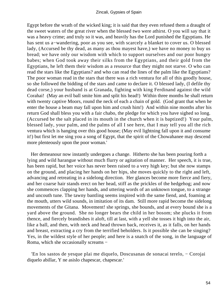Egypt before the wrath of the wicked king; it is said that they even refused them a draught of the sweet waters of the great river when the blessed two were athirst. O you will say that it was a heavy crime; and truly so it was, and heavily has the Lord punished the Egyptians. He has sent us a−wandering, poor as you see, with scarcely a blanket to cover us. O blessed lady, (Accursed be thy dead, as many as thou mayest have,) we have no money to buy us bread; we have only our wisdom with which to support ourselves and our poor hungry babes; when God took away their silks from the Egyptians, and their gold from the Egyptians, he left them their wisdom as a resource that they might not starve. O who can read the stars like the Egyptians? and who can read the lines of the palm like the Egyptians? The poor woman read in the stars that there was a rich ventura for all of this goodly house, so she followed the bidding of the stars and came to declare it. O blessed lady, (I defile thy dead corse,) your husband is at Granada, fighting with king Ferdinand against the wild Corahai! (May an evil ball smite him and split his head!) Within three months he shall return with twenty captive Moors, round the neck of each a chain of gold. (God grant that when he enter the house a beam may fall upon him and crush him!) And within nine months after his return God shall bless you with a fair chabo, the pledge for which you have sighed so long. (Accursed be the salt placed in its mouth in the church when it is baptized!) Your palm, blessed lady, your palm, and the palms of all I see here, that I may tell you all the rich ventura which is hanging over this good house; (May evil lightning fall upon it and consume it!) but first let me sing you a song of Egypt, that the spirit of the Chowahanee may descend more plenteously upon the poor woman.'

 Her demeanour now instantly undergoes a change. Hitherto she has been pouring forth a lying and wild harangue without much flurry or agitation of manner. Her speech, it is true, has been rapid, but her voice has never been raised to a very high key; but she now stamps on the ground, and placing her hands on her hips, she moves quickly to the right and left, advancing and retreating in a sidelong direction. Her glances become more fierce and fiery, and her coarse hair stands erect on her head, stiff as the prickles of the hedgehog; and now she commences clapping her hands, and uttering words of an unknown tongue, to a strange and uncouth tune. The tawny bantling seems inspired with the same fiend, and, foaming at the mouth, utters wild sounds, in imitation of its dam. Still more rapid become the sidelong movements of the Gitana. Movement! she springs, she bounds, and at every bound she is a yard above the ground. She no longer bears the child in her bosom; she plucks it from thence, and fiercely brandishes it aloft, till at last, with a yell she tosses it high into the air, like a ball, and then, with neck and head thrown back, receives it, as it falls, on her hands and breast, extracting a cry from the terrified beholders. Is it possible she can be singing? Yes, in the wildest style of her people; and here is a snatch of the song, in the language of Roma, which she occasionally screams −

 'En los sastos de yesque plai me diquelo, Doscusanas de sonacai terelo, − Corojai diquelo abillar, Y ne asislo chapescar, chapescar.'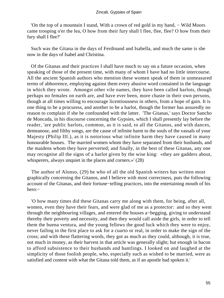'On the top of a mountain I stand, With a crown of red gold in my hand, − Wild Moors came trooping o'er the lea, O how from their fury shall I flee, flee, flee? O how from their fury shall I flee?'

 Such was the Gitana in the days of Ferdinand and Isabella, and much the same is she now in the days of Isabel and Christina.

 Of the Gitanas and their practices I shall have much to say on a future occasion, when speaking of those of the present time, with many of whom I have had no little intercourse. All the ancient Spanish authors who mention these women speak of them in unmeasured terms of abhorrence, employing against them every abusive word contained in the language in which they wrote. Amongst other vile names, they have been called harlots, though perhaps no females on earth are, and have ever been, more chaste in their own persons, though at all times willing to encourage licentiousness in others, from a hope of gain. It is one thing to be a procuress, and another to be a harlot, though the former has assuredly no reason to complain if she be confounded with the latter. 'The Gitanas,' says Doctor Sancho de Moncada, in his discourse concerning the Gypsies, which I shall presently lay before the reader, 'are public harlots, common, as it is said, to all the Gitanos, and with dances, demeanour, and filthy songs, are the cause of infinite harm to the souls of the vassals of your Majesty (Philip III.), as it is notorious what infinite harm they have caused in many honourable houses. The married women whom they have separated from their husbands, and the maidens whom they have perverted; and finally, in the best of these Gitanas, any one may recognise all the signs of a harlot given by the wise king: «they are gadders about, whisperers, always unquiet in the places and corners.»' (28)

 The author of Alonso, (29) he who of all the old Spanish writers has written most graphically concerning the Gitanos, and I believe with most correctness, puts the following account of the Gitanas, and their fortune−telling practices, into the entertaining mouth of his hero:−

 'O how many times did these Gitanas carry me along with them, for being, after all, women, even they have their fears, and were glad of me as a protector: and so they went through the neighbouring villages, and entered the houses a−begging, giving to understand thereby their poverty and necessity, and then they would call aside the girls, in order to tell them the buena ventura, and the young fellows the good luck which they were to enjoy, never failing in the first place to ask for a cuarto or real, in order to make the sign of the cross; and with these flattering words, they got as much as they could, although, it is true, not much in money, as their harvest in that article was generally slight; but enough in bacon to afford subsistence to their husbands and bantlings. I looked on and laughed at the simplicity of those foolish people, who, especially such as wished to be married, were as satisfied and content with what the Gitana told them, as if an apostle had spoken it.'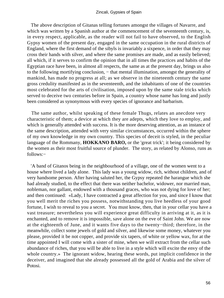The above description of Gitanas telling fortunes amongst the villages of Navarre, and which was written by a Spanish author at the commencement of the seventeenth century, is, in every respect, applicable, as the reader will not fail to have observed, to the English Gypsy women of the present day, engaged in the same occupation in the rural districts of England, where the first demand of the sibyls is invariably a sixpence, in order that they may cross their hands with silver, and where the same promises are made, and as easily believed; all which, if it serves to confirm the opinion that in all times the practices and habits of the Egyptian race have been, in almost all respects, the same as at the present day, brings us also to the following mortifying conclusion, – that mental illumination, amongst the generality of mankind, has made no progress at all; as we observe in the nineteenth century the same gross credulity manifested as in the seventeenth, and the inhabitants of one of the countries most celebrated for the arts of civilisation, imposed upon by the same stale tricks which served to deceive two centuries before in Spain, a country whose name has long and justly been considered as synonymous with every species of ignorance and barbarism.

 The same author, whilst speaking of these female Thugs, relates an anecdote very characteristic of them; a device at which they are adepts, which they love to employ, and which is generally attended with success. It is the more deserving attention, as an instance of the same description, attended with very similar circumstances, occurred within the sphere of my own knowledge in my own country. This species of deceit is styled, in the peculiar language of the Rommany, **HOKKANO BARO,** or the 'great trick'; it being considered by the women as their most fruitful source of plunder. The story, as related by Alonso, runs as follows:−

 'A band of Gitanos being in the neighbourhood of a village, one of the women went to a house where lived a lady alone. This lady was a young widow, rich, without children, and of very handsome person. After having saluted her, the Gypsy repeated the harangue which she had already studied, to the effect that there was neither bachelor, widower, nor married man, nobleman, nor gallant, endowed with a thousand graces, who was not dying for love of her; and then continued: «Lady, I have contracted a great affection for you, and since I know that you well merit the riches you possess, notwithstanding you live heedless of your good fortune, I wish to reveal to you a secret. You must know, then, that in your cellar you have a vast treasure; nevertheless you will experience great difficulty in arriving at it, as it is enchanted, and to remove it is impossible, save alone on the eve of Saint John. We are now at the eighteenth of June, and it wants five days to the twenty−third; therefore, in the meanwhile, collect some jewels of gold and silver, and likewise some money, whatever you please, provided it be not copper, and provide six tapers, of white or yellow wax, for at the time appointed I will come with a sister of mine, when we will extract from the cellar such abundance of riches, that you will be able to live in a style which will excite the envy of the whole country.» The ignorant widow, hearing these words, put implicit confidence in the deceiver, and imagined that she already possessed all the gold of Arabia and the silver of Potosi.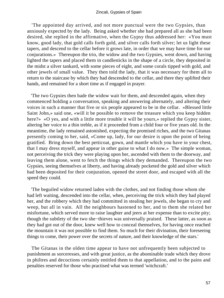'The appointed day arrived, and not more punctual were the two Gypsies, than anxiously expected by the lady. Being asked whether she had prepared all as she had been desired, she replied in the affirmative, when the Gypsy thus addressed her: «You must know, good lady, that gold calls forth gold, and silver calls forth silver; let us light these tapers, and descend to the cellar before it grows late, in order that we may have time for our conjurations.» Thereupon the trio, the widow and the two Gypsies, went down, and having lighted the tapers and placed them in candlesticks in the shape of a circle, they deposited in the midst a silver tankard, with some pieces of eight, and some corals tipped with gold, and other jewels of small value. They then told the lady, that it was necessary for them all to return to the staircase by which they had descended to the cellar, and there they uplifted their hands, and remained for a short time as if engaged in prayer.

 'The two Gypsies then bade the widow wait for them, and descended again, when they commenced holding a conversation, speaking and answering alternately, and altering their voices in such a manner that five or six people appeared to be in the cellar. «Blessed little Saint John,» said one, «will it be possible to remove the treasure which you keep hidden here?» «O yes, and with a little more trouble it will be yours,» replied the Gypsy sister, altering her voice to a thin treble, as if it proceeded from a child four or five years old. In the meantime, the lady remained astonished, expecting the promised riches, and the two Gitanas presently coming to her, said, «Come up, lady, for our desire is upon the point of being gratified. Bring down the best petticoat, gown, and mantle which you have in your chest, that I may dress myself, and appear in other guise to what I do now.» The simple woman, not perceiving the trick they were playing upon her, ascended with them to the doorway, and leaving them alone, went to fetch the things which they demanded. Thereupon the two Gypsies, seeing themselves at liberty, and having already pocketed the gold and silver which had been deposited for their conjuration, opened the street door, and escaped with all the speed they could.

 'The beguiled widow returned laden with the clothes, and not finding those whom she had left waiting, descended into the cellar, when, perceiving the trick which they had played her, and the robbery which they had committed in stealing her jewels, she began to cry and weep, but all in vain. All the neighbours hastened to her, and to them she related her misfortune, which served more to raise laughter and jeers at her expense than to excite pity; though the subtlety of the two she−thieves was universally praised. These latter, as soon as they had got out of the door, knew well how to conceal themselves, for having once reached the mountain it was not possible to find them. So much for their divination, their foreseeing things to come, their power over the secrets of nature, and their knowledge of the stars.'

 The Gitanas in the olden time appear to have not unfrequently been subjected to punishment as sorceresses, and with great justice, as the abominable trade which they drove in philtres and decoctions certainly entitled them to that appellation, and to the pains and penalties reserved for those who practised what was termed 'witchcraft.'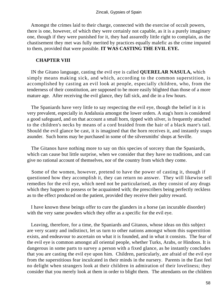Amongst the crimes laid to their charge, connected with the exercise of occult powers, there is one, however, of which they were certainly not capable, as it is a purely imaginary one, though if they were punished for it, they had assuredly little right to complain, as the chastisement they met was fully merited by practices equally malefic as the crime imputed to them, provided that were possible. **IT WAS CASTING THE EVIL EYE.**

### **CHAPTER VIII**

 IN the Gitano language, casting the evil eye is called **QUERELAR NASULA,** which simply means making sick, and which, according to the common superstition, is accomplished by casting an evil look at people, especially children, who, from the tenderness of their constitution, are supposed to be more easily blighted than those of a more mature age. After receiving the evil glance, they fall sick, and die in a few hours.

 The Spaniards have very little to say respecting the evil eye, though the belief in it is very prevalent, especially in Andalusia amongst the lower orders. A stag's horn is considered a good safeguard, and on that account a small horn, tipped with silver, is frequently attached to the children's necks by means of a cord braided from the hair of a black mare's tail. Should the evil glance be cast, it is imagined that the horn receives it, and instantly snaps asunder. Such horns may be purchased in some of the silversmiths' shops at Seville.

 The Gitanos have nothing more to say on this species of sorcery than the Spaniards, which can cause but little surprise, when we consider that they have no traditions, and can give no rational account of themselves, nor of the country from which they come.

 Some of the women, however, pretend to have the power of casting it, though if questioned how they accomplish it, they can return no answer. They will likewise sell remedies for the evil eye, which need not be particularised, as they consist of any drugs which they happen to possess or be acquainted with; the prescribers being perfectly reckless as to the effect produced on the patient, provided they receive their paltry reward.

 I have known these beings offer to cure the glanders in a horse (an incurable disorder) with the very same powders which they offer as a specific for the evil eye.

 Leaving, therefore, for a time, the Spaniards and Gitanos, whose ideas on this subject are very scanty and indistinct, let us turn to other nations amongst whom this superstition exists, and endeavour to ascertain on what it is founded, and in what it consists. The fear of the evil eye is common amongst all oriental people, whether Turks, Arabs, or Hindoos. It is dangerous in some parts to survey a person with a fixed glance, as he instantly concludes that you are casting the evil eye upon him. Children, particularly, are afraid of the evil eye from the superstitious fear inculcated in their minds in the nursery. Parents in the East feel no delight when strangers look at their children in admiration of their loveliness; they consider that you merely look at them in order to blight them. The attendants on the children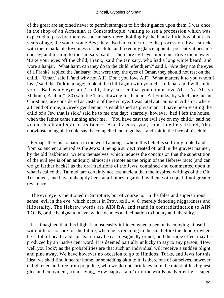of the great are enjoined never to permit strangers to fix their glance upon them. I was once in the shop of an Armenian at Constantinople, waiting to see a procession which was expected to pass by; there was a Janisary there, holding by the hand a little boy about six years of age, the son of some Bey; they also had come to see the procession. I was struck with the remarkable loveliness of the child, and fixed my glance upon it: presently it became uneasy, and turning to the Janisary, said: 'There are evil eyes upon me; drive them away.' 'Take your eyes off the child, Frank,' said the Janisary, who had a long white beard, and wore a hanjar. 'What harm can they do to the child, efendijem?' said I. 'Are they not the eyes of a Frank?' replied the Janisary; 'but were they the eyes of Omar, they should not rest on the child.' 'Omar,' said I, 'and why not Ali? Don't you love Ali?' 'What matters it to you whom I love,' said the Turk in a rage; 'look at the child again with your chesm fanar and I will smite you.' 'Bad as my eyes are,' said I, 'they can see that you do not love Ali.' 'Ya Ali, ya Mahoma, Alahhu!' (30) said the Turk, drawing his hanjar. All Franks, by which are meant Christians, are considered as casters of the evil eye. I was lately at Janina in Albania, where a friend of mine, a Greek gentleman, is established as physician. 'I have been visiting the child of a Jew that is sick,' said he to me one day; 'scarcely, however, had I left the house, when the father came running after me. «You have cast the evil eye on my child,» said he; «come back and spit in its face.» And I assure you,' continued my friend, 'that notwithstanding all I could say, he compelled me to go back and spit in the face of his child.'

 Perhaps there is no nation in the world amongst whom this belief is so firmly rooted and from so ancient a period as the Jews; it being a subject treated of, and in the gravest manner, by the old Rabbinical writers themselves, which induces the conclusion that the superstition of the evil eye is of an antiquity almost as remote as the origin of the Hebrew race; (and can we go farther back?) as the oral traditions of the Jews, contained and commented upon in what is called the Talmud, are certainly not less ancient than the inspired writings of the Old Testament, and have unhappily been at all times regarded by them with equal if not greater reverence.

 The evil eye is mentioned in Scripture, but of course not in the false and superstitious sense; evil in the eye, which occurs in Prov. xxiii. v. 6, merely denoting niggardness and illiberality. The Hebrew words are **AIN RA,** and stand in contradistinction to **AIN TOUB,** or the benignant in eye, which denotes an inclination to bounty and liberality.

 It is imagined that this blight is most easily inflicted when a person is enjoying himself with little or no care for the future, when he is reclining in the sun before the door, or when he is full of health and spirits: it may be cast designedly or not; and the same effect may be produced by an inadvertent word. It is deemed partially unlucky to say to any person, 'How well you look'; as the probabilities are that such an individual will receive a sudden blight and pine away. We have however no occasion to go to Hindoos, Turks, and Jews for this idea; we shall find it nearer home, or something akin to it. Is there one of ourselves, however enlightened and free from prejudice, who would not shrink, even in the midst of his highest glee and enjoyment, from saying, 'How happy I am!' or if the words inadvertently escaped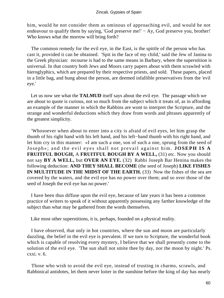him, would he not consider them as ominous of approaching evil, and would he not endeavour to qualify them by saying, 'God preserve me!' – Ay, God preserve you, brother! Who knows what the morrow will bring forth?

 The common remedy for the evil eye, in the East, is the spittle of the person who has cast it, provided it can be obtained. 'Spit in the face of my child,' said the Jew of Janina to the Greek physician: recourse is had to the same means in Barbary, where the superstition is universal. In that country both Jews and Moors carry papers about with them scrawled with hieroglyphics, which are prepared by their respective priests, and sold. These papers, placed in a little bag, and hung about the person, are deemed infallible preservatives from the 'evil eye.'

 Let us now see what the **TALMUD** itself says about the evil eye. The passage which we are about to quote is curious, not so much from the subject which it treats of, as in affording an example of the manner in which the Rabbins are wont to interpret the Scripture, and the strange and wonderful deductions which they draw from words and phrases apparently of the greatest simplicity.

 'Whosoever when about to enter into a city is afraid of evil eyes, let him grasp the thumb of his right hand with his left hand, and his left−hand thumb with his right hand, and let him cry in this manner: «I am such a one, son of such a one, sprung from the seed of Joseph»; and the evil eyes shall not prevail against him. **JOSEPH IS A FRUITFUL BOUGH,** A **FRUITFUL BOUGH BY A WELL,** (31) etc. Now you should not say **BY A WELL,** but **OVER AN EYE.** (32) Rabbi Joseph Bar Henina makes the following deduction: **AND THEY SHALL BECOME** (the seed of Joseph) **LIKE FISHES IN MULTITUDE IN THE MIDST OF THE EARTH.** (33) Now the fishes of the sea are covered by the waters, and the evil eye has no power over them; and so over those of the seed of Joseph the evil eye has no power.'

 I have been thus diffuse upon the evil eye, because of late years it has been a common practice of writers to speak of it without apparently possessing any farther knowledge of the subject than what may be gathered from the words themselves.

Like most other superstitions, it is, perhaps, founded on a physical reality.

 I have observed, that only in hot countries, where the sun and moon are particularly dazzling, the belief in the evil eye is prevalent. If we turn to Scripture, the wonderful book which is capable of resolving every mystery, I believe that we shall presently come to the solution of the evil eye. 'The sun shall not smite thee by day, nor the moon by night.' Ps. cxxi. v. 6.

 Those who wish to avoid the evil eye, instead of trusting in charms, scrawls, and Rabbinical antidotes, let them never loiter in the sunshine before the king of day has nearly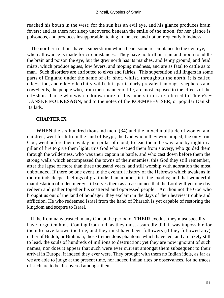reached his bourn in the west; for the sun has an evil eye, and his glance produces brain fevers; and let them not sleep uncovered beneath the smile of the moon, for her glance is poisonous, and produces insupportable itching in the eye, and not unfrequently blindness.

 The northern nations have a superstition which bears some resemblance to the evil eye, when allowance is made for circumstances. They have no brilliant sun and moon to addle the brain and poison the eye, but the grey north has its marshes, and fenny ground, and fetid mists, which produce agues, low fevers, and moping madness, and are as fatal to cattle as to man. Such disorders are attributed to elves and fairies. This superstition still lingers in some parts of England under the name of elf−shot, whilst, throughout the north, it is called elle−skiod, and elle− vild (fairy wild). It is particularly prevalent amongst shepherds and cow−herds, the people who, from their manner of life, are most exposed to the effects of the elf−shot. Those who wish to know more of this superstition are referred to Thiele's − DANSKE **FOLKESAGN,** and to the notes of the KOEMPE−VISER, or popular Danish Ballads.

# **CHAPTER IX**

**WHEN** the six hundred thousand men, (34) and the mixed multitude of women and children, went forth from the land of Egypt, the God whom they worshipped, the only true God, went before them by day in a pillar of cloud, to lead them the way, and by night in a pillar of fire to give them light; this God who rescued them from slavery, who guided them through the wilderness, who was their captain in battle, and who cast down before them the strong walls which encompassed the towns of their enemies, this God they still remember, after the lapse of more than three thousand years, and still worship with adoration the most unbounded. If there be one event in the eventful history of the Hebrews which awakens in their minds deeper feelings of gratitude than another, it is the exodus; and that wonderful manifestation of olden mercy still serves them as an assurance that the Lord will yet one day redeem and gather together his scattered and oppressed people. 'Art thou not the God who brought us out of the land of bondage?' they exclaim in the days of their heaviest trouble and affliction. He who redeemed Israel from the hand of Pharaoh is yet capable of restoring the kingdom and sceptre to Israel.

 If the Rommany trusted in any God at the period of **THEIR** exodus, they must speedily have forgotten him. Coming from Ind, as they most assuredly did, it was impossible for them to have known the true, and they must have been followers (if they followed any) either of Buddh, or Brahmah, those tremendous phantoms which have led, and are likely still to lead, the souls of hundreds of millions to destruction; yet they are now ignorant of such names, nor does it appear that such were ever current amongst them subsequent to their arrival in Europe, if indeed they ever were. They brought with them no Indian idols, as far as we are able to judge at the present time, nor indeed Indian rites or observances, for no traces of such are to be discovered amongst them.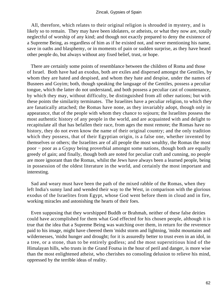All, therefore, which relates to their original religion is shrouded in mystery, and is likely so to remain. They may have been idolaters, or atheists, or what they now are, totally neglectful of worship of any kind; and though not exactly prepared to deny the existence of a Supreme Being, as regardless of him as if he existed not, and never mentioning his name, save in oaths and blasphemy, or in moments of pain or sudden surprise, as they have heard other people do, but always without any fixed belief, trust, or hope.

 There are certainly some points of resemblance between the children of Roma and those of Israel. Both have had an exodus, both are exiles and dispersed amongst the Gentiles, by whom they are hated and despised, and whom they hate and despise, under the names of Busnees and Goyim; both, though speaking the language of the Gentiles, possess a peculiar tongue, which the latter do not understand, and both possess a peculiar cast of countenance, by which they may, without difficulty, be distinguished from all other nations; but with these points the similarity terminates. The Israelites have a peculiar religion, to which they are fanatically attached; the Romas have none, as they invariably adopt, though only in appearance, that of the people with whom they chance to sojourn; the Israelites possess the most authentic history of any people in the world, and are acquainted with and delight to recapitulate all that has befallen their race, from ages the most remote; the Romas have no history, they do not even know the name of their original country; and the only tradition which they possess, that of their Egyptian origin, is a false one, whether invented by themselves or others; the Israelites are of all people the most wealthy, the Romas the most poor − poor as a Gypsy being proverbial amongst some nations, though both are equally greedy of gain; and finally, though both are noted for peculiar craft and cunning, no people are more ignorant than the Romas, whilst the Jews have always been a learned people, being in possession of the oldest literature in the world, and certainly the most important and interesting.

 Sad and weary must have been the path of the mixed rabble of the Romas, when they left India's sunny land and wended their way to the West, in comparison with the glorious exodus of the Israelites from Egypt, whose God went before them in cloud and in fire, working miracles and astonishing the hearts of their foes.

 Even supposing that they worshipped Buddh or Brahmah, neither of these false deities could have accomplished for them what God effected for his chosen people, although it is true that the idea that a Supreme Being was watching over them, in return for the reverence paid to his image, might have cheered them 'midst storm and lightning, 'midst mountains and wildernesses, 'midst hunger and drought; for it is assuredly better to trust even in an idol, in a tree, or a stone, than to be entirely godless; and the most superstitious hind of the Himalayan hills, who trusts in the Grand Foutsa in the hour of peril and danger, is more wise than the most enlightened atheist, who cherishes no consoling delusion to relieve his mind, oppressed by the terrible ideas of reality.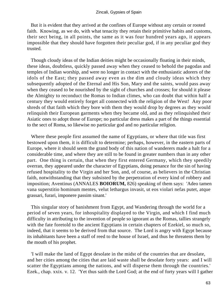But it is evident that they arrived at the confines of Europe without any certain or rooted faith. Knowing, as we do, with what tenacity they retain their primitive habits and customs, their sect being, in all points, the same as it was four hundred years ago, it appears impossible that they should have forgotten their peculiar god, if in any peculiar god they trusted.

 Though cloudy ideas of the Indian deities might be occasionally floating in their minds, these ideas, doubtless, quickly passed away when they ceased to behold the pagodas and temples of Indian worship, and were no longer in contact with the enthusiastic adorers of the idols of the East; they passed away even as the dim and cloudy ideas which they subsequently adopted of the Eternal and His Son, Mary and the saints, would pass away when they ceased to be nourished by the sight of churches and crosses; for should it please the Almighty to reconduct the Romas to Indian climes, who can doubt that within half a century they would entirely forget all connected with the religion of the West! Any poor shreds of that faith which they bore with them they would drop by degrees as they would relinquish their European garments when they became old, and as they relinquished their Asiatic ones to adopt those of Europe; no particular dress makes a part of the things essential to the sect of Roma, so likewise no particular god and no particular religion.

 Where these people first assumed the name of Egyptians, or where that title was first bestowed upon them, it is difficult to determine; perhaps, however, in the eastern parts of Europe, where it should seem the grand body of this nation of wanderers made a halt for a considerable time, and where they are still to be found in greater numbers than in any other part. One thing is certain, that when they first entered Germany, which they speedily overran, they appeared under the character of Egyptians, doing penance for the sin of having refused hospitality to the Virgin and her Son, and, of course, as believers in the Christian faith, notwithstanding that they subsisted by the perpetration of every kind of robbery and imposition; Aventinus (ANNALES **BOIORUM,** 826) speaking of them says: 'Adeo tamen vana superstitio hominum mentes, velut lethargus invasit, ut eos violari nefas putet, atque grassari, furari, imponere passim sinant.'

 This singular story of banishment from Egypt, and Wandering through the world for a period of seven years, for inhospitality displayed to the Virgin, and which I find much difficulty in attributing to the invention of people so ignorant as the Romas, tallies strangely with the fate foretold to the ancient Egyptians in certain chapters of Ezekiel, so much so, indeed, that it seems to be derived from that source. The Lord is angry with Egypt because its inhabitants have been a staff of reed to the house of Israel, and thus he threatens them by the mouth of his prophet.

 'I will make the land of Egypt desolate in the midst of the countries that are desolate, and her cities among the cities that are laid waste shall be desolate forty years: and I will scatter the Egyptians among the nations, and will disperse them through the countries.' Ezek., chap. xxix. v. 12. 'Yet thus saith the Lord God; at the end of forty years will I gather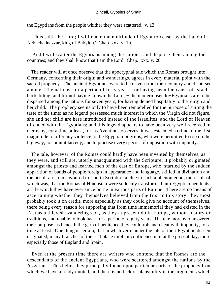the Egyptians from the people whither they were scattered.' v. 13.

 'Thus saith the Lord; I will make the multitude of Egypt to cease, by the hand of Nebuchadnezzar, king of Babylon.' Chap. xxx. v. 10.

 'And I will scatter the Egyptians among the nations, and disperse them among the countries; and they shall know that I am the Lord.' Chap. xxx. v. 26.

 The reader will at once observe that the apocryphal tale which the Romas brought into Germany, concerning their origin and wanderings, agrees in every material point with the sacred prophecy. The ancient Egyptians were to be driven from their country and dispersed amongst the nations, for a period of forty years, for having been the cause of Israel's backsliding, and for not having known the Lord, − the modern pseudo−Egyptians are to be dispersed among the nations for seven years, for having denied hospitality to the Virgin and her child. The prophecy seems only to have been remodelled for the purpose of suiting the taste of the time; as no legend possessed much interest in which the Virgin did not figure, she and her child are here introduced instead of the Israelites, and the Lord of Heaven offended with the Egyptians; and this legend appears to have been very well received in Germany, for a time at least, for, as Aventinus observes, it was esteemed a crime of the first magnitude to offer any violence to the Egyptian pilgrims, who were permitted to rob on the highway, to commit larceny, and to practise every species of imposition with impunity.

 The tale, however, of the Romas could hardly have been invented by themselves, as they were, and still are, utterly unacquainted with the Scripture; it probably originated amongst the priests and learned men of the east of Europe, who, startled by the sudden apparition of bands of people foreign in appearance and language, skilled in divination and the occult arts, endeavoured to find in Scripture a clue to such a phenomenon; the result of which was, that the Romas of Hindustan were suddenly transformed into Egyptian penitents, a title which they have ever since borne in various parts of Europe. There are no means of ascertaining whether they themselves believed from the first in this story; they most probably took it on credit, more especially as they could give no account of themselves, there being every reason for supposing that from time immemorial they had existed in the East as a thievish wandering sect, as they at present do in Europe, without history or traditions, and unable to look back for a period of eighty years. The tale moreover answered their purpose, as beneath the garb of penitence they could rob and cheat with impunity, for a time at least. One thing is certain, that in whatever manner the tale of their Egyptian descent originated, many branches of the sect place implicit confidence in it at the present day, more especially those of England and Spain.

 Even at the present time there are writers who contend that the Romas are the descendants of the ancient Egyptians, who were scattered amongst the nations by the Assyrians. This belief they principally found upon particular parts of the prophecy from which we have already quoted, and there is no lack of plausibility in the arguments which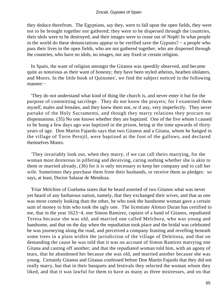they deduce therefrom. The Egyptians, say they, were to fall upon the open fields, they were not to be brought together nor gathered; they were to be dispersed through the countries, their idols were to be destroyed, and their images were to cease out of Noph! In what people in the world do these denunciations appear to be verified save the Gypsies? − a people who pass their lives in the open fields, who are not gathered together, who are dispersed through the countries, who have no idols, no images, nor any fixed or certain religion.

 In Spain, the want of religion amongst the Gitanos was speedily observed, and became quite as notorious as their want of honesty; they have been styled atheists, heathen idolaters, and Moors. In the little book of Quinones', we find the subject noticed in the following manner:−

 'They do not understand what kind of thing the church is, and never enter it but for the purpose of committing sacrilege. They do not know the prayers; for I examined them myself, males and females, and they knew them not, or if any, very imperfectly. They never partake of the Holy Sacraments, and though they marry relations they procure no dispensations. (35) No one knows whether they are baptized. One of the five whom I caused to be hung a few days ago was baptized in the prison, being at the time upwards of thirty years of age. Don Martin Fajardo says that two Gitanos and a Gitana, whom he hanged in the village of Torre Perojil, were baptized at the foot of the gallows, and declared themselves Moors.

 'They invariably look out, when they marry, if we can call theirs marrying, for the woman most dexterous in pilfering and deceiving, caring nothing whether she is akin to them or married already, (36) for it is only necessary to keep her company and to call her wife. Sometimes they purchase them from their husbands, or receive them as pledges: so says, at least, Doctor Salazar de Mendoza.

 'Friar Melchior of Guelama states that he heard asserted of two Gitanos what was never yet heard of any barbarous nation, namely, that they exchanged their wives, and that as one was more comely looking than the other, he who took the handsome woman gave a certain sum of money to him who took the ugly one. The licentiate Alonzo Duran has certified to me, that in the year 1623−4, one Simon Ramirez, captain of a band of Gitanos, repudiated Teresa because she was old, and married one called Melchora, who was young and handsome, and that on the day when the repudiation took place and the bridal was celebrated he was journeying along the road, and perceived a company feasting and revelling beneath some trees in a plain within the jurisdiction of the village of Deleitosa, and that on demanding the cause he was told that it was on account of Simon Ramirez marrying one Gitana and casting off another; and that the repudiated woman told him, with an agony of tears, that he abandoned her because she was old, and married another because she was young. Certainly Gitanos and Gitanas confessed before Don Martin Fajardo that they did not really marry, but that in their banquets and festivals they selected the woman whom they liked, and that it was lawful for them to have as many as three mistresses, and on that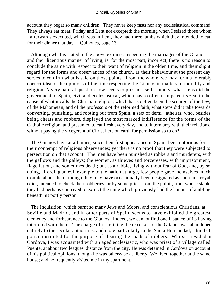account they begat so many children. They never keep fasts nor any ecclesiastical command. They always eat meat, Friday and Lent not excepted; the morning when I seized those whom I afterwards executed, which was in Lent, they had three lambs which they intended to eat for their dinner that day. – Quinones, page 13.

 Although what is stated in the above extracts, respecting the marriages of the Gitanos and their licentious manner of living, is, for the most part, incorrect, there is no reason to conclude the same with respect to their want of religion in the olden time, and their slight regard for the forms and observances of the church, as their behaviour at the present day serves to confirm what is said on those points. From the whole, we may form a tolerably correct idea of the opinions of the time respecting the Gitanos in matters of morality and religion. A very natural question now seems to present itself, namely, what steps did the government of Spain, civil and ecclesiastical, which has so often trumpeted its zeal in the cause of what it calls the Christian religion, which has so often been the scourge of the Jew, of the Mahometan, and of the professors of the reformed faith; what steps did it take towards converting, punishing, and rooting out from Spain, a sect of demi− atheists, who, besides being cheats and robbers, displayed the most marked indifference for the forms of the Catholic religion, and presumed to eat flesh every day, and to intermarry with their relations, without paying the vicegerent of Christ here on earth for permission so to do?

 The Gitanos have at all times, since their first appearance in Spain, been notorious for their contempt of religious observances; yet there is no proof that they were subjected to persecution on that account. The men have been punished as robbers and murderers, with the gallows and the galleys; the women, as thieves and sorceresses, with imprisonment, flagellation, and sometimes death; but as a rabble, living without fear of God, and, by so doing, affording an evil example to the nation at large, few people gave themselves much trouble about them, though they may have occasionally been designated as such in a royal edict, intended to check their robberies, or by some priest from the pulpit, from whose stable they had perhaps contrived to extract the mule which previously had the honour of ambling beneath his portly person.

 The Inquisition, which burnt so many Jews and Moors, and conscientious Christians, at Seville and Madrid, and in other parts of Spain, seems to have exhibited the greatest clemency and forbearance to the Gitanos. Indeed, we cannot find one instance of its having interfered with them. The charge of restraining the excesses of the Gitanos was abandoned entirely to the secular authorities, and more particularly to the Santa Hermandad, a kind of police instituted for the purpose of clearing the roads of robbers. Whilst I resided at Cordova, I was acquainted with an aged ecclesiastic, who was priest of a village called Puente, at about two leagues' distance from the city. He was detained in Cordova on account of his political opinions, though he was otherwise at liberty. We lived together at the same house; and he frequently visited me in my apartment.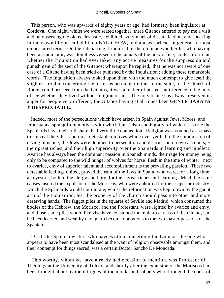This person, who was upwards of eighty years of age, had formerly been inquisitor at Cordova. One night, whilst we were seated together, three Gitanos entered to pay me a visit, and on observing the old ecclesiastic, exhibited every mark of dissatisfaction, and speaking in their own idiom, called him a BALICHOW, and abused priests in general in most unmeasured terms. On their departing, I inquired of the old man whether he, who having been an inquisitor, was doubtless versed in the annals of the holy office, could inform me whether the Inquisition had ever taken any active measures for the suppression and punishment of the sect of the Gitanos: whereupon he replied, 'that he was not aware of one case of a Gitano having been tried or punished by the Inquisition'; adding these remarkable words: 'The Inquisition always looked upon them with too much contempt to give itself the slightest trouble concerning them; for as no danger either to the state, or the church of Rome, could proceed from the Gitanos, it was a matter of perfect indifference to the holy office whether they lived without religion or not. The holy office has always reserved its anger for people very different; the Gitanos having at all times been **GENTE BARATA Y DESPRECIABLE.**

 Indeed, most of the persecutions which have arisen in Spain against Jews, Moors, and Protestants, sprang from motives with which fanaticism and bigotry, of which it is true the Spaniards have their full share, had very little connection. Religion was assumed as a mask to conceal the vilest and most detestable motives which ever yet led to the commission of crying injustice; the Jews were doomed to persecution and destruction on two accounts, − their great riches, and their high superiority over the Spaniards in learning and intellect. Avarice has always been the dominant passion in Spanish minds, their rage for money being only to be compared to the wild hunger of wolves for horse−flesh in the time of winter: next to avarice, envy of superior talent and accomplishment is the prevailing passion. These two detestable feelings united, proved the ruin of the Jews in Spain, who were, for a long time, an eyesore, both to the clergy and laity, for their great riches and learning. Much the same causes insured the expulsion of the Moriscos, who were abhorred for their superior industry, which the Spaniards would not imitate; whilst the reformation was kept down by the gaunt arm of the Inquisition, lest the property of the church should pass into other and more deserving hands. The faggot piles in the squares of Seville and Madrid, which consumed the bodies of the Hebrew, the Morisco, and the Protestant, were lighted by avarice and envy, and those same piles would likewise have consumed the mulatto carcass of the Gitano, had he been learned and wealthy enough to become obnoxious to the two master passions of the Spaniards.

 Of all the Spanish writers who have written concerning the Gitanos, the one who appears to have been most scandalised at the want of religion observable amongst them, and their contempt for things sacred, was a certain Doctor Sancho De Moncada.

 This worthy, whom we have already had occasion to mention, was Professor of Theology at the University of Toledo, and shortly after the expulsion of the Moriscos had been brought about by the intrigues of the monks and robbers who thronged the court of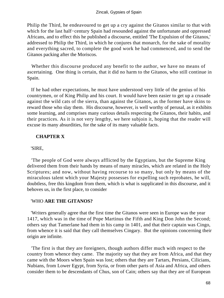Philip the Third, he endeavoured to get up a cry against the Gitanos similar to that with which for the last half−century Spain had resounded against the unfortunate and oppressed Africans, and to effect this he published a discourse, entitled 'The Expulsion of the Gitanos,' addressed to Philip the Third, in which he conjures that monarch, for the sake of morality and everything sacred, to complete the good work he had commenced, and to send the Gitanos packing after the Moriscos.

 Whether this discourse produced any benefit to the author, we have no means of ascertaining. One thing is certain, that it did no harm to the Gitanos, who still continue in Spain.

 If he had other expectations, he must have understood very little of the genius of his countrymen, or of King Philip and his court. It would have been easier to get up a crusade against the wild cats of the sierra, than against the Gitanos, as the former have skins to reward those who slay them. His discourse, however, is well worthy of perusal, as it exhibits some learning, and comprises many curious details respecting the Gitanos, their habits, and their practices. As it is not very lengthy, we here subjoin it, hoping that the reader will excuse its many absurdities, for the sake of its many valuable facts.

# **CHAPTER X**

#### 'SIRE,

 'The people of God were always afflicted by the Egyptians, but the Supreme King delivered them from their hands by means of many miracles, which are related in the Holy Scriptures; and now, without having recourse to so many, but only by means of the miraculous talent which your Majesty possesses for expelling such reprobates, he will, doubtless, free this kingdom from them, which is what is supplicated in this discourse, and it behoves us, in the first place, to consider

### 'WHO **ARE THE GITANOS?**

 'Writers generally agree that the first time the Gitanos were seen in Europe was the year 1417, which was in the time of Pope Martinus the Fifth and King Don John the Second; others say that Tamerlane had them in his camp in 1401, and that their captain was Cingo, from whence it is said that they call themselves Cingary. But the opinions concerning their origin are infinite.

 'The first is that they are foreigners, though authors differ much with respect to the country from whence they came. The majority say that they are from Africa, and that they came with the Moors when Spain was lost; others that they are Tartars, Persians, Cilicians, Nubians, from Lower Egypt, from Syria, or from other parts of Asia and Africa, and others consider them to be descendants of Chus, son of Cain; others say that they are of European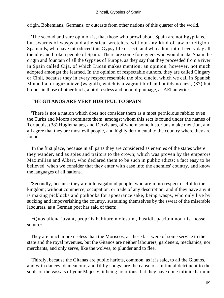origin, Bohemians, Germans, or outcasts from other nations of this quarter of the world.

 'The second and sure opinion is, that those who prowl about Spain are not Egyptians, but swarms of wasps and atheistical wretches, without any kind of law or religion, Spaniards, who have introduced this Gypsy life or sect, and who admit into it every day all the idle and broken people of Spain. There are some foreigners who would make Spain the origin and fountain of all the Gypsies of Europe, as they say that they proceeded from a river in Spain called Cija, of which Lucan makes mention; an opinion, however, not much adopted amongst the learned. In the opinion of respectable authors, they are called Cingary or Cinli, because they in every respect resemble the bird cinclo, which we call in Spanish Motacilla, or aguzanieve (wagtail), which is a vagrant bird and builds no nest, (37) but broods in those of other birds, a bird restless and poor of plumage, as AElian writes.

### 'THE **GITANOS ARE VERY HURTFUL TO SPAIN**

 'There is not a nation which does not consider them as a most pernicious rabble; even the Turks and Moors abominate them, amongst whom this sect is found under the names of Torlaquis, (38) Hugiemalars, and Dervislars, of whom some historians make mention, and all agree that they are most evil people, and highly detrimental to the country where they are found.

 'In the first place, because in all parts they are considered as enemies of the states where they wander, and as spies and traitors to the crown; which was proven by the emperors Maximilian and Albert, who declared them to be such in public edicts; a fact easy to be believed, when we consider that they enter with ease into the enemies' country, and know the languages of all nations.

 'Secondly, because they are idle vagabond people, who are in no respect useful to the kingdom; without commerce, occupation, or trade of any description; and if they have any it is making picklocks and pothooks for appearance sake, being wasps, who only live by sucking and impoverishing the country, sustaining themselves by the sweat of the miserable labourers, as a German poet has said of them:−

 «Quos aliena juvant, propriis habitare molestum, Fastidit patrium non nisi nosse solum.»

 They are much more useless than the Moriscos, as these last were of some service to the state and the royal revenues, but the Gitanos are neither labourers, gardeners, mechanics, nor merchants, and only serve, like the wolves, to plunder and to flee.

 'Thirdly, because the Gitanas are public harlots, common, as it is said, to all the Gitanos, and with dances, demeanour, and filthy songs, are the cause of continual detriment to the souls of the vassals of your Majesty, it being notorious that they have done infinite harm in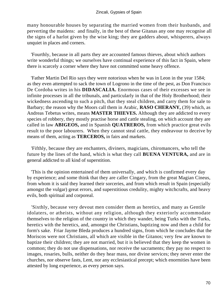many honourable houses by separating the married women from their husbands, and perverting the maidens: and finally, in the best of these Gitanas any one may recognise all the signs of a harlot given by the wise king; they are gadders about, whisperers, always unquiet in places and corners.

 'Fourthly, because in all parts they are accounted famous thieves, about which authors write wonderful things; we ourselves have continual experience of this fact in Spain, where there is scarcely a corner where they have not committed some heavy offence.

 'Father Martin Del Rio says they were notorious when he was in Leon in the year 1584; as they even attempted to sack the town of Logrono in the time of the pest, as Don Francisco De Cordoba writes in his **DIDASCALIA.** Enormous cases of their excesses we see in infinite processes in all the tribunals, and particularly in that of the Holy Brotherhood; their wickedness ascending to such a pitch, that they steal children, and carry them for sale to Barbary; the reason why the Moors call them in Arabic, **RASO CHERANY,** (39) which, as Andreas Tebetus writes, means **MASTER THIEVES.** Although they are addicted to every species of robbery, they mostly practise horse and cattle stealing, on which account they are called in law **ABIGEOS,** and in Spanish **QUATREROS,** from which practice great evils result to the poor labourers. When they cannot steal cattle, they endeavour to deceive by means of them, acting as **TERCEROS,** in fairs and markets.

 'Fifthly, because they are enchanters, diviners, magicians, chiromancers, who tell the future by the lines of the hand, which is what they call **BUENA VENTURA,** and are in general addicted to all kind of superstition.

 'This is the opinion entertained of them universally, and which is confirmed every day by experience; and some think that they are caller Cingary, from the great Magian Cineus, from whom it is said they learned their sorceries, and from which result in Spain (especially amongst the vulgar) great errors, and superstitious credulity, mighty witchcrafts, and heavy evils, both spiritual and corporeal.

 'Sixthly, because very devout men consider them as heretics, and many as Gentile idolaters, or atheists, without any religion, although they exteriorly accommodate themselves to the religion of the country in which they wander, being Turks with the Turks, heretics with the heretics, and, amongst the Christians, baptizing now and then a child for form's sake. Friar Jayme Bleda produces a hundred signs, from which he concludes that the Moriscos were not Christians, all which are visible in the Gitanos; very few are known to baptize their children; they are not married, but it is believed that they keep the women in common; they do not use dispensations, nor receive the sacraments; they pay no respect to images, rosaries, bulls, neither do they hear mass, nor divine services; they never enter the churches, nor observe fasts, Lent, nor any ecclesiastical precept; which enormities have been attested by long experience, as every person says.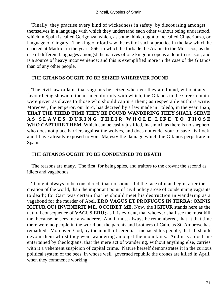'Finally, they practise every kind of wickedness in safety, by discoursing amongst themselves in a language with which they understand each other without being understood, which in Spain is called Gerigonza, which, as some think, ought to be called Cingerionza, or language of Cingary. The king our lord saw the evil of such a practice in the law which he enacted at Madrid, in the year 1566, in which he forbade the Arabic to the Moriscos, as the use of different languages amongst the natives of one kingdom opens a door to treason, and is a source of heavy inconvenience; and this is exemplified more in the case of the Gitanos than of any other people.

### 'THE **GITANOS OUGHT TO BE SEIZED WHEREVER FOUND**

 'The civil law ordains that vagrants be seized wherever they are found, without any favour being shown to them; in conformity with which, the Gitanos in the Greek empire were given as slaves to those who should capture them; as respectable authors write. Moreover, the emperor, our lord, has decreed by a law made in Toledo, in the year 1525, **THAT THE THIRD TIME THEY BE FOUND WANDERING THEY SHALL SERVE AS SLAVES DURING THEIR WHOLE LIFE TO THOSE WHO CAPTURE THEM.** Which can be easily justified, inasmuch as there is no shepherd who does not place barriers against the wolves, and does not endeavour to save his flock, and I have already exposed to your Majesty the damage which the Gitanos perpetrate in Spain.

### 'THE **GITANOS OUGHT TO BE CONDEMNED TO DEATH**

 'The reasons are many. The first, for being spies, and traitors to the crown; the second as idlers and vagabonds.

 'It ought always to be considered, that no sooner did the race of man begin, after the creation of the world, than the important point of civil policy arose of condemning vagrants to death; for Cain was certain that he should meet his destruction in wandering as a vagabond for the murder of Abel. **ERO VAGUS ET PROFUGUS IN TERRA: OMNIS IGITUR QUI INVENERIT ME, OCCIDET ME.** Now, the **IGITUR** stands here as the natural consequence of **VAGUS ERO;** as it is evident, that whoever shall see me must kill me, because he sees me a wanderer. And it must always be remembered, that at that time there were no people in the world but the parents and brothers of Cain, as St. Ambrose has remarked. Moreover, God, by the mouth of Jeremias, menaced his people, that all should devour them whilst they went wandering amongst the mountains. And it is a doctrine entertained by theologians, that the mere act of wandering, without anything else, carries with it a vehement suspicion of capital crime. Nature herself demonstrates it in the curious political system of the bees, in whose well−governed republic the drones are killed in April, when they commence working.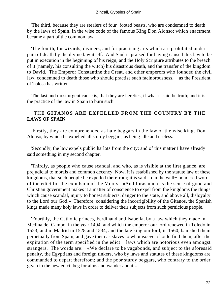'The third, because they are stealers of four−footed beasts, who are condemned to death by the laws of Spain, in the wise code of the famous King Don Alonso; which enactment became a part of the common law.

 'The fourth, for wizards, diviners, and for practising arts which are prohibited under pain of death by the divine law itself. And Saul is praised for having caused this law to be put in execution in the beginning of his reign; and the Holy Scripture attributes to the breach of it (namely, his consulting the witch) his disastrous death, and the transfer of the kingdom to David. The Emperor Constantine the Great, and other emperors who founded the civil law, condemned to death those who should practise such facinorousness, − as the President of Tolosa has written.

 'The last and most urgent cause is, that they are heretics, if what is said be truth; and it is the practice of the law in Spain to burn such.

# 'THE **GITANOS ARE EXPELLED FROM THE COUNTRY BY THE LAWS OF SPAIN**

 'Firstly, they are comprehended as hale beggars in the law of the wise king, Don Alonso, by which he expelled all sturdy beggars, as being idle and useless.

 'Secondly, the law expels public harlots from the city; and of this matter I have already said something in my second chapter.

 'Thirdly, as people who cause scandal, and who, as is visible at the first glance, are prejudicial to morals and common decency. Now, it is established by the statute law of these kingdoms, that such people be expelled therefrom; it is said so in the well− pondered words of the edict for the expulsion of the Moors: «And forasmuch as the sense of good and Christian government makes it a matter of conscience to expel from the kingdoms the things which cause scandal, injury to honest subjects, danger to the state, and above all, disloyalty to the Lord our God.» Therefore, considering the incorrigibility of the Gitanos, the Spanish kings made many holy laws in order to deliver their subjects from such pernicious people.

 'Fourthly, the Catholic princes, Ferdinand and Isabella, by a law which they made in Medina del Campo, in the year 1494, and which the emperor our lord renewed in Toledo in 1523, and in Madrid in 1528 and 1534, and the late king our lord, in 1560, banished them perpetually from Spain, and gave them as slaves to whomsoever should find them, after the expiration of the term specified in the edict − laws which are notorious even amongst strangers. The words are: – «We declare to be vagabonds, and subject to the aforesaid penalty, the Egyptians and foreign tinkers, who by laws and statutes of these kingdoms are commanded to depart therefrom; and the poor sturdy beggars, who contrary to the order given in the new edict, beg for alms and wander about.»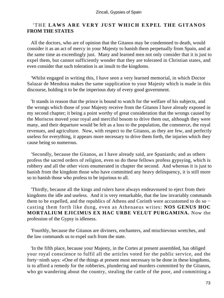# 'THE **LAWS ARE VERY JUST WHICH EXPEL THE GITANOS FROM THE STATES**

 All the doctors, who are of opinion that the Gitanos may be condemned to death, would consider it as an act of mercy in your Majesty to banish them perpetually from Spain, and at the same time as exceedingly just. Many and learned men not only consider that it is just to expel them, but cannot sufficiently wonder that they are tolerated in Christian states, and even consider that such toleration is an insult to the kingdoms.

 'Whilst engaged in writing this, I have seen a very learned memorial, in which Doctor Salazar de Mendoza makes the same supplication to your Majesty which is made in this discourse, holding it to be the imperious duty of every good government.

 'It stands in reason that the prince is bound to watch for the welfare of his subjects, and the wrongs which those of your Majesty receive from the Gitanos I have already exposed in my second chapter; it being a point worthy of great consideration that the wrongs caused by the Moriscos moved your royal and merciful bosom to drive them out, although they were many, and their departure would be felt as a loss to the population, the commerce, the royal revenues, and agriculture. Now, with respect to the Gitanos, as they are few, and perfectly useless for everything, it appears more necessary to drive them forth, the injuries which they cause being so numerous.

 'Secondly, because the Gitanos, as I have already said, are Spaniards; and as others profess the sacred orders of religion, even so do these fellows profess gypsying, which is robbery and all the other vices enumerated in chapter the second. And whereas it is just to banish from the kingdom those who have committed any heavy delinquency, it is still more so to banish those who profess to be injurious to all.

 'Thirdly, because all the kings and rulers have always endeavoured to eject from their kingdoms the idle and useless. And it is very remarkable, that the law invariably commands them to be expelled, and the republics of Athens and Corinth were accustomed to do so − casting them forth like dung, even as Athenaeus writes: **NOS GENUS HOC MORTALIUM EJICIMUS EX HAC URBE VELUT PURGAMINA.** Now the profession of the Gypsy is idleness.

 'Fourthly, because the Gitanos are diviners, enchanters, and mischievous wretches, and the law commands us to expel such from the state.

 'In the fifth place, because your Majesty, in the Cortes at present assembled, has obliged your royal conscience to fulfil all the articles voted for the public service, and the forty−ninth says: «One of the things at present most necessary to be done in these kingdoms, is to afford a remedy for the robberies, plundering and murders committed by the Gitanos, who go wandering about the country, stealing the cattle of the poor, and committing a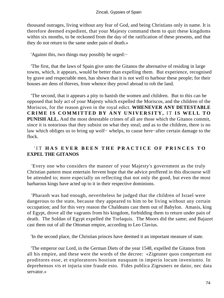thousand outrages, living without any fear of God, and being Christians only in name. It is therefore deemed expedient, that your Majesty command them to quit these kingdoms within six months, to be reckoned from the day of the ratification of these presents, and that they do not return to the same under pain of death.»

'Against this, two things may possibly be urged:−

 'The first, that the laws of Spain give unto the Gitanos the alternative of residing in large towns, which, it appears, would be better than expelling them. But experience, recognised by grave and respectable men, has shown that it is not well to harbour these people; for their houses are dens of thieves, from whence they prowl abroad to rob the land.

 'The second, that it appears a pity to banish the women and children. But to this can be opposed that holy act of your Majesty which expelled the Moriscos, and the children of the Moriscos, for the reason given in the royal edict. **WHENEVER ANY DETESTABLE CRIME IS COMMITTED BY ANY UNIVERSITY,** IT **IS WELL TO PUNISH ALL.** And the most detestable crimes of all are those which the Gitanos commit, since it is notorious that they subsist on what they steal; and as to the children, there is no law which obliges us to bring up wolf− whelps, to cause here−after certain damage to the flock.

# 'IT **HAS EVER BEEN THE PRACTICE OF PRINCES TO EXPEL THE GITANOS**

 'Every one who considers the manner of your Majesty's government as the truly Christian pattern must entertain fervent hope that the advice proffered in this discourse will be attended to; more especially on reflecting that not only the good, but even the most barbarous kings have acted up to it in their respective dominions.

 'Pharaoh was bad enough, nevertheless he judged that the children of Israel were dangerous to the state, because they appeared to him to be living without any certain occupation; and for this very reason the Chaldeans cast them out of Babylon. Amasis, king of Egypt, drove all the vagrants from his kingdom, forbidding them to return under pain of death. The Soldan of Egypt expelled the Torlaquis. The Moors did the same; and Bajazet cast them out of all the Ottoman empire, according to Leo Clavius.

'In the second place, the Christian princes have deemed it an important measure of state.

 'The emperor our Lord, in the German Diets of the year 1548, expelled the Gitanos from all his empire, and these were the words of the decree: «Zigeuner quos compertum est proditores esse, et exploratores hostium nusquam in imperio locum inveniunto. In deprehensos vis et injuria sine fraude esto. Fides publica Zigeuners ne dator, nec data servator.»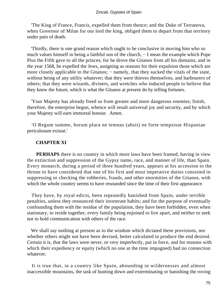'The King of France, Francis, expelled them from thence; and the Duke of Terranova, when Governor of Milan for our lord the king, obliged them to depart from that territory under pain of death.

 'Thirdly, there is one grand reason which ought to be conclusive in moving him who so much values himself in being a faithful son of the church, − I mean the example which Pope Pius the Fifth gave to all the princes; for he drove the Gitanos from all his domains, and in the year 1568, he expelled the Jews, assigning as reasons for their expulsion those which are more closely applicable to the Gitanos; – namely, that they sucked the vitals of the state, without being of any utility whatever; that they were thieves themselves, and harbourers of others; that they were wizards, diviners, and wretches who induced people to believe that they knew the future, which is what the Gitanos at present do by telling fortunes.

 'Your Majesty has already freed us from greater and more dangerous enemies; finish, therefore, the enterprise begun, whence will result universal joy and security, and by which your Majesty will earn immortal honour. Amen.

 'O Regum summe, horum plura ne temnas (absit) ne forte tempsisse Hispaniae periculosum existat.'

## **CHAPTER XI**

**PERHAPS** there is no country in which more laws have been framed, having in view the extinction and suppression of the Gypsy name, race, and manner of life, than Spain. Every monarch, during a period of three hundred years, appears at his accession to the throne to have considered that one of his first and most imperative duties consisted in suppressing or checking the robberies, frauds, and other enormities of the Gitanos, with which the whole country seems to have resounded since the time of their first appearance.

 They have, by royal edicts, been repeatedly banished from Spain, under terrible penalties, unless they renounced their inveterate habits; and for the purpose of eventually confounding them with the residue of the population, they have been forbidden, even when stationary, to reside together, every family being enjoined to live apart, and neither to seek nor to hold communication with others of the race.

 We shall say nothing at present as to the wisdom which dictated these provisions, nor whether others might not have been devised, better calculated to produce the end desired. Certain it is, that the laws were never, or very imperfectly, put in force, and for reasons with which their expediency or equity (which no one at the time impugned) had no connection whatever.

 It is true that, in a country like Spain, abounding in wildernesses and almost inaccessible mountains, the task of hunting down and exterminating or banishing the roving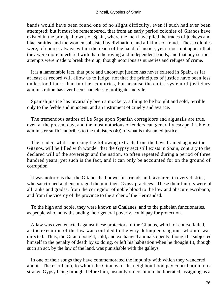bands would have been found one of no slight difficulty, even if such had ever been attempted; but it must be remembered, that from an early period colonies of Gitanos have existed in the principal towns of Spain, where the men have plied the trades of jockeys and blacksmiths, and the women subsisted by divination, and all kinds of fraud. These colonies were, of course, always within the reach of the hand of justice, yet it does not appear that they were more interfered with than the roving and independent bands, and that any serious attempts were made to break them up, though notorious as nurseries and refuges of crime.

 It is a lamentable fact, that pure and uncorrupt justice has never existed in Spain, as far at least as record will allow us to judge; not that the principles of justice have been less understood there than in other countries, but because the entire system of justiciary administration has ever been shamelessly profligate and vile.

 Spanish justice has invariably been a mockery, a thing to be bought and sold, terrible only to the feeble and innocent, and an instrument of cruelty and avarice.

 The tremendous satires of Le Sage upon Spanish corregidors and alguazils are true, even at the present day, and the most notorious offenders can generally escape, if able to administer sufficient bribes to the ministers (40) of what is misnamed justice.

 The reader, whilst perusing the following extracts from the laws framed against the Gitanos, will be filled with wonder that the Gypsy sect still exists in Spain, contrary to the declared will of the sovereign and the nation, so often repeated during a period of three hundred years; yet such is the fact, and it can only be accounted for on the ground of corruption.

 It was notorious that the Gitanos had powerful friends and favourers in every district, who sanctioned and encouraged them in their Gypsy practices. These their fautors were of all ranks and grades, from the corregidor of noble blood to the low and obscure escribano; and from the viceroy of the province to the archer of the Hermandad.

 To the high and noble, they were known as Chalanes, and to the plebeian functionaries, as people who, notwithstanding their general poverty, could pay for protection.

 A law was even enacted against these protectors of the Gitanos, which of course failed, as the execution of the law was confided to the very delinquents against whom it was directed. Thus, the Gitano bought, sold, and exchanged animals openly, though he subjected himself to the penalty of death by so doing, or left his habitation when he thought fit, though such an act, by the law of the land, was punishable with the galleys.

 In one of their songs they have commemorated the impunity with which they wandered about. The escribano, to whom the Gitanos of the neighbourhood pay contribution, on a strange Gypsy being brought before him, instantly orders him to be liberated, assigning as a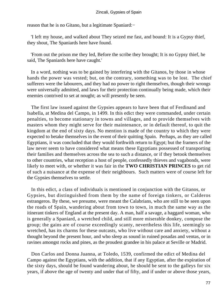reason that he is no Gitano, but a legitimate Spaniard:−

 'I left my house, and walked about They seized me fast, and bound: It is a Gypsy thief, they shout, The Spaniards here have found.

 'From out the prison me they led, Before the scribe they brought; It is no Gypsy thief, he said, The Spaniards here have caught.'

 In a word, nothing was to be gained by interfering with the Gitanos, by those in whose hands the power was vested; but, on the contrary, something was to be lost. The chief sufferers were the labourers, and they had no power to right themselves, though their wrongs were universally admitted, and laws for their protection continually being made, which their enemies contrived to set at nought; as will presently be seen.

 The first law issued against the Gypsies appears to have been that of Ferdinand and Isabella, at Medina del Campo, in 1499. In this edict they were commanded, under certain penalties, to become stationary in towns and villages, and to provide themselves with masters whom they might serve for their maintenance, or in default thereof, to quit the kingdom at the end of sixty days. No mention is made of the country to which they were expected to betake themselves in the event of their quitting Spain. Perhaps, as they are called Egyptians, it was concluded that they would forthwith return to Egypt; but the framers of the law never seem to have considered what means these Egyptians possessed of transporting their families and themselves across the sea to such a distance, or if they betook themselves to other countries, what reception a host of people, confessedly thieves and vagabonds, were likely to meet with, or whether it was fair in the **TWO CHRISTIAN PRINCES** to get rid of such a nuisance at the expense of their neighbours. Such matters were of course left for the Gypsies themselves to settle.

 In this edict, a class of individuals is mentioned in conjunction with the Gitanos, or Gypsies, but distinguished from them by the name of foreign tinkers, or Calderos estrangeros. By these, we presume, were meant the Calabrians, who are still to be seen upon the roads of Spain, wandering about from town to town, in much the same way as the itinerant tinkers of England at the present day. A man, half a savage, a haggard woman, who is generally a Spaniard, a wretched child, and still more miserable donkey, compose the group; the gains are of course exceedingly scanty, nevertheless this life, seemingly so wretched, has its charms for these outcasts, who live without care and anxiety, without a thought beyond the present hour, and who sleep as sound in ruined posadas and ventas, or in ravines amongst rocks and pines, as the proudest grandee in his palace at Seville or Madrid.

 Don Carlos and Donna Juanna, at Toledo, 1539, confirmed the edict of Medina del Campo against the Egyptians, with the addition, that if any Egyptian, after the expiration of the sixty days, should be found wandering about, he should be sent to the galleys for six years, if above the age of twenty and under that of fifty, and if under or above those years,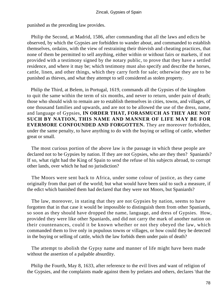punished as the preceding law provides.

 Philip the Second, at Madrid, 1586, after commanding that all the laws and edicts be observed, by which the Gypsies are forbidden to wander about, and commanded to establish themselves, ordains, with the view of restraining their thievish and cheating practices, that none of them be permitted to sell anything, either within or without fairs or markets, if not provided with a testimony signed by the notary public, to prove that they have a settled residence, and where it may be; which testimony must also specify and describe the horses, cattle, linen, and other things, which they carry forth for sale; otherwise they are to be punished as thieves, and what they attempt to sell considered as stolen property.

 Philip the Third, at Belem, in Portugal, 1619, commands all the Gypsies of the kingdom to quit the same within the term of six months, and never to return, under pain of death; those who should wish to remain are to establish themselves in cities, towns, and villages, of one thousand families and upwards, and are not to be allowed the use of the dress, name, and language of Gypsies, **IN ORDER THAT, FORASMUCH AS THEY ARE NOT SUCH BY NATION, THIS NAME AND MANNER OF LIFE MAY BE FOR EVERMORE CONFOUNDED AND FORGOTTEN.** They are moreover forbidden, under the same penalty, to have anything to do with the buying or selling of cattle, whether great or small.

 The most curious portion of the above law is the passage in which these people are declared not to be Gypsies by nation. If they are not Gypsies, who are they then? Spaniards? If so, what right had the King of Spain to send the refuse of his subjects abroad, to corrupt other lands, over which he had no jurisdiction?

 The Moors were sent back to Africa, under some colour of justice, as they came originally from that part of the world; but what would have been said to such a measure, if the edict which banished them had declared that they were not Moors, but Spaniards?

 The law, moreover, in stating that they are not Gypsies by nation, seems to have forgotten that in that case it would be impossible to distinguish them from other Spaniards, so soon as they should have dropped the name, language, and dress of Gypsies. How, provided they were like other Spaniards, and did not carry the mark of another nation on their countenances, could it be known whether or not they obeyed the law, which commanded them to live only in populous towns or villages, or how could they be detected in the buying or selling of cattle, which the law forbids them under pain of death?

 The attempt to abolish the Gypsy name and manner of life might have been made without the assertion of a palpable absurdity.

 Philip the Fourth, May 8, 1633, after reference to the evil lives and want of religion of the Gypsies, and the complaints made against them by prelates and others, declares 'that the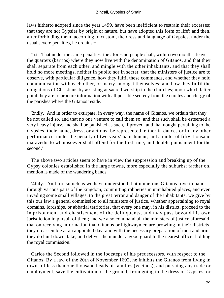laws hitherto adopted since the year 1499, have been inefficient to restrain their excesses; that they are not Gypsies by origin or nature, but have adopted this form of life'; and then, after forbidding them, according to custom, the dress and language of Gypsies, under the usual severe penalties, he ordains:−

 '1st. That under the same penalties, the aforesaid people shall, within two months, leave the quarters (barrios) where they now live with the denomination of Gitanos, and that they shall separate from each other, and mingle with the other inhabitants, and that they shall hold no more meetings, neither in public nor in secret; that the ministers of justice are to observe, with particular diligence, how they fulfil these commands, and whether they hold communication with each other, or marry amongst themselves; and how they fulfil the obligations of Christians by assisting at sacred worship in the churches; upon which latter point they are to procure information with all possible secrecy from the curates and clergy of the parishes where the Gitanos reside.

 '2ndly. And in order to extirpate, in every way, the name of Gitanos, we ordain that they be not called so, and that no one venture to call them so, and that such shall be esteemed a very heavy injury, and shall be punished as such, if proved, and that nought pertaining to the Gypsies, their name, dress, or actions, be represented, either in dances or in any other performance, under the penalty of two years' banishment, and a mulct of fifty thousand maravedis to whomsoever shall offend for the first time, and double punishment for the second.'

 The above two articles seem to have in view the suppression and breaking up of the Gypsy colonies established in the large towns, more especially the suburbs; farther on, mention is made of the wandering bands.

 '4thly. And forasmuch as we have understood that numerous Gitanos rove in bands through various parts of the kingdom, committing robberies in uninhabited places, and even invading some small villages, to the great terror and danger of the inhabitants, we give by this our law a general commission to all ministers of justice, whether appertaining to royal domains, lordships, or abbatial territories, that every one may, in his district, proceed to the imprisonment and chastisement of the delinquents, and may pass beyond his own jurisdiction in pursuit of them; and we also command all the ministers of justice aforesaid, that on receiving information that Gitanos or highwaymen are prowling in their districts, they do assemble at an appointed day, and with the necessary preparation of men and arms they do hunt down, take, and deliver them under a good guard to the nearest officer holding the royal commission.'

 Carlos the Second followed in the footsteps of his predecessors, with respect to the Gitanos. By a law of the 20th of November 1692, he inhibits the Gitanos from living in towns of less than one thousand heads of families (vecinos), and pursuing any trade or employment, save the cultivation of the ground; from going in the dress of Gypsies, or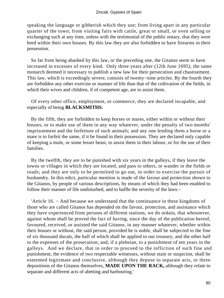speaking the language or gibberish which they use; from living apart in any particular quarter of the town; from visiting fairs with cattle, great or small, or even selling or exchanging such at any time, unless with the testimonial of the public notary, that they were bred within their own houses. By this law they are also forbidden to have firearms in their possession.

 So far from being abashed by this law, or the preceding one, the Gitanos seem to have increased in excesses of every kind. Only three years after (12th June 1695), the same monarch deemed it necessary to publish a new law for their persecution and chastisement. This law, which is exceedingly severe, consists of twenty−nine articles. By the fourth they are forbidden any other exercise or manner of life than that of the cultivation of the fields, in which their wives and children, if of competent age, are to assist them.

 Of every other office, employment, or commerce, they are declared incapable, and especially of being **BLACKSMITHS.**

 By the fifth, they are forbidden to keep horses or mares, either within or without their houses, or to make use of them in any way whatever, under the penalty of two months' imprisonment and the forfeiture of such animals; and any one lending them a horse or a mare is to forfeit the same, if it be found in their possession. They are declared only capable of keeping a mule, or some lesser beast, to assist them in their labour, or for the use of their families.

 By the twelfth, they are to be punished with six years in the galleys, if they leave the towns or villages in which they are located, and pass to others, or wander in the fields or roads; and they are only to be permitted to go out, in order to exercise the pursuit of husbandry. In this edict, particular mention is made of the favour and protection shown to the Gitanos, by people of various descriptions, by means of which they had been enabled to follow their manner of life undisturbed, and to baffle the severity of the laws:−

 'Article 16. − And because we understand that the continuance in these kingdoms of those who are called Gitanos has depended on the favour, protection, and assistance which they have experienced from persons of different stations, we do ordain, that whosoever, against whom shall be proved the fact of having, since the day of the publication hereof, favoured, received, or assisted the said Gitanos, in any manner whatever, whether within their houses or without, the said person, provided he is noble, shall be subjected to the fine of six thousand ducats, the half of which shall be applied to our treasury, and the other half to the expenses of the prosecution; and, if a plebeian, to a punishment of ten years in the galleys. And we declare, that in order to proceed to the infliction of such fine and punishment, the evidence of two respectable witnesses, without stain or suspicion, shall be esteemed legitimate and conclusive, although they depose to separate acts, or three depositions of the Gitanos themselves, **MADE UPON THE RACK,** although they relate to separate and different acts of abetting and harbouring.'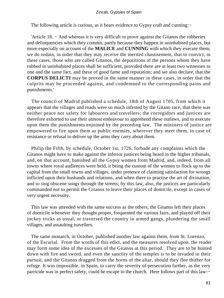The following article is curious, as it bears evidence to Gypsy craft and cunning:−

 'Article 18. − And whereas it is very difficult to prove against the Gitanos the robberies and delinquencies which they commit, partly because they happen in uninhabited places, but more especially on account of the **MALICE** and **CUNNING** with which they execute them; we do ordain, in order that they may receive the merited chastisement, that to convict, in these cases, those who are called Gitanos, the depositions of the persons whom they have robbed in uninhabited places shall be sufficient, provided there are at least two witnesses to one and the same fact, and these of good fame and reputation; and we also declare, that the **CORPUS DELICTI** may be proved in the same manner in these cases, in order that the culprits may be proceeded against, and condemned to the corresponding pains and punishments.'

 The council of Madrid published a schedule, 18th of August 1705, from which it appears that the villages and roads were so much infested by the Gitano race, that there was neither peace nor safety for labourers and travellers; the corregidors and justices are therefore exhorted to use their utmost endeavour to apprehend these outlaws, and to execute upon them the punishments enjoined by the preceding law. The ministers of justice are empowered to fire upon them as public enemies, wherever they meet them, in case of resistance or refusal to deliver up the arms they carry about them.

 Philip the Fifth, by schedule, October 1st, 1726, forbade any complaints which the Gitanos might have to make against the inferior justices being heard in the higher tribunals, and, on that account, banished all the Gypsy women from Madrid, and, indeed, from all towns where royal audiences were held, it being the custom of the women to flock up to the capital from the small towns and villages, under pretence of claiming satisfaction for wrongs inflicted upon their husbands and relations, and when there to practise the art of divination, and to sing obscene songs through the streets; by this law, also, the justices are particularly commanded not to permit the Gitanos to leave their places of domicile, except in cases of very urgent necessity.

 This law was attended with the same success as the others; the Gitanos left their places of domicile whenever they thought proper, frequented the various fairs, and played off their jockey tricks as usual, or traversed the country in armed gangs, plundering the small villages, and assaulting travellers.

 The same monarch, in October, published another law against them, from St. Lorenzo, of the Escurial. From the words of this edict, and the measures resolved upon, the reader may form some idea of the excesses of the Gitanos at this period. They are to be hunted down with fire and sword, and even the sanctity of the temples is to be invaded in their pursuit, and the Gitanos dragged from the horns of the altar, should they flee thither for refuge. It was impossible, in Spain, to carry the severity of persecution farther, as the very parricide was in perfect safety, could he escape to the church. Here follows part of this law:−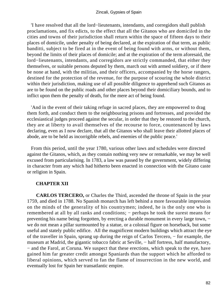'I have resolved that all the lord−lieutenants, intendants, and corregidors shall publish proclamations, and fix edicts, to the effect that all the Gitanos who are domiciled in the cities and towns of their jurisdiction shall return within the space of fifteen days to their places of domicile, under penalty of being declared, at the expiration of that term, as public banditti, subject to be fired at in the event of being found with arms, or without them, beyond the limits of their places of domicile; and at the expiration of the term aforesaid, the lord−lieutenants, intendants, and corregidors are strictly commanded, that either they themselves, or suitable persons deputed by them, march out with armed soldiery, or if there be none at hand, with the militias, and their officers, accompanied by the horse rangers, destined for the protection of the revenue, for the purpose of scouring the whole district within their jurisdiction, making use of all possible diligence to apprehend such Gitanos as are to be found on the public roads and other places beyond their domiciliary bounds, and to inflict upon them the penalty of death, for the mere act of being found.

 'And in the event of their taking refuge in sacred places, they are empowered to drag them forth, and conduct them to the neighbouring prisons and fortresses, and provided the ecclesiastical judges proceed against the secular, in order that they be restored to the church, they are at liberty to avail themselves of the recourse to force, countenanced by laws declaring, even as I now declare, that all the Gitanos who shall leave their allotted places of abode, are to be held as incorrigible rebels, and enemies of the public peace.'

 From this period, until the year 1780, various other laws and schedules were directed against the Gitanos, which, as they contain nothing very new or remarkable, we may be well excused from particularising. In 1783, a law was passed by the government, widely differing in character from any which had hitherto been enacted in connection with the Gitano caste or religion in Spain.

## **CHAPTER XII**

**CARLOS TERCERO,** or Charles the Third, ascended the throne of Spain in the year 1759, and died in 1788. No Spanish monarch has left behind a more favourable impression on the minds of the generality of his countrymen; indeed, he is the only one who is remembered at all by all ranks and conditions; − perhaps he took the surest means for preventing his name being forgotten, by erecting a durable monument in every large town, − we do not mean a pillar surmounted by a statue, or a colossal figure on horseback, but some useful and stately public edifice. All the magnificent modern buildings which attract the eye of the traveller in Spain, sprang up during the reign of Carlos Tercero, − for example, the museum at Madrid, the gigantic tobacco fabric at Seville, – half fortress, half manufactory, − and the Farol, at Coruna. We suspect that these erections, which speak to the eye, have gained him far greater credit amongst Spaniards than the support which he afforded to liberal opinions, which served to fan the flame of insurrection in the new world, and eventually lost for Spain her transatlantic empire.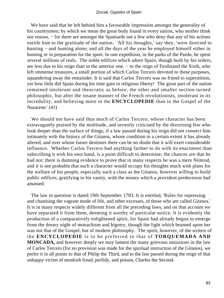We have said that he left behind him a favourable impression amongst the generality of his countrymen; by which we mean the great body found in every nation, who neither think nor reason, – for there are amongst the Spaniards not a few who deny that any of his actions entitle him to the gratitude of the nation. 'All his thoughts,' say they, 'were directed to hunting − and hunting alone; and all the days of the year he employed himself either in hunting or in preparation for the sport. In one expedition, in the parks of the Pardo, he spent several millions of reals. The noble edifices which adorn Spain, though built by his orders, are less due to his reign than to the anterior one, − to the reign of Ferdinand the Sixth, who left immense treasures, a small portion of which Carlos Tercero devoted to these purposes, squandering away the remainder. It is said that Carlos Tercero was no friend to superstition; yet how little did Spain during his time gain in religious liberty! The great part of the nation remained intolerant and theocratic as before, the other and smaller section turned philosophic, but after the insane manner of the French revolutionists, intolerant in its incredulity, and believing more in the **ENCYCLOPEDIE** than in the Gospel of the Nazarene.' (41)

 We should not have said thus much of Carlos Tercero, whose character has been extravagantly praised by the multitude, and severely criticised by the discerning few who look deeper than the surface of things, if a law passed during his reign did not connect him intimately with the history of the Gitanos, whose condition to a certain extent it has already altered, and over whose future destinies there can be no doubt that it will exert considerable influence. Whether Carlos Tercero had anything farther to do with its enactment than subscribing it with his own hand, is a point difficult to determine; the chances are that he had not; there is damning evidence to prove that in many respects he was a mere Nimrod, and it is not probable that such a character would occupy his thoughts much with plans for the welfare of his people, especially such a class as the Gitanos, however willing to build public edifices, gratifying to his vanity, with the money which a provident predecessor had amassed.

 The law in question is dated 19th September 1783. It is entitled, 'Rules for repressing and chastising the vagrant mode of life, and other excesses, of those who are called Gitanos.' It is in many respects widely different from all the preceding laws, and on that account we have separated it from them, deeming it worthy of particular notice. It is evidently the production of a comparatively enlightened spirit, for Spain had already begun to emerge from the dreary night of monachism and bigotry, though the light which beamed upon her was not that of the Gospel, but of modern philosophy. The spirit, however, of the writers of the **ENCYCLOPEDIE** is to be preferred to that of **TORQUEMADA AND MONCADA,** and however deeply we may lament the many grievous omissions in the law of Carlos Tercero (for no provision was made for the spiritual instruction of the Gitanos), we prefer it in all points to that of Philip the Third, and to the law passed during the reign of that unhappy victim of monkish fraud, perfidy, and poison, Charles the Second.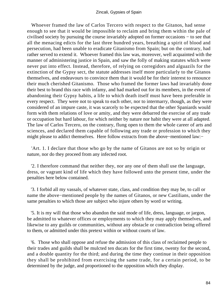Whoever framed the law of Carlos Tercero with respect to the Gitanos, had sense enough to see that it would be impossible to reclaim and bring them within the pale of civilised society by pursuing the course invariably adopted on former occasions − to see that all the menacing edicts for the last three hundred years, breathing a spirit of blood and persecution, had been unable to eradicate Gitanismo from Spain; but on the contrary, had rather served to extend it. Whoever framed this law was, moreover, well acquainted with the manner of administering justice in Spain, and saw the folly of making statutes which were never put into effect. Instead, therefore, of relying on corregidors and alguazils for the extinction of the Gypsy sect, the statute addresses itself more particularly to the Gitanos themselves, and endeavours to convince them that it would be for their interest to renounce their much cherished Gitanismo. Those who framed the former laws had invariably done their best to brand this race with infamy, and had marked out for its members, in the event of abandoning their Gypsy habits, a life to which death itself must have been preferable in every respect. They were not to speak to each other, nor to intermarry, though, as they were considered of an impure caste, it was scarcely to be expected that the other Spaniards would form with them relations of love or amity, and they were debarred the exercise of any trade or occupation but hard labour, for which neither by nature nor habit they were at all adapted. The law of Carlos Tercero, on the contrary, flung open to them the whole career of arts and sciences, and declared them capable of following any trade or profession to which they might please to addict themselves. Here follow extracts from the above−mentioned law:−

 'Art. 1. I declare that those who go by the name of Gitanos are not so by origin or nature, nor do they proceed from any infected root.

 '2. I therefore command that neither they, nor any one of them shall use the language, dress, or vagrant kind of life which they have followed unto the present time, under the penalties here below contained.

 '3. I forbid all my vassals, of whatever state, class, and condition they may be, to call or name the above−mentioned people by the names of Gitanos, or new Castilians, under the same penalties to which those are subject who injure others by word or writing.

 '5. It is my will that those who abandon the said mode of life, dress, language, or jargon, be admitted to whatever offices or employments to which they may apply themselves, and likewise to any guilds or communities, without any obstacle or contradiction being offered to them, or admitted under this pretext within or without courts of law.

 '6. Those who shall oppose and refuse the admission of this class of reclaimed people to their trades and guilds shall be mulcted ten ducats for the first time, twenty for the second, and a double quantity for the third; and during the time they continue in their opposition they shall be prohibited from exercising the same trade, for a certain period, to be determined by the judge, and proportioned to the opposition which they display.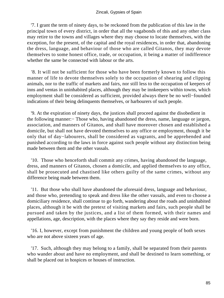'7. I grant the term of ninety days, to be reckoned from the publication of this law in the principal town of every district, in order that all the vagabonds of this and any other class may retire to the towns and villages where they may choose to locate themselves, with the exception, for the present, of the capital and the royal residences, in order that, abandoning the dress, language, and behaviour of those who are called Gitanos, they may devote themselves to some honest office, trade, or occupation, it being a matter of indifference whether the same be connected with labour or the arts.

 '8. It will not be sufficient for those who have been formerly known to follow this manner of life to devote themselves solely to the occupation of shearing and clipping animals, nor to the traffic of markets and fairs, nor still less to the occupation of keepers of inns and ventas in uninhabited places, although they may be innkeepers within towns, which employment shall be considered as sufficient, provided always there be no well−founded indications of their being delinquents themselves, or harbourers of such people.

 '9. At the expiration of ninety days, the justices shall proceed against the disobedient in the following manner:− Those who, having abandoned the dress, name, language or jargon, association, and manners of Gitanos, and shall have moreover chosen and established a domicile, but shall not have devoted themselves to any office or employment, though it be only that of day−labourers, shall be considered as vagrants, and be apprehended and punished according to the laws in force against such people without any distinction being made between them and the other vassals.

 '10. Those who henceforth shall commit any crimes, having abandoned the language, dress, and manners of Gitanos, chosen a domicile, and applied themselves to any office, shall be prosecuted and chastised like others guilty of the same crimes, without any difference being made between them.

 '11. But those who shall have abandoned the aforesaid dress, language and behaviour, and those who, pretending to speak and dress like the other vassals, and even to choose a domiciliary residence, shall continue to go forth, wandering about the roads and uninhabited places, although it be with the pretext of visiting markets and fairs, such people shall be pursued and taken by the justices, and a list of them formed, with their names and appellations, age, description, with the places where they say they reside and were born.

 '16. I, however, except from punishment the children and young people of both sexes who are not above sixteen years of age.

 '17. Such, although they may belong to a family, shall be separated from their parents who wander about and have no employment, and shall be destined to learn something, or shall be placed out in hospices or houses of instruction.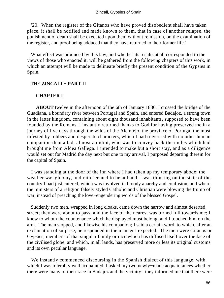'20. When the register of the Gitanos who have proved disobedient shall have taken place, it shall be notified and made known to them, that in case of another relapse, the punishment of death shall be executed upon them without remission, on the examination of the register, and proof being adduced that they have returned to their former life.'

 What effect was produced by this law, and whether its results at all corresponded to the views of those who enacted it, will be gathered from the following chapters of this work, in which an attempt will be made to delineate briefly the present condition of the Gypsies in Spain.

## THE **ZINCALI − PART II**

## **CHAPTER I**

**ABOUT** twelve in the afternoon of the 6th of January 1836, I crossed the bridge of the Guadiana, a boundary river between Portugal and Spain, and entered Badajoz, a strong town in the latter kingdom, containing about eight thousand inhabitants, supposed to have been founded by the Romans. I instantly returned thanks to God for having preserved me in a journey of five days through the wilds of the Alemtejo, the province of Portugal the most infested by robbers and desperate characters, which I had traversed with no other human companion than a lad, almost an idiot, who was to convey back the mules which had brought me from Aldea Gallega. I intended to make but a short stay, and as a diligence would set out for Madrid the day next but one to my arrival, I purposed departing therein for the capital of Spain.

 I was standing at the door of the inn where I had taken up my temporary abode; the weather was gloomy, and rain seemed to be at hand; I was thinking on the state of the country I had just entered, which was involved in bloody anarchy and confusion, and where the ministers of a religion falsely styled Catholic and Christian were blowing the trump of war, instead of preaching the love−engendering words of the blessed Gospel.

 Suddenly two men, wrapped in long cloaks, came down the narrow and almost deserted street; they were about to pass, and the face of the nearest was turned full towards me; I knew to whom the countenance which he displayed must belong, and I touched him on the arm. The man stopped, and likewise his companion; I said a certain word, to which, after an exclamation of surprise, he responded in the manner I expected. The men were Gitanos or Gypsies, members of that singular family or race which has diffused itself over the face of the civilised globe, and which, in all lands, has preserved more or less its original customs and its own peculiar language.

 We instantly commenced discoursing in the Spanish dialect of this language, with which I was tolerably well acquainted. I asked my two newly−made acquaintances whether there were many of their race in Badajoz and the vicinity: they informed me that there were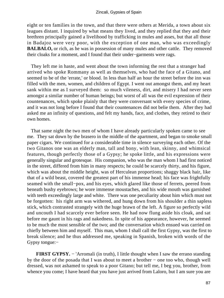eight or ten families in the town, and that there were others at Merida, a town about six leagues distant. I inquired by what means they lived, and they replied that they and their brethren principally gained a livelihood by trafficking in mules and asses, but that all those in Badajoz were very poor, with the exception of one man, who was exceedingly **BALBALO,** or rich, as he was in possession of many mules and other cattle. They removed their cloaks for a moment, and I found that their under−garments were rags.

 They left me in haste, and went about the town informing the rest that a stranger had arrived who spoke Rommany as well as themselves, who had the face of a Gitano, and seemed to be of the 'errate,' or blood. In less than half an hour the street before the inn was filled with the men, women, and children of Egypt. I went out amongst them, and my heart sank within me as I surveyed them: so much vileness, dirt, and misery I had never seen amongst a similar number of human beings; but worst of all was the evil expression of their countenances, which spoke plainly that they were conversant with every species of crime, and it was not long before I found that their countenances did not belie them. After they had asked me an infinity of questions, and felt my hands, face, and clothes, they retired to their own homes.

 That same night the two men of whom I have already particularly spoken came to see me. They sat down by the brasero in the middle of the apartment, and began to smoke small paper cigars. We continued for a considerable time in silence surveying each other. Of the two Gitanos one was an elderly man, tall and bony, with lean, skinny, and whimsical features, though perfectly those of a Gypsy; he spoke little, and his expressions were generally singular and grotesque. His companion, who was the man whom I had first noticed in the street, differed from him in many respects; he could be scarcely thirty, and his figure, which was about the middle height, was of Herculean proportions; shaggy black hair, like that of a wild beast, covered the greatest part of his immense head; his face was frightfully seamed with the small−pox, and his eyes, which glared like those of ferrets, peered from beneath bushy eyebrows; he wore immense moustaches, and his wide mouth was garnished with teeth exceedingly large and white. There was one peculiarity about him which must not be forgotten: his right arm was withered, and hung down from his shoulder a thin sapless stick, which contrasted strangely with the huge brawn of the left. A figure so perfectly wild and uncouth I had scarcely ever before seen. He had now flung aside his cloak, and sat before me gaunt in his rags and nakedness. In spite of his appearance, however, he seemed to be much the most sensible of the two; and the conversation which ensued was carried on chiefly between him and myself. This man, whom I shall call the first Gypsy, was the first to break silence; and he thus addressed me, speaking in Spanish, broken with words of the Gypsy tongue:−

**FIRST GYPSY.** – 'Arromali (in truth), I little thought when I saw the errano standing by the door of the posada that I was about to meet a brother − one too who, though well dressed, was not ashamed to speak to a poor Gitano; but tell me, I beg you, brother, from whence you come; I have heard that you have just arrived from Laloro, but I am sure you are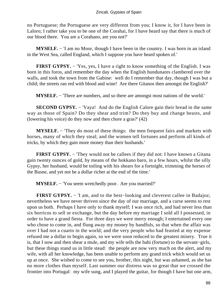no Portuguese; the Portuguese are very different from you; I know it, for I have been in Laloro; I rather take you to be one of the Corahai, for I have heard say that there is much of our blood there. You are a Corahano, are you not?'

**MYSELF.** − 'I am no Moor, though I have been in the country. I was born in an island in the West Sea, called England, which I suppose you have heard spoken of.'

**FIRST GYPSY.** – 'Yes, yes, I have a right to know something of the English. I was born in this foros, and remember the day when the English hundunares clambered over the walls, and took the town from the Gabine: well do I remember that day, though I was but a child; the streets ran red with blood and wine! Are there Gitanos then amongst the English?'

**MYSELF.** – 'There are numbers, and so there are amongst most nations of the world.'

**SECOND GYPSY.** – 'Vaya! And do the English Calore gain their bread in the same way as those of Spain? Do they shear and trim? Do they buy and change beasts, and (lowering his voice) do they now and then chore a gras?' (42)

**MYSELF.** – 'They do most of these things: the men frequent fairs and markets with horses, many of which they steal; and the women tell fortunes and perform all kinds of tricks, by which they gain more money than their husbands.'

**FIRST GYPSY.** – 'They would not be callees if they did not: I have known a Gitana gain twenty ounces of gold, by means of the hokkano baro, in a few hours, whilst the silly Gypsy, her husband, would be toiling with his shears for a fortnight, trimming the horses of the Busne, and yet not be a dollar richer at the end of the time.'

**MYSELF.** – 'You seem wretchedly poor. Are you married?'

**FIRST GYPSY.** − 'I am, and to the best−looking and cleverest callee in Badajoz; nevertheless we have never thriven since the day of our marriage, and a curse seems to rest upon us both. Perhaps I have only to thank myself; I was once rich, and had never less than six borricos to sell or exchange, but the day before my marriage I sold all I possessed, in order to have a grand fiesta. For three days we were merry enough; I entertained every one who chose to come in, and flung away my money by handfuls, so that when the affair was over I had not a cuarto in the world; and the very people who had feasted at my expense refused me a dollar to begin again, so we were soon reduced to the greatest misery. True it is, that I now and then shear a mule, and my wife tells the bahi (fortune) to the servant−girls, but these things stand us in little stead: the people are now very much on the alert, and my wife, with all her knowledge, has been unable to perform any grand trick which would set us up at once. She wished to come to see you, brother, this night, but was ashamed, as she has no more clothes than myself. Last summer our distress was so great that we crossed the frontier into Portugal: my wife sung, and I played the guitar, for though I have but one arm,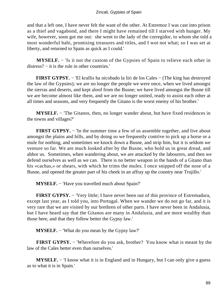and that a left one, I have never felt the want of the other. At Estremoz I was cast into prison as a thief and vagabond, and there I might have remained till I starved with hunger. My wife, however, soon got me out: she went to the lady of the corregidor, to whom she told a most wonderful bahi, promising treasures and titles, and I wot not what; so I was set at liberty, and returned to Spain as quick as I could.'

**MYSELF.** – 'Is it not the custom of the Gypsies of Spain to relieve each other in distress? − it is the rule in other countries.'

**FIRST GYPSY.** − 'El krallis ha nicobado la liri de los Cales − (The king has destroyed the law of the Gypsies); we are no longer the people we were once, when we lived amongst the sierras and deserts, and kept aloof from the Busne; we have lived amongst the Busne till we are become almost like them, and we are no longer united, ready to assist each other at all times and seasons, and very frequently the Gitano is the worst enemy of his brother.'

**MYSELF.** − 'The Gitanos, then, no longer wander about, but have fixed residences in the towns and villages?'

**FIRST GYPSY.** – 'In the summer time a few of us assemble together, and live about amongst the plains and hills, and by doing so we frequently contrive to pick up a horse or a mule for nothing, and sometimes we knock down a Busne, and strip him, but it is seldom we venture so far. We are much looked after by the Busne, who hold us in great dread, and abhor us. Sometimes, when wandering about, we are attacked by the labourers, and then we defend ourselves as well as we can. There is no better weapon in the hands of a Gitano than his «cachas,» or shears, with which he trims the mules. I once snipped off the nose of a Busne, and opened the greater part of his cheek in an affray up the country near Trujillo.'

**MYSELF.** – 'Have you travelled much about Spain?'

**FIRST GYPSY.** – 'Very little; I have never been out of this province of Estremadura, except last year, as I told you, into Portugal. When we wander we do not go far, and it is very rare that we are visited by our brethren of other parts. I have never been in Andalusia, but I have heard say that the Gitanos are many in Andalusia, and are more wealthy than those here, and that they follow better the Gypsy law.'

**MYSELF.** − 'What do you mean by the Gypsy law?'

**FIRST GYPSY.** – 'Wherefore do you ask, brother? You know what is meant by the law of the Cales better even than ourselves.'

**MYSELF.** − 'I know what it is in England and in Hungary, but I can only give a guess as to what it is in Spain.'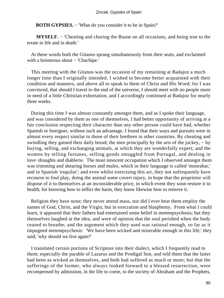**BOTH GYPSIES.** – 'What do you consider it to be in Spain?'

**MYSELF.** − 'Cheating and choring the Busne on all occasions, and being true to the errate in life and in death.'

 At these words both the Gitanos sprang simultaneously from their seats, and exclaimed with a boisterous shout − 'Chachipe.'

 This meeting with the Gitanos was the occasion of my remaining at Badajoz a much longer time than I originally intended. I wished to become better acquainted with their condition and manners, and above all to speak to them of Christ and His Word; for I was convinced, that should I travel to the end of the universe, I should meet with no people more in need of a little Christian exhortation, and I accordingly continued at Badajoz for nearly three weeks.

 During this time I was almost constantly amongst them, and as I spoke their language, and was considered by them as one of themselves, I had better opportunity of arriving at a fair conclusion respecting their character than any other person could have had, whether Spanish or foreigner, without such an advantage. I found that their ways and pursuits were in almost every respect similar to those of their brethren in other countries. By cheating and swindling they gained their daily bread; the men principally by the arts of the jockey, – by buying, selling, and exchanging animals, at which they are wonderfully expert; and the women by telling fortunes, selling goods smuggled from Portugal, and dealing in love−draughts and diablerie. The most innocent occupation which I observed amongst them was trimming and shearing horses and mules, which in their language is called 'monrabar,' and in Spanish 'esquilar'; and even whilst exercising this art, they not unfrequently have recourse to foul play, doing the animal some covert injury, in hope that the proprietor will dispose of it to themselves at an inconsiderable price, in which event they soon restore it to health; for knowing how to inflict the harm, they know likewise how to remove it.

 Religion they have none; they never attend mass, nor did I ever hear them employ the names of God, Christ, and the Virgin, but in execration and blasphemy. From what I could learn, it appeared that their fathers had entertained some belief in metempsychosis; but they themselves laughed at the idea, and were of opinion that the soul perished when the body ceased to breathe; and the argument which they used was rational enough, so far as it impugned metempsychosis: 'We have been wicked and miserable enough in this life,' they said; 'why should we live again?'

 I translated certain portions of Scripture into their dialect, which I frequently read to them; especially the parable of Lazarus and the Prodigal Son, and told them that the latter had been as wicked as themselves, and both had suffered as much or more; but that the sufferings of the former, who always looked forward to a blessed resurrection, were recompensed by admission, in the life to come, to the society of Abraham and the Prophets,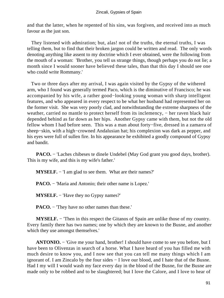and that the latter, when he repented of his sins, was forgiven, and received into as much favour as the just son.

They listened with admiration; but, alas! not of the truths, the eternal truths, I was telling them, but to find that their broken jargon could be written and read. The only words denoting anything like assent to my doctrine which I ever obtained, were the following from the mouth of a woman: 'Brother, you tell us strange things, though perhaps you do not lie; a month since I would sooner have believed these tales, than that this day I should see one who could write Rommany.'

 Two or three days after my arrival, I was again visited by the Gypsy of the withered arm, who I found was generally termed Paco, which is the diminutive of Francisco; he was accompanied by his wife, a rather good−looking young woman with sharp intelligent features, and who appeared in every respect to be what her husband had represented her on the former visit. She was very poorly clad, and notwithstanding the extreme sharpness of the weather, carried no mantle to protect herself from its inclemency, – her raven black hair depended behind as far down as her hips. Another Gypsy came with them, but not the old fellow whom I had before seen. This was a man about forty−five, dressed in a zamarra of sheep−skin, with a high−crowned Andalusian hat; his complexion was dark as pepper, and his eyes were full of sullen fire. In his appearance he exhibited a goodly compound of Gypsy and bandit.

**PACO.** − 'Laches chibeses te dinele Undebel (May God grant you good days, brother). This is my wife, and this is my wife's father.'

**MYSELF.** – 'I am glad to see them. What are their names?'

**PACO.** – 'Maria and Antonio; their other name is Lopez.'

**MYSELF.** – 'Have they no Gypsy names?'

**PACO.** – 'They have no other names than these.'

**MYSELF.** – 'Then in this respect the Gitanos of Spain are unlike those of my country. Every family there has two names; one by which they are known to the Busne, and another which they use amongst themselves.'

**ANTONIO.** − 'Give me your hand, brother! I should have come to see you before, but I have been to Olivenzas in search of a horse. What I have heard of you has filled me with much desire to know you, and I now see that you can tell me many things which I am ignorant of. I am Zincalo by the four sides − I love our blood, and I hate that of the Busne. Had I my will I would wash my face every day in the blood of the Busne, for the Busne are made only to be robbed and to be slaughtered; but I love the Calore, and I love to hear of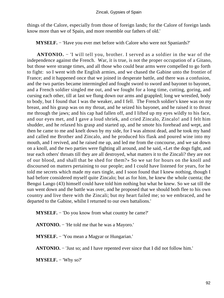things of the Calore, especially from those of foreign lands; for the Calore of foreign lands know more than we of Spain, and more resemble our fathers of old.'

**MYSELF.** – 'Have you ever met before with Calore who were not Spaniards?'

**ANTONIO.** − 'I will tell you, brother. I served as a soldier in the war of the independence against the French. War, it is true, is not the proper occupation of a Gitano, but those were strange times, and all those who could bear arms were compelled to go forth to fight: so I went with the English armies, and we chased the Gabine unto the frontier of France; and it happened once that we joined in desperate battle, and there was a confusion, and the two parties became intermingled and fought sword to sword and bayonet to bayonet, and a French soldier singled me out, and we fought for a long time, cutting, goring, and cursing each other, till at last we flung down our arms and grappled; long we wrestled, body to body, but I found that I was the weaker, and I fell. The French soldier's knee was on my breast, and his grasp was on my throat, and he seized his bayonet, and he raised it to thrust me through the jaws; and his cap had fallen off, and I lifted up my eyes wildly to his face, and our eyes met, and I gave a loud shriek, and cried Zincalo, Zincalo! and I felt him shudder, and he relaxed his grasp and started up, and he smote his forehead and wept, and then he came to me and knelt down by my side, for I was almost dead, and he took my hand and called me Brother and Zincalo, and he produced his flask and poured wine into my mouth, and I revived, and he raised me up, and led me from the concourse, and we sat down on a knoll, and the two parties were fighting all around, and he said, «Let the dogs fight, and tear each others' throats till they are all destroyed, what matters it to the Zincali? they are not of our blood, and shall that be shed for them?» So we sat for hours on the knoll and discoursed on matters pertaining to our people; and I could have listened for years, for he told me secrets which made my ears tingle, and I soon found that I knew nothing, though I had before considered myself quite Zincalo; but as for him, he knew the whole cuenta; the Bengui Lango (43) himself could have told him nothing but what he knew. So we sat till the sun went down and the battle was over, and he proposed that we should both flee to his own country and live there with the Zincali; but my heart failed me; so we embraced, and he departed to the Gabine, whilst I returned to our own battalions.'

**MYSELF.** – 'Do you know from what country he came?'

**ANTONIO.** − 'He told me that he was a Mayoro.'

**MYSELF.** − 'You mean a Magyar or Hungarian.'

**ANTONIO.** – 'Just so; and I have repented ever since that I did not follow him.'

**MYSELF.** − 'Why so?'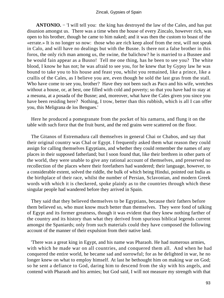**ANTONIO.** − 'I will tell you: the king has destroyed the law of the Cales, and has put disunion amongst us. There was a time when the house of every Zincalo, however rich, was open to his brother, though he came to him naked; and it was then the custom to boast of the «errate.» It is no longer so now: those who are rich keep aloof from the rest, will not speak in Calo, and will have no dealings but with the Busne. Is there not a false brother in this foros, the only rich man among us, the swine, the balichow? he is married to a Busnee and he would fain appear as a Busno! Tell me one thing, has he been to see you? The white blood, I know he has not; he was afraid to see you, for he knew that by Gypsy law he was bound to take you to his house and feast you, whilst you remained, like a prince, like a crallis of the Cales, as I believe you are, even though he sold the last gras from the stall. Who have come to see you, brother? Have they not been such as Paco and his wife, wretches without a house, or, at best, one filled with cold and poverty; so that you have had to stay at a mesuna, at a posada of the Busne; and, moreover, what have the Cales given you since you have been residing here? Nothing, I trow, better than this rubbish, which is all I can offer you, this Meligrana de los Bengues.'

 Here he produced a pomegranate from the pocket of his zamarra, and flung it on the table with such force that the fruit burst, and the red grains were scattered on the floor.

 The Gitanos of Estremadura call themselves in general Chai or Chabos, and say that their original country was Chal or Egypt. I frequently asked them what reason they could assign for calling themselves Egyptians, and whether they could remember the names of any places in their supposed fatherland; but I soon found that, like their brethren in other parts of the world, they were unable to give any rational account of themselves, and preserved no recollection of the places where their forefathers had wandered; their language, however, to a considerable extent, solved the riddle, the bulk of which being Hindui, pointed out India as the birthplace of their race, whilst the number of Persian, Sclavonian, and modern Greek words with which it is checkered, spoke plainly as to the countries through which these singular people had wandered before they arrived in Spain.

 They said that they believed themselves to be Egyptians, because their fathers before them believed so, who must know much better than themselves. They were fond of talking of Egypt and its former greatness, though it was evident that they knew nothing farther of the country and its history than what they derived from spurious biblical legends current amongst the Spaniards; only from such materials could they have composed the following account of the manner of their expulsion from their native land.

 'There was a great king in Egypt, and his name was Pharaoh. He had numerous armies, with which he made war on all countries, and conquered them all. And when he had conquered the entire world, he became sad and sorrowful; for as he delighted in war, he no longer knew on what to employ himself. At last he bethought him on making war on God; so he sent a defiance to God, daring him to descend from the sky with his angels, and contend with Pharaoh and his armies; but God said, I will not measure my strength with that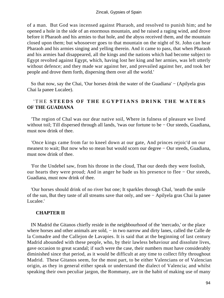of a man. But God was incensed against Pharaoh, and resolved to punish him; and he opened a hole in the side of an enormous mountain, and he raised a raging wind, and drove before it Pharaoh and his armies to that hole, and the abyss received them, and the mountain closed upon them; but whosoever goes to that mountain on the night of St. John can hear Pharaoh and his armies singing and yelling therein. And it came to pass, that when Pharaoh and his armies had disappeared, all the kings and the nations which had become subject to Egypt revolted against Egypt, which, having lost her king and her armies, was left utterly without defence; and they made war against her, and prevailed against her, and took her people and drove them forth, dispersing them over all the world.'

 So that now, say the Chai, 'Our horses drink the water of the Guadiana' − (Apilyela gras Chai la panee Lucalee).

# 'THE **STEEDS OF THE EGYPTIANS DRINK THE WATERS OF THE GUADIANA**

 'The region of Chal was our dear native soil, Where in fulness of pleasure we lived without toil; Till dispersed through all lands, 'twas our fortune to be − Our steeds, Guadiana, must now drink of thee.

 'Once kings came from far to kneel down at our gate, And princes rejoic'd on our meanest to wait; But now who so mean but would scorn our degree − Our steeds, Guadiana, must now drink of thee.

 'For the Undebel saw, from his throne in the cloud, That our deeds they were foolish, our hearts they were proud; And in anger he bade us his presence to flee − Our steeds, Guadiana, must now drink of thee.

 'Our horses should drink of no river but one; It sparkles through Chal, 'neath the smile of the sun, But they taste of all streams save that only, and see − Apilyela gras Chai la panee Lucalee.'

# **CHAPTER II**

 IN Madrid the Gitanos chiefly reside in the neighbourhood of the 'mercado,' or the place where horses and other animals are sold, – in two narrow and dirty lanes, called the Calle de la Comadre and the Callejon de Lavapies. It is said that at the beginning of last century Madrid abounded with these people, who, by their lawless behaviour and dissolute lives, gave occasion to great scandal; if such were the case, their numbers must have considerably diminished since that period, as it would be difficult at any time to collect fifty throughout Madrid. These Gitanos seem, for the most part, to be either Valencians or of Valencian origin, as they in general either speak or understand the dialect of Valencia; and whilst speaking their own peculiar jargon, the Rommany, are in the habit of making use of many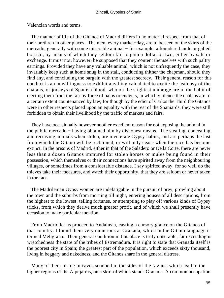Valencian words and terms.

 The manner of life of the Gitanos of Madrid differs in no material respect from that of their brethren in other places. The men, every market−day, are to be seen on the skirts of the mercado, generally with some miserable animal − for example, a foundered mule or galled borrico, by means of which they seldom fail to gain a dollar or two, either by sale or exchange. It must not, however, be supposed that they content themselves with such paltry earnings. Provided they have any valuable animal, which is not unfrequently the case, they invariably keep such at home snug in the stall, conducting thither the chapman, should they find any, and concluding the bargain with the greatest secrecy. Their general reason for this conduct is an unwillingness to exhibit anything calculated to excite the jealousy of the chalans, or jockeys of Spanish blood, who on the slightest umbrage are in the habit of ejecting them from the fair by force of palos or cudgels, in which violence the chalans are to a certain extent countenanced by law; for though by the edict of Carlos the Third the Gitanos were in other respects placed upon an equality with the rest of the Spaniards, they were still forbidden to obtain their livelihood by the traffic of markets and fairs.

 They have occasionally however another excellent reason for not exposing the animal in the public mercado − having obtained him by dishonest means. The stealing, concealing, and receiving animals when stolen, are inveterate Gypsy habits, and are perhaps the last from which the Gitano will be reclaimed, or will only cease when the race has become extinct. In the prisons of Madrid, either in that of the Saladero or De la Corte, there are never less than a dozen Gitanos immured for stolen horses or mules being found in their possession, which themselves or their connections have spirited away from the neighbouring villages, or sometimes from a considerable distance. I say spirited away, for so well do the thieves take their measures, and watch their opportunity, that they are seldom or never taken in the fact.

 The Madrilenian Gypsy women are indefatigable in the pursuit of prey, prowling about the town and the suburbs from morning till night, entering houses of all descriptions, from the highest to the lowest; telling fortunes, or attempting to play off various kinds of Gypsy tricks, from which they derive much greater profit, and of which we shall presently have occasion to make particular mention.

 From Madrid let us proceed to Andalusia, casting a cursory glance on the Gitanos of that country. I found them very numerous at Granada, which in the Gitano language is termed Meligrana. Their general condition in this place is truly miserable, far exceeding in wretchedness the state of the tribes of Estremadura. It is right to state that Granada itself is the poorest city in Spain; the greatest part of the population, which exceeds sixty thousand, living in beggary and nakedness, and the Gitanos share in the general distress.

 Many of them reside in caves scooped in the sides of the ravines which lead to the higher regions of the Alpujarras, on a skirt of which stands Granada. A common occupation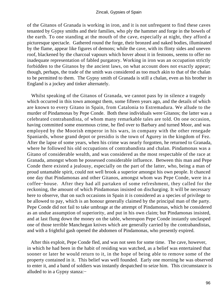of the Gitanos of Granada is working in iron, and it is not unfrequent to find these caves tenanted by Gypsy smiths and their families, who ply the hammer and forge in the bowels of the earth. To one standing at the mouth of the cave, especially at night, they afford a picturesque spectacle. Gathered round the forge, their bronzed and naked bodies, illuminated by the flame, appear like figures of demons; while the cave, with its flinty sides and uneven roof, blackened by the charcoal vapours which hover about it in festoons, seems to offer no inadequate representation of fabled purgatory. Working in iron was an occupation strictly forbidden to the Gitanos by the ancient laws, on what account does not exactly appear; though, perhaps, the trade of the smith was considered as too much akin to that of the chalan to be permitted to them. The Gypsy smith of Granada is still a chalan, even as his brother in England is a jockey and tinker alternately.

 Whilst speaking of the Gitanos of Granada, we cannot pass by in silence a tragedy which occurred in this town amongst them, some fifteen years ago, and the details of which are known to every Gitano in Spain, from Catalonia to Estremadura. We allude to the murder of Pindamonas by Pepe Conde. Both these individuals were Gitanos; the latter was a celebrated contrabandista, of whom many remarkable tales are told. On one occasion, having committed some enormous crime, he fled over to Barbary and turned Moor, and was employed by the Moorish emperor in his wars, in company with the other renegade Spaniards, whose grand depot or presidio is the town of Agurey in the kingdom of Fez. After the lapse of some years, when his crime was nearly forgotten, he returned to Granada, where he followed his old occupations of contrabandista and chalan. Pindamonas was a Gitano of considerable wealth, and was considered as the most respectable of the race at Granada, amongst whom he possessed considerable influence. Between this man and Pepe Conde there existed a jealousy, especially on the part of the latter, who, being a man of proud untamable spirit, could not well brook a superior amongst his own people. It chanced one day that Pindamonas and other Gitanos, amongst whom was Pepe Conde, were in a coffee−house. After they had all partaken of some refreshment, they called for the reckoning, the amount of which Pindamonas insisted on discharging. It will be necessary here to observe, that on such occasions in Spain it is considered as a species of privilege to be allowed to pay, which is an honour generally claimed by the principal man of the party. Pepe Conde did not fail to take umbrage at the attempt of Pindamonas, which he considered as an undue assumption of superiority, and put in his own claim; but Pindamonas insisted, and at last flung down the money on the table, whereupon Pepe Conde instantly unclasped one of those terrible Manchegan knives which are generally carried by the contrabandistas, and with a frightful gash opened the abdomen of Pindamonas, who presently expired.

 After this exploit, Pepe Conde fled, and was not seen for some time. The cave, however, in which he had been in the habit of residing was watched, as a belief was entertained that sooner or later he would return to it, in the hope of being able to remove some of the property contained in it. This belief was well founded. Early one morning he was observed to enter it, and a band of soldiers was instantly despatched to seize him. This circumstance is alluded to in a Gypsy stanza:−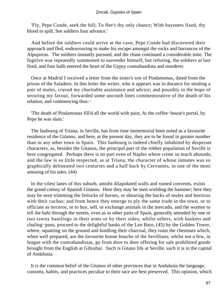#### Zincali, Gypsies of Spain

 'Fly, Pepe Conde, seek the hill; To flee's thy only chance; With bayonets fixed, thy blood to spill, See soldiers four advance.'

 And before the soldiers could arrive at the cave, Pepe Conde had discovered their approach and fled, endeavouring to make his escape amongst the rocks and barrancos of the Alpujarras. The soldiers instantly pursued, and the chase continued a considerable time. The fugitive was repeatedly summoned to surrender himself, but refusing, the soldiers at last fired, and four balls entered the heart of the Gypsy contrabandista and murderer.

 Once at Madrid I received a letter from the sister's son of Pindamonas, dated from the prison of the Saladero. In this letter the writer, who it appears was in durance for stealing a pair of mules, craved my charitable assistance and advice; and possibly in the hope of securing my favour, forwarded some uncouth lines commemorative of the death of his relation, and commencing thus:−

 'The death of Pindamonas fill'd all the world with pain; At the coffee−house's portal, by Pepe he was slain.'

 The faubourg of Triana, in Seville, has from time immemorial been noted as a favourite residence of the Gitanos; and here, at the present day, they are to be found in greater number than in any other town in Spain. This faubourg is indeed chiefly inhabited by desperate characters, as, besides the Gitanos, the principal part of the robber population of Seville is here congregated. Perhaps there is no part even of Naples where crime so much abounds, and the law is so little respected, as at Triana, the character of whose inmates was so graphically delineated two centuries and a half back by Cervantes, in one of the most amusing of his tales. (44)

 In the vilest lanes of this suburb, amidst dilapidated walls and ruined convents, exists the grand colony of Spanish Gitanos. Here they may be seen wielding the hammer; here they may be seen trimming the fetlocks of horses, or shearing the backs of mules and borricos with their cachas; and from hence they emerge to ply the same trade in the town, or to officiate as terceros, or to buy, sell, or exchange animals in the mercado, and the women to tell the bahi through the streets, even as in other parts of Spain, generally attended by one or two tawny bantlings in their arms or by their sides; whilst others, with baskets and chafing−pans, proceed to the delightful banks of the Len Baro, (45) by the Golden Tower, where, squatting on the ground and kindling their charcoal, they roast the chestnuts which, when well prepared, are the favourite bonne bouche of the Sevillians; whilst not a few, in league with the contrabandistas, go from door to door offering for sale prohibited goods brought from the English at Gibraltar. Such is Gitano life at Seville; such it is in the capital of Andalusia.

 It is the common belief of the Gitanos of other provinces that in Andalusia the language, customs, habits, and practices peculiar to their race are best preserved. This opinion, which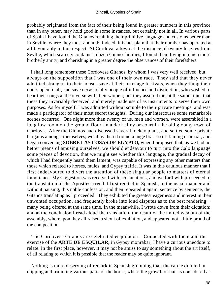probably originated from the fact of their being found in greater numbers in this province than in any other, may hold good in some instances, but certainly not in all. In various parts of Spain I have found the Gitanos retaining their primitive language and customs better than in Seville, where they most abound: indeed, it is not plain that their number has operated at all favourably in this respect. At Cordova, a town at the distance of twenty leagues from Seville, which scarcely contains a dozen Gitano families, I found them living in much more brotherly amity, and cherishing in a greater degree the observances of their forefathers.

 I shall long remember these Cordovese Gitanos, by whom I was very well received, but always on the supposition that I was one of their own race. They said that they never admitted strangers to their houses save at their marriage festivals, when they flung their doors open to all, and save occasionally people of influence and distinction, who wished to hear their songs and converse with their women; but they assured me, at the same time, that these they invariably deceived, and merely made use of as instruments to serve their own purposes. As for myself, I was admitted without scruple to their private meetings, and was made a participator of their most secret thoughts. During our intercourse some remarkable scenes occurred. One night more than twenty of us, men and women, were assembled in a long low room on the ground floor, in a dark alley or court in the old gloomy town of Cordova. After the Gitanos had discussed several jockey plans, and settled some private bargains amongst themselves, we all gathered round a huge brasero of flaming charcoal, and began conversing **SOBRE LAS COSAS DE EGYPTO,** when I proposed that, as we had no better means of amusing ourselves, we should endeavour to turn into the Calo language some pieces of devotion, that we might see whether this language, the gradual decay of which I had frequently heard them lament, was capable of expressing any other matters than those which related to horses, mules, and Gypsy traffic. It was in this cautious manner that I first endeavoured to divert the attention of these singular people to matters of eternal importance. My suggestion was received with acclamations, and we forthwith proceeded to the translation of the Apostles' creed. I first recited in Spanish, in the usual manner and without pausing, this noble confession, and then repeated it again, sentence by sentence, the Gitanos translating as I proceeded. They exhibited the greatest eagerness and interest in their unwonted occupation, and frequently broke into loud disputes as to the best rendering − many being offered at the same time. In the meanwhile, I wrote down from their dictation; and at the conclusion I read aloud the translation, the result of the united wisdom of the assembly, whereupon they all raised a shout of exultation, and appeared not a little proud of the composition.

 The Cordovese Gitanos are celebrated esquiladors. Connected with them and the exercise of the **ARTE DE ESQUILAR,** in Gypsy monrabar, I have a curious anecdote to relate. In the first place, however, it may not be amiss to say something about the art itself, of all relating to which it is possible that the reader may be quite ignorant.

 Nothing is more deserving of remark in Spanish grooming than the care exhibited in clipping and trimming various parts of the horse, where the growth of hair is considered as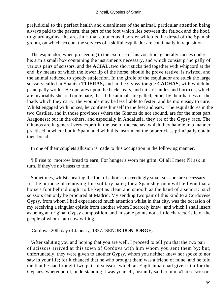prejudicial to the perfect health and cleanliness of the animal, particular attention being always paid to the pastern, that part of the foot which lies between the fetlock and the hoof, to guard against the arestin − that cutaneous disorder which is the dread of the Spanish groom, on which account the services of a skilful esquilador are continually in requisition.

 The esquilador, when proceeding to the exercise of his vocation, generally carries under his arm a small box containing the instruments necessary, and which consist principally of various pairs of scissors, and the **ACIAL,** two short sticks tied together with whipcord at the end, by means of which the lower lip of the horse, should he prove restive, is twisted, and the animal reduced to speedy subjection. In the girdle of the esquilador are stuck the large scissors called in Spanish **TIJERAS,** and in the Gypsy tongue **CACHAS,** with which he principally works. He operates upon the backs, ears, and tails of mules and borricos, which are invariably sheared quite bare, that if the animals are galled, either by their harness or the loads which they carry, the wounds may be less liable to fester, and be more easy to cure. Whilst engaged with horses, he confines himself to the feet and ears. The esquiladores in the two Castiles, and in those provinces where the Gitanos do not abound, are for the most part Aragonese; but in the others, and especially in Andalusia, they are of the Gypsy race. The Gitanos are in general very expert in the use of the cachas, which they handle in a manner practised nowhere but in Spain; and with this instrument the poorer class principally obtain their bread.

In one of their couplets allusion is made to this occupation in the following manner:−

 'I'll rise to−morrow bread to earn, For hunger's worn me grim; Of all I meet I'll ask in turn, If they've no beasts to trim.'

 Sometimes, whilst shearing the foot of a horse, exceedingly small scissors are necessary for the purpose of removing fine solitary hairs; for a Spanish groom will tell you that a horse's foot behind ought to be kept as clean and smooth as the hand of a senora: such scissors can only be procured at Madrid. My sending two pair of this kind to a Cordovese Gypsy, from whom I had experienced much attention whilst in that city, was the occasion of my receiving a singular epistle from another whom I scarcely knew, and which I shall insert as being an original Gypsy composition, and in some points not a little characteristic of the people of whom I am now writing.

'Cordova, 20th day of January, 1837. 'SENOR **DON JORGE,**

 'After saluting you and hoping that you are well, I proceed to tell you that the two pair of scissors arrived at this town of Cordova with him whom you sent them by; but, unfortunately, they were given to another Gypsy, whom you neither knew nor spoke to nor saw in your life; for it chanced that he who brought them was a friend of mine, and he told me that he had brought two pair of scissors which an Englishman had given him for the Gypsies; whereupon I, understanding it was yourself, instantly said to him, «Those scissors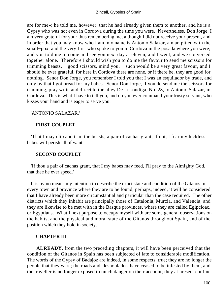are for me»; he told me, however, that he had already given them to another, and he is a Gypsy who was not even in Cordova during the time you were. Nevertheless, Don Jorge, I am very grateful for your thus remembering me, although I did not receive your present, and in order that you may know who I am, my name is Antonio Salazar, a man pitted with the small–pox, and the very first who spoke to you in Cordova in the posada where you were; and you told me to come and see you next day at eleven, and I went, and we conversed together alone. Therefore I should wish you to do me the favour to send me scissors for trimming beasts, − good scissors, mind you, − such would be a very great favour, and I should be ever grateful, for here in Cordova there are none, or if there be, they are good for nothing. Senor Don Jorge, you remember I told you that I was an esquilador by trade, and only by that I got bread for my babes. Senor Don Jorge, if you do send me the scissors for trimming, pray write and direct to the alley De la Londiga, No. 28, to Antonio Salazar, in Cordova. This is what I have to tell you, and do you ever command your trusty servant, who kisses your hand and is eager to serve you.

## 'ANTONIO SALAZAR.'

# **FIRST COUPLET**

 'That I may clip and trim the beasts, a pair of cachas grant, If not, I fear my luckless babes will perish all of want.'

## **SECOND COUPLET**

 'If thou a pair of cachas grant, that I my babes may feed, I'll pray to the Almighty God, that thee he ever speed.'

 It is by no means my intention to describe the exact state and condition of the Gitanos in every town and province where they are to be found; perhaps, indeed, it will be considered that I have already been more circumstantial and particular than the case required. The other districts which they inhabit are principally those of Catalonia, Murcia, and Valencia; and they are likewise to be met with in the Basque provinces, where they are called Egipcioac, or Egyptians. What I next purpose to occupy myself with are some general observations on the habits, and the physical and moral state of the Gitanos throughout Spain, and of the position which they hold in society.

# **CHAPTER III**

**ALREADY,** from the two preceding chapters, it will have been perceived that the condition of the Gitanos in Spain has been subjected of late to considerable modification. The words of the Gypsy of Badajoz are indeed, in some respects, true; they are no longer the people that they were; the roads and 'despoblados' have ceased to be infested by them, and the traveller is no longer exposed to much danger on their account; they at present confine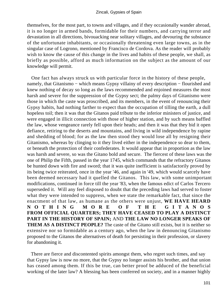themselves, for the most part, to towns and villages, and if they occasionally wander abroad, it is no longer in armed bands, formidable for their numbers, and carrying terror and devastation in all directions, bivouacking near solitary villages, and devouring the substance of the unfortunate inhabitants, or occasionally threatening even large towns, as in the singular case of Logrono, mentioned by Francisco de Cordova. As the reader will probably wish to know the cause of this change in the lives and habits of these people, we shall, as briefly as possible, afford as much information on the subject as the amount of our knowledge will permit.

 One fact has always struck us with particular force in the history of these people, namely, that Gitanismo – which means Gypsy villainy of every description – flourished and knew nothing of decay so long as the laws recommended and enjoined measures the most harsh and severe for the suppression of the Gypsy sect; the palmy days of Gitanismo were those in which the caste was proscribed, and its members, in the event of renouncing their Gypsy habits, had nothing farther to expect than the occupation of tilling the earth, a dull hopeless toil; then it was that the Gitanos paid tribute to the inferior ministers of justice, and were engaged in illicit connection with those of higher station, and by such means baffled the law, whose vengeance rarely fell upon their heads; and then it was that they bid it open defiance, retiring to the deserts and mountains, and living in wild independence by rapine and shedding of blood; for as the law then stood they would lose all by resigning their Gitanismo, whereas by clinging to it they lived either in the independence so dear to them, or beneath the protection of their confederates. It would appear that in proportion as the law was harsh and severe, so was the Gitano bold and secure. The fiercest of these laws was the one of Philip the Fifth, passed in the year 1745, which commands that the refractory Gitanos be hunted down with fire and sword; that it was quite inefficient is satisfactorily proved by its being twice reiterated, once in the year '46, and again in '49, which would scarcely have been deemed necessary had it quelled the Gitanos. This law, with some unimportant modifications, continued in force till the year '83, when the famous edict of Carlos Tercero superseded it. Will any feel disposed to doubt that the preceding laws had served to foster what they were intended to suppress, when we state the remarkable fact, that since the enactment of that law, as humane as the others were unjust, **WE HAVE HEARD NOTHING MORE OF THE GITANOS FROM OFFICIAL QUARTERS; THEY HAVE CEASED TO PLAY A DISTINCT PART IN THE HISTORY OF SPAIN;** AND **THE LAW NO LONGER SPEAKS OF THEM AS A DISTINCT PEOPLE?** The caste of the Gitano still exists, but it is neither so extensive nor so formidable as a century ago, when the law in denouncing Gitanismo proposed to the Gitanos the alternatives of death for persisting in their profession, or slavery for abandoning it.

 There are fierce and discontented spirits amongst them, who regret such times, and say that Gypsy law is now no more, that the Gypsy no longer assists his brother, and that union has ceased among them. If this be true, can better proof be adduced of the beneficial working of the later law? A blessing has been conferred on society, and in a manner highly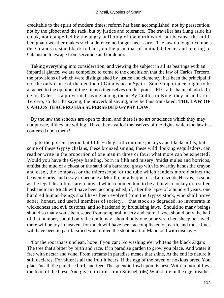creditable to the spirit of modern times; reform has been accomplished, not by persecution, not by the gibbet and the rack, but by justice and tolerance. The traveller has flung aside his cloak, not compelled by the angry buffeting of the north wind, but because the mild, benignant weather makes such a defence no longer necessary. The law no longer compels the Gitanos to stand back to back, on the principal of mutual defence, and to cling to Gitanismo to escape from servitude and thraldom.

 Taking everything into consideration, and viewing the subject in all its bearings with an impartial glance, we are compelled to come to the conclusion that the law of Carlos Tercero, the provisions of which were distinguished by justice and clemency, has been the principal if not the only cause of the decline of Gitanismo in Spain. Some importance ought to be attached to the opinion of the Gitanos themselves on this point. 'El Crallis ha nicobado la liri de los Cales,' is a proverbial saying among them. By Crallis, or King, they mean Carlos Tercero, so that the saying, the proverbial saying, may be thus translated: **THE LAW OF CARLOS TERCERO HAS SUPERSEDED GYPSY LAW.**

 By the law the schools are open to them, and there is no art or science which they may not pursue, if they are willing. Have they availed themselves of the rights which the law has conferred upon them?

 Up to the present period but little − they still continue jockeys and blacksmiths; but some of these Gypsy chalans, these bronzed smiths, these wild−looking esquiladors, can read or write in the proportion of one man in three or four; what more can be expected? Would you have the Gypsy bantling, born in filth and misery, 'midst mules and borricos, amidst the mud of a choza or the sand of a barranco, grasp with its swarthy hands the crayon and easel, the compass, or the microscope, or the tube which renders more distinct the heavenly orbs, and essay to become a Murillo, or a Feijoo, or a Lorenzo de Hervas, as soon as the legal disabilities are removed which doomed him to be a thievish jockey or a sullen husbandman? Much will have been accomplished, if, after the lapse of a hundred years, one hundred human beings shall have been evolved from the Gypsy stock, who shall prove sober, honest, and useful members of society, – that stock so degraded, so inveterate in wickedness and evil customs, and so hardened by brutalising laws. Should so many beings, should so many souls be rescued from temporal misery and eternal woe; should only the half of that number, should only the tenth, nay, should only one poor wretched sheep be saved, there will be joy in heaven, for much will have been accomplished on earth, and those lines will have been in part falsified which filled the stout heart of Mahmoud with dismay:−

 'For the root that's unclean, hope if you can; No washing e'er whitens the black Zigan: The tree that's bitter by birth and race, If in paradise garden to grow you place, And water it free with nectar and wine, From streams in paradise meads that shine, At the end its nature it still declares, For bitter is all the fruit it bears. If the egg of the raven of noxious breed You place 'neath the paradise bird, and feed The splendid fowl upon its nest, With immortal figs, the food of the blest, And give it to drink from Silisbel, (46) Whilst life in the egg breathes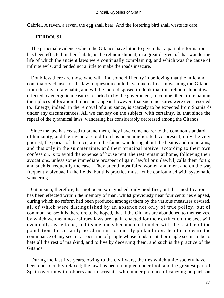Gabriel, A raven, a raven, the egg shall bear, And the fostering bird shall waste its care.' −

## **FERDOUSI.**

 The principal evidence which the Gitanos have hitherto given that a partial reformation has been effected in their habits, is the relinquishment, in a great degree, of that wandering life of which the ancient laws were continually complaining, and which was the cause of infinite evils, and tended not a little to make the roads insecure.

 Doubtless there are those who will find some difficulty in believing that the mild and conciliatory clauses of the law in question could have much effect in weaning the Gitanos from this inveterate habit, and will be more disposed to think that this relinquishment was effected by energetic measures resorted to by the government, to compel them to remain in their places of location. It does not appear, however, that such measures were ever resorted to. Energy, indeed, in the removal of a nuisance, is scarcely to be expected from Spaniards under any circumstances. All we can say on the subject, with certainty, is, that since the repeal of the tyrannical laws, wandering has considerably decreased among the Gitanos.

 Since the law has ceased to brand them, they have come nearer to the common standard of humanity, and their general condition has been ameliorated. At present, only the very poorest, the parias of the race, are to be found wandering about the heaths and mountains, and this only in the summer time, and their principal motive, according to their own confession, is to avoid the expense of house rent; the rest remain at home, following their avocations, unless some immediate prospect of gain, lawful or unlawful, calls them forth; and such is frequently the case. They attend most fairs, women and men, and on the way frequently bivouac in the fields, but this practice must not be confounded with systematic wandering.

 Gitanismo, therefore, has not been extinguished, only modified; but that modification has been effected within the memory of man, whilst previously near four centuries elapsed, during which no reform had been produced amongst them by the various measures devised, all of which were distinguished by an absence not only of true policy, but of common−sense; it is therefore to be hoped, that if the Gitanos are abandoned to themselves, by which we mean no arbitrary laws are again enacted for their extinction, the sect will eventually cease to be, and its members become confounded with the residue of the population; for certainly no Christian nor merely philanthropic heart can desire the continuance of any sect or association of people whose fundamental principle seems to be to hate all the rest of mankind, and to live by deceiving them; and such is the practice of the Gitanos.

 During the last five years, owing to the civil wars, the ties which unite society have been considerably relaxed; the law has been trampled under foot, and the greatest part of Spain overrun with robbers and miscreants, who, under pretence of carrying on partisan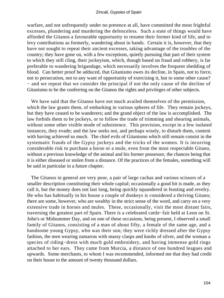warfare, and not unfrequently under no pretence at all, have committed the most frightful excesses, plundering and murdering the defenceless. Such a state of things would have afforded the Gitanos a favourable opportunity to resume their former kind of life, and to levy contributions as formerly, wandering about in bands. Certain it is, however, that they have not sought to repeat their ancient excesses, taking advantage of the troubles of the country; they have gone on, with a few exceptions, quietly pursuing that part of their system to which they still cling, their jockeyism, which, though based on fraud and robbery, is far preferable to wandering brigandage, which necessarily involves the frequent shedding of blood. Can better proof be adduced, that Gitanismo owes its decline, in Spain, not to force, not to persecution, not to any want of opportunity of exercising it, but to some other cause? − and we repeat that we consider the principal if not the only cause of the decline of Gitanismo to be the conferring on the Gitanos the rights and privileges of other subjects.

 We have said that the Gitanos have not much availed themselves of the permission, which the law grants them, of embarking in various spheres of life. They remain jockeys, but they have ceased to be wanderers; and the grand object of the law is accomplished. The law forbids them to be jockeys, or to follow the trade of trimming and shearing animals, without some other visible mode of subsistence. This provision, except in a few isolated instances, they evade; and the law seeks not, and perhaps wisely, to disturb them, content with having achieved so much. The chief evils of Gitanismo which still remain consist in the systematic frauds of the Gypsy jockeys and the tricks of the women. It is incurring considerable risk to purchase a horse or a mule, even from the most respectable Gitano, without a previous knowledge of the animal and his former possessor, the chances being that it is either diseased or stolen from a distance. Of the practices of the females, something will be said in particular in a future chapter.

 The Gitanos in general are very poor, a pair of large cachas and various scissors of a smaller description constituting their whole capital; occasionally a good hit is made, as they call it, but the money does not last long, being quickly squandered in feasting and revelry. He who has habitually in his house a couple of donkeys is considered a thriving Gitano; there are some, however, who are wealthy in the strict sense of the word, and carry on a very extensive trade in horses and mules. These, occasionally, visit the most distant fairs, traversing the greatest part of Spain. There is a celebrated cattle−fair held at Leon on St. John's or Midsummer Day, and on one of these occasions, being present, I observed a small family of Gitanos, consisting of a man of about fifty, a female of the same age, and a handsome young Gypsy, who was their son; they were richly dressed after the Gypsy fashion, the men wearing zamarras with massy clasps and knobs of silver, and the woman a species of riding−dress with much gold embroidery, and having immense gold rings attached to her ears. They came from Murcia, a distance of one hundred leagues and upwards. Some merchants, to whom I was recommended, informed me that they had credit on their house to the amount of twenty thousand dollars.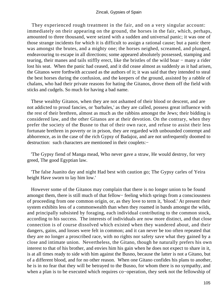They experienced rough treatment in the fair, and on a very singular account: immediately on their appearing on the ground, the horses in the fair, which, perhaps, amounted to three thousand, were seized with a sudden and universal panic; it was one of those strange incidents for which it is difficult to assign a rational cause; but a panic there was amongst the brutes, and a mighty one; the horses neighed, screamed, and plunged, endeavouring to escape in all directions; some appeared absolutely possessed, stamping and tearing, their manes and tails stiffly erect, like the bristles of the wild boar − many a rider lost his seat. When the panic had ceased, and it did cease almost as suddenly as it had arisen, the Gitanos were forthwith accused as the authors of it; it was said that they intended to steal the best horses during the confusion, and the keepers of the ground, assisted by a rabble of chalans, who had their private reasons for hating the Gitanos, drove them off the field with sticks and cudgels. So much for having a bad name.

 These wealthy Gitanos, when they are not ashamed of their blood or descent, and are not addicted to proud fancies, or 'barbales,' as they are called, possess great influence with the rest of their brethren, almost as much as the rabbins amongst the Jews; their bidding is considered law, and the other Gitanos are at their devotion. On the contrary, when they prefer the society of the Busne to that of their own race, and refuse to assist their less fortunate brethren in poverty or in prison, they are regarded with unbounded contempt and abhorrence, as in the case of the rich Gypsy of Badajoz, and are not unfrequently doomed to destruction: such characters are mentioned in their couplets:−

 'The Gypsy fiend of Manga mead, Who never gave a straw, He would destroy, for very greed, The good Egyptian law.

 'The false Juanito day and night Had best with caution go; The Gypsy carles of Yeira height Have sworn to lay him low.'

 However some of the Gitanos may complain that there is no longer union to be found amongst them, there is still much of that fellow− feeling which springs from a consciousness of proceeding from one common origin, or, as they love to term it, 'blood.' At present their system exhibits less of a commonwealth than when they roamed in bands amongst the wilds, and principally subsisted by foraging, each individual contributing to the common stock, according to his success. The interests of individuals are now more distinct, and that close connection is of course dissolved which existed when they wandered about, and their dangers, gains, and losses were felt in common; and it can never be too often repeated that they are no longer a proscribed race, with no rights nor safety save what they gained by a close and intimate union. Nevertheless, the Gitano, though he naturally prefers his own interest to that of his brother, and envies him his gain when he does not expect to share in it, is at all times ready to side with him against the Busno, because the latter is not a Gitano, but of a different blood, and for no other reason. When one Gitano confides his plans to another, he is in no fear that they will be betrayed to the Busno, for whom there is no sympathy, and when a plan is to be executed which requires co−operation, they seek not the fellowship of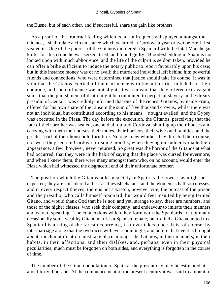#### Zincali, Gypsies of Spain

the Busne, but of each other, and if successful, share the gain like brothers.

 As a proof of the fraternal feeling which is not unfrequently displayed amongst the Gitanos, I shall relate a circumstance which occurred at Cordova a year or two before I first visited it. One of the poorest of the Gitanos murdered a Spaniard with the fatal Manchegan knife; for this crime he was seized, tried, and found guilty. Blood−shedding in Spain is not looked upon with much abhorrence, and the life of the culprit is seldom taken, provided he can offer a bribe sufficient to induce the notary public to report favourably upon his case; but in this instance money was of no avail; the murdered individual left behind him powerful friends and connections, who were determined that justice should take its course. It was in vain that the Gitanos exerted all their influence with the authorities in behalf of their comrade, and such influence was not slight; it was in vain that they offered extravagant sums that the punishment of death might be commuted to perpetual slavery in the dreary presidio of Ceuta; I was credibly informed that one of the richest Gitanos, by name Fruto, offered for his own share of the ransom the sum of five thousand crowns, whilst there was not an individual but contributed according to his means – nought availed, and the Gypsy was executed in the Plaza. The day before the execution, the Gitanos, perceiving that the fate of their brother was sealed, one and all quitted Cordova, shutting up their houses and carrying with them their horses, their mules, their borricos, their wives and families, and the greatest part of their household furniture. No one knew whither they directed their course, nor were they seen in Cordova for some months, when they again suddenly made their appearance; a few, however, never returned. So great was the horror of the Gitanos at what had occurred, that they were in the habit of saying that the place was cursed for evermore; and when I knew them, there were many amongst them who, on no account, would enter the Plaza which had witnessed the disgraceful end of their unfortunate brother.

 The position which the Gitanos hold in society in Spain is the lowest, as might be expected; they are considered at best as thievish chalans, and the women as half sorceresses, and in every respect thieves; there is not a wretch, however vile, the outcast of the prison and the presidio, who calls himself Spaniard, but would feel insulted by being termed Gitano, and would thank God that he is not; and yet, strange to say, there are numbers, and those of the higher classes, who seek their company, and endeavour to imitate their manners and way of speaking. The connections which they form with the Spaniards are not many; occasionally some wealthy Gitano marries a Spanish female, but to find a Gitana united to a Spaniard is a thing of the rarest occurrence, if it ever takes place. It is, of course, by intermarriage alone that the two races will ever commingle, and before that event is brought about, much modification must take place amongst the Gitanos, in their manners, in their habits, in their affections, and their dislikes, and, perhaps, even in their physical peculiarities; much must be forgotten on both sides, and everything is forgotten in the course of time.

 The number of the Gitano population of Spain at the present day may be estimated at about forty thousand. At the commencement of the present century it was said to amount to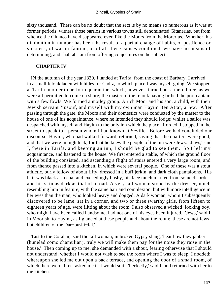sixty thousand. There can be no doubt that the sect is by no means so numerous as it was at former periods; witness those barrios in various towns still denominated Gitanerias, but from whence the Gitanos have disappeared even like the Moors from the Morerias. Whether this diminution in number has been the result of a partial change of habits, of pestilence or sickness, of war or famine, or of all these causes combined, we have no means of determining, and shall abstain from offering conjectures on the subject.

### **CHAPTER IV**

 IN the autumn of the year 1839, I landed at Tarifa, from the coast of Barbary. I arrived in a small felouk laden with hides for Cadiz, to which place I was myself going. We stopped at Tarifa in order to perform quarantine, which, however, turned out a mere farce, as we were all permitted to come on shore; the master of the felouk having bribed the port captain with a few fowls. We formed a motley group. A rich Moor and his son, a child, with their Jewish servant Yusouf, and myself with my own man Hayim Ben Attar, a Jew. After passing through the gate, the Moors and their domestics were conducted by the master to the house of one of his acquaintance, where he intended they should lodge; whilst a sailor was despatched with myself and Hayim to the only inn which the place afforded. I stopped in the street to speak to a person whom I had known at Seville. Before we had concluded our discourse, Hayim, who had walked forward, returned, saying that the quarters were good, and that we were in high luck, for that he knew the people of the inn were Jews. 'Jews,' said I, 'here in Tarifa, and keeping an inn, I should be glad to see them.' So I left my acquaintance, and hastened to the house. We first entered a stable, of which the ground floor of the building consisted, and ascending a flight of stairs entered a very large room, and from thence passed into a kitchen, in which were several people. One of these was a stout, athletic, burly fellow of about fifty, dressed in a buff jerkin, and dark cloth pantaloons. His hair was black as a coal and exceedingly bushy, his face much marked from some disorder, and his skin as dark as that of a toad. A very tall woman stood by the dresser, much resembling him in feature, with the same hair and complexion, but with more intelligence in her eyes than the man, who looked heavy and dogged. A dark woman, whom I subsequently discovered to be lame, sat in a corner, and two or three swarthy girls, from fifteen to eighteen years of age, were flitting about the room. I also observed a wicked−looking boy, who might have been called handsome, had not one of his eyes been injured. 'Jews,' said I, in Moorish, to Hayim, as I glanced at these people and about the room; 'these are not Jews, but children of the Dar−bushi−fal.'

 'List to the Corahai,' said the tall woman, in broken Gypsy slang, 'hear how they jabber (hunelad como chamulian), truly we will make them pay for the noise they raise in the house.' Then coming up to me, she demanded with a shout, fearing otherwise that I should not understand, whether I would not wish to see the room where I was to sleep. I nodded: whereupon she led me out upon a back terrace, and opening the door of a small room, of which there were three, asked me if it would suit. 'Perfectly,' said I, and returned with her to the kitchen.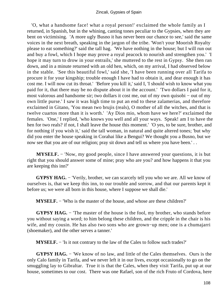'O, what a handsome face! what a royal person!' exclaimed the whole family as I returned, in Spanish, but in the whining, canting tones peculiar to the Gypsies, when they are bent on victimising. 'A more ugly Busno it has never been our chance to see,' said the same voices in the next breath, speaking in the jargon of the tribe. 'Won't your Moorish Royalty please to eat something?' said the tall hag. 'We have nothing in the house; but I will run out and buy a fowl, which I hope may prove a royal peacock to nourish and strengthen you.' 'I hope it may turn to drow in your entrails,' she muttered to the rest in Gypsy. She then ran down, and in a minute returned with an old hen, which, on my arrival, I had observed below in the stable. 'See this beautiful fowl,' said she, 'I have been running over all Tarifa to procure it for your kingship; trouble enough I have had to obtain it, and dear enough it has cost me. I will now cut its throat.' 'Before you kill it,' said I, 'I should wish to know what you paid for it, that there may be no dispute about it in the account.' 'Two dollars I paid for it, most valorous and handsome sir; two dollars it cost me, out of my own quisobi − out of my own little purse.' I saw it was high time to put an end to these zalamerias, and therefore exclaimed in Gitano, 'You mean two brujis (reals), O mother of all the witches, and that is twelve cuartos more than it is worth.' 'Ay Dios mio, whom have we here?' exclaimed the females. 'One,' I replied, 'who knows you well and all your ways. Speak! am I to have the hen for two reals? if not, I shall leave the house this moment.' 'O yes, to be sure, brother, and for nothing if you wish it,' said the tall woman, in natural and quite altered tones; 'but why did you enter the house speaking in Corahai like a Bengui? We thought you a Busno, but we now see that you are of our religion; pray sit down and tell us where you have been.'..

**MYSELF.** – 'Now, my good people, since I have answered your questions, it is but right that you should answer some of mine; pray who are you? and how happens it that you are keeping this inn?'

**GYPSY HAG.** – 'Verily, brother, we can scarcely tell you who we are. All we know of ourselves is, that we keep this inn, to our trouble and sorrow, and that our parents kept it before us; we were all born in this house, where I suppose we shall die.'

**MYSELF.** – 'Who is the master of the house, and whose are these children?'

**GYPSY HAG.** – 'The master of the house is the fool, my brother, who stands before you without saying a word; to him belong these children, and the cripple in the chair is his wife, and my cousin. He has also two sons who are grown−up men; one is a chumajarri (shoemaker), and the other serves a tanner.'

**MYSELF.** – 'Is it not contrary to the law of the Cales to follow such trades?'

**GYPSY HAG.** – 'We know of no law, and little of the Cales themselves. Ours is the only Calo family in Tarifa, and we never left it in our lives, except occasionally to go on the smuggling lay to Gibraltar. True it is that the Cales, when they visit Tarifa, put up at our house, sometimes to our cost. There was one Rafael, son of the rich Fruto of Cordova, here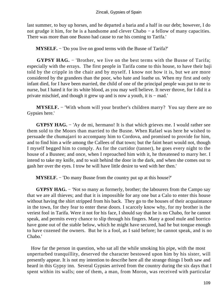last summer, to buy up horses, and he departed a baria and a half in our debt; however, I do not grudge it him, for he is a handsome and clever Chabo – a fellow of many capacities. There was more than one Busno had cause to rue his coming to Tarifa.'

**MYSELF.** − 'Do you live on good terms with the Busne of Tarifa?'

**GYPSY HAG.** – 'Brother, we live on the best terms with the Busne of Tarifa; especially with the errays. The first people in Tarifa come to this house, to have their baji told by the cripple in the chair and by myself. I know not how it is, but we are more considered by the grandees than the poor, who hate and loathe us. When my first and only infant died, for I have been married, the child of one of the principal people was put to me to nurse, but I hated it for its white blood, as you may well believe. It never throve, for I did it a private mischief, and though it grew up and is now a youth, it is − mad.'

**MYSELF.** – 'With whom will your brother's children marry? You say there are no Gypsies here.'

**GYPSY HAG.** – 'Ay de mi, hermano! It is that which grieves me. I would rather see them sold to the Moors than married to the Busne. When Rafael was here he wished to persuade the chumajarri to accompany him to Cordova, and promised to provide for him, and to find him a wife among the Callees of that town; but the faint heart would not, though I myself begged him to comply. As for the curtidor (tanner), he goes every night to the house of a Busnee; and once, when I reproached him with it, he threatened to marry her. I intend to take my knife, and to wait behind the door in the dark, and when she comes out to gash her over the eyes. I trow he will have little desire to wed with her then.'

**MYSELF.** – 'Do many Busne from the country put up at this house?'

**GYPSY HAG.** – 'Not so many as formerly, brother; the labourers from the Campo say that we are all thieves; and that it is impossible for any one but a Calo to enter this house without having the shirt stripped from his back. They go to the houses of their acquaintance in the town, for they fear to enter these doors. I scarcely know why, for my brother is the veriest fool in Tarifa. Were it not for his face, I should say that he is no Chabo, for he cannot speak, and permits every chance to slip through his fingers. Many a good mule and borrico have gone out of the stable below, which he might have secured, had he but tongue enough to have cozened the owners. But he is a fool, as I said before; he cannot speak, and is no Chabo.'

 How far the person in question, who sat all the while smoking his pipe, with the most unperturbed tranquillity, deserved the character bestowed upon him by his sister, will presently appear. It is not my intention to describe here all the strange things I both saw and heard in this Gypsy inn. Several Gypsies arrived from the country during the six days that I spent within its walls; one of them, a man, from Moron, was received with particular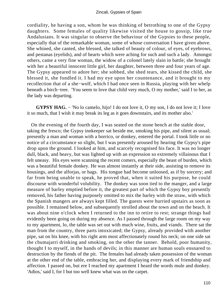cordiality, he having a son, whom he was thinking of betrothing to one of the Gypsy daughters. Some females of quality likewise visited the house to gossip, like true Andalusians. It was singular to observe the behaviour of the Gypsies to these people, especially that of the remarkable woman, some of whose conversation I have given above. She whined, she canted, she blessed, she talked of beauty of colour, of eyes, of eyebrows, and pestanas (eyelids), and of hearts which were aching for such and such a lady. Amongst others, came a very fine woman, the widow of a colonel lately slain in battle; she brought with her a beautiful innocent little girl, her daughter, between three and four years of age. The Gypsy appeared to adore her; she sobbed, she shed tears, she kissed the child, she blessed it, she fondled it. I had my eye upon her countenance, and it brought to my recollection that of a she−wolf, which I had once seen in Russia, playing with her whelp beneath a birch−tree. 'You seem to love that child very much, O my mother,' said I to her, as the lady was departing.

**GYPSY HAG.** − 'No lo camelo, hijo! I do not love it, O my son, I do not love it; I love it so much, that I wish it may break its leg as it goes downstairs, and its mother also.'

 On the evening of the fourth day, I was seated on the stone bench at the stable door, taking the fresco; the Gypsy innkeeper sat beside me, smoking his pipe, and silent as usual; presently a man and woman with a borrico, or donkey, entered the portal. I took little or no notice of a circumstance so slight, but I was presently aroused by hearing the Gypsy's pipe drop upon the ground. I looked at him, and scarcely recognised his face. It was no longer dull, black, and heavy, but was lighted up with an expression so extremely villainous that I felt uneasy. His eyes were scanning the recent comers, especially the beast of burden, which was a beautiful female donkey. He was almost instantly at their side, assisting to remove its housings, and the alforjas, or bags. His tongue had become unloosed, as if by sorcery; and far from being unable to speak, he proved that, when it suited his purpose, he could discourse with wonderful volubility. The donkey was soon tied to the manger, and a large measure of barley emptied before it, the greatest part of which the Gypsy boy presently removed, his father having purposely omitted to mix the barley with the straw, with which the Spanish mangers are always kept filled. The guests were hurried upstairs as soon as possible. I remained below, and subsequently strolled about the town and on the beach. It was about nine o'clock when I returned to the inn to retire to rest; strange things had evidently been going on during my absence. As I passed through the large room on my way to my apartment, lo, the table was set out with much wine, fruits, and viands. There sat the man from the country, three parts intoxicated; the Gypsy, already provided with another pipe, sat on his knee, with his right arm most affectionately round his neck; on one side sat the chumajarri drinking and smoking, on the other the tanner. Behold, poor humanity, thought I to myself, in the hands of devils; in this manner are human souls ensnared to destruction by the fiends of the pit. The females had already taken possession of the woman at the other end of the table, embracing her, and displaying every mark of friendship and affection. I passed on, but ere I reached my apartment I heard the words mule and donkey. 'Adios,' said I, for I but too well knew what was on the carpet.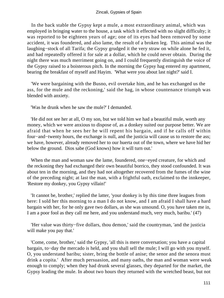#### Zincali, Gypsies of Spain

 In the back stable the Gypsy kept a mule, a most extraordinary animal, which was employed in bringing water to the house, a task which it effected with no slight difficulty; it was reported to be eighteen years of age; one of its eyes had been removed by some accident, it was foundered, and also lame, the result of a broken leg. This animal was the laughing−stock of all Tarifa; the Gypsy grudged it the very straw on while alone he fed it, and had repeatedly offered it for sale at a dollar, which he could never obtain. During the night there was much merriment going on, and I could frequently distinguish the voice of the Gypsy raised to a boisterous pitch. In the morning the Gypsy hag entered my apartment, bearing the breakfast of myself and Hayim. 'What were you about last night?' said I.

 'We were bargaining with the Busno, evil overtake him, and he has exchanged us the ass, for the mule and the reckoning,' said the hag, in whose countenance triumph was blended with anxiety.

'Was he drunk when he saw the mule?' I demanded.

 'He did not see her at all, O my son, but we told him we had a beautiful mule, worth any money, which we were anxious to dispose of, as a donkey suited our purpose better. We are afraid that when he sees her he will repent his bargain, and if he calls off within four−and−twenty hours, the exchange is null, and the justicia will cause us to restore the ass; we have, however, already removed her to our huerta out of the town, where we have hid her below the ground. Dios sabe (God knows) how it will turn out.'

 When the man and woman saw the lame, foundered, one−eyed creature, for which and the reckoning they had exchanged their own beautiful borrico, they stood confounded. It was about ten in the morning, and they had not altogether recovered from the fumes of the wine of the preceding night; at last the man, with a frightful oath, exclaimed to the innkeeper, 'Restore my donkey, you Gypsy villain!'

 'It cannot be, brother,' replied the latter, 'your donkey is by this time three leagues from here: I sold her this morning to a man I do not know, and I am afraid I shall have a hard bargain with her, for he only gave two dollars, as she was unsound. O, you have taken me in, I am a poor fool as they call me here, and you understand much, very much, baribu.' (47)

 'Her value was thirty−five dollars, thou demon,' said the countryman, 'and the justicia will make you pay that.'

 'Come, come, brother,' said the Gypsy, 'all this is mere conversation; you have a capital bargain, to−day the mercado is held, and you shall sell the mule; I will go with you myself. O, you understand baribu; sister, bring the bottle of anise; the senor and the senora must drink a copita.' After much persuasion, and many oaths, the man and woman were weak enough to comply; when they had drunk several glasses, they departed for the market, the Gypsy leading the mule. In about two hours they returned with the wretched beast, but not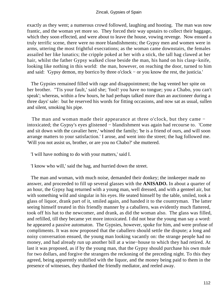exactly as they went; a numerous crowd followed, laughing and hooting. The man was now frantic, and the woman yet more so. They forced their way upstairs to collect their baggage, which they soon effected, and were about to leave the house, vowing revenge. Now ensued a truly terrific scene, there were no more blandishments; the Gypsy men and women were in arms, uttering the most frightful execrations; as the woman came downstairs, the females assailed her like lunatics; the cripple poked at her with a stick, the tall hag clawed at her hair, whilst the father Gypsy walked close beside the man, his hand on his clasp−knife, looking like nothing in this world: the man, however, on reaching the door, turned to him and said: 'Gypsy demon, my borrico by three o'clock − or you know the rest, the justicia.'

 The Gypsies remained filled with rage and disappointment; the hag vented her spite on her brother. ''Tis your fault,' said she; 'fool! you have no tongue; you a Chabo, you can't speak'; whereas, within a few hours, he had perhaps talked more than an auctioneer during a three days' sale: but he reserved his words for fitting occasions, and now sat as usual, sullen and silent, smoking his pipe.

The man and woman made their appearance at three o'clock, but they came − intoxicated; the Gypsy's eyes glistened − blandishment was again had recourse to. 'Come and sit down with the cavalier here,' whined the family; 'he is a friend of ours, and will soon arrange matters to your satisfaction.' I arose, and went into the street; the hag followed me. 'Will you not assist us, brother, or are you no Chabo?' she muttered.

'I will have nothing to do with your matters,' said I.

'I know who will,' said the hag, and hurried down the street.

 The man and woman, with much noise, demanded their donkey; the innkeeper made no answer, and proceeded to fill up several glasses with the **ANISADO.** In about a quarter of an hour, the Gypsy hag returned with a young man, well dressed, and with a genteel air, but with something wild and singular in his eyes. He seated himself by the table, smiled, took a glass of liquor, drank part of it, smiled again, and handed it to the countryman. The latter seeing himself treated in this friendly manner by a caballero, was evidently much flattered, took off his hat to the newcomer, and drank, as did the woman also. The glass was filled, and refilled, till they became yet more intoxicated. I did not hear the young man say a word: he appeared a passive automaton. The Gypsies, however, spoke for him, and were profuse of compliments. It was now proposed that the caballero should settle the dispute; a long and noisy conversation ensued, the young man looking vacantly on: the strange people had no money, and had already run up another bill at a wine−house to which they had retired. At last it was proposed, as if by the young man, that the Gypsy should purchase his own mule for two dollars, and forgive the strangers the reckoning of the preceding night. To this they agreed, being apparently stultified with the liquor, and the money being paid to them in the presence of witnesses, they thanked the friendly mediator, and reeled away.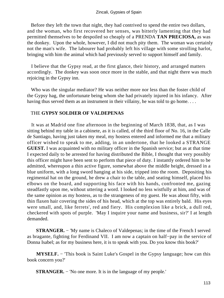Before they left the town that night, they had contrived to spend the entire two dollars, and the woman, who first recovered her senses, was bitterly lamenting that they had permitted themselves to be despoiled so cheaply of a PRENDA **TAN PRECIOSA,** as was the donkey. Upon the whole, however, I did not much pity them. The woman was certainly not the man's wife. The labourer had probably left his village with some strolling harlot, bringing with him the animal which had previously served to support himself and family.

 I believe that the Gypsy read, at the first glance, their history, and arranged matters accordingly. The donkey was soon once more in the stable, and that night there was much rejoicing in the Gypsy inn.

 Who was the singular mediator? He was neither more nor less than the foster child of the Gypsy hag, the unfortunate being whom she had privately injured in his infancy. After having thus served them as an instrument in their villainy, he was told to go home....

## THE **GYPSY SOLDIER OF VALDEPENAS**

 It was at Madrid one fine afternoon in the beginning of March 1838, that, as I was sitting behind my table in a cabinete, as it is called, of the third floor of No. 16, in the Calle de Santiago, having just taken my meal, my hostess entered and informed me that a military officer wished to speak to me, adding, in an undertone, that he looked a STRANGE **GUEST.** I was acquainted with no military officer in the Spanish service; but as at that time I expected daily to be arrested for having distributed the Bible, I thought that very possibly this officer might have been sent to perform that piece of duty. I instantly ordered him to be admitted, whereupon a thin active figure, somewhat above the middle height, dressed in a blue uniform, with a long sword hanging at his side, tripped into the room. Depositing his regimental hat on the ground, he drew a chair to the table, and seating himself, placed his elbows on the board, and supporting his face with his hands, confronted me, gazing steadfastly upon me, without uttering a word. I looked no less wistfully at him, and was of the same opinion as my hostess, as to the strangeness of my guest. He was about fifty, with thin flaxen hair covering the sides of his head, which at the top was entirely bald. His eyes were small, and, like ferrets', red and fiery. His complexion like a brick, a dull red, checkered with spots of purple. 'May I inquire your name and business, sir?' I at length demanded.

**STRANGER.** − 'My name is Chaleco of Valdepenas; in the time of the French I served as bragante, fighting for Ferdinand VII. I am now a captain on half−pay in the service of Donna Isabel; as for my business here, it is to speak with you. Do you know this book?'

**MYSELF.** – 'This book is Saint Luke's Gospel in the Gypsy language; how can this book concern you?'

**STRANGER.** − 'No one more. It is in the language of my people.'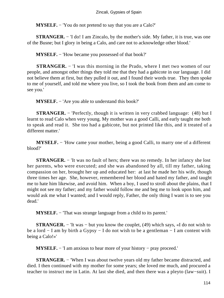**MYSELF.** – 'You do not pretend to say that you are a Calo?'

**STRANGER.** − 'I do! I am Zincalo, by the mother's side. My father, it is true, was one of the Busne; but I glory in being a Calo, and care not to acknowledge other blood.'

**MYSELF.** − 'How became you possessed of that book?'

**STRANGER.** − 'I was this morning in the Prado, where I met two women of our people, and amongst other things they told me that they had a gabicote in our language. I did not believe them at first, but they pulled it out, and I found their words true. They then spoke to me of yourself, and told me where you live, so I took the book from them and am come to see you.'

**MYSELF.** – 'Are you able to understand this book?'

**STRANGER.** − 'Perfectly, though it is written in very crabbed language: (48) but I learnt to read Calo when very young. My mother was a good Calli, and early taught me both to speak and read it. She too had a gabicote, but not printed like this, and it treated of a different matter.'

**MYSELF.** − 'How came your mother, being a good Calli, to marry one of a different blood?'

**STRANGER.** − 'It was no fault of hers; there was no remedy. In her infancy she lost her parents, who were executed; and she was abandoned by all, till my father, taking compassion on her, brought her up and educated her: at last he made her his wife, though three times her age. She, however, remembered her blood and hated my father, and taught me to hate him likewise, and avoid him. When a boy, I used to stroll about the plains, that I might not see my father; and my father would follow me and beg me to look upon him, and would ask me what I wanted; and I would reply, Father, the only thing I want is to see you dead.'

**MYSELF.** – 'That was strange language from a child to its parent.'

**STRANGER.** − 'It was − but you know the couplet, (49) which says, «I do not wish to be a lord − I am by birth a Gypsy − I do not wish to be a gentleman − I am content with being a Calo!»'

**MYSELF.** − 'I am anxious to hear more of your history − pray proceed.'

**STRANGER.** – 'When I was about twelve years old my father became distracted, and died. I then continued with my mother for some years; she loved me much, and procured a teacher to instruct me in Latin. At last she died, and then there was a pleyto (law−suit). I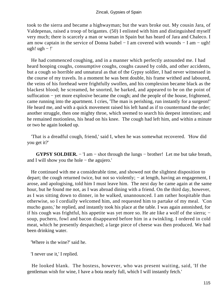took to the sierra and became a highwayman; but the wars broke out. My cousin Jara, of Valdepenas, raised a troop of brigantes. (50) I enlisted with him and distinguished myself very much; there is scarcely a man or woman in Spain but has heard of Jara and Chaleco. I am now captain in the service of Donna Isabel − I am covered with wounds − I am − ugh! ugh!  $ugh - !'$ 

 He had commenced coughing, and in a manner which perfectly astounded me. I had heard hooping coughs, consumptive coughs, coughs caused by colds, and other accidents, but a cough so horrible and unnatural as that of the Gypsy soldier, I had never witnessed in the course of my travels. In a moment he was bent double, his frame writhed and laboured, the veins of his forehead were frightfully swollen, and his complexion became black as the blackest blood; he screamed, he snorted, he barked, and appeared to be on the point of suffocation − yet more explosive became the cough; and the people of the house, frightened, came running into the apartment. I cries, 'The man is perishing, run instantly for a surgeon!' He heard me, and with a quick movement raised his left hand as if to countermand the order; another struggle, then one mighty throe, which seemed to search his deepest intestines; and he remained motionless, his head on his knee. The cough had left him, and within a minute or two he again looked up.

 'That is a dreadful cough, friend,' said I, when he was somewhat recovered. 'How did you get it?'

**GYPSY SOLDIER.** − 'I am − shot through the lungs − brother! Let me but take breath, and I will show you the hole − the agujero.'

 He continued with me a considerable time, and showed not the slightest disposition to depart; the cough returned twice, but not so violently; – at length, having an engagement, I arose, and apologising, told him I must leave him. The next day he came again at the same hour, but he found me not, as I was abroad dining with a friend. On the third day, however, as I was sitting down to dinner, in he walked, unannounced. I am rather hospitable than otherwise, so I cordially welcomed him, and requested him to partake of my meal. 'Con mucho gusto,' he replied, and instantly took his place at the table. I was again astonished, for if his cough was frightful, his appetite was yet more so. He ate like a wolf of the sierra; − soup, puchero, fowl and bacon disappeared before him in a twinkling. I ordered in cold meat, which he presently despatched; a large piece of cheese was then produced. We had been drinking water.

'Where is the wine?' said he.

'I never use it,' I replied.

 He looked blank. The hostess, however, who was present waiting, said, 'If the gentleman wish for wine, I have a bota nearly full, which I will instantly fetch.'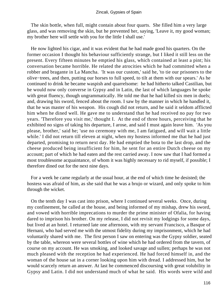The skin bottle, when full, might contain about four quarts. She filled him a very large glass, and was removing the skin, but he prevented her, saying, 'Leave it, my good woman; my brother here will settle with you for the little I shall use.'

 He now lighted his cigar, and it was evident that he had made good his quarters. On the former occasion I thought his behaviour sufficiently strange, but I liked it still less on the present. Every fifteen minutes he emptied his glass, which contained at least a pint; his conversation became horrible. He related the atrocities which he had committed when a robber and bragante in La Mancha. 'It was our custom,' said he, 'to tie our prisoners to the olive−trees, and then, putting our horses to full speed, to tilt at them with our spears.' As he continued to drink he became waspish and quarrelsome: he had hitherto talked Castilian, but he would now only converse in Gypsy and in Latin, the last of which languages he spoke with great fluency, though ungrammatically. He told me that he had killed six men in duels; and, drawing his sword, fenced about the room. I saw by the manner in which he handled it, that he was master of his weapon. His cough did not return, and he said it seldom afflicted him when he dined well. He gave me to understand that he had received no pay for two years. 'Therefore you visit me,' thought I. At the end of three hours, perceiving that he exhibited no signs of taking his departure, I arose, and said I must again leave him. 'As you please, brother,' said he; 'use no ceremony with me, I am fatigued, and will wait a little while.' I did not return till eleven at night, when my hostess informed me that he had just departed, promising to return next day. He had emptied the bota to the last drop, and the cheese produced being insufficient for him, he sent for an entire Dutch cheese on my account; part of which he had eaten and the rest carried away. I now saw that I had formed a most troublesome acquaintance, of whom it was highly necessary to rid myself, if possible; I therefore dined out for the next nine days.

 For a week he came regularly at the usual hour, at the end of which time he desisted; the hostess was afraid of him, as she said that he was a brujo or wizard, and only spoke to him through the wicket.

 On the tenth day I was cast into prison, where I continued several weeks. Once, during my confinement, he called at the house, and being informed of my mishap, drew his sword, and vowed with horrible imprecations to murder the prime minister of Ofalia, for having dared to imprison his brother. On my release, I did not revisit my lodgings for some days, but lived at an hotel. I returned late one afternoon, with my servant Francisco, a Basque of Hernani, who had served me with the utmost fidelity during my imprisonment, which he had voluntarily shared with me. The first person I saw on entering was the Gypsy soldier, seated by the table, whereon were several bottles of wine which he had ordered from the tavern, of course on my account. He was smoking, and looked savage and sullen; perhaps he was not much pleased with the reception he had experienced. He had forced himself in, and the woman of the house sat in a corner looking upon him with dread. I addressed him, but he would scarcely return an answer. At last he commenced discoursing with great volubility in Gypsy and Latin. I did not understand much of what he said. His words were wild and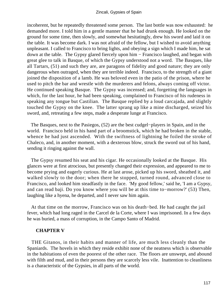incoherent, but he repeatedly threatened some person. The last bottle was now exhausted: he demanded more. I told him in a gentle manner that he had drunk enough. He looked on the ground for some time, then slowly, and somewhat hesitatingly, drew his sword and laid it on the table. It was become dark. I was not afraid of the fellow, but I wished to avoid anything unpleasant. I called to Francisco to bring lights, and obeying a sign which I made him, he sat down at the table. The Gypsy glared fiercely upon him − Francisco laughed, and began with great glee to talk in Basque, of which the Gypsy understood not a word. The Basques, like all Tartars, (51) and such they are, are paragons of fidelity and good nature; they are only dangerous when outraged, when they are terrible indeed. Francisco, to the strength of a giant joined the disposition of a lamb. He was beloved even in the patio of the prison, where he used to pitch the bar and wrestle with the murderers and felons, always coming off victor. He continued speaking Basque. The Gypsy was incensed; and, forgetting the languages in which, for the last hour, he had been speaking, complained to Francisco of his rudeness in speaking any tongue but Castilian. The Basque replied by a loud carcajada, and slightly touched the Gypsy on the knee. The latter sprang up like a mine discharged, seized his sword, and, retreating a few steps, made a desperate lunge at Francisco.

 The Basques, next to the Pasiegos, (52) are the best cudgel−players in Spain, and in the world. Francisco held in his hand part of a broomstick, which he had broken in the stable, whence he had just ascended. With the swiftness of lightning he foiled the stroke of Chaleco, and, in another moment, with a dexterous blow, struck the sword out of his hand, sending it ringing against the wall.

 The Gypsy resumed his seat and his cigar. He occasionally looked at the Basque. His glances were at first atrocious, but presently changed their expression, and appeared to me to become prying and eagerly curious. He at last arose, picked up his sword, sheathed it, and walked slowly to the door; when there he stopped, turned round, advanced close to Francisco, and looked him steadfastly in the face. 'My good fellow,' said he, 'I am a Gypsy, and can read baji. Do you know where you will be at this time to−morrow?' (53) Then, laughing like a hyena, he departed, and I never saw him again.

 At that time on the morrow, Francisco was on his death−bed. He had caught the jail fever, which had long raged in the Carcel de la Corte, where I was imprisoned. In a few days he was buried, a mass of corruption, in the Campo Santo of Madrid.

# **CHAPTER V**

 THE Gitanos, in their habits and manner of life, are much less cleanly than the Spaniards. The hovels in which they reside exhibit none of the neatness which is observable in the habitations of even the poorest of the other race. The floors are unswept, and abound with filth and mud, and in their persons they are scarcely less vile. Inattention to cleanliness is a characteristic of the Gypsies, in all parts of the world.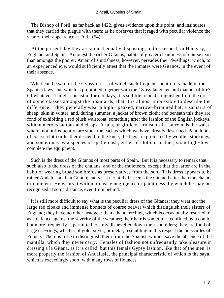The Bishop of Forli, as far back as 1422, gives evidence upon this point, and insinuates that they carried the plague with them; as he observes that it raged with peculiar violence the year of their appearance at Forli. (54)

 At the present day they are almost equally disgusting, in this respect, in Hungary, England, and Spain. Amongst the richer Gitanos, habits of greater cleanliness of course exist than amongst the poorer. An air of sluttishness, however, pervades their dwellings, which, to an experienced eye, would sufficiently attest that the inmates were Gitanos, in the event of their absence.

 What can be said of the Gypsy dress, of which such frequent mention is made in the Spanish laws, and which is prohibited together with the Gypsy language and manner of life? Of whatever it might consist in former days, it is so little to be distinguished from the dress of some classes amongst the Spaniards, that it is almost impossible to describe the difference. They generally wear a high− peaked, narrow−brimmed hat, a zamarra of sheep−skin in winter, and, during summer, a jacket of brown cloth; and beneath this they are fond of exhibiting a red plush waistcoat, something after the fashion of the English jockeys, with numerous buttons and clasps. A faja, or girdle of crimson silk, surrounds the waist, where, not unfrequently, are stuck the cachas which we have already described. Pantaloons of coarse cloth or leather descend to the knee; the legs are protected by woollen stockings, and sometimes by a species of spatterdash, either of cloth or leather; stout high−lows complete the equipment.

 Such is the dress of the Gitanos of most parts of Spain. But it is necessary to remark that such also is the dress of the chalans, and of the muleteers, except that the latter are in the habit of wearing broad sombreros as preservatives from the sun. This dress appears to be rather Andalusian than Gitano; and yet it certainly beseems the Gitano better than the chalan or muleteer. He wears it with more easy negligence or jauntiness, by which he may be recognised at some distance, even from behind.

 It is still more difficult to say what is the peculiar dress of the Gitanas; they wear not the large red cloaks and immense bonnets of coarse beaver which distinguish their sisters of England; they have no other headgear than a handkerchief, which is occasionally resorted to as a defence against the severity of the weather; their hair is sometimes confined by a comb, but more frequently is permitted to stray dishevelled down their shoulders; they are fond of large ear−rings, whether of gold, silver, or metal, resembling in this respect the poissardes of France. There is little to distinguish them from the Spanish women save the absence of the mantilla, which they never carry. Females of fashion not unfrequently take pleasure in dressing a la Gitana, as it is called; but this female Gypsy fashion, like that of the men, is more properly the fashion of Andalusia, the principal characteristic of which is the saya, which is exceedingly short, with many rows of flounces.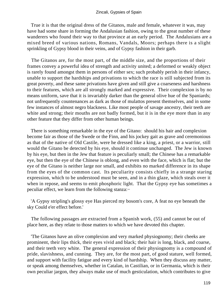True it is that the original dress of the Gitanos, male and female, whatever it was, may have had some share in forming the Andalusian fashion, owing to the great number of these wanderers who found their way to that province at an early period. The Andalusians are a mixed breed of various nations, Romans, Vandals, Moors; perhaps there is a slight sprinkling of Gypsy blood in their veins, and of Gypsy fashion in their garb.

 The Gitanos are, for the most part, of the middle size, and the proportions of their frames convey a powerful idea of strength and activity united; a deformed or weakly object is rarely found amongst them in persons of either sex; such probably perish in their infancy, unable to support the hardships and privations to which the race is still subjected from its great poverty, and these same privations have given and still give a coarseness and harshness to their features, which are all strongly marked and expressive. Their complexion is by no means uniform, save that it is invariably darker than the general olive hue of the Spaniards; not unfrequently countenances as dark as those of mulattos present themselves, and in some few instances of almost negro blackness. Like most people of savage ancestry, their teeth are white and strong; their mouths are not badly formed, but it is in the eye more than in any other feature that they differ from other human beings.

 There is something remarkable in the eye of the Gitano: should his hair and complexion become fair as those of the Swede or the Finn, and his jockey gait as grave and ceremonious as that of the native of Old Castile, were he dressed like a king, a priest, or a warrior, still would the Gitano be detected by his eye, should it continue unchanged. The Jew is known by his eye, but then in the Jew that feature is peculiarly small; the Chinese has a remarkable eye, but then the eye of the Chinese is oblong, and even with the face, which is flat; but the eye of the Gitano is neither large nor small, and exhibits no marked difference in its shape from the eyes of the common cast. Its peculiarity consists chiefly in a strange staring expression, which to be understood must be seen, and in a thin glaze, which steals over it when in repose, and seems to emit phosphoric light. That the Gypsy eye has sometimes a peculiar effect, we learn from the following stanza:−

 'A Gypsy stripling's glossy eye Has pierced my bosom's core, A feat no eye beneath the sky Could e'er effect before.'

 The following passages are extracted from a Spanish work, (55) and cannot be out of place here, as they relate to those matters to which we have devoted this chapter.

 'The Gitanos have an olive complexion and very marked physiognomy; their cheeks are prominent, their lips thick, their eyes vivid and black; their hair is long, black, and coarse, and their teeth very white. The general expression of their physiognomy is a compound of pride, slavishness, and cunning. They are, for the most part, of good stature, well formed, and support with facility fatigue and every kind of hardship. When they discuss any matter, or speak among themselves, whether in Catalan, in Castilian, or in Germania, which is their own peculiar jargon, they always make use of much gesticulation, which contributes to give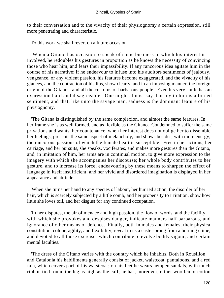to their conversation and to the vivacity of their physiognomy a certain expression, still more penetrating and characteristic.

To this work we shall revert on a future occasion.

 'When a Gitano has occasion to speak of some business in which his interest is involved, he redoubles his gestures in proportion as he knows the necessity of convincing those who hear him, and fears their impassibility. If any rancorous idea agitate him in the course of his narrative; if he endeavour to infuse into his auditors sentiments of jealousy, vengeance, or any violent passion, his features become exaggerated, and the vivacity of his glances, and the contraction of his lips, show clearly, and in an imposing manner, the foreign origin of the Gitanos, and all the customs of barbarous people. Even his very smile has an expression hard and disagreeable. One might almost say that joy in him is a forced sentiment, and that, like unto the savage man, sadness is the dominant feature of his physiognomy.

 'The Gitana is distinguished by the same complexion, and almost the same features. In her frame she is as well formed, and as flexible as the Gitano. Condemned to suffer the same privations and wants, her countenance, when her interest does not oblige her to dissemble her feelings, presents the same aspect of melancholy, and shows besides, with more energy, the rancorous passions of which the female heart is susceptible. Free in her actions, her carriage, and her pursuits, she speaks, vociferates, and makes more gestures than the Gitano, and, in imitation of him, her arms are in continual motion, to give more expression to the imagery with which she accompanies her discourse; her whole body contributes to her gesture, and to increase its force; endeavouring by these means to sharpen the effect of language in itself insufficient; and her vivid and disordered imagination is displayed in her appearance and attitude.

 'When she turns her hand to any species of labour, her hurried action, the disorder of her hair, which is scarcely subjected by a little comb, and her propensity to irritation, show how little she loves toil, and her disgust for any continued occupation.

 'In her disputes, the air of menace and high passion, the flow of words, and the facility with which she provokes and despises danger, indicate manners half barbarous, and ignorance of other means of defence. Finally, both in males and females, their physical constitution, colour, agility, and flexibility, reveal to us a caste sprung from a burning clime, and devoted to all those exercises which contribute to evolve bodily vigour, and certain mental faculties.

 'The dress of the Gitano varies with the country which he inhabits. Both in Rousillon and Catalonia his habiliments generally consist of jacket, waistcoat, pantaloons, and a red faja, which covers part of his waistcoat; on his feet he wears hempen sandals, with much ribbon tied round the leg as high as the calf; he has, moreover, either woollen or cotton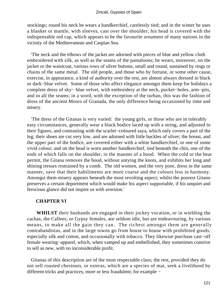stockings; round his neck he wears a handkerchief, carelessly tied; and in the winter he uses a blanket or mantle, with sleeves, cast over the shoulder; his head is covered with the indispensable red cap, which appears to be the favourite ornament of many nations in the vicinity of the Mediterranean and Caspian Sea.

 'The neck and the elbows of the jacket are adorned with pieces of blue and yellow cloth embroidered with silk, as well as the seams of the pantaloons; he wears, moreover, on the jacket or the waistcoat, various rows of silver buttons, small and round, sustained by rings or chains of the same metal. The old people, and those who by fortune, or some other cause, exercise, in appearance, a kind of authority over the rest, are almost always dressed in black or dark−blue velvet. Some of those who affect elegance amongst them keep for holidays a complete dress of sky− blue velvet, with embroidery at the neck, pocket−holes, arm−pits, and in all the seams; in a word, with the exception of the turban, this was the fashion of dress of the ancient Moors of Granada, the only difference being occasioned by time and misery.

 'The dress of the Gitanas is very varied: the young girls, or those who are in tolerably easy circumstances, generally wear a black bodice laced up with a string, and adjusted to their figures, and contrasting with the scarlet−coloured saya, which only covers a part of the leg; their shoes are cut very low, and are adorned with little buckles of silver; the breast, and the upper part of the bodice, are covered either with a white handkerchief, or one of some vivid colour; and on the head is worn another handkerchief, tied beneath the chin, one of the ends of which falls on the shoulder, in the manner of a hood. When the cold or the heat permit, the Gitana removes the hood, without untying the knots, and exhibits her long and shining tresses restrained by a comb. The old women, and the very poor, dress in the same manner, save that their habiliments are more coarse and the colours less in harmony. Amongst them misery appears beneath the most revolting aspect; whilst the poorest Gitano preserves a certain deportment which would make his aspect supportable, if his unquiet and ferocious glance did not inspire us with aversion.'

# **CHAPTER VI**

**WHILST** their husbands are engaged in their jockey vocation, or in wielding the cachas, the Callees, or Gypsy females, are seldom idle, but are endeavouring, by various means, to make all the gain they can. The richest amongst them are generally contrabandistas, and in the large towns go from house to house with prohibited goods, especially silk and cotton, and occasionally with tobacco. They likewise purchase cast−off female wearing−apparel, which, when vamped up and embellished, they sometimes contrive to sell as new, with no inconsiderable profit.

 Gitanas of this description are of the most respectable class; the rest, provided they do not sell roasted chestnuts, or esteras, which are a species of mat, seek a livelihood by different tricks and practices, more or less fraudulent; for example −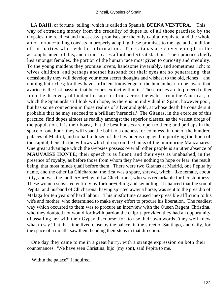LA **BAHI,** or fortune−telling, which is called in Spanish, **BUENA VENTURA.** − This way of extracting money from the credulity of dupes is, of all those practised by the Gypsies, the readiest and most easy; promises are the only capital requisite, and the whole art of fortune−telling consists in properly adapting these promises to the age and condition of the parties who seek for information. The Gitanas are clever enough in the accomplishment of this, and in most cases afford perfect satisfaction. Their practice chiefly lies amongst females, the portion of the human race most given to curiosity and credulity. To the young maidens they promise lovers, handsome invariably, and sometimes rich; to wives children, and perhaps another husband; for their eyes are so penetrating, that occasionally they will develop your most secret thoughts and wishes; to the old, riches − and nothing but riches; for they have sufficient knowledge of the human heart to be aware that avarice is the last passion that becomes extinct within it. These riches are to proceed either from the discovery of hidden treasures or from across the water; from the Americas, to which the Spaniards still look with hope, as there is no individual in Spain, however poor, but has some connection in those realms of silver and gold, at whose death he considers it probable that he may succeed to a brilliant 'herencia.' The Gitanas, in the exercise of this practice, find dupes almost as readily amongst the superior classes, as the veriest dregs of the population. It is their boast, that the best houses are open to them; and perhaps in the space of one hour, they will spae the bahi to a duchess, or countess, in one of the hundred palaces of Madrid, and to half a dozen of the lavanderas engaged in purifying the linen of the capital, beneath the willows which droop on the banks of the murmuring Manzanares. One great advantage which the Gypsies possess over all other people is an utter absence of **MAUVAISE HONTE;** their speech is as fluent, and their eyes as unabashed, in the presence of royalty, as before those from whom they have nothing to hope or fear; the result being, that most minds quail before them. There were two Gitanas at Madrid, one Pepita by name, and the other La Chicharona; the first was a spare, shrewd, witch– like female, about fifty, and was the mother−in−law of La Chicharona, who was remarkable for her stoutness. These women subsisted entirely by fortune−telling and swindling. It chanced that the son of Pepita, and husband of Chicharona, having spirited away a horse, was sent to the presidio of Malaga for ten years of hard labour. This misfortune caused inexpressible affliction to his wife and mother, who determined to make every effort to procure his liberation. The readiest way which occurred to them was to procure an interview with the Queen Regent Christina, who they doubted not would forthwith pardon the culprit, provided they had an opportunity of assailing her with their Gypsy discourse; for, to use their own words, 'they well knew what to say.' I at that time lived close by the palace, in the street of Santiago, and daily, for the space of a month, saw them bending their steps in that direction.

 One day they came to me in a great hurry, with a strange expression on both their countenances. 'We have seen Christina, hijo' (my son), said Pepita to me.

'Within the palace?' I inquired.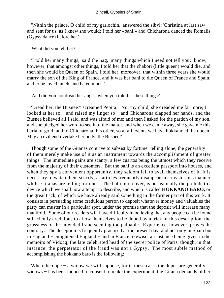'Within the palace, O child of my garlochin,' answered the sibyl: 'Christina at last saw and sent for us, as I knew she would; I told her «bahi,» and Chicharona danced the Romalis (Gypsy dance) before her.'

'What did you tell her?'

 'I told her many things,' said the hag, 'many things which I need not tell you: know, however, that amongst other things, I told her that the chabori (little queen) would die, and then she would be Queen of Spain. I told her, moreover, that within three years she would marry the son of the King of France, and it was her bahi to die Queen of France and Spain, and to be loved much, and hated much.'

'And did you not dread her anger, when you told her these things?'

 'Dread her, the Busnee?' screamed Pepita: 'No, my child, she dreaded me far more; I looked at her so − and raised my finger so − and Chicharona clapped her hands, and the Busnee believed all I said, and was afraid of me; and then I asked for the pardon of my son, and she pledged her word to see into the matter, and when we came away, she gave me this baria of gold, and to Chicharona this other, so at all events we have hokkanoed the queen. May an evil end overtake her body, the Busnee!'

 Though some of the Gitanas contrive to subsist by fortune−telling alone, the generality of them merely make use of it as an instrument towards the accomplishment of greater things. The immediate gains are scanty; a few cuartos being the utmost which they receive from the majority of their customers. But the bahi is an excellent passport into houses, and when they spy a convenient opportunity, they seldom fail to avail themselves of it. It is necessary to watch them strictly, as articles frequently disappear in a mysterious manner whilst Gitanas are telling fortunes. The bahi, moreover, is occasionally the prelude to a device which we shall now attempt to describe, and which is called **HOKKANO BARO,** or the great trick, of which we have already said something in the former part of this work. It consists in persuading some credulous person to deposit whatever money and valuables the party can muster in a particular spot, under the promise that the deposit will increase many manifold. Some of our readers will have difficulty in believing that any people can be found sufficiently credulous to allow themselves to be duped by a trick of this description, the grossness of the intended fraud seeming too palpable. Experience, however, proves the contrary. The deception is frequently practised at the present day, and not only in Spain but in England − enlightened England − and in France likewise; an instance being given in the memoirs of Vidocq, the late celebrated head of the secret police of Paris, though, in that instance, the perpetrator of the fraud was not a Gypsy. The most subtle method of accomplishing the hokkano baro is the following:−

When the dupe  $-$  a widow we will suppose, for in these cases the dupes are generally widows – has been induced to consent to make the experiment, the Gitana demands of her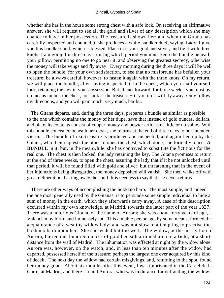whether she has in the house some strong chest with a safe lock. On receiving an affirmative answer, she will request to see all the gold and silver of any description which she may chance to have in her possession. The treasure is shown her; and when the Gitana has carefully inspected and counted it, she produces a white handkerchief, saying, Lady, I give you this handkerchief, which is blessed. Place in it your gold and silver, and tie it with three knots. I am going for three days, during which period you must keep the bundle beneath your pillow, permitting no one to go near it, and observing the greatest secrecy, otherwise the money will take wings and fly away. Every morning during the three days it will be well to open the bundle, for your own satisfaction, to see that no misfortune has befallen your treasure; be always careful, however, to fasten it again with the three knots. On my return, we will place the bundle, after having inspected it, in the chest, which you shall yourself lock, retaining the key in your possession. But, thenceforward, for three weeks, you must by no means unlock the chest, nor look at the treasure − if you do it will fly away. Only follow my directions, and you will gain much, very much, baribu.

 The Gitana departs, and, during the three days, prepares a bundle as similar as possible to the one which contains the money of her dupe, save that instead of gold ounces, dollars, and plate, its contents consist of copper money and pewter articles of little or no value. With this bundle concealed beneath her cloak, she returns at the end of three days to her intended victim. The bundle of real treasure is produced and inspected, and again tied up by the Gitana, who then requests the other to open the chest, which done, she formally places **A BUNDLE** in it; but, in the meanwhile, she has contrived to substitute the fictitious for the real one. The chest is then locked, the lady retaining the key. The Gitana promises to return at the end of three weeks, to open the chest, assuring the lady that if it be not unlocked until that period, it will be found filled with gold and silver; but threatening that in the event of her injunctions being disregarded, the money deposited will vanish. She then walks off with great deliberation, bearing away the spoil. It is needless to say that she never returns.

 There are other ways of accomplishing the hokkano baro. The most simple, and indeed the one most generally used by the Gitanas, is to persuade some simple individual to hide a sum of money in the earth, which they afterwards carry away. A case of this description occurred within my own knowledge, at Madrid, towards the latter part of the year 1837. There was a notorious Gitana, of the name of Aurora; she was about forty years of age, a Valencian by birth, and immensely fat. This amiable personage, by some means, formed the acquaintance of a wealthy widow lady; and was not slow in attempting to practise the hokkano baro upon her. She succeeded but too well. The widow, at the instigation of Aurora, buried one hundred ounces of gold beneath a ruined arch in a field, at a short distance from the wall of Madrid. The inhumation was effected at night by the widow alone. Aurora was, however, on the watch, and, in less than ten minutes after the widow had departed, possessed herself of the treasure; perhaps the largest one ever acquired by this kind of deceit. The next day the widow had certain misgivings, and, returning to the spot, found her money gone. About six months after this event, I was imprisoned in the Carcel de la Corte, at Madrid, and there I found Aurora, who was in durance for defrauding the widow.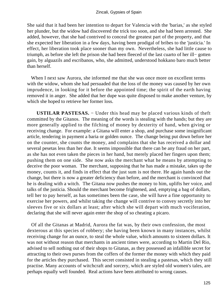She said that it had been her intention to depart for Valencia with the 'barias,' as she styled her plunder, but the widow had discovered the trick too soon, and she had been arrested. She added, however, that she had contrived to conceal the greatest part of the property, and that she expected her liberation in a few days, having been prodigal of bribes to the 'justicia.' In effect, her liberation took place sooner than my own. Nevertheless, she had little cause to triumph, as before she left the prison she had been fleeced of the last cuarto of her ill− gotten gain, by alguazils and escribanos, who, she admitted, understood hokkano baro much better than herself.

 When I next saw Aurora, she informed me that she was once more on excellent terms with the widow, whom she had persuaded that the loss of the money was caused by her own imprudence, in looking for it before the appointed time; the spirit of the earth having removed it in anger. She added that her dupe was quite disposed to make another venture, by which she hoped to retrieve her former loss.

**USTILAR PASTESAS.** − Under this head may be placed various kinds of theft committed by the Gitanos. The meaning of the words is stealing with the hands; but they are more generally applied to the filching of money by dexterity of hand, when giving or receiving change. For example: a Gitana will enter a shop, and purchase some insignificant article, tendering in payment a baria or golden ounce. The change being put down before her on the counter, she counts the money, and complains that she has received a dollar and several pesetas less than her due. It seems impossible that there can be any fraud on her part, as she has not even taken the pieces in her hand, but merely placed her fingers upon them; pushing them on one side. She now asks the merchant what he means by attempting to deceive the poor woman. The merchant, supposing that he has made a mistake, takes up the money, counts it, and finds in effect that the just sum is not there. He again hands out the change, but there is now a greater deficiency than before, and the merchant is convinced that he is dealing with a witch. The Gitana now pushes the money to him, uplifts her voice, and talks of the justicia. Should the merchant become frightened, and, emptying a bag of dollars, tell her to pay herself, as has sometimes been the case, she will have a fine opportunity to exercise her powers, and whilst taking the change will contrive to convey secretly into her sleeves five or six dollars at least; after which she will depart with much vociferation, declaring that she will never again enter the shop of so cheating a picaro.

 Of all the Gitanas at Madrid, Aurora the fat was, by their own confession, the most dexterous at this species of robbery; she having been known in many instances, whilst receiving change for an ounce, to steal the whole value, which amounts to sixteen dollars. It was not without reason that merchants in ancient times were, according to Martin Del Rio, advised to sell nothing out of their shops to Gitanas, as they possessed an infallible secret for attracting to their own purses from the coffers of the former the money with which they paid for the articles they purchased. This secret consisted in stealing a pastesas, which they still practise. Many accounts of witchcraft and sorcery, which are styled old women's tales, are perhaps equally well founded. Real actions have been attributed to wrong causes.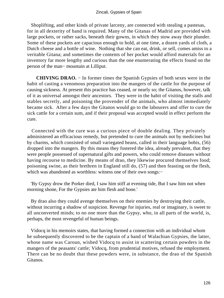Shoplifting, and other kinds of private larceny, are connected with stealing a pastesas, for in all dexterity of hand is required. Many of the Gitanas of Madrid are provided with large pockets, or rather sacks, beneath their gowns, in which they stow away their plunder. Some of these pockets are capacious enough to hold, at one time, a dozen yards of cloth, a Dutch cheese and a bottle of wine. Nothing that she can eat, drink, or sell, comes amiss to a veritable Gitana; and sometimes the contents of her pocket would afford materials for an inventory far more lengthy and curious than the one enumerating the effects found on the person of the man− mountain at Lilliput.

**CHIVING DRAO.** − In former times the Spanish Gypsies of both sexes were in the habit of casting a venomous preparation into the mangers of the cattle for the purpose of causing sickness. At present this practice has ceased, or nearly so; the Gitanos, however, talk of it as universal amongst their ancestors. They were in the habit of visiting the stalls and stables secretly, and poisoning the provender of the animals, who almost immediately became sick. After a few days the Gitanos would go to the labourers and offer to cure the sick cattle for a certain sum, and if their proposal was accepted would in effect perform the cure.

 Connected with the cure was a curious piece of double dealing. They privately administered an efficacious remedy, but pretended to cure the animals not by medicines but by charms, which consisted of small variegated beans, called in their language bobis, (56) dropped into the mangers. By this means they fostered the idea, already prevalent, that they were people possessed of supernatural gifts and powers, who could remove diseases without having recourse to medicine. By means of drao, they likewise procured themselves food; poisoning swine, as their brethren in England still do, (57) and then feasting on the flesh, which was abandoned as worthless: witness one of their own songs:−

 'By Gypsy drow the Porker died, I saw him stiff at evening tide, But I saw him not when morning shone, For the Gypsies ate him flesh and bone.'

 By drao also they could avenge themselves on their enemies by destroying their cattle, without incurring a shadow of suspicion. Revenge for injuries, real or imaginary, is sweet to all unconverted minds; to no one more than the Gypsy, who, in all parts of the world, is, perhaps, the most revengeful of human beings.

 Vidocq in his memoirs states, that having formed a connection with an individual whom he subsequently discovered to be the captain of a band of Walachian Gypsies, the latter, whose name was Caroun, wished Vidocq to assist in scattering certain powders in the mangers of the peasants' cattle; Vidocq, from prudential motives, refused the employment. There can be no doubt that these powders were, in substance, the drao of the Spanish Gitanos.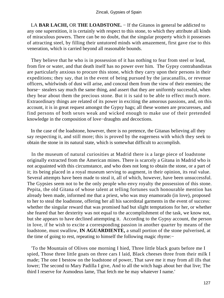LA **BAR LACHI,** OR **THE LOADSTONE.** − If the Gitanos in general be addicted to any one superstition, it is certainly with respect to this stone, to which they attribute all kinds of miraculous powers. There can be no doubt, that the singular property which it possesses of attracting steel, by filling their untutored minds with amazement, first gave rise to this veneration, which is carried beyond all reasonable bounds.

 They believe that he who is in possession of it has nothing to fear from steel or lead, from fire or water, and that death itself has no power over him. The Gypsy contrabandistas are particularly anxious to procure this stone, which they carry upon their persons in their expeditions; they say, that in the event of being pursued by the jaracanallis, or revenue officers, whirlwinds of dust will arise, and conceal them from the view of their enemies; the horse− stealers say much the same thing, and assert that they are uniformly successful, when they bear about them the precious stone. But it is said to be able to effect much more. Extraordinary things are related of its power in exciting the amorous passions, and, on this account, it is in great request amongst the Gypsy hags; all these women are procuresses, and find persons of both sexes weak and wicked enough to make use of their pretended knowledge in the composition of love−draughts and decoctions.

 In the case of the loadstone, however, there is no pretence, the Gitanas believing all they say respecting it, and still more; this is proved by the eagerness with which they seek to obtain the stone in its natural state, which is somewhat difficult to accomplish.

 In the museum of natural curiosities at Madrid there is a large piece of loadstone originally extracted from the American mines. There is scarcely a Gitana in Madrid who is not acquainted with this circumstance, and who does not long to obtain the stone, or a part of it; its being placed in a royal museum serving to augment, in their opinion, its real value. Several attempts have been made to steal it, all of which, however, have been unsuccessful. The Gypsies seem not to be the only people who envy royalty the possession of this stone. Pepita, the old Gitana of whose talent at telling fortunes such honourable mention has already been made, informed me that a priest, who was muy enamorado (in love), proposed to her to steal the loadstone, offering her all his sacerdotal garments in the event of success: whether the singular reward that was promised had but slight temptations for her, or whether she feared that her dexterity was not equal to the accomplishment of the task, we know not, but she appears to have declined attempting it. According to the Gypsy account, the person in love, if he wish to excite a corresponding passion in another quarter by means of the loadstone, must swallow, **IN AGUARDIENTE,** a small portion of the stone pulverised, at the time of going to rest, repeating to himself the following magic rhyme:−

 'To the Mountain of Olives one morning I hied, Three little black goats before me I spied, Those three little goats on three cars I laid, Black cheeses three from their milk I made; The one I bestow on the loadstone of power, That save me it may from all ills that lower; The second to Mary Padilla I give, And to all the witch hags about her that live; The third I reserve for Asmodeus lame, That fetch me he may whatever I name.'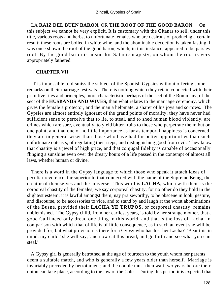LA **RAIZ DEL BUEN BARON,** OR **THE ROOT OF THE GOOD BARON.** − On this subject we cannot be very explicit. It is customary with the Gitanas to sell, under this title, various roots and herbs, to unfortunate females who are desirous of producing a certain result; these roots are boiled in white wine, and the abominable decoction is taken fasting. I was once shown the root of the good baron, which, in this instance, appeared to be parsley root. By the good baron is meant his Satanic majesty, on whom the root is very appropriately fathered.

#### **CHAPTER VII**

 IT is impossible to dismiss the subject of the Spanish Gypsies without offering some remarks on their marriage festivals. There is nothing which they retain connected with their primitive rites and principles, more characteristic perhaps of the sect of the Rommany, of the sect of the **HUSBANDS AND WIVES,** than what relates to the marriage ceremony, which gives the female a protector, and the man a helpmate, a sharer of his joys and sorrows. The Gypsies are almost entirely ignorant of the grand points of morality; they have never had sufficient sense to perceive that to lie, to steal, and to shed human blood violently, are crimes which are sure, eventually, to yield bitter fruits to those who perpetrate them; but on one point, and that one of no little importance as far as temporal happiness is concerned, they are in general wiser than those who have had far better opportunities than such unfortunate outcasts, of regulating their steps, and distinguishing good from evil. They know that chastity is a jewel of high price, and that conjugal fidelity is capable of occasionally flinging a sunshine even over the dreary hours of a life passed in the contempt of almost all laws, whether human or divine.

 There is a word in the Gypsy language to which those who speak it attach ideas of peculiar reverence, far superior to that connected with the name of the Supreme Being, the creator of themselves and the universe. This word is **LACHA,** which with them is the corporeal chastity of the females; we say corporeal chastity, for no other do they hold in the slightest esteem; it is lawful amongst them, nay praiseworthy, to be obscene in look, gesture, and discourse, to be accessories to vice, and to stand by and laugh at the worst abominations of the Busne, provided their **LACHA YE TRUPOS,** or corporeal chastity, remains unblemished. The Gypsy child, from her earliest years, is told by her strange mother, that a good Calli need only dread one thing in this world, and that is the loss of Lacha, in comparison with which that of life is of little consequence, as in such an event she will be provided for, but what provision is there for a Gypsy who has lost her Lacha? 'Bear this in mind, my child,' she will say, 'and now eat this bread, and go forth and see what you can steal.'

 A Gypsy girl is generally betrothed at the age of fourteen to the youth whom her parents deem a suitable match, and who is generally a few years older than herself. Marriage is invariably preceded by betrothment; and the couple must then wait two years before their union can take place, according to the law of the Cales. During this period it is expected that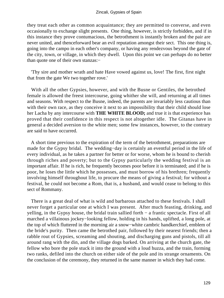they treat each other as common acquaintance; they are permitted to converse, and even occasionally to exchange slight presents. One thing, however, is strictly forbidden, and if in this instance they prove contumacious, the betrothment is instantly broken and the pair are never united, and thenceforward bear an evil reputation amongst their sect. This one thing is, going into the campo in each other's company, or having any rendezvous beyond the gate of the city, town, or village, in which they dwell. Upon this point we can perhaps do no better than quote one of their own stanzas:−

 'Thy sire and mother wrath and hate Have vowed against us, love! The first, first night that from the gate We two together rove.'

 With all the other Gypsies, however, and with the Busne or Gentiles, the betrothed female is allowed the freest intercourse, going whither she will, and returning at all times and seasons. With respect to the Busne, indeed, the parents are invariably less cautious than with their own race, as they conceive it next to an impossibility that their child should lose her Lacha by any intercourse with **THE WHITE BLOOD;** and true it is that experience has proved that their confidence in this respect is not altogether idle. The Gitanas have in general a decided aversion to the white men; some few instances, however, to the contrary are said to have occurred.

 A short time previous to the expiration of the term of the betrothment, preparations are made for the Gypsy bridal. The wedding−day is certainly an eventful period in the life of every individual, as he takes a partner for better or for worse, whom he is bound to cherish through riches and poverty; but to the Gypsy particularly the wedding festival is an important affair. If he is rich, he frequently becomes poor before it is terminated; and if he is poor, he loses the little which he possesses, and must borrow of his brethren; frequently involving himself throughout life, to procure the means of giving a festival; for without a festival, he could not become a Rom, that is, a husband, and would cease to belong to this sect of Rommany.

 There is a great deal of what is wild and barbarous attached to these festivals. I shall never forget a particular one at which I was present. After much feasting, drinking, and yelling, in the Gypsy house, the bridal train sallied forth − a frantic spectacle. First of all marched a villainous jockey−looking fellow, holding in his hands, uplifted, a long pole, at the top of which fluttered in the morning air a snow−white cambric handkerchief, emblem of the bride's purity. Then came the betrothed pair, followed by their nearest friends; then a rabble rout of Gypsies, screaming and shouting, and discharging guns and pistols, till all around rang with the din, and the village dogs barked. On arriving at the church gate, the fellow who bore the pole stuck it into the ground with a loud huzza, and the train, forming two ranks, defiled into the church on either side of the pole and its strange ornaments. On the conclusion of the ceremony, they returned in the same manner in which they had come.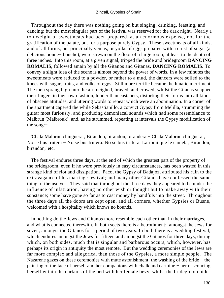Throughout the day there was nothing going on but singing, drinking, feasting, and dancing; but the most singular part of the festival was reserved for the dark night. Nearly a ton weight of sweetmeats had been prepared, at an enormous expense, not for the gratification of the palate, but for a purpose purely Gypsy. These sweetmeats of all kinds, and of all forms, but principally yemas, or yolks of eggs prepared with a crust of sugar (a delicious bonne− bouche), were strewn on the floor of a large room, at least to the depth of three inches. Into this room, at a given signal, tripped the bride and bridegroom **DANCING ROMALIS,** followed amain by all the Gitanos and Gitanas, **DANCING ROMALIS.** To convey a slight idea of the scene is almost beyond the power of words. In a few minutes the sweetmeats were reduced to a powder, or rather to a mud, the dancers were soiled to the knees with sugar, fruits, and yolks of eggs. Still more terrific became the lunatic merriment. The men sprang high into the air, neighed, brayed, and crowed; whilst the Gitanas snapped their fingers in their own fashion, louder than castanets, distorting their forms into all kinds of obscene attitudes, and uttering words to repeat which were an abomination. In a corner of the apartment capered the while Sebastianillo, a convict Gypsy from Melilla, strumming the guitar most furiously, and producing demoniacal sounds which had some resemblance to Malbrun (Malbrouk), and, as he strummed, repeating at intervals the Gypsy modification of the song:−

 'Chala Malbrun chinguerar, Birandon, birandon, birandera − Chala Malbrun chinguerar, No se bus trutera − No se bus trutera. No se bus trutera. La romi que le camela, Birandon, birandon,' etc.

 The festival endures three days, at the end of which the greatest part of the property of the bridegroom, even if he were previously in easy circumstances, has been wasted in this strange kind of riot and dissipation. Paco, the Gypsy of Badajoz, attributed his ruin to the extravagance of his marriage festival; and many other Gitanos have confessed the same thing of themselves. They said that throughout the three days they appeared to be under the influence of infatuation, having no other wish or thought but to make away with their substance; some have gone so far as to cast money by handfuls into the street. Throughout the three days all the doors are kept open, and all corners, whether Gypsies or Busne, welcomed with a hospitality which knows no bounds.

 In nothing do the Jews and Gitanos more resemble each other than in their marriages, and what is connected therewith. In both sects there is a betrothment: amongst the Jews for seven, amongst the Gitanos for a period of two years. In both there is a wedding festival, which endures amongst the Jews for fifteen and amongst the Gitanos for three days, during which, on both sides, much that is singular and barbarous occurs, which, however, has perhaps its origin in antiquity the most remote. But the wedding ceremonies of the Jews are far more complex and allegorical than those of the Gypsies, a more simple people. The Nazarene gazes on these ceremonies with mute astonishment; the washing of the bride − the painting of the face of herself and her companions with chalk and carmine − her ensconcing herself within the curtains of the bed with her female bevy, whilst the bridegroom hides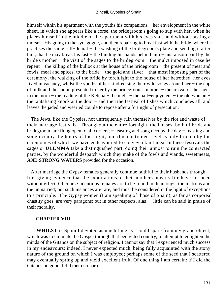himself within his apartment with the youths his companions − her envelopment in the white sheet, in which she appears like a corse, the bridegroom's going to sup with her, when he places himself in the middle of the apartment with his eyes shut, and without tasting a morsel. His going to the synagogue, and then repairing to breakfast with the bride, where he practises the same self−denial − the washing of the bridegroom's plate and sending it after him, that he may break his fast − the binding his hands behind him − his ransom paid by the bride's mother − the visit of the sages to the bridegroom − the mulct imposed in case he repent − the killing of the bullock at the house of the bridegroom − the present of meat and fowls, meal and spices, to the bride − the gold and silver − that most imposing part of the ceremony, the walking of the bride by torchlight to the house of her betrothed, her eyes fixed in vacancy, whilst the youths of her kindred sing their wild songs around her − the cup of milk and the spoon presented to her by the bridegroom's mother − the arrival of the sages in the morn − the reading of the Ketuba − the night − the half−enjoyment − the old woman − the tantalising knock at the door − and then the festival of fishes which concludes all, and leaves the jaded and wearied couple to repose after a fortnight of persecution.

 The Jews, like the Gypsies, not unfrequently ruin themselves by the riot and waste of their marriage festivals. Throughout the entire fortnight, the houses, both of bride and bridegroom, are flung open to all corners; − feasting and song occupy the day − feasting and song occupy the hours of the night, and this continued revel is only broken by the ceremonies of which we have endeavoured to convey a faint idea. In these festivals the sages or **ULEMMA** take a distinguished part, doing their utmost to ruin the contracted parties, by the wonderful despatch which they make of the fowls and viands, sweetmeats, **AND STRONG WATERS** provided for the occasion.

 After marriage the Gypsy females generally continue faithful to their husbands through life; giving evidence that the exhortations of their mothers in early life have not been without effect. Of course licentious females are to be found both amongst the matrons and the unmarried; but such instances are rare, and must be considered in the light of exceptions to a principle. The Gypsy women (I am speaking of those of Spain), as far as corporeal chastity goes, are very paragons; but in other respects, alas! − little can be said in praise of their morality.

# **CHAPTER VIII**

**WHILST** in Spain I devoted as much time as I could spare from my grand object, which was to circulate the Gospel through that benighted country, to attempt to enlighten the minds of the Gitanos on the subject of religion. I cannot say that I experienced much success in my endeavours; indeed, I never expected much, being fully acquainted with the stony nature of the ground on which I was employed; perhaps some of the seed that I scattered may eventually spring up and yield excellent fruit. Of one thing I am certain: if I did the Gitanos no good, I did them no harm.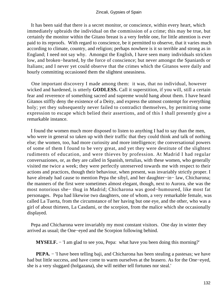It has been said that there is a secret monitor, or conscience, within every heart, which immediately upbraids the individual on the commission of a crime; this may be true, but certainly the monitor within the Gitano breast is a very feeble one, for little attention is ever paid to its reproofs. With regard to conscience, be it permitted to observe, that it varies much according to climate, country, and religion; perhaps nowhere is it so terrible and strong as in England; I need not say why. Amongst the English, I have seen many individuals stricken low, and broken−hearted, by the force of conscience; but never amongst the Spaniards or Italians; and I never yet could observe that the crimes which the Gitanos were daily and hourly committing occasioned them the slightest uneasiness.

 One important discovery I made among them: it was, that no individual, however wicked and hardened, is utterly **GODLESS.** Call it superstition, if you will, still a certain fear and reverence of something sacred and supreme would hang about them. I have heard Gitanos stiffly deny the existence of a Deity, and express the utmost contempt for everything holy; yet they subsequently never failed to contradict themselves, by permitting some expression to escape which belied their assertions, and of this I shall presently give a remarkable instance.

 I found the women much more disposed to listen to anything I had to say than the men, who were in general so taken up with their traffic that they could think and talk of nothing else; the women, too, had more curiosity and more intelligence; the conversational powers of some of them I found to be very great, and yet they were destitute of the slightest rudiments of education, and were thieves by profession. At Madrid I had regular conversaziones, or, as they are called in Spanish, tertulias, with these women, who generally visited me twice a week; they were perfectly unreserved towards me with respect to their actions and practices, though their behaviour, when present, was invariably strictly proper. I have already had cause to mention Pepa the sibyl, and her daughter−in− law, Chicharona; the manners of the first were sometimes almost elegant, though, next to Aurora, she was the most notorious she− thug in Madrid; Chicharona was good−humoured, like most fat personages. Pepa had likewise two daughters, one of whom, a very remarkable female, was called La Tuerta, from the circumstance of her having but one eye, and the other, who was a girl of about thirteen, La Casdami, or the scorpion, from the malice which she occasionally displayed.

 Pepa and Chicharona were invariably my most constant visitors. One day in winter they arrived as usual; the One−eyed and the Scorpion following behind.

**MYSELF.** – 'I am glad to see you, Pepa: what have you been doing this morning?'

**PEPA.** – 'I have been telling baji, and Chicharona has been stealing a pastesas; we have had but little success, and have come to warm ourselves at the brasero. As for the One−eyed, she is a very sluggard (holgazana), she will neither tell fortunes nor steal.'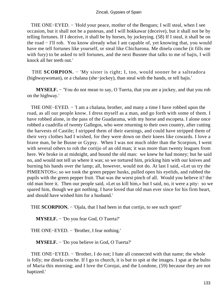THE ONE−EYED. − 'Hold your peace, mother of the Bengues; I will steal, when I see occasion, but it shall not be a pastesas, and I will hokkawar (deceive), but it shall not be by telling fortunes. If I deceive, it shall be by horses, by jockeying. (58) If I steal, it shall be on the road − I'll rob. You know already what I am capable of, yet knowing that, you would have me tell fortunes like yourself, or steal like Chicharona. Me dinela conche (it fills me with fury) to be asked to tell fortunes, and the next Busnee that talks to me of bajis, I will knock all her teeth out.'

THE **SCORPION.** − 'My sister is right; I, too, would sooner be a salteadora (highwaywoman), or a chalana (she−jockey), than steal with the hands, or tell bajis.'

**MYSELF.** − 'You do not mean to say, O Tuerta, that you are a jockey, and that you rob on the highway.'

 THE ONE−EYED. − 'I am a chalana, brother, and many a time I have robbed upon the road, as all our people know. I dress myself as a man, and go forth with some of them. I have robbed alone, in the pass of the Guadarama, with my horse and escopeta. I alone once robbed a cuadrilla of twenty Gallegos, who were returning to their own country, after cutting the harvests of Castile; I stripped them of their earnings, and could have stripped them of their very clothes had I wished, for they were down on their knees like cowards. I love a brave man, be he Busne or Gypsy. When I was not much older than the Scorpion, I went with several others to rob the cortijo of an old man; it was more than twenty leagues from here. We broke in at midnight, and bound the old man: we knew he had money; but he said no, and would not tell us where it was; so we tortured him, pricking him with our knives and burning his hands over the lamp; all, however, would not do. At last I said, «Let us try the PIMIENTOS»; so we took the green pepper husks, pulled open his eyelids, and rubbed the pupils with the green pepper fruit. That was the worst pinch of all. Would you believe it? the old man bore it. Then our people said, «Let us kill him,» but I said, no, it were a pity: so we spared him, though we got nothing. I have loved that old man ever since for his firm heart, and should have wished him for a husband.'

THE **SCORPION.** – 'Ojala, that I had been in that cortijo, to see such sport!'

**MYSELF.** − 'Do you fear God, O Tuerta?'

THE ONE−EYED. − 'Brother, I fear nothing.'

**MYSELF.** − 'Do you believe in God, O Tuerta?'

 THE ONE−EYED. − 'Brother, I do not; I hate all connected with that name; the whole is folly; me dinela conche. If I go to church, it is but to spit at the images. I spat at the bulto of Maria this morning; and I love the Corojai, and the Londone, (59) because they are not baptized.'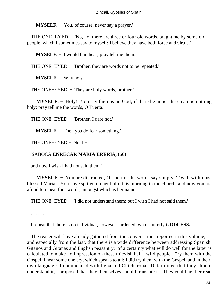**MYSELF.** − 'You, of course, never say a prayer.'

THE ONE−EYED. − 'No, no; there are three or four old words, taught me by some old people, which I sometimes say to myself; I believe they have both force and virtue.'

**MYSELF.** – 'I would fain hear; pray tell me them.'

THE ONE−EYED. − 'Brother, they are words not to be repeated.'

**MYSELF.** − 'Why not?'

THE ONE−EYED. − 'They are holy words, brother.'

**MYSELF.** – 'Holy! You say there is no God; if there be none, there can be nothing holy; pray tell me the words, O Tuerta.'

THE ONE−EYED. − 'Brother, I dare not.'

**MYSELF.** – 'Then you do fear something.'

THE ONE−EYED.− 'Not I −

# 'SABOCA **ENRECAR MARIA ERERIA,** (60)

and now I wish I had not said them.'

**MYSELF.** – 'You are distracted, O Tuerta: the words say simply, 'Dwell within us, blessed Maria.' You have spitten on her bulto this morning in the church, and now you are afraid to repeat four words, amongst which is her name.'

THE ONE−EYED. − 'I did not understand them; but I wish I had not said them.'

. . . . . . .

I repeat that there is no individual, however hardened, who is utterly **GODLESS.**

 The reader will have already gathered from the conversations reported in this volume, and especially from the last, that there is a wide difference between addressing Spanish Gitanos and Gitanas and English peasantry: of a certainty what will do well for the latter is calculated to make no impression on these thievish half− wild people. Try them with the Gospel, I hear some one cry, which speaks to all: I did try them with the Gospel, and in their own language. I commenced with Pepa and Chicharona. Determined that they should understand it, I proposed that they themselves should translate it. They could neither read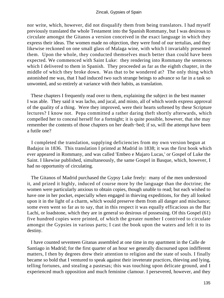#### Zincali, Gypsies of Spain

nor write, which, however, did not disqualify them from being translators. I had myself previously translated the whole Testament into the Spanish Rommany, but I was desirous to circulate amongst the Gitanos a version conceived in the exact language in which they express their ideas. The women made no objection, they were fond of our tertulias, and they likewise reckoned on one small glass of Malaga wine, with which I invariably presented them. Upon the whole, they conducted themselves much better than could have been expected. We commenced with Saint Luke: they rendering into Rommany the sentences which I delivered to them in Spanish. They proceeded as far as the eighth chapter, in the middle of which they broke down. Was that to be wondered at? The only thing which astonished me was, that I had induced two such strange beings to advance so far in a task so unwonted, and so entirely at variance with their habits, as translation.

 These chapters I frequently read over to them, explaining the subject in the best manner I was able. They said it was lacho, and jucal, and misto, all of which words express approval of the quality of a thing. Were they improved, were their hearts softened by these Scripture lectures? I know not. Pepa committed a rather daring theft shortly afterwards, which compelled her to conceal herself for a fortnight; it is quite possible, however, that she may remember the contents of those chapters on her death−bed; if so, will the attempt have been a futile one?

 I completed the translation, supplying deficiencies from my own version begun at Badajoz in 1836. This translation I printed at Madrid in 1838; it was the first book which ever appeared in Rommany, and was called 'Embeo e Majaro Lucas,' or Gospel of Luke the Saint. I likewise published, simultaneously, the same Gospel in Basque, which, however, I had no opportunity of circulating.

 The Gitanos of Madrid purchased the Gypsy Luke freely: many of the men understood it, and prized it highly, induced of course more by the language than the doctrine; the women were particularly anxious to obtain copies, though unable to read; but each wished to have one in her pocket, especially when engaged in thieving expeditions, for they all looked upon it in the light of a charm, which would preserve them from all danger and mischance; some even went so far as to say, that in this respect it was equally efficacious as the Bar Lachi, or loadstone, which they are in general so desirous of possessing. Of this Gospel (61) five hundred copies were printed, of which the greater number I contrived to circulate amongst the Gypsies in various parts; I cast the book upon the waters and left it to its destiny.

 I have counted seventeen Gitanas assembled at one time in my apartment in the Calle de Santiago in Madrid; for the first quarter of an hour we generally discoursed upon indifferent matters, I then by degrees drew their attention to religion and the state of souls. I finally became so bold that I ventured to speak against their inveterate practices, thieving and lying, telling fortunes, and stealing a pastesas; this was touching upon delicate ground, and I experienced much opposition and much feminine clamour. I persevered, however, and they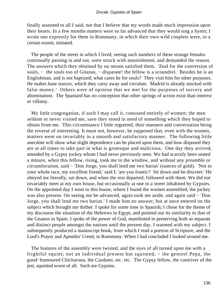finally assented to all I said, not that I believe that my words made much impression upon their hearts. In a few months matters were so far advanced that they would sing a hymn; I wrote one expressly for them in Rommany, in which their own wild couplets were, to a certain extent, imitated.

 The people of the street in which I lived, seeing such numbers of these strange females continually passing in and out, were struck with astonishment, and demanded the reason. The answers which they obtained by no means satisfied them. 'Zeal for the conversion of souls, – the souls too of Gitanas, – disparate! the fellow is a scoundrel. Besides he is an Englishman, and is not baptized; what cares he for souls? They visit him for other purposes. He makes base ounces, which they carry away and circulate. Madrid is already stocked with false money.' Others were of opinion that we met for the purposes of sorcery and abomination. The Spaniard has no conception that other springs of action exist than interest or villainy.

 My little congregation, if such I may call it, consisted entirely of women; the men seldom or never visited me, save they stood in need of something which they hoped to obtain from me. This circumstance I little regretted, their manners and conversation being the reverse of interesting. It must not, however, be supposed that, even with the women, matters went on invariably in a smooth and satisfactory manner. The following little anecdote will show what slight dependence can be placed upon them, and how disposed they are at all times to take part in what is grotesque and malicious. One day they arrived, attended by a Gypsy jockey whom I had never previously seen. We had scarcely been seated a minute, when this fellow, rising, took me to the window, and without any preamble or circumlocution, said − 'Don Jorge, you shall lend me two barias' (ounces of gold). 'Not to your whole race, my excellent friend,' said I; 'are you frantic? Sit down and be discreet.' He obeyed me literally, sat down, and when the rest departed, followed with them. We did not invariably meet at my own house, but occasionally at one in a street inhabited by Gypsies. On the appointed day I went to this house, where I found the women assembled; the jockey was also present. On seeing me he advanced, again took me aside, and again said − 'Don Jorge, you shall lend me two barias.' I made him no answer, but at once entered on the subject which brought me thither. I spoke for some time in Spanish; I chose for the theme of my discourse the situation of the Hebrews in Egypt, and pointed out its similarity to that of the Gitanos in Spain. I spoke of the power of God, manifested in preserving both as separate and distinct people amongst the nations until the present day. I warmed with my subject. I subsequently produced a manuscript book, from which I read a portion of Scripture, and the Lord's Prayer and Apostles' Creed, in Rommany. When I had concluded I looked around me.

 The features of the assembly were twisted, and the eyes of all turned upon me with a frightful squint; not an individual present but squinted, – the genteel Pepa, the good−humoured Chicharona, the Casdami, etc. etc. The Gypsy fellow, the contriver of the jest, squinted worst of all. Such are Gypsies.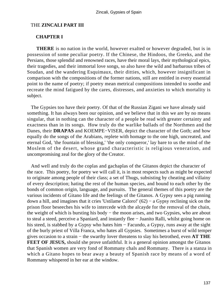### THE **ZINCALI PART III**

### **CHAPTER I**

**THERE** is no nation in the world, however exalted or however degraded, but is in possession of some peculiar poetry. If the Chinese, the Hindoos, the Greeks, and the Persians, those splendid and renowned races, have their moral lays, their mythological epics, their tragedies, and their immortal love songs, so also have the wild and barbarous tribes of Soudan, and the wandering Esquimaux, their ditties, which, however insignificant in comparison with the compositions of the former nations, still are entitled in every essential point to the name of poetry; if poetry mean metrical compositions intended to soothe and recreate the mind fatigued by the cares, distresses, and anxieties to which mortality is subject.

 The Gypsies too have their poetry. Of that of the Russian Zigani we have already said something. It has always been our opinion, and we believe that in this we are by no means singular, that in nothing can the character of a people be read with greater certainty and exactness than in its songs. How truly do the warlike ballads of the Northmen and the Danes, their **DRAPAS** and KOEMPE−VISER, depict the character of the Goth; and how equally do the songs of the Arabians, replete with homage to the one high, uncreated, and eternal God, 'the fountain of blessing,' 'the only conqueror,' lay bare to us the mind of the Moslem of the desert, whose grand characteristic is religious veneration, and uncompromising zeal for the glory of the Creator.

 And well and truly do the coplas and gachaplas of the Gitanos depict the character of the race. This poetry, for poetry we will call it, is in most respects such as might be expected to originate among people of their class; a set of Thugs, subsisting by cheating and villainy of every description; hating the rest of the human species, and bound to each other by the bonds of common origin, language, and pursuits. The general themes of this poetry are the various incidents of Gitano life and the feelings of the Gitanos. A Gypsy sees a pig running down a hill, and imagines that it cries 'Ustilame Caloro!' (62) − a Gypsy reclining sick on the prison floor beseeches his wife to intercede with the alcayde for the removal of the chain, the weight of which is bursting his body − the moon arises, and two Gypsies, who are about to steal a steed, perceive a Spaniard, and instantly flee − Juanito Ralli, whilst going home on his steed, is stabbed by a Gypsy who hates him − Facundo, a Gypsy, runs away at the sight of the burly priest of Villa Franca, who hates all Gypsies. Sometimes a burst of wild temper gives occasion to a strain − the swarthy lover threatens to slay his betrothed, even **AT THE** FEET OF JESUS, should she prove unfaithful. It is a general opinion amongst the Gitanos that Spanish women are very fond of Rommany chals and Rommany. There is a stanza in which a Gitano hopes to bear away a beauty of Spanish race by means of a word of Rommany whispered in her ear at the window.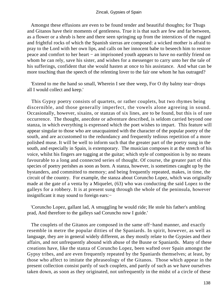#### Zincali, Gypsies of Spain

 Amongst these effusions are even to be found tender and beautiful thoughts; for Thugs and Gitanos have their moments of gentleness. True it is that such are few and far between, as a flower or a shrub is here and there seen springing up from the interstices of the rugged and frightful rocks of which the Spanish sierras are composed: a wicked mother is afraid to pray to the Lord with her own lips, and calls on her innocent babe to beseech him to restore peace and comfort to her heart − an imprisoned youth appears to have no earthly friend on whom he can rely, save his sister, and wishes for a messenger to carry unto her the tale of his sufferings, confident that she would hasten at once to his assistance. And what can be more touching than the speech of the relenting lover to the fair one whom he has outraged?

 'Extend to me the hand so small, Wherein I see thee weep, For O thy balmy tear−drops all I would collect and keep.'

 This Gypsy poetry consists of quartets, or rather couplets, but two rhymes being discernible, and those generally imperfect, the vowels alone agreeing in sound. Occasionally, however, sixains, or stanzas of six lines, are to be found, but this is of rare occurrence. The thought, anecdote or adventure described, is seldom carried beyond one stanza, in which everything is expressed which the poet wishes to impart. This feature will appear singular to those who are unacquainted with the character of the popular poetry of the south, and are accustomed to the redundancy and frequently tedious repetition of a more polished muse. It will be well to inform such that the greater part of the poetry sung in the south, and especially in Spain, is extemporary. The musician composes it at the stretch of his voice, whilst his fingers are tugging at the guitar; which style of composition is by no means favourable to a long and connected series of thought. Of course, the greater part of this species of poetry perishes as soon as born. A stanza, however, is sometimes caught up by the bystanders, and committed to memory; and being frequently repeated, makes, in time, the circuit of the country. For example, the stanza about Coruncho Lopez, which was originally made at the gate of a venta by a Miquelet, (63) who was conducting the said Lopez to the galleys for a robbery. It is at present sung through the whole of the peninsula, however insignificant it may sound to foreign ears:−

 'Coruncho Lopez, gallant lad, A smuggling he would ride; He stole his father's ambling prad, And therefore to the galleys sad Coruncho now I guide.'

 The couplets of the Gitanos are composed in the same off−hand manner, and exactly resemble in metre the popular ditties of the Spaniards. In spirit, however, as well as language, they are in general widely different, as they mostly relate to the Gypsies and their affairs, and not unfrequently abound with abuse of the Busne or Spaniards. Many of these creations have, like the stanza of Coruncho Lopez, been wafted over Spain amongst the Gypsy tribes, and are even frequently repeated by the Spaniards themselves; at least, by those who affect to imitate the phraseology of the Gitanos. Those which appear in the present collection consist partly of such couplets, and partly of such as we have ourselves taken down, as soon as they originated, not unfrequently in the midst of a circle of these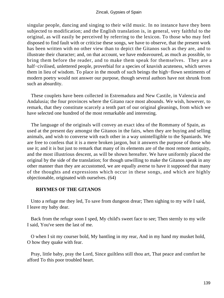#### Zincali, Gypsies of Spain

singular people, dancing and singing to their wild music. In no instance have they been subjected to modification; and the English translation is, in general, very faithful to the original, as will easily be perceived by referring to the lexicon. To those who may feel disposed to find fault with or criticise these songs, we have to observe, that the present work has been written with no other view than to depict the Gitanos such as they are, and to illustrate their character; and, on that account, we have endeavoured, as much as possible, to bring them before the reader, and to make them speak for themselves. They are a half−civilised, unlettered people, proverbial for a species of knavish acuteness, which serves them in lieu of wisdom. To place in the mouth of such beings the high−flown sentiments of modern poetry would not answer our purpose, though several authors have not shrunk from such an absurdity.

 These couplets have been collected in Estremadura and New Castile, in Valencia and Andalusia; the four provinces where the Gitano race most abounds. We wish, however, to remark, that they constitute scarcely a tenth part of our original gleanings, from which we have selected one hundred of the most remarkable and interesting.

 The language of the originals will convey an exact idea of the Rommany of Spain, as used at the present day amongst the Gitanos in the fairs, when they are buying and selling animals, and wish to converse with each other in a way unintelligible to the Spaniards. We are free to confess that it is a mere broken jargon, but it answers the purpose of those who use it; and it is but just to remark that many of its elements are of the most remote antiquity, and the most illustrious descent, as will be shown hereafter. We have uniformly placed the original by the side of the translation; for though unwilling to make the Gitanos speak in any other manner than they are accustomed, we are equally averse to have it supposed that many of the thoughts and expressions which occur in these songs, and which are highly objectionable, originated with ourselves. (64)

### **RHYMES OF THE GITANOS**

 Unto a refuge me they led, To save from dungeon drear; Then sighing to my wife I said, I leave my baby dear.

 Back from the refuge soon I sped, My child's sweet face to see; Then sternly to my wife I said, You've seen the last of me.

 O when I sit my courser bold, My bantling in my rear, And in my hand my musket hold, O how they quake with fear.

 Pray, little baby, pray the Lord, Since guiltless still thou art, That peace and comfort he afford To this poor troubled heart.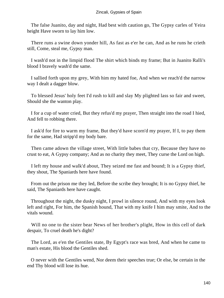The false Juanito, day and night, Had best with caution go, The Gypsy carles of Yeira height Have sworn to lay him low.

 There runs a swine down yonder hill, As fast as e'er he can, And as he runs he crieth still, Come, steal me, Gypsy man.

 I wash'd not in the limpid flood The shirt which binds my frame; But in Juanito Ralli's blood I bravely wash'd the same.

 I sallied forth upon my grey, With him my hated foe, And when we reach'd the narrow way I dealt a dagger blow.

 To blessed Jesus' holy feet I'd rush to kill and slay My plighted lass so fair and sweet, Should she the wanton play.

 I for a cup of water cried, But they refus'd my prayer, Then straight into the road I hied, And fell to robbing there.

 I ask'd for fire to warm my frame, But they'd have scorn'd my prayer, If I, to pay them for the same, Had stripp'd my body bare.

 Then came adown the village street, With little babes that cry, Because they have no crust to eat, A Gypsy company; And as no charity they meet, They curse the Lord on high.

 I left my house and walk'd about, They seized me fast and bound; It is a Gypsy thief, they shout, The Spaniards here have found.

 From out the prison me they led, Before the scribe they brought; It is no Gypsy thief, he said, The Spaniards here have caught.

 Throughout the night, the dusky night, I prowl in silence round, And with my eyes look left and right, For him, the Spanish hound, That with my knife I him may smite, And to the vitals wound.

Will no one to the sister bear News of her brother's plight, How in this cell of dark despair, To cruel death he's dight?

 The Lord, as e'en the Gentiles state, By Egypt's race was bred, And when he came to man's estate, His blood the Gentiles shed.

 O never with the Gentiles wend, Nor deem their speeches true; Or else, be certain in the end Thy blood will lose its hue.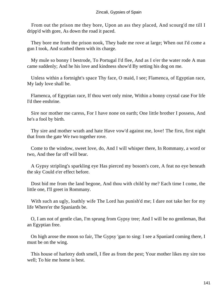From out the prison me they bore, Upon an ass they placed, And scourg'd me till I dripp'd with gore, As down the road it paced.

 They bore me from the prison nook, They bade me rove at large; When out I'd come a gun I took, And scathed them with its charge.

 My mule so bonny I bestrode, To Portugal I'd flee, And as I o'er the water rode A man came suddenly; And he his love and kindness show'd By setting his dog on me.

 Unless within a fortnight's space Thy face, O maid, I see; Flamenca, of Egyptian race, My lady love shall be.

 Flamenca, of Egyptian race, If thou wert only mine, Within a bonny crystal case For life I'd thee enshrine.

 Sire nor mother me caress, For I have none on earth; One little brother I possess, And he's a fool by birth.

 Thy sire and mother wrath and hate Have vow'd against me, love! The first, first night that from the gate We two together rove.

 Come to the window, sweet love, do, And I will whisper there, In Rommany, a word or two, And thee far off will bear.

 A Gypsy stripling's sparkling eye Has pierced my bosom's core, A feat no eye beneath the sky Could e'er effect before.

 Dost bid me from the land begone, And thou with child by me? Each time I come, the little one, I'll greet in Rommany.

 With such an ugly, loathly wife The Lord has punish'd me; I dare not take her for my life Where'er the Spaniards be.

 O, I am not of gentle clan, I'm sprung from Gypsy tree; And I will be no gentleman, But an Egyptian free.

 On high arose the moon so fair, The Gypsy 'gan to sing: I see a Spaniard coming there, I must be on the wing.

 This house of harlotry doth smell, I flee as from the pest; Your mother likes my sire too well; To hie me home is best.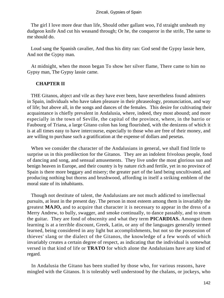The girl I love more dear than life, Should other gallant woo, I'd straight unsheath my dudgeon knife And cut his weasand through; Or he, the conqueror in the strife, The same to me should do.

 Loud sang the Spanish cavalier, And thus his ditty ran: God send the Gypsy lassie here, And not the Gypsy man.

 At midnight, when the moon began To show her silver flame, There came to him no Gypsy man, The Gypsy lassie came.

### **CHAPTER II**

 THE Gitanos, abject and vile as they have ever been, have nevertheless found admirers in Spain, individuals who have taken pleasure in their phraseology, pronunciation, and way of life; but above all, in the songs and dances of the females. This desire for cultivating their acquaintance is chiefly prevalent in Andalusia, where, indeed, they most abound; and more especially in the town of Seville, the capital of the province, where, in the barrio or Faubourg of Triana, a large Gitano colon has long flourished, with the denizens of which it is at all times easy to have intercourse, especially to those who are free of their money, and are willing to purchase such a gratification at the expense of dollars and pesetas.

 When we consider the character of the Andalusians in general, we shall find little to surprise us in this predilection for the Gitanos. They are an indolent frivolous people, fond of dancing and song, and sensual amusements. They live under the most glorious sun and benign heaven in Europe, and their country is by nature rich and fertile, yet in no province of Spain is there more beggary and misery; the greater part of the land being uncultivated, and producing nothing but thorns and brushwood, affording in itself a striking emblem of the moral state of its inhabitants.

 Though not destitute of talent, the Andalusians are not much addicted to intellectual pursuits, at least in the present day. The person in most esteem among them is invariably the greatest **MAJO,** and to acquire that character it is necessary to appear in the dress of a Merry Andrew, to bully, swagger, and smoke continually, to dance passably, and to strum the guitar. They are fond of obscenity and what they term **PICARDIAS.** Amongst them learning is at a terrible discount, Greek, Latin, or any of the languages generally termed learned, being considered in any light but accomplishments, but not so the possession of thieves' slang or the dialect of the Gitanos, the knowledge of a few words of which invariably creates a certain degree of respect, as indicating that the individual is somewhat versed in that kind of life or **TRATO** for which alone the Andalusians have any kind of regard.

 In Andalusia the Gitano has been studied by those who, for various reasons, have mingled with the Gitanos. It is tolerably well understood by the chalans, or jockeys, who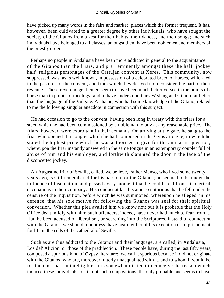have picked up many words in the fairs and market−places which the former frequent. It has, however, been cultivated to a greater degree by other individuals, who have sought the society of the Gitanos from a zest for their habits, their dances, and their songs; and such individuals have belonged to all classes, amongst them have been noblemen and members of the priestly order.

 Perhaps no people in Andalusia have been more addicted in general to the acquaintance of the Gitanos than the friars, and pre− eminently amongst these the half−jockey half−religious personages of the Cartujan convent at Xeres. This community, now suppressed, was, as is well known, in possession of a celebrated breed of horses, which fed in the pastures of the convent, and from which they derived no inconsiderable part of their revenue. These reverend gentlemen seem to have been much better versed in the points of a horse than in points of theology, and to have understood thieves' slang and Gitano far better than the language of the Vulgate. A chalan, who had some knowledge of the Gitano, related to me the following singular anecdote in connection with this subject.

 He had occasion to go to the convent, having been long in treaty with the friars for a steed which he had been commissioned by a nobleman to buy at any reasonable price. The friars, however, were exorbitant in their demands. On arriving at the gate, he sang to the friar who opened it a couplet which he had composed in the Gypsy tongue, in which he stated the highest price which he was authorised to give for the animal in question; whereupon the friar instantly answered in the same tongue in an extemporary couplet full of abuse of him and his employer, and forthwith slammed the door in the face of the disconcerted jockey.

 An Augustine friar of Seville, called, we believe, Father Manso, who lived some twenty years ago, is still remembered for his passion for the Gitanos; he seemed to be under the influence of fascination, and passed every moment that he could steal from his clerical occupations in their company. His conduct at last became so notorious that he fell under the censure of the Inquisition, before which he was summoned; whereupon he alleged, in his defence, that his sole motive for following the Gitanos was zeal for their spiritual conversion. Whether this plea availed him we know not; but it is probable that the Holy Office dealt mildly with him; such offenders, indeed, have never had much to fear from it. Had he been accused of liberalism, or searching into the Scriptures, instead of connection with the Gitanos, we should, doubtless, have heard either of his execution or imprisonment for life in the cells of the cathedral of Seville.

 Such as are thus addicted to the Gitanos and their language, are called, in Andalusia, Los del' Aficion, or those of the predilection. These people have, during the last fifty years, composed a spurious kind of Gypsy literature: we call it spurious because it did not originate with the Gitanos, who are, moreover, utterly unacquainted with it, and to whom it would be for the most part unintelligible. It is somewhat difficult to conceive the reason which induced these individuals to attempt such compositions; the only probable one seems to have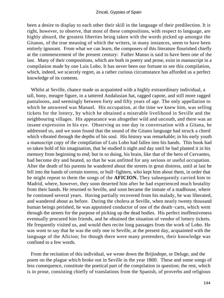#### Zincali, Gypsies of Spain

been a desire to display to each other their skill in the language of their predilection. It is right, however, to observe, that most of these compositions, with respect to language, are highly absurd, the greatest liberties being taken with the words picked up amongst the Gitanos, of the true meaning of which the writers, in many instances, seem to have been entirely ignorant. From what we can learn, the composers of this literature flourished chiefly at the commencement of the present century: Father Manso is said to have been one of the last. Many of their compositions, which are both in poetry and prose, exist in manuscript in a compilation made by one Luis Lobo. It has never been our fortune to see this compilation, which, indeed, we scarcely regret, as a rather curious circumstance has afforded us a perfect knowledge of its contents.

 Whilst at Seville, chance made us acquainted with a highly extraordinary individual, a tall, bony, meagre figure, in a tattered Andalusian hat, ragged capote, and still more ragged pantaloons, and seemingly between forty and fifty years of age. The only appellation to which he answered was Manuel. His occupation, at the time we knew him, was selling tickets for the lottery, by which he obtained a miserable livelihood in Seville and the neighbouring villages. His appearance was altogether wild and uncouth, and there was an insane expression in his eye. Observing us one day in conversation with a Gitana, he addressed us, and we soon found that the sound of the Gitano language had struck a chord which vibrated through the depths of his soul. His history was remarkable; in his early youth a manuscript copy of the compilation of Luis Lobo had fallen into his hands. This book had so taken hold of his imagination, that he studied it night and day until he had planted it in his memory from beginning to end; but in so doing, his brain, like that of the hero of Cervantes, had become dry and heated, so that he was unfitted for any serious or useful occupation. After the death of his parents he wandered about the streets in great distress, until at last he fell into the hands of certain toreros, or bull−fighters, who kept him about them, in order that he might repeat to them the songs of the **AFICION.** They subsequently carried him to Madrid, where, however, they soon deserted him after he had experienced much brutality from their hands. He returned to Seville, and soon became the inmate of a madhouse, where he continued several years. Having partially recovered from his malady, he was liberated, and wandered about as before. During the cholera at Seville, when nearly twenty thousand human beings perished, he was appointed conductor of one of the death−carts, which went through the streets for the purpose of picking up the dead bodies. His perfect inoffensiveness eventually procured him friends, and he obtained the situation of vendor of lottery tickets. He frequently visited us, and would then recite long passages from the work of Lobo. He was wont to say that he was the only one in Seville, at the present day, acquainted with the language of the Aficion; for though there were many pretenders, their knowledge was confined to a few words.

 From the recitation of this individual, we wrote down the Brijindope, or Deluge, and the poem on the plague which broke out in Seville in the year 1800. These and some songs of less consequence, constitute the poetical part of the compilation in question; the rest, which is in prose, consisting chiefly of translations from the Spanish, of proverbs and religious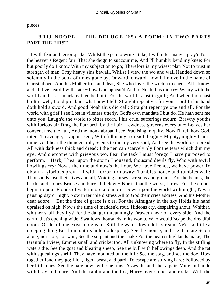pieces.

# **BRIJINDOPE.** − THE **DELUGE** (65) **A POEM: IN TWO PARTS PART THE FIRST**

 I with fear and terror quake, Whilst the pen to write I take; I will utter many a pray'r To the heaven's Regent fair, That she deign to succour me, And I'll humbly bend my knee; For but poorly do I know With my subject on to go; Therefore is my wisest plan Not to trust in strength of man. I my heavy sins bewail, Whilst I view the wo and wail Handed down so solemnly In the book of times gone by. Onward, onward, now I'll move In the name of Christ above, And his Mother true and dear, She who loves the wretch to cheer. All I know, and all I've heard I will state − how God appear'd And to Noah thus did cry: Weary with the world am I; Let an ark by thee be built, For the world is lost in guilt; And when thou hast built it well, Loud proclaim what now I tell: Straight repent ye, for your Lord In his hand doth hold a sword. And good Noah thus did call: Straight repent ye one and all, For the world with grief I see Lost in vileness utterly. God's own mandate I but do, He hath sent me unto you. Laugh'd the world to bitter scorn, I his cruel sufferings mourn; Brawny youths with furious air Drag the Patriarch by the hair; Lewdness governs every one: Leaves her convent now the nun, And the monk abroad I see Practising iniquity. Now I'll tell how God, intent To avenge, a vapour sent, With full many a dreadful sign – Mighty, mighty fear is mine: As I hear the thunders roll, Seems to die my very soul; As I see the world o'erspread All with darkness thick and dread; I the pen can scarcely ply For the tears which dim my eye, And o'ercome with grievous wo, Fear the task I must forego I have purposed to perform. – Hark, I hear upon the storm Thousand, thousand devils fly, Who with awful howlings cry: Now's the time and now's the hour, We have licence, we have power To obtain a glorious prey. − I with horror turn away; Tumbles house and tumbles wall; Thousands lose their lives and all, Voiding curses, screams and groans, For the beams, the bricks and stones Bruise and bury all below − Nor is that the worst, I trow, For the clouds begin to pour Floods of water more and more, Down upon the world with might, Never pausing day or night. Now in terrible distress All to God their cries address, And his Mother dear adore, − But the time of grace is o'er, For the Almighty in the sky Holds his hand upraised on high. Now's the time of madden'd rout, Hideous cry, despairing shout; Whither, whither shall they fly? For the danger threat'ningly Draweth near on every side, And the earth, that's opening wide, Swallows thousands in its womb, Who would 'scape the dreadful doom. Of dear hope exists no gleam, Still the water down doth stream; Ne'er so little a creeping thing But from out its hold doth spring: See the mouse, and see its mate Scour along, nor stop, nor wait; See the serpent and the snake For the nearest highlands make; The tarantula I view, Emmet small and cricket too, All unknowing where to fly, In the stifling waters die. See the goat and bleating sheep, See the bull with bellowings deep. And the rat with squealings shrill, They have mounted on the hill: See the stag, and see the doe, How together fond they go; Lion, tiger−beast, and pard, To escape are striving hard: Followed by her little ones, See the hare how swift she runs: Asses, he and she, a pair. Mute and mule with bray and blare, And the rabbit and the fox, Hurry over stones and rocks, With the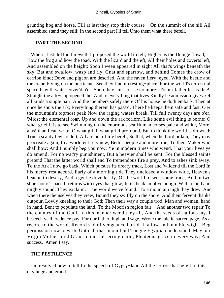grunting hog and horse, Till at last they stop their course − On the summit of the hill All assembled stand they still; In the second part I'll tell Unto them what there befell.

### **PART THE SECOND**

 When I last did bid farewell, I proposed the world to tell, Higher as the Deluge flow'd, How the frog and how the toad, With the lizard and the eft, All their holes and coverts left, And assembled on the height; Soon I ween appeared in sight All that's wings beneath the sky, Bat and swallow, wasp and fly, Gnat and sparrow, and behind Comes the crow of carrion kind; Dove and pigeon are descried, And the raven fiery−eyed, With the beetle and the crane Flying on the hurricane: See they find no resting−place, For the world's terrestrial space Is with water cover'd o'er, Soon they sink to rise no more: 'To our father let us flee!' Straight the ark−ship openeth he, And to everything that lives Kindly he admission gives. Of all kinds a single pair, And the members safely there Of his house he doth embark, Then at once he shuts the ark; Everything therein has pass'd, There he keeps them safe and fast. O'er the mountain's topmost peak Now the raging waters break. Till full twenty days are o'er, 'Midst the elemental roar, Up and down the ark forlorn, Like some evil thing is borne: O what grief it is to see Swimming on the enormous sea Human corses pale and white, More, alas! than I can write: O what grief, what grief profound, But to think the world is drown'd: True a scanty few are left, All are not of life bereft, So that, when the Lord ordain, They may procreate again, In a world entirely new, Better people and more true, To their Maker who shall bow; And I humbly beg you now, Ye in modern times who wend, That your lives ye do amend; For no wat'ry punishment, But a heavier shall be sent; For the blessed saints pretend That the latter world shall end To tremendous fire a prey, And to ashes sink away. To the Ark I now go back, Which pursues its dreary track, Lost and 'wilder'd till the Lord In his mercy rest accord. Early of a morning tide They unclosed a window wide, Heaven's beacon to descry, And a gentle dove let fly, Of the world to seek some trace, And in two short hours' space It returns with eyes that glow, In its beak an olive bough. With a loud and mighty sound, They exclaim: 'The world we've found.' To a mountain nigh they drew, And when there themselves they view, Bound they swiftly on the shore, And their fervent thanks outpour, Lowly kneeling to their God; Then their way a couple trod, Man and woman, hand in hand, Bent to populate the land, To the Moorish region fair − And another two repair To the country of the Gaul; In this manner wend they all, And the seeds of nations lay. I beseech ye'll credence pay, For our father, high and sage, Wrote the tale in sacred page, As a record to the world, Record sad of vengeance hurl'd. I, a low and humble wight, Beg permission now to write Unto all that in our land Tongue Egyptian understand. May our Virgin Mother mild Grant to me, her erring child, Plenteous grace in every way, And success. Amen I say.

### THE **PESTILENCE**

 I'm resolved now to tell In the speech of Gypsy−land All the horror that befell In this city huge and grand.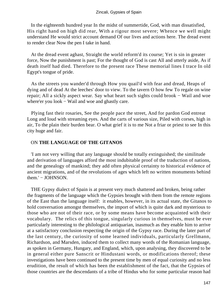In the eighteenth hundred year In the midst of summertide, God, with man dissatisfied, His right hand on high did rear, With a rigour most severe; Whence we well might understand He would strict account demand Of our lives and actions here. The dread event to render clear Now the pen I take in hand.

 At the dread event aghast, Straight the world reform'd its course; Yet is sin in greater force, Now the punishment is past; For the thought of God is cast All and utterly aside, As if death itself had died. Therefore to the present race These memorial lines I trace In old Egypt's tongue of pride.

 As the streets you wander'd through How you quail'd with fear and dread, Heaps of dying and of dead At the leeches' door to view. To the tavern O how few To regale on wine repair; All a sickly aspect wear. Say what heart such sights could brook − Wail and woe where'er you look – Wail and woe and ghastly care.

 Plying fast their rosaries, See the people pace the street, And for pardon God entreat Long and loud with streaming eyes. And the carts of various size, Piled with corses, high in air, To the plain their burden bear. O what grief it is to me Not a friar or priest to see In this city huge and fair.

### ON **THE LANGUAGE OF THE GITANOS**

 'I am not very willing that any language should be totally extinguished; the similitude and derivation of languages afford the most indubitable proof of the traduction of nations, and the genealogy of mankind; they add often physical certainty to historical evidence of ancient migrations, and of the revolutions of ages which left no written monuments behind them.' − JOHNSON.

 THE Gypsy dialect of Spain is at present very much shattered and broken, being rather the fragments of the language which the Gypsies brought with them from the remote regions of the East than the language itself: it enables, however, in its actual state, the Gitanos to hold conversation amongst themselves, the import of which is quite dark and mysterious to those who are not of their race, or by some means have become acquainted with their vocabulary. The relics of this tongue, singularly curious in themselves, must be ever particularly interesting to the philological antiquarian, inasmuch as they enable him to arrive at a satisfactory conclusion respecting the origin of the Gypsy race. During the later part of the last century, the curiosity of some learned individuals, particularly Grellmann, Richardson, and Marsden, induced them to collect many words of the Romanian language, as spoken in Germany, Hungary, and England, which, upon analysing, they discovered to be in general either pure Sanscrit or Hindustani words, or modifications thereof; these investigations have been continued to the present time by men of equal curiosity and no less erudition, the result of which has been the establishment of the fact, that the Gypsies of those countries are the descendants of a tribe of Hindus who for some particular reason had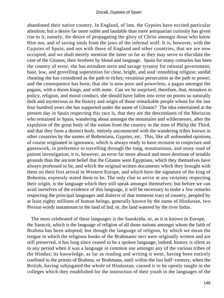abandoned their native country. In England, of late, the Gypsies have excited particular attention; but a desire far more noble and laudable than mere antiquarian curiosity has given rise to it, namely, the desire of propagating the glory of Christ amongst those who know Him not, and of saving souls from the jaws of the infernal wolf. It is, however, with the Gypsies of Spain, and not with those of England and other countries, that we are now occupied, and we shall merely mention the latter so far as they may serve to elucidate the case of the Gitanos, their brethren by blood and language. Spain for many centuries has been the country of error; she has mistaken stern and savage tyranny for rational government; base, low, and grovelling superstition for clear, bright, and soul−ennobling religion; sordid cheating she has considered as the path to riches; vexatious persecution as the path to power; and the consequence has been, that she is now poor and powerless, a pagan amongst the pagans, with a dozen kings, and with none. Can we be surprised, therefore, that, mistaken in policy, religion, and moral conduct, she should have fallen into error on points so naturally dark and mysterious as the history and origin of those remarkable people whom for the last four hundred years she has supported under the name of Gitanos? The idea entertained at the present day in Spain respecting this race is, that they are the descendants of the Moriscos who remained in Spain, wandering about amongst the mountains and wildernesses, after the expulsion of the great body of the nation from the country in the time of Philip the Third, and that they form a distinct body, entirely unconnected with the wandering tribes known in other countries by the names of Bohemians, Gypsies, etc. This, like all unfounded opinions, of course originated in ignorance, which is always ready to have recourse to conjecture and guesswork, in preference to travelling through the long, mountainous, and stony road of patient investigation; it is, however, an error far more absurd and more destitute of tenable grounds than the ancient belief that the Gitanos were Egyptians, which they themselves have always professed to be, and which the original written documents which they brought with them on their first arrival in Western Europe, and which bore the signature of the king of Bohemia, expressly stated them to be. The only clue to arrive at any certainty respecting their origin, is the language which they still speak amongst themselves; but before we can avail ourselves of the evidence of this language, it will be necessary to make a few remarks respecting the principal languages and dialects of that immense tract of country, peopled by at least eighty millions of human beings, generally known by the name of Hindustan, two Persian words tantamount to the land of Ind, or, the land watered by the river Indus.

 The most celebrated of these languages is the Sanskrida, or, as it is known in Europe, the Sanscrit, which is the language of religion of all those nations amongst whom the faith of Brahma has been adopted; but though the language of religion, by which we mean the tongue in which the religious books of the Brahmanic sect were originally written and are still preserved, it has long since ceased to be a spoken language; indeed, history is silent as to any period when it was a language in common use amongst any of the various tribes of the Hindus; its knowledge, as far as reading and writing it went, having been entirely confined to the priests of Brahma, or Brahmans, until within the last half−century, when the British, having subjugated the whole of Hindustan, caused it to be openly taught in the colleges which they established for the instruction of their youth in the languages of the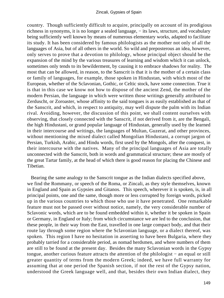country. Though sufficiently difficult to acquire, principally on account of its prodigious richness in synonyms, it is no longer a sealed language, − its laws, structure, and vocabulary being sufficiently well known by means of numerous elementary works, adapted to facilitate its study. It has been considered by famous philologists as the mother not only of all the languages of Asia, but of all others in the world. So wild and preposterous an idea, however, only serves to prove that a devotion to philology, whose principal object should be the expansion of the mind by the various treasures of learning and wisdom which it can unlock, sometimes only tends to its bewilderment, by causing it to embrace shadows for reality. The most that can be allowed, in reason, to the Sanscrit is that it is the mother of a certain class or family of languages, for example, those spoken in Hindustan, with which most of the European, whether of the Sclavonian, Gothic, or Celtic stock, have some connection. True it is that in this case we know not how to dispose of the ancient Zend, the mother of the modern Persian, the language in which were written those writings generally attributed to Zerduscht, or Zoroaster, whose affinity to the said tongues is as easily established as that of the Sanscrit, and which, in respect to antiquity, may well dispute the palm with its Indian rival. Avoiding, however, the discussion of this point, we shall content ourselves with observing, that closely connected with the Sanscrit, if not derived from it, are the Bengali, the high Hindustani, or grand popular language of Hindustan, generally used by the learned in their intercourse and writings, the languages of Multan, Guzerat, and other provinces, without mentioning the mixed dialect called Mongolian Hindustani, a corrupt jargon of Persian, Turkish, Arabic, and Hindu words, first used by the Mongols, after the conquest, in their intercourse with the natives. Many of the principal languages of Asia are totally unconnected with the Sanscrit, both in words and grammatical structure; these are mostly of the great Tartar family, at the head of which there is good reason for placing the Chinese and Tibetian.

 Bearing the same analogy to the Sanscrit tongue as the Indian dialects specified above, we find the Rommany, or speech of the Roma, or Zincali, as they style themselves, known in England and Spain as Gypsies and Gitanos. This speech, wherever it is spoken, is, in all principal points, one and the same, though more or less corrupted by foreign words, picked up in the various countries to which those who use it have penetrated. One remarkable feature must not be passed over without notice, namely, the very considerable number of Sclavonic words, which are to be found embedded within it, whether it be spoken in Spain or Germany, in England or Italy; from which circumstance we are led to the conclusion, that these people, in their way from the East, travelled in one large compact body, and that their route lay through some region where the Sclavonian language, or a dialect thereof, was spoken. This region I have no hesitation in asserting to have been Bulgaria, where they probably tarried for a considerable period, as nomad herdsmen, and where numbers of them are still to be found at the present day. Besides the many Sclavonian words in the Gypsy tongue, another curious feature attracts the attention of the philologist − an equal or still greater quantity of terms from the modern Greek; indeed, we have full warranty for assuming that at one period the Spanish section, if not the rest of the Gypsy nation, understood the Greek language well, and that, besides their own Indian dialect, they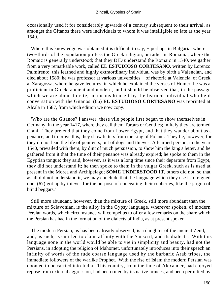occasionally used it for considerably upwards of a century subsequent to their arrival, as amongst the Gitanos there were individuals to whom it was intelligible so late as the year 1540.

Where this knowledge was obtained it is difficult to say, – perhaps in Bulgaria, where two−thirds of the population profess the Greek religion, or rather in Romania, where the Romaic is generally understood; that they DID understand the Romaic in 1540, we gather from a very remarkable work, called **EL ESTUDIOSO CORTESANO,** written by Lorenzo Palmireno: this learned and highly extraordinary individual was by birth a Valencian, and died about 1580; he was professor at various universities − of rhetoric at Valencia, of Greek at Zaragossa, where he gave lectures, in which he explained the verses of Homer; he was a proficient in Greek, ancient and modern, and it should be observed that, in the passage which we are about to cite, he means himself by the learned individual who held conversation with the Gitanos. (66) **EL ESTUDIOSO CORTESANO** was reprinted at Alcala in 1587, from which edition we now copy.

 'Who are the Gitanos? I answer; these vile people first began to show themselves in Germany, in the year 1417, where they call them Tartars or Gentiles; in Italy they are termed Ciani. They pretend that they come from Lower Egypt, and that they wander about as a penance, and to prove this, they show letters from the king of Poland. They lie, however, for they do not lead the life of penitents, but of dogs and thieves. A learned person, in the year 1540, prevailed with them, by dint of much persuasion, to show him the king's letter, and he gathered from it that the time of their penance was already expired; he spoke to them in the Egyptian tongue; they said, however, as it was a long time since their departure from Egypt, they did not understand it; he then spoke to them in the vulgar Greek, such as is used at present in the Morea and Archipelago; **SOME UNDERSTOOD IT,** others did not; so that as all did not understand it, we may conclude that the language which they use is a feigned one, (67) got up by thieves for the purpose of concealing their robberies, like the jargon of blind beggars.'

 Still more abundant, however, than the mixture of Greek, still more abundant than the mixture of Sclavonian, is the alloy in the Gypsy language, wherever spoken, of modern Persian words, which circumstance will compel us to offer a few remarks on the share which the Persian has had in the formation of the dialects of India, as at present spoken.

 The modern Persian, as has been already observed, is a daughter of the ancient Zend, and, as such, is entitled to claim affinity with the Sanscrit, and its dialects. With this language none in the world would be able to vie in simplicity and beauty, had not the Persians, in adopting the religion of Mahomet, unfortunately introduces into their speech an infinity of words of the rude coarse language used by the barbaric Arab tribes, the immediate followers of the warlike Prophet. With the rise of Islam the modern Persian was doomed to be carried into India. This country, from the time of Alexander, had enjoyed repose from external aggression, had been ruled by its native princes, and been permitted by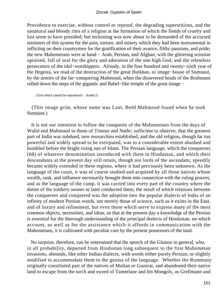Providence to exercise, without control or reproof, the degrading superstitions, and the unnatural and bloody rites of a religion at the formation of which the fiends of cruelty and lust seem to have presided; but reckoning was now about to be demanded of the accursed ministers of this system for the pain, torture, and misery which they had been instrumental in inflicting on their countrymen for the gratification of their avarice, filthy passions, and pride; the new Mahometans were at hand − Arab, Persian, and Afghan, with the glittering scimitar upraised, full of zeal for the glory and adoration of the one high God, and the relentless persecutors of the idol−worshippers. Already, in the four hundred and twenty−sixth year of the Hegeira, we read of the destruction of the great Butkhan, or image−house of Sumnaut, by the armies of the far−conquering Mahmoud, when the dissevered heads of the Brahmans rolled down the steps of the gigantic and Babel−like temple of the great image −

[Text which cannot be reproduced – Arabic?]

 (This image grim, whose name was Laut, Bold Mahmoud found when he took Sumnaut.)

 It is not our intention to follow the conquests of the Mahometans from the days of Walid and Mahmoud to those of Timour and Nadir; sufficient to observe, that the greatest part of India was subdued, new monarchies established, and the old religion, though far too powerful and widely spread to be extirpated, was to a considerable extent abashed and humbled before the bright rising sun of Islam. The Persian language, which the conquerors (68) of whatever denomination introduced with them to Hindustan, and which their descendants at the present day still retain, though not lords of the ascendant, speedily became widely extended in these regions, where it had previously been unknown. As the language of the court, it was of course studied and acquired by all those natives whose wealth, rank, and influence necessarily brought them into connection with the ruling powers; and as the language of the camp, it was carried into every part of the country where the duties of the soldiery sooner or later conducted them; the result of which relations between the conquerors and conquered was the adoption into the popular dialects of India of an infinity of modern Persian words, not merely those of science, such as it exists in the East, and of luxury and refinement, but even those which serve to express many of the most common objects, necessities, and ideas, so that at the present day a knowledge of the Persian is essential for the thorough understanding of the principal dialects of Hindustan, on which account, as well as for the assistance which it affords in communication with the Mahometans, it is cultivated with peculiar care by the present possessors of the land.

 No surprise, therefore, can be entertained that the speech of the Gitanos in general, who, in all probability, departed from Hindustan long subsequent to the first Mahometan invasions, abounds, like other Indian dialects, with words either purely Persian, or slightly modified to accommodate them to the genius of the language. Whether the Rommany originally constituted part of the natives of Multan or Guzerat, and abandoned their native land to escape from the torch and sword of Tamerlane and his Mongols, as Grellmann and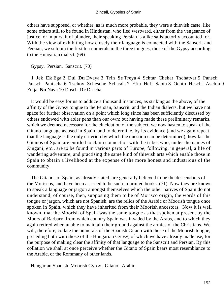others have supposed, or whether, as is much more probable, they were a thievish caste, like some others still to be found in Hindustan, who fled westward, either from the vengeance of justice, or in pursuit of plunder, their speaking Persian is alike satisfactorily accounted for. With the view of exhibiting how closely their language is connected with the Sanscrit and Persian, we subjoin the first ten numerals in the three tongues, those of the Gypsy according to the Hungarian dialect. (69)

Gypsy. Persian. Sanscrit. (70)

 1 Jek **Ek** Ega 2 Dui **Du** Dvaya 3 Trin **Se** Treya 4 Schtar Chehar Tschatvar 5 Pansch Pansch Pantscha 6 Tschov Schesche Schasda 7 Efta Heft Sapta 8 Ochto Hescht Aschta 9 Enija **Nu** Nava 10 Dosch **De** Dascha

 It would be easy for us to adduce a thousand instances, as striking as the above, of the affinity of the Gypsy tongue to the Persian, Sanscrit, and the Indian dialects, but we have not space for further observation on a point which long since has been sufficiently discussed by others endowed with abler pens than our own; but having made these preliminary remarks, which we deemed necessary for the elucidation of the subject, we now hasten to speak of the Gitano language as used in Spain, and to determine, by its evidence (and we again repeat, that the language is the only criterion by which the question can be determined), how far the Gitanos of Spain are entitled to claim connection with the tribes who, under the names of Zingani, etc., are to be found in various parts of Europe, following, in general, a life of wandering adventure, and practising the same kind of thievish arts which enable those in Spain to obtain a livelihood at the expense of the more honest and industrious of the community.

 The Gitanos of Spain, as already stated, are generally believed to be the descendants of the Moriscos, and have been asserted to be such in printed books. (71) Now they are known to speak a language or jargon amongst themselves which the other natives of Spain do not understand; of course, then, supposing them to be of Morisco origin, the words of this tongue or jargon, which are not Spanish, are the relics of the Arabic or Moorish tongue once spoken in Spain, which they have inherited from their Moorish ancestors. Now it is well known, that the Moorish of Spain was the same tongue as that spoken at present by the Moors of Barbary, from which country Spain was invaded by the Arabs, and to which they again retired when unable to maintain their ground against the armies of the Christians. We will, therefore, collate the numerals of the Spanish Gitano with those of the Moorish tongue, preceding both with those of the Hungarian Gypsy, of which we have already made use, for the purpose of making clear the affinity of that language to the Sanscrit and Persian. By this collation we shall at once perceive whether the Gitano of Spain bears most resemblance to the Arabic, or the Rommany of other lands.

Hungarian Spanish Moorish Gypsy. Gitano. Arabic.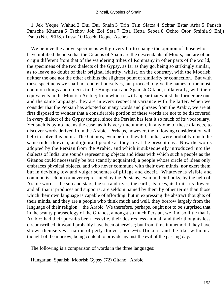1 Jek Yeque Wahud 2 Dui Dui Snain 3 Trin Trin Slatza 4 Schtar Estar Arba 5 Pansch Pansche Khamsa 6 Tschov Job. Zoi Seta 7 Efta Hefta Sebea 8 Ochto Otor Sminia 9 Enija Esnia (Nu. PERS.) Tussa 10 Dosch Deque Aschra

We believe the above specimens will go very far to change the opinion of those who have imbibed the idea that the Gitanos of Spain are the descendants of Moors, and are of an origin different from that of the wandering tribes of Rommany in other parts of the world, the specimens of the two dialects of the Gypsy, as far as they go, being so strikingly similar, as to leave no doubt of their original identity, whilst, on the contrary, with the Moorish neither the one nor the other exhibits the slightest point of similarity or connection. But with these specimens we shall not content ourselves, but proceed to give the names of the most common things and objects in the Hungarian and Spanish Gitano, collaterally, with their equivalents in the Moorish Arabic; from which it will appear that whilst the former are one and the same language, they are in every respect at variance with the latter. When we consider that the Persian has adopted so many words and phrases from the Arabic, we are at first disposed to wonder that a considerable portion of these words are not to be discovered in every dialect of the Gypsy tongue, since the Persian has lent it so much of its vocabulary. Yet such is by no means the case, as it is very uncommon, in any one of these dialects, to discover words derived from the Arabic. Perhaps, however, the following consideration will help to solve this point. The Gitanos, even before they left India, were probably much the same rude, thievish, and ignorant people as they are at the present day. Now the words adopted by the Persian from the Arabic, and which it subsequently introduced into the dialects of India, are sounds representing objects and ideas with which such a people as the Gitanos could necessarily be but scantily acquainted, a people whose circle of ideas only embraces physical objects, and who never commune with their own minds, nor exert them but in devising low and vulgar schemes of pillage and deceit. Whatever is visible and common is seldom or never represented by the Persians, even in their books, by the help of Arabic words: the sun and stars, the sea and river, the earth, its trees, its fruits, its flowers, and all that it produces and supports, are seldom named by them by other terms than those which their own language is capable of affording; but in expressing the abstract thoughts of their minds, and they are a people who think much and well, they borrow largely from the language of their religion − the Arabic. We therefore, perhaps, ought not to be surprised that in the scanty phraseology of the Gitanos, amongst so much Persian, we find so little that is Arabic; had their pursuits been less vile, their desires less animal, and their thoughts less circumscribed, it would probably have been otherwise; but from time immemorial they have shown themselves a nation of petty thieves, horse−traffickers, and the like, without a thought of the morrow, being content to provide against the evil of the passing day.

The following is a comparison of words in the three languages:−

Hungarian Spanish Moorish Gypsy.(72) Gitano. Arabic.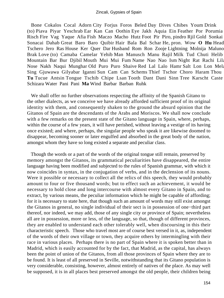#### Zincali, Gypsies of Spain

 Bone Cokalos Cocal Adorn City Forjus Foros Beled Day Dives Chibes Youm Drink (to) Piava Piyar Yeschrab Ear Kan Can Oothin Eye Jakh Aquia Ein Feather Por Porumia Risch Fire Vag Yaque Afia Fish Maczo Macho Hutz Foot Pir Piro, pindro Rjil Gold Sonkai Sonacai Dahab Great Baro Baro Quibir Hair Bala Bal Schar He, pron. Wow **O Hu** Head Tschero Jero Ras House Ker Quer Dar Husband Rom Ron Zooje Lightning Molnija Maluno Brak Love (to) Camaba Camelar Yehib Man Manusch Manu Rajil Milk Tud Chuti Helib Mountain Bar Bur Djibil Mouth Mui Mui Fum Name Nao Nao Ism Night Rat Rachi Lila Nose Nakh Naqui Munghar Old Puro Puro Shaive Red Lal Lalo Hamr Salt Lon Lon Mela Sing Gjuwawa Gilyabar Iganni Sun Cam Can Schems Thief Tschor Choro Haram Thou **Tu** Tucue Antsin Tongue Tschib Chipe Lsan Tooth Dant Dani Sinn Tree Karscht Caste Schizara Water Pani Pani **Ma** Wind Barbar Barban Ruhk

 We shall offer no further observations respecting the affinity of the Spanish Gitano to the other dialects, as we conceive we have already afforded sufficient proof of its original identity with them, and consequently shaken to the ground the absurd opinion that the Gitanos of Spain are the descendants of the Arabs and Moriscos. We shall now conclude with a few remarks on the present state of the Gitano language in Spain, where, perhaps, within the course of a few years, it will have perished, without leaving a vestige of its having once existed; and where, perhaps, the singular people who speak it are likewise doomed to disappear, becoming sooner or later engulfed and absorbed in the great body of the nation, amongst whom they have so long existed a separate and peculiar class.

 Though the words or a part of the words of the original tongue still remain, preserved by memory amongst the Gitanos, its grammatical peculiarities have disappeared, the entire language having been modified and subjected to the rules of Spanish grammar, with which it now coincides in syntax, in the conjugation of verbs, and in the declension of its nouns. Were it possible or necessary to collect all the relics of this speech, they would probably amount to four or five thousand words; but to effect such an achievement, it would be necessary to hold close and long intercourse with almost every Gitano in Spain, and to extract, by various means, the peculiar information which he might be capable of affording; for it is necessary to state here, that though such an amount of words may still exist amongst the Gitanos in general, no single individual of their sect is in possession of one−third part thereof, nor indeed, we may add, those of any single city or province of Spain; nevertheless all are in possession, more or less, of the language, so that, though of different provinces, they are enabled to understand each other tolerably well, when discoursing in this their characteristic speech. Those who travel most are of course best versed in it, as, independent of the words of their own village or town, they acquire others by intermingling with their race in various places. Perhaps there is no part of Spain where it is spoken better than in Madrid, which is easily accounted for by the fact, that Madrid, as the capital, has always been the point of union of the Gitanos, from all those provinces of Spain where they are to be found. It is least of all preserved in Seville, notwithstanding that its Gitano population is very considerable, consisting, however, almost entirely of natives of the place. As may well be supposed, it is in all places best preserved amongst the old people, their children being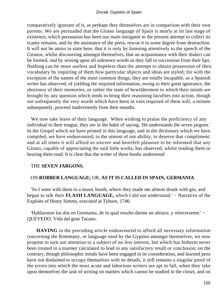comparatively ignorant of it, as perhaps they themselves are in comparison with their own parents. We are persuaded that the Gitano language of Spain is nearly at its last stage of existence, which persuasion has been our main instigator to the present attempt to collect its scanty remains, and by the assistance of the press, rescue it in some degree from destruction. It will not be amiss to state here, that it is only by listening attentively to the speech of the Gitanos, whilst discoursing amongst themselves, that an acquaintance with their dialect can be formed, and by seizing upon all unknown words as they fall in succession from their lips. Nothing can be more useless and hopeless than the attempt to obtain possession of their vocabulary by inquiring of them how particular objects and ideas are styled; for with the exception of the names of the most common things, they are totally incapable, as a Spanish writer has observed, of yielding the required information, owing to their great ignorance, the shortness of their memories, or rather the state of bewilderment to which their minds are brought by any question which tends to bring their reasoning faculties into action, though not unfrequently the very words which have been in vain required of them will, a minute subsequently, proceed inadvertently from their mouths.

We now take leave of their language. When wishing to praise the proficiency of any individual in their tongue, they are in the habit of saying, 'He understands the seven jargons.' In the Gospel which we have printed in this language, and in the dictionary which we have compiled, we have endeavoured, to the utmost of our ability, to deserve that compliment; and at all times it will afford us sincere and heartfelt pleasure to be informed that any Gitano, capable of appreciating the said little works, has observed, whilst reading them or hearing them read: It is clear that the writer of these books understood

### THE **SEVEN JARGONS.**

### ON **ROBBER LANGUAGE;** OR, **AS IT IS CALLED IN SPAIN, GERMANIA**

 'So I went with them to a music booth, where they made me almost drunk with gin, and began to talk their **FLASH LANGUAGE**, which I did not understand.' – Narrative of the Exploits of Henry Simms, executed at Tyburn, 1746.

 'Hablaronse los dos en Germania, de lo qual resulto darme un abraco, y ofrecerseme.' − QUEVEDO. Vida dal gran Tacano.

**HAVING** in the preceding article endeavoured to afford all necessary information concerning the Rommany, or language used by the Gypsies amongst themselves, we now propose to turn our attention to a subject of no less interest, but which has hitherto never been treated in a manner calculated to lead to any satisfactory result or conclusion; on the contrary, though philosophic minds have been engaged in its consideration, and learned pens have not disdained to occupy themselves with its details, it still remains a singular proof of the errors into which the most acute and laborious writers are apt to fall, when they take upon themselves the task of writing on matters which cannot be studied in the closet, and on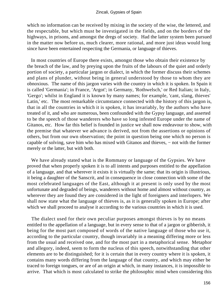which no information can be received by mixing in the society of the wise, the lettered, and the respectable, but which must be investigated in the fields, and on the borders of the highways, in prisons, and amongst the dregs of society. Had the latter system been pursued in the matter now before us, much clearer, more rational, and more just ideas would long since have been entertained respecting the Germania, or language of thieves.

 In most countries of Europe there exists, amongst those who obtain their existence by the breach of the law, and by preying upon the fruits of the labours of the quiet and orderly portion of society, a particular jargon or dialect, in which the former discuss their schemes and plans of plunder, without being in general understood by those to whom they are obnoxious. The name of this jargon varies with the country in which it is spoken. In Spain it is called 'Germania'; in France, 'Argot'; in Germany, 'Rothwelsch,' or Red Italian; in Italy, 'Gergo'; whilst in England it is known by many names; for example, 'cant, slang, thieves' Latin,' etc. The most remarkable circumstance connected with the history of this jargon is, that in all the countries in which it is spoken, it has invariably, by the authors who have treated of it, and who are numerous, been confounded with the Gypsy language, and asserted to be the speech of those wanderers who have so long infested Europe under the name of Gitanos, etc. How far this belief is founded in justice we shall now endeavour to show, with the premise that whatever we advance is derived, not from the assertions or opinions of others, but from our own observation; the point in question being one which no person is capable of solving, save him who has mixed with Gitanos and thieves, − not with the former merely or the latter, but with both.

 We have already stated what is the Rommany or language of the Gypsies. We have proved that when properly spoken it is to all intents and purposes entitled to the appellation of a language, and that wherever it exists it is virtually the same; that its origin is illustrious, it being a daughter of the Sanscrit, and in consequence in close connection with some of the most celebrated languages of the East, although it at present is only used by the most unfortunate and degraded of beings, wanderers without home and almost without country, as wherever they are found they are considered in the light of foreigners and interlopers. We shall now state what the language of thieves is, as it is generally spoken in Europe; after which we shall proceed to analyse it according to the various countries in which it is used.

 The dialect used for their own peculiar purposes amongst thieves is by no means entitled to the appellation of a language, but in every sense to that of a jargon or gibberish, it being for the most part composed of words of the native language of those who use it, according to the particular country, though invariably in a meaning differing more or less from the usual and received one, and for the most part in a metaphorical sense. Metaphor and allegory, indeed, seem to form the nucleus of this speech, notwithstanding that other elements are to be distinguished; for it is certain that in every country where it is spoken, it contains many words differing from the language of that country, and which may either be traced to foreign tongues, or are of an origin at which, in many instances, it is impossible to arrive. That which is most calculated to strike the philosophic mind when considering this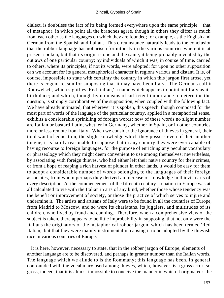dialect, is doubtless the fact of its being formed everywhere upon the same principle − that of metaphor, in which point all the branches agree, though in others they differ as much from each other as the languages on which they are founded; for example, as the English and German from the Spanish and Italian. This circumstance naturally leads to the conclusion that the robber language has not arisen fortuitously in the various countries where it is at present spoken, but that its origin is one and the same, it being probably invented by the outlaws of one particular country; by individuals of which it was, in course of time, carried to others, where its principles, if not its words, were adopted; for upon no other supposition can we account for its general metaphorical character in regions various and distant. It is, of course, impossible to state with certainty the country in which this jargon first arose, yet there is cogent reason for supposing that it may have been Italy. The Germans call it Rothwelsch, which signifies 'Red Italian,' a name which appears to point out Italy as its birthplace; and which, though by no means of sufficient importance to determine the question, is strongly corroborative of the supposition, when coupled with the following fact. We have already intimated, that wherever it is spoken, this speech, though composed for the most part of words of the language of the particular country, applied in a metaphorical sense, exhibits a considerable sprinkling of foreign words; now of these words no slight number are Italian or bastard Latin, whether in Germany, whether in Spain, or in other countries more or less remote from Italy. When we consider the ignorance of thieves in general, their total want of education, the slight knowledge which they possess even of their mother tongue, it is hardly reasonable to suppose that in any country they were ever capable of having recourse to foreign languages, for the purpose of enriching any peculiar vocabulary or phraseology which they might deem convenient to use among themselves; nevertheless, by associating with foreign thieves, who had either left their native country for their crimes, or from a hope of reaping a rich harvest of plunder in other lands, it would be easy for them to adopt a considerable number of words belonging to the languages of their foreign associates, from whom perhaps they derived an increase of knowledge in thievish arts of every description. At the commencement of the fifteenth century no nation in Europe was at all calculated to vie with the Italian in arts of any kind, whether those whose tendency was the benefit or improvement of society, or those the practice of which serves to injure and undermine it. The artists and artisans of Italy were to be found in all the countries of Europe, from Madrid to Moscow, and so were its charlatans, its jugglers, and multitudes of its children, who lived by fraud and cunning. Therefore, when a comprehensive view of the subject is taken, there appears to be little improbability in supposing, that not only were the Italians the originators of the metaphorical robber jargon, which has been termed 'Red Italian,' but that they were mainly instrumental in causing it to be adopted by the thievish race in various countries of Europe.

 It is here, however, necessary to state, that in the robber jargon of Europe, elements of another language are to be discovered, and perhaps in greater number than the Italian words. The language which we allude to is the Rommany; this language has been, in general, confounded with the vocabulary used among thieves, which, however, is a gross error, so gross, indeed, that it is almost impossible to conceive the manner in which it originated: the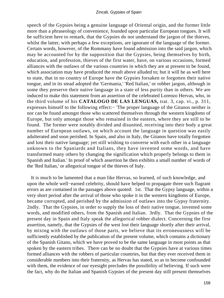speech of the Gypsies being a genuine language of Oriental origin, and the former little more than a phraseology of convenience, founded upon particular European tongues. It will be sufficient here to remark, that the Gypsies do not understand the jargon of the thieves, whilst the latter, with perhaps a few exceptions, are ignorant of the language of the former. Certain words, however, of the Rommany have found admission into the said jargon, which may be accounted for by the supposition that the Gypsies, being themselves by birth, education, and profession, thieves of the first water, have, on various occasions, formed alliances with the outlaws of the various countries in which they are at present to be found, which association may have produced the result above alluded to; but it will be as well here to state, that in no country of Europe have the Gypsies forsaken or forgotten their native tongue, and in its stead adopted the 'Germania,' 'Red Italian,' or robber jargon, although in some they preserve their native language in a state of less purity than in others. We are induced to make this statement from an assertion of the celebrated Lorenzo Hervas, who, in the third volume of his **CATALOGO DE LAS LENGUAS,** trat. 3, cap. vi., p. 311, expresses himself to the following effect:- 'The proper language of the Gitanos neither is nor can be found amongst those who scattered themselves through the western kingdoms of Europe, but only amongst those who remained in the eastern, where they are still to be found. The former were notably divided and disunited, receiving into their body a great number of European outlaws, on which account the language in question was easily adulterated and soon perished. In Spain, and also in Italy, the Gitanos have totally forgotten and lost their native language; yet still wishing to converse with each other in a language unknown to the Spaniards and Italians, they have invented some words, and have transformed many others by changing the signification which properly belongs to them in Spanish and Italian.' In proof of which assertion he then exhibits a small number of words of the 'Red Italian,' or allegorical tongue of the thieves of Italy.

 It is much to be lamented that a man like Hervas, so learned, of such knowledge, and upon the whole well−earned celebrity, should have helped to propagate three such flagrant errors as are contained in the passages above quoted: 1st. That the Gypsy language, within a very short period after the arrival of those who spoke it in the western kingdoms of Europe, became corrupted, and perished by the admission of outlaws into the Gypsy fraternity. 2ndly. That the Gypsies, in order to supply the loss of their native tongue, invented some words, and modified others, from the Spanish and Italian. 3rdly. That the Gypsies of the present day in Spain and Italy speak the allegorical robber dialect. Concerning the first assertion, namely, that the Gypsies of the west lost their language shortly after their arrival, by mixing with the outlaws of those parts, we believe that its erroneousness will be sufficiently established by the publication of the present volume, which contains a dictionary of the Spanish Gitano, which we have proved to be the same language in most points as that spoken by the eastern tribes. There can be no doubt that the Gypsies have at various times formed alliances with the robbers of particular countries, but that they ever received them in considerable numbers into their fraternity, as Hervas has stated, so as to become confounded with them, the evidence of our eyesight precludes the possibility of believing. If such were the fact, why do the Italian and Spanish Gypsies of the present day still present themselves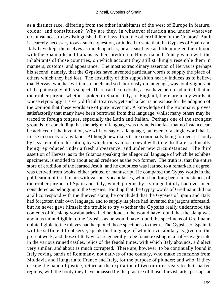as a distinct race, differing from the other inhabitants of the west of Europe in feature, colour, and constitution? Why are they, in whatever situation and under whatever circumstances, to be distinguished, like Jews, from the other children of the Creator? But it is scarcely necessary to ask such a question, or indeed to state that the Gypsies of Spain and Italy have kept themselves as much apart as, or at least have as little mingled their blood with the Spaniards and Italians as their brethren in Hungaria and Transylvania with the inhabitants of those countries, on which account they still strikingly resemble them in manners, customs, and appearance. The most extraordinary assertion of Hervas is perhaps his second, namely, that the Gypsies have invented particular words to supply the place of others which they had lost. The absurdity of this supposition nearly induces us to believe that Hervas, who has written so much and so laboriously on language, was totally ignorant of the philosophy of his subject. There can be no doubt, as we have before admitted, that in the robber jargon, whether spoken in Spain, Italy, or England, there are many words at whose etymology it is very difficult to arrive; yet such a fact is no excuse for the adoption of the opinion that these words are of pure invention. A knowledge of the Rommany proves satisfactorily that many have been borrowed from that language, whilst many others may be traced to foreign tongues, especially the Latin and Italian. Perhaps one of the strongest grounds for concluding that the origin of language was divine is the fact that no instance can be adduced of the invention, we will not say of a language, but even of a single word that is in use in society of any kind. Although new dialects are continually being formed, it is only by a system of modification, by which roots almost coeval with time itself are continually being reproduced under a fresh appearance, and under new circumstances. The third assertion of Hervas, as to the Gitanos speaking the allegorical language of which he exhibits specimens, is entitled to about equal credence as the two former. The truth is, that the entire store of erudition of the learned Jesuit, and he doubtless was learned to a remarkable degree, was derived from books, either printed or manuscript. He compared the Gypsy words in the publication of Grellmann with various vocabularies, which had long been in existence, of the robber jargons of Spain and Italy, which jargons by a strange fatuity had ever been considered as belonging to the Gypsies. Finding that the Gypsy words of Grellmann did not at all correspond with the thieves' slang, he concluded that the Gypsies of Spain and Italy had forgotten their own language, and to supply its place had invented the jargons aforesaid, but he never gave himself the trouble to try whether the Gypsies really understood the contents of his slang vocabularies; had he done so, he would have found that the slang was about as unintelligible to the Gypsies as he would have found the specimens of Grellmann unintelligible to the thieves had he quoted those specimens to them. The Gypsies of Spain, it will be sufficient to observe, speak the language of which a vocabulary is given in the present work, and those of Italy who are generally to be found existing in a half−savage state in the various ruined castles, relics of the feudal times, with which Italy abounds, a dialect very similar, and about as much corrupted. There are, however, to be continually found in Italy roving bands of Rommany, not natives of the country, who make excursions from Moldavia and Hungaria to France and Italy, for the purpose of plunder; and who, if they escape the hand of justice, return at the expiration of two or three years to their native regions, with the booty they have amassed by the practice of those thievish arts, perhaps at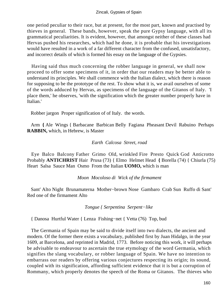one period peculiar to their race, but at present, for the most part, known and practised by thieves in general. These bands, however, speak the pure Gypsy language, with all its grammatical peculiarities. It is evident, however, that amongst neither of these classes had Hervas pushed his researches, which had he done, it is probable that his investigations would have resulted in a work of a far different character from the confused, unsatisfactory, and incorrect details of which is formed his essay on the language of the Gypsies.

 Having said thus much concerning the robber language in general, we shall now proceed to offer some specimens of it, in order that our readers may be better able to understand its principles. We shall commence with the Italian dialect, which there is reason for supposing to be the prototype of the rest. To show what it is, we avail ourselves of some of the words adduced by Hervas, as specimens of the language of the Gitanos of Italy. 'I place them,' he observes, 'with the signification which the greater number properly have in Italian.'

Robber jargon Proper signification of of Italy. the words.

 Arm **{** Ale Wings { Barbacane Barbican Belly Fagiana Pheasant Devil Rabuino Perhaps **RABBIN,** which, in Hebrew, is Master

### *Earth Calcosa Street, road*

 Eye Balco Balcony Father Grimo Old, wrinkled Fire Presto Quick God Anticrotto Probably **ANTICHRIST** Hair Prusa (73) { Elmo Helmet Head **{** Borella (74) { Chiurla (75) Heart Salsa Sauce Man Osmo From the Italian **UOMO,** which is man

*Moon Mocoloso di Wick of the firmament* 

 Sant' Alto Night Brunamaterna Mother−brown Nose Gambaro Crab Sun Ruffo di Sant' Red one of the firmament Alto

*Tongue { Serpentina Serpent−like* 

{ Danosa Hurtful Water { Lenza Fishing−net { Vetta (76) Top, bud

 The Germania of Spain may be said to divide itself into two dialects, the ancient and modern. Of the former there exists a vocabulary, published first by Juan Hidalgo, in the year 1609, at Barcelona, and reprinted in Madrid, 1773. Before noticing this work, it will perhaps be advisable to endeavour to ascertain the true etymology of the word Germania, which signifies the slang vocabulary, or robber language of Spain. We have no intention to embarrass our readers by offering various conjectures respecting its origin; its sound, coupled with its signification, affording sufficient evidence that it is but a corruption of Rommany, which properly denotes the speech of the Roma or Gitanos. The thieves who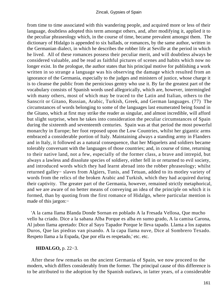from time to time associated with this wandering people, and acquired more or less of their language, doubtless adopted this term amongst others, and, after modifying it, applied it to the peculiar phraseology which, in the course of time, became prevalent amongst them. The dictionary of Hidalgo is appended to six ballads, or romances, by the same author, written in the Germanian dialect, in which he describes the robber life at Seville at the period in which he lived. All of these romances possess their peculiar merit, and will doubtless always be considered valuable, and be read as faithful pictures of scenes and habits which now no longer exist. In the prologue, the author states that his principal motive for publishing a work written in so strange a language was his observing the damage which resulted from an ignorance of the Germania, especially to the judges and ministers of justice, whose charge it is to cleanse the public from the pernicious gentry who use it. By far the greatest part of the vocabulary consists of Spanish words used allegorically, which are, however, intermingled with many others, most of which may be traced to the Latin and Italian, others to the Sanscrit or Gitano, Russian, Arabic, Turkish, Greek, and German languages. (77) The circumstances of words belonging to some of the languages last enumerated being found in the Gitano, which at first may strike the reader as singular, and almost incredible, will afford but slight surprise, when he takes into consideration the peculiar circumstances of Spain during the sixteenth and seventeenth centuries. Spain was at that period the most powerful monarchy in Europe; her foot reposed upon the Low Countries, whilst her gigantic arms embraced a considerable portion of Italy. Maintaining always a standing army in Flanders and in Italy, it followed as a natural consequence, that her Miquelets and soldiers became tolerably conversant with the languages of those countries; and, in course of time, returning to their native land, not a few, especially of the former class, a brave and intrepid, but always a lawless and dissolute species of soldiery, either fell in or returned to evil society, and introduced words which they had learnt abroad into the robber phraseology; whilst returned galley− slaves from Algiers, Tunis, and Tetuan, added to its motley variety of words from the relics of the broken Arabic and Turkish, which they had acquired during their captivity. The greater part of the Germania, however, remained strictly metaphorical, and we are aware of no better means of conveying an idea of the principle on which it is formed, than by quoting from the first romance of Hidalgo, where particular mention is made of this jargon:−

 'A la cama llama Blanda Donde Sornan en poblado A la Fresada Vellosa, Que mucho vello ha criado. Dice a la sabana Alba Porque es alba en sumo grado, A la camisa Carona, Al jubon llama apretado: Dice al Sayo Tapador Porque le lleva tapado. Llama a los zapatos Duros, Que las piedras van pisando. A la capa llama nuve, Dice al Sombrero Texado. Respeto llama a la Espada, Que por ella es respetado,' etc. etc.

# **HIDALGO,** p. 22−3.

 After these few remarks on the ancient Germania of Spain, we now proceed to the modern, which differs considerably from the former. The principal cause of this difference is to be attributed to the adoption by the Spanish outlaws, in latter years, of a considerable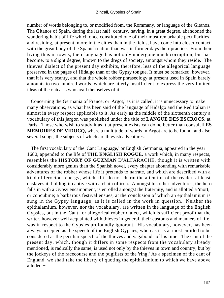number of words belonging to, or modified from, the Rommany, or language of the Gitanos. The Gitanos of Spain, during the last half–century, having, in a great degree, abandoned the wandering habit of life which once constituted one of their most remarkable peculiarities, and residing, at present, more in the cities than in the fields, have come into closer contact with the great body of the Spanish nation than was in former days their practice. From their living thus in towns, their language has not only undergone much corruption, but has become, to a slight degree, known to the dregs of society, amongst whom they reside. The thieves' dialect of the present day exhibits, therefore, less of the allegorical language preserved in the pages of Hidalgo than of the Gypsy tongue. It must be remarked, however, that it is very scanty, and that the whole robber phraseology at present used in Spain barely amounts to two hundred words, which are utterly insufficient to express the very limited ideas of the outcasts who avail themselves of it.

 Concerning the Germania of France, or 'Argot,' as it is called, it is unnecessary to make many observations, as what has been said of the language of Hidalgo and the Red Italian is almost in every respect applicable to it. As early as the middle of the sixteenth century a vocabulary of this jargon was published under the title of **LANGUE DES ESCROCS,** at Paris. Those who wish to study it as it at present exists can do no better than consult **LES MEMOIRES DE VIDOCQ,** where a multitude of words in Argot are to be found, and also several songs, the subjects of which are thievish adventures.

 The first vocabulary of the 'Cant Language,' or English Germania, appeared in the year 1680, appended to the life of **THE ENGLISH ROGUE,** a work which, in many respects, resembles the **HISTORY OF GUZMAN** D'ALFARACHE, though it is written with considerably more genius than the Spanish novel, every chapter abounding with remarkable adventures of the robber whose life it pretends to narrate, and which are described with a kind of ferocious energy, which, if it do not charm the attention of the reader, at least enslaves it, holding it captive with a chain of iron. Amongst his other adventures, the hero falls in with a Gypsy encampment, is enrolled amongst the fraternity, and is allotted a 'mort,' or concubine; a barbarous festival ensues, at the conclusion of which an epithalamium is sung in the Gypsy language, as it is called in the work in question. Neither the epithalamium, however, nor the vocabulary, are written in the language of the English Gypsies, but in the 'Cant,' or allegorical robber dialect, which is sufficient proof that the writer, however well acquainted with thieves in general, their customs and manners of life, was in respect to the Gypsies profoundly ignorant. His vocabulary, however, has been always accepted as the speech of the English Gypsies, whereas it is at most entitled to be considered as the peculiar speech of the thieves and vagabonds of his time. The cant of the present day, which, though it differs in some respects from the vocabulary already mentioned, is radically the same, is used not only by the thieves in town and country, but by the jockeys of the racecourse and the pugilists of the 'ring.' As a specimen of the cant of England, we shall take the liberty of quoting the epithalamium to which we have above alluded:−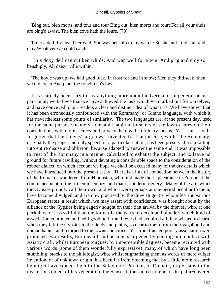'Bing out, bien morts, and tour and tour Bing out, bien morts and tour; For all your duds are bing'd awast, The bien cove hath the loure. (78)

 'I met a dell, I viewed her well, She was benship to my watch: So she and I did stall and cloy Whatever we could catch.

 'This doxy dell can cut ben whids, And wap well for a win, And prig and cloy so benshiply, All daisy−ville within.

 'The hoyle was up, we had good luck, In frost for and in snow; Men they did seek, then we did creep And plant the roughman's low.'

 It is scarcely necessary to say anything more upon the Germania in general or in particular; we believe that we have achieved the task which we marked out for ourselves, and have conveyed to our readers a clear and distinct idea of what it is. We have shown that it has been erroneously confounded with the Rommany, or Gitano language, with which it has nevertheless some points of similarity. The two languages are, at the present day, used for the same purpose, namely, to enable habitual breakers of the law to carry on their consultations with more secrecy and privacy than by the ordinary means. Yet it must not be forgotten that the thieves' jargon was invented for that purpose, whilst the Rommany, originally the proper and only speech of a particular nation, has been preserved from falling into entire disuse and oblivion, because adapted to answer the same end. It was impossible to treat of the Rommany in a manner calculated to exhaust the subject, and to leave no ground for future cavilling, without devoting a considerable space to the consideration of the robber dialect, on which account we hope we shall be excused many of the dry details which we have introduced into the present essay. There is a link of connection between the history of the Roma, or wanderers from Hindustan, who first made their appearance in Europe at the commencement of the fifteenth century, and that of modern roguery. Many of the arts which the Gypsies proudly call their own, and which were perhaps at one period peculiar to them, have become divulged, and are now practised by the thievish gentry who infest the various European states, a result which, we may assert with confidence, was brought about by the alliance of the Gypsies being eagerly sought on their first arrival by the thieves, who, at one period, were less skilful than the former in the ways of deceit and plunder; which kind of association continued and held good until the thieves had acquired all they wished to learn, when they left the Gypsies in the fields and plains, so dear to them from their vagabond and nomad habits, and returned to the towns and cities. Yet from this temporary association were produced two results; European fraud became sharpened by coming into contact with Asiatic craft, whilst European tongues, by imperceptible degrees, became recruited with various words (some of them wonderfully expressive), many of which have long been stumbling−stocks to the philologist, who, whilst stigmatising them as words of mere vulgar invention, or of unknown origin, has been far from dreaming that by a little more research he might have traced them to the Sclavonic, Persian, or Romaic, or perhaps to the mysterious object of his veneration, the Sanscrit, the sacred tongue of the palm−covered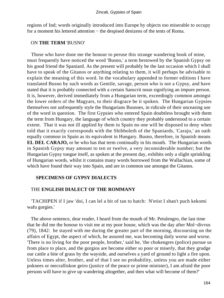regions of Ind; words originally introduced into Europe by objects too miserable to occupy for a moment his lettered attention − the despised denizens of the tents of Roma.

### ON **THE TERM** 'BUSNO'

 Those who have done me the honour to peruse this strange wandering book of mine, must frequently have noticed the word 'Busno,' a term bestowed by the Spanish Gypsy on his good friend the Spaniard. As the present will probably be the last occasion which I shall have to speak of the Gitanos or anything relating to them, it will perhaps be advisable to explain the meaning of this word. In the vocabulary appended to former editions I have translated Busno by such words as Gentile, savage, person who is not a Gypsy, and have stated that it is probably connected with a certain Sanscrit noun signifying an impure person. It is, however, derived immediately from a Hungarian term, exceedingly common amongst the lower orders of the Magyars, to their disgrace be it spoken. The Hungarian Gypsies themselves not unfrequently style the Hungarians Busnoes, in ridicule of their unceasing use of the word in question. The first Gypsies who entered Spain doubtless brought with them the term from Hungary, the language of which country they probably understood to a certain extent. That it was not ill applied by them in Spain no one will be disposed to deny when told that it exactly corresponds with the Shibboleth of the Spaniards, 'Carajo,' an oath equally common in Spain as its equivalent in Hungary. Busno, therefore, in Spanish means **EL DEL CARAJO,** or he who has that term continually in his mouth. The Hungarian words in Spanish Gypsy may amount to ten or twelve, a very inconsiderable number; but the Hungarian Gypsy tongue itself, as spoken at the present day, exhibits only a slight sprinkling of Hungarian words, whilst it contains many words borrowed from the Wallachian, some of which have found their way into Spain, and are in common use amongst the Gitanos.

### **SPECIMENS OF GYPSY DIALECTS**

### THE **ENGLISH DIALECT OF THE ROMMANY**

 'TACHIPEN if I jaw 'doi, I can lel a bit of tan to hatch: N'etist I shan't puch kekomi wafu gorgies.'

 The above sentence, dear reader, I heard from the mouth of Mr. Petulengro, the last time that he did me the honour to visit me at my poor house, which was the day after Mol−divvus (79), 1842: he stayed with me during the greater part of the morning, discoursing on the affairs of Egypt, the aspect of which, he assured me, was becoming daily worse and worse. 'There is no living for the poor people, brother,' said he, 'the chokengres (police) pursue us from place to place, and the gorgios are become either so poor or miserly, that they grudge our cattle a bite of grass by the wayside, and ourselves a yard of ground to light a fire upon. Unless times alter, brother, and of that I see no probability, unless you are made either poknees or mecralliskoe geiro (justice of the peace or prime minister), I am afraid the poor persons will have to give up wandering altogether, and then what will become of them?'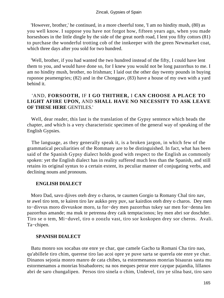'However, brother,' he continued, in a more cheerful tone, 'I am no hindity mush, (80) as you well know. I suppose you have not forgot how, fifteen years ago, when you made horseshoes in the little dingle by the side of the great north road, I lent you fifty cottors (81) to purchase the wonderful trotting cob of the innkeeper with the green Newmarket coat, which three days after you sold for two hundred.

 'Well, brother, if you had wanted the two hundred instead of the fifty, I could have lent them to you, and would have done so, for I knew you would not be long pazorrhus to me. I am no hindity mush, brother, no Irishman; I laid out the other day twenty pounds in buying ruponoe peamengries; (82) and in the Chonggav, (83) have a house of my own with a yard behind it.

# 'AND, **FORSOOTH,** IF **I GO THITHER,** I **CAN CHOOSE A PLACE TO LIGHT AFIRE UPON,** AND **SHALL HAVE NO NECESSITY TO ASK LEAVE OF THESE HERE** GENTILES.'

 Well, dear reader, this last is the translation of the Gypsy sentence which heads the chapter, and which is a very characteristic specimen of the general way of speaking of the English Gypsies.

 The language, as they generally speak it, is a broken jargon, in which few of the grammatical peculiarities of the Rommany are to be distinguished. In fact, what has been said of the Spanish Gypsy dialect holds good with respect to the English as commonly spoken: yet the English dialect has in reality suffered much less than the Spanish, and still retains its original syntax to a certain extent, its peculiar manner of conjugating verbs, and declining nouns and pronouns.

### **ENGLISH DIALECT**

 Moro Dad, savo djives oteh drey o charos, te caumen Gorgio ta Romany Chal tiro nav, te awel tiro tem, te kairen tiro lav aukko prey puv, sar kairdios oteh drey o charos. Dey men to−divvus moro divvuskoe moro, ta for−dey men pazorrhus tukey sar men for−denna len pazorrhus amande; ma muk te petrenna drey caik temptacionos; ley men abri sor doschder. Tiro se o tem, Mi−duvel, tiro o zoozlu vast, tiro sor koskopen drey sor cheros. Avali. Ta−chipen.

### **SPANISH DIALECT**

 Batu monro sos socabas ote enre ye char, que camele Gacho ta Romani Cha tiro nao, qu'abillele tiro chim, querese tiro lao acoi opre ye puve sarta se querela ote enre ye char. Dinanos sejonia monro manro de cata chibes, ta estormenanos monrias bisauras sasta mu estormenamos a monrias bisabadores; na nos meques petrar enre cayque pajandia, lillanos abri de saro chungalipen. Persos tiro sinela o chim, Undevel, tiro ye silna bast, tiro saro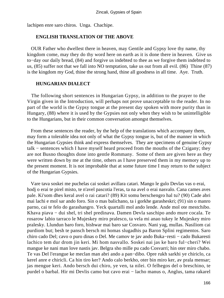lachipen enre saro chiros. Unga. Chachipe.

### **ENGLISH TRANSLATION OF THE ABOVE**

 OUR Father who dwellest there in heaven, may Gentile and Gypsy love thy name, thy kingdom come, may they do thy word here on earth as it is done there in heaven. Give us to−day our daily bread, (84) and forgive us indebted to thee as we forgive them indebted to us, (85) suffer not that we fall into NO temptation, take us out from all evil. (86) Thine (87) is the kingdom my God, thine the strong hand, thine all goodness in all time. Aye. Truth.

#### **HUNGARIAN DIALECT**

 The following short sentences in Hungarian Gypsy, in addition to the prayer to the Virgin given in the Introduction, will perhaps not prove unacceptable to the reader. In no part of the world is the Gypsy tongue at the present day spoken with more purity than in Hungary, (88) where it is used by the Gypsies not only when they wish to be unintelligible to the Hungarians, but in their common conversation amongst themselves.

 From these sentences the reader, by the help of the translations which accompany them, may form a tolerable idea not only of what the Gypsy tongue is, but of the manner in which the Hungarian Gypsies think and express themselves. They are specimens of genuine Gypsy talk − sentences which I have myself heard proceed from the mouths of the Czigany; they are not Busno thoughts done into gentle Rommany. Some of them are given here as they were written down by me at the time, others as I have preserved them in my memory up to the present moment. It is not improbable that at some future time I may return to the subject of the Hungarian Gypsies.

 Vare tava soskei me puchelas cai soskei avillara catari. Mango le gulo Devlas vas o erai, hodj o erai te pirel misto, te n'avel pascotia l'eras, ta na avel o erai nasvalo. Cana cames aves pale. Ki'som dhes keral avel o rai catari? (89) Kit somu berschengro hal tu? (90) Cade abri mai lachi e mol sar ando foro. Sin o mas balichano, ta i gorkhe garasheskri; (91) sin o manro parno, cai te felo do garashangro. Yeck quartalli mol ando lende. Ande mol ote mestchibo. Khava piava − dui shel, tri shel predinava. Damen Devla saschipo ando mure cocala. Te rosarow labio tarraco le Mujeskey miro pralesco, ta vela mi anao tukey le Mujeskey miro pralesky. Llundun baro foro, bishwar mai baro sar Cosvaro. Nani yag, mullas. Nasiliom cai purdiom but; besh te pansch bersch mi homas slugadhis pa Baron Splini regimentos. Saro chiro cado Del; cavo o puro dinas o Del. Me camov te jav ando Buka−resti − cado Bukaresti lachico tem dur drom jin keri. Mi hom nasvallo. Soskei nai jas ke baro ful−cheri? Wei mangue ke nani man love nastis jav. Belgra sho mille pu cado Cosvarri; hin oter miro chabo. Te vas Del l'erangue ke meclan man abri ando a pan−dibo. Opre rukh sarkhi ye chiriclo, ca kerel anre e chiricli. Ca hin tiro ker? Ando calo berkho, oter bin miro ker, av prala mensar; jas mengue keri. Ando bersch dui chiro, ye ven, ta nilei. O felhegos del o breschino, te purdel o barbal. Hir mi Devlis camo but cavo erai − lacho manus o, Anglus, tama rakarel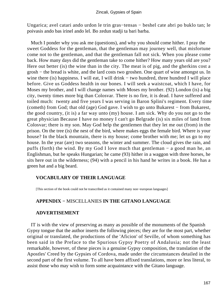Ungarica; avel catari ando urdon le trin gras−tensas − beshel cate abri po buklo tan; le poivasis ando bas irinel ando lel. Bo zedun stadji ta bari barba.

 Much I ponder why you ask me (questions), and why you should come hither. I pray the sweet Goddess for the gentleman, that the gentleman may journey well, that misfortune come not to the gentleman, and that the gentleman fall not sick. When you please come back. How many days did the gentleman take to come hither? How many years old are you? Here out better (is) the wine than in the city. The meat is of pig, and the gherkins cost a grosh − the bread is white, and the lard costs two groshen. One quart of wine amongst us. In wine there (is) happiness. I will eat, I will drink – two hundred, three hundred I will place before. Give us Goddess health in our bones. I will seek a waistcoat, which I have, for Moses my brother, and I will change names with Moses my brother. (92) London (is) a big city, twenty times more big than Colosvar. There is no fire, it is dead. I have suffered and toiled much: twenty and five years I was serving in Baron Splini's regiment. Every time (cometh) from God; that old (age) God gave. I wish to go unto Bukarest − from Bukarest, the good country, (it is) a far way unto (my) house. I am sick. Why do you not go to the great physician Because I have no money I can't go Belgrade (is) six miles of land from Colosvar; there is my son. May God help the gentlemen that they let me out (from) in the prison. On the tree (is) the nest of the bird, where makes eggs the female bird. Where is your house? In the black mountain, there is my house; come brother with me; let us go to my house. In the year (are) two seasons, the winter and summer. The cloud gives the rain, and puffs (forth) the wind. By my God I love much that gentleman − a good man he, an Englishman, but he speaks Hungarian; he came (93) hither in a waggon with three horses, he sits here out in the wilderness; (94) with a pencil in his hand he writes in a book. He has a green hat and a big beard.

# **VOCABULARY OF THEIR LANGUAGE**

[This section of the book could not be transcribed as it contained many non−european languages]

# **APPENDIX −** MISCELLANIES **IN THE GITANO LANGUAGE**

# **ADVERTISEMENT**

 IT is with the view of preserving as many as possible of the monuments of the Spanish Gypsy tongue that the author inserts the following pieces; they are for the most part, whether original or translated, the productions of the 'Aficion' of Seville, of whom something has been said in the Preface to the Spurious Gypsy Poetry of Andalusia; not the least remarkable, however, of these pieces is a genuine Gypsy composition, the translation of the Apostles' Creed by the Gypsies of Cordova, made under the circumstances detailed in the second part of the first volume. To all have been affixed translations, more or less literal, to assist those who may wish to form some acquaintance with the Gitano language.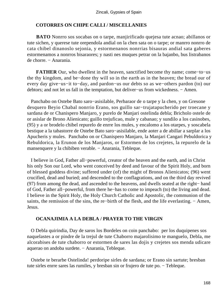# **COTORRES ON CHIPE CALLI / MISCELLANIES**

**BATO** Nonrro sos socabas on o tarpe, manjirificado quejesa tute acnao; abillanos or tute sichen, y querese tute orependola andial on la chen sata on o tarpe; or manrro nonrro de cata chibel dinanoslo sejonia, y estormenanos nonrrias bisauras andial sata gaberes estormenamos a nonrros bisaraores; y nasti nes muques petrar on la bajanbo, bus listrabanos de chorre. − Anarania.

**FATHER** Our, who dwellest in the heaven, sanctified become thy name; come−to−us the thy kingdom, and be−done thy will so in the earth as in the heaven; the bread our of every day give−us−it to−day, and pardon−us our debts so as we−others pardon (to) our debtors; and not let us fall in the temptation, but deliver−us from wickedness. − Amen.

 Panchabo on Ostebe Bato saro−asisilable, Perbaraor de o tarpe y la chen, y on Gresone desquero Beyio Chabal nonrrio Erano, sos guillo sar−trujatapucherido per troecane y sardana de or Chanispero Manjaro, y purelo de Manjari ostelinda debla; Bricholo ostele de or asislar de Brono Alienicato; guillo trejuficao, mule y cabanao; y sundilo a los casinobes, (95) y a or brodelo chibel repurelo de enrre los mules, y encalomo a los otarpes, y soscabela bestique a la tabastorre de Ostebe Bato saro−asisilable, ende aoter a de abillar a sarplar a los Apucheris y mules. Panchabo on or Chanispero Manjaro, la Manjari Cangari Pebuldorica y Rebuldorica, la Erunon de los Manjaros, or Estormen de los crejetes, la repurelo de la mansenquere y la chibiben verable. − Anarania, Tebleque.

 I believe in God, Father all−powerful, creator of the heaven and the earth, and in Christ his only Son our Lord, who went conceived by deed and favour of the Spirit Holy, and born of blessed goddess divine; suffered under (of) the might of Bronos Alienicatos; (96) went crucified, dead and buried; and descended to the conflagrations, and on the third day revived (97) from among the dead, and ascended to the heavens, and dwells seated at the right− hand of God, Father all−powerful, from there he−has to come to impeach (to) the living and dead. I believe in the Spirit Holy, the Holy Church Catholic and Apostolic, the communion of the saints, the remission of the sins, the re−birth of the flesh, and the life everlasting. – Amen, Jesus.

# **OCANAJIMIA A LA DEBLA / PRAYER TO THE VIRGIN**

 O Debla quirindia, Day de saros los Bordeles on coin panchabo: per los duquipenes sos naquelastes a or pindre de la trejul de tute Chaborro majarolisimo te manguelo, Debla, me alcorabises de tute chaborro or estormen de sares las dojis y crejetes sos menda udicare aquerao on andoba surdete. − Anarania, Tebleque.

 Ostebe te berarbe Ostelinda! perdoripe sirles de sardana; or Erano sin sartute; bresban tute sirles enrre sares las rumiles, y bresban sin or frujero de tute po. − Tebleque.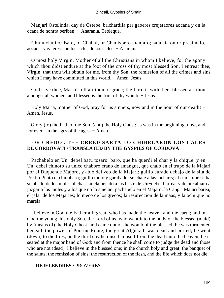Manjari Ostelinda, day de Ostebe, brichardila per gaberes crejetaores aocana y on la ocana de nonrra beriben! − Anarania, Tebleque.

 Chimuclani or Bato, or Chabal, or Chanispero manjaro; sata sia on or presimelo, aocana, y gajeres: on los sicles de los sicles. − Anarania.

 O most holy Virgin, Mother of all the Christians in whom I believe; for the agony which thou didst endure at the foot of the cross of thy most blessed Son, I entreat thee, Virgin, that thou wilt obtain for me, from thy Son, the remission of all the crimes and sins which I may have committed in this world. − Amen, Jesus.

 God save thee, Maria! full art thou of grace; the Lord is with thee; blessed art thou amongst all women, and blessed is the fruit of thy womb. − Jesus.

Holy Maria, mother of God, pray for us sinners, now and in the hour of our death! − Amen, Jesus.

 Glory (to) the Father, the Son, (and) the Holy Ghost; as was in the beginning, now, and for ever: in the ages of the ages. – Amen.

# OR **CREDO /** THE **CREED SARTA LO CHIBELARON LOS CALES DE CORDOVATI / TRANSLATED BY THE GYSPIES OF CORDOVA**

 Pachabelo en Un−debel batu tosaro−baro, que ha querdi el char y la chique; y en Un−debel chinoro su unico chaboro erano de amangue, que chalo en el trupo de la Majari por el Duquende Majoro, y abio del veo de la Majari; guillo curado debajo de la sila de Pontio Pilato el chinobaro; guillo mulo y garabado; se chale a las jacharis; al trin chibe se ha sicobado de los mules al char; sinela bejado a las baste de Un−debel barrea; y de ote abiara a juzgar a los mules y a los que no lo sinelan; pachabelo en el Majaro; la Cangri Majari barea; el jalar de los Majaries; lo meco de los grecos; la resureccion de la maas, y la ochi que no marela.

 I believe in God the Father all−great, who has made the heaven and the earth; and in God the young, his only Son, the Lord of us, who went into the body of the blessed (maid) by (means of) the Holy Ghost, and came out of the womb of the blessed; he was tormented beneath the power of Pontius Pilate, the great Alguazil; was dead and buried; he went (down) to the fires; on the third day he raised himself from the dead unto the heaven; he is seated at the major hand of God; and from thence he shall come to judge the dead and those who are not (dead). I believe in the blessed one; in the church holy and great; the banquet of the saints; the remission of sins; the resurrection of the flesh, and the life which does not die.

# **REJELENDRES /** PROVERBS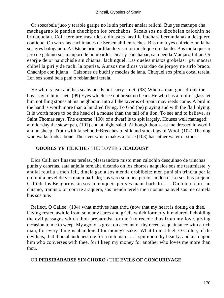Or soscabela juco y terable garipe no le sin perfine anelar relichi. Bus yes manupe cha machagarno le pendan chuchipon los brochabos. Sacais sos ne dicobelan calochin ne bridaquelan. Coin terelare trasardos e dinastes nasti le buchare berrandanas a desquero contique. On sares las cachimanes de Sersen abillen reches. Bus mola yes chirriclo on la ba sos gres balogando. A Ostebe brichardilando y sar or mochique dinelando. Bus mola quesar jero de gabuno sos manpori de bombardo. Dicar y panchabar, sata penda Manjaro Lillar. Or esorjie de or narsichisle sin chismar lachinguel. Las queles mistos grobelas: per macara chibel la piri y de rachi la operisa. Aunsos me dicas vriardao de jorpoy ne sirlo braco. Chachipe con jujana − Calzones de buchi y medias de lana. Chuquel sos pirela cocal terela. Len sos sonsi bela pani o reblandani terela.

 He who is lean and has scabs needs not carry a net. (98) When a man goes drunk the boys say to him 'suet.' (99) Eyes which see not break no heart. He who has a roof of glass let him not fling stones at his neighbour. Into all the taverns of Spain may reeds come. A bird in the hand is worth more than a hundred flying. To God (be) praying and with the flail plying. It is worth more to be the head of a mouse than the tail of a lion. To see and to believe, as Saint Thomas says. The extreme (100) of a dwarf is to spit largely. Houses well managed:− at mid−day the stew−pan, (101) and at night salad. Although thou seest me dressed in wool I am no sheep. Truth with falsehood−Breeches of silk and stockings of Wool. (102) The dog who walks finds a bone. The river which makes a noise (103) has either water or stones.

# **ODORES YE TILICHE /** THE LOVER'S **JEALOUSY**

 Dica Calli sos linastes terelas, plasarandote misto men calochin desquinao de trinchas punis y canrrias, sata anjella terelaba dicando on los chorres naquelos sos me tesumiaste, y andial reutila a men Jeli, dinela gao a sos menda orobibele; men puni sin trincha per la quimbila nevel de yes manu barbalo; sos saro se muca per or jandorro. Lo sos bus prejeno Calli de los Bengorros sin sos nu muqueis per yes manu barbalo. . . . On tute orchiri nu chismo, tramisto on coin te araquera, sos menda terela men nostus pa avel sos me camela bus sos tute.

Reflect, O Callee! (104) what motives hast thou (now that my heart is doting on thee, having rested awhile from so many cares and griefs which formerly it endured, beholding the evil passages which thou preparedst for me;) to recede thus from my love, giving occasion to me to weep. My agony is great on account of thy recent acquaintance with a rich man; for every thing is abandoned for money's sake. What I most feel, O Callee, of the devils is, that thou abandonest me for a rich man . . . I spit upon thy beauty, and also upon him who converses with thee, for I keep my money for another who loves me more than thou.

# OR **PERSIBARARSE SIN CHORO /** THE **EVILS OF CONCUBINAGE**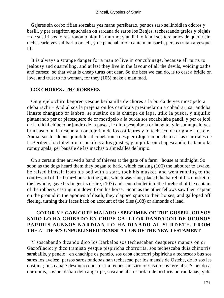Gajeres sin corbo rifian soscabar yes manu persibarao, per sos saro se linbidian odoros y beslli, y per esegriton apuchelan on sardana de saros los Benjes, techescando grejos y olajais − de sustiri sos lo resaronomo niquilla murmo; y andial lo fendi sos terelamos de querar sin techescarle yes sulibari a or Jeli, y ne panchabar on caute manusardi, persos trutan a yesque lili.

 It is always a strange danger for a man to live in concubinage, because all turns to jealousy and quarrelling, and at last they live in the favour of all the devils, voiding oaths and curses: so that what is cheap turns out dear. So the best we can do, is to cast a bridle on love, and trust to no woman, for they (105) make a man mad.

#### LOS **CHORES /** THE **ROBBERS**

 On grejelo chiro begoreo yesque berbanilla de chores a la burda de yes mostipelo a oleba rachi − Andial sos la prejenaron los cambrais presimelaron a cobadrar; sar andoba linaste changano or lanbro, se sustino de la charipe de lapa, utilo la pusca, y niquillo platanando per or platesquero de or mostipelo a la burda sos socabelaba pandi, y per or jobi de la clichi chibelo or jundro de la pusca, le dino pesquibo a or langute, y le sumuquelo yes bruchasno on la tesquera a or Jojerian de los ostilaores y lo techesco de or grate a ostele. Andial sos los debus quimbilos dicobelaron a desquero Jojerian on chen sar las canrriales de la Beriben, lo chibelaron espusifias a los grastes, y niquillaron chapescando, trutando la romuy apala, per bausale de las machas o almedalles de liripio.

 On a certain time arrived a band of thieves at the gate of a farm− house at midnight. So soon as the dogs heard them they began to bark, which causing (106) the labourer to awake, he raised himself from his bed with a start, took his musket, and went running to the court−yard of the farm−house to the gate, which was shut, placed the barrel of his musket to the keyhole, gave his finger its desire, (107) and sent a bullet into the forehead of the captain of the robbers, casting him down from his horse. Soon as the other fellows saw their captain on the ground in the agonies of death, they clapped spurs to their horses, and galloped off fleeing, turning their faces back on account of the flies (108) or almonds of lead.

# **COTOR YE GABICOTE MAJARO / SPECIMEN OF THE GOSPEL OR SOS SARO LO HA CHIBADO EN CHIPE CALLI OR RANDADOR DE OCONOS PAPIRIS AUNSOS NARDIAN LO HA DINADO AL SURDETE. FROM THE** AUTHOR'S **UNPUBLISHED TRANSLATION OF THE NEW TESTAMENT**

 Y soscabando dicando dico los Barbalos sos techescaban desqueros mansis on or Gazofilacio; y dico tramisto yesque pispiricha chorrorita, sos techescaba duis chinorris saraballis, y penelo: en chachipe os penelo, sos caba chorrorri pispiricha a techescao bus sos sares los aveles: persos saros ondobas han techescao per los mansis de Ostebe, de lo sos les costuna; bus caba e desquero chorrorri a techescao saro or susalo sos terelaba. Y pendo a cormunis, sos pendaban del cangaripe, soscabelaba uriardao de orchiris berrandanas, y de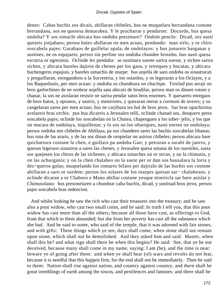denes: Cabas buchis sos dicais, abillaran chibeles, bus ne muquelara berrandana costune berrandana, sos ne quesesa demarabea. Y le prucharon y pendaron: Docurdo, bus quesa ondoba? Y sos simachi abicara bus ondoba presimare? Ondole penclo: Dicad, sos nasti queseis jonjabaos; persos butes abillaran on men acnao, pendando: man sirlo, y or chiro soscabela pajes: Garabaos de guillelar apala, de ondolayos: y bus junureis barganas y sustines, ne os espajueis; persos sin perfine sos ondoba chundee brotobo, bus nasti quesa escotria or egresiton. Oclinde les pendaba: se sustinara sueste sartra sueste, y sichen sartra sichen, y abicara bareles dajiros de chenes per los gaos, y retreques y bocatas, y abicara buchengeres espajuis, y bareles simachis de otarpe: bus anjella de saro ondoba os sinastraran y preguillaran, enregandoos a la Socreteria, y los ostardos, y os legeraran a los Oclayes, y a los Baquedunis, per men acnao: y ondoba os chundeara on chachipe. Terelad pus seraji on bros garlochines de ne orobrar anjella sata abicais de brudilar, persos man os dinare rotuni y chanar, la sos ne asislaran resistir ne sartra pendar satos bros enormes. Y quesareis enregaos de bros batos, y opranos, y sastris, y monrrores, y queraran merar a cormuni de averes; y os cangelaran saros per men acnao; bus ne carjibara ies bal de bros jeros. Sar bras opachirima avelareis bras orchis: pus bus dicareis a Jerusalen relli, oclinde chanad sos, desquero petra soscabela pajes; oclinde los soscabelan on la Chutea, chapesguen a los tober−jelis; y los que on macara de ondolaya, niquillense; y lo sos on los oltariques, nasti enrren on ondolaya; persos ondoba sen chibeles de Abillaza, pa sos chundeen sares las buchis soscabelan libanas; bus isna de las araris, y de las sos dinan de oropielar on asirios chibeles; persos abicara bare quichartura costune la chen, e guillara pa andoba Gao; y petraran a surabi de janrro; y quesan legeraos sinastros a sares las chenes, y Jerusalen quesa omana de los suestiles, sasta sos quejesen los chiros de las sichenes; y abicara simaches on or orcan, y on la chimutia, y on las uchurganis; y on la chen chalabeo on la suete per or dan sos bausalara la loria y des−queros gulas; muquelando los romares bifaos per dajiralo de las buchis sos costune abillaran a saro or surdete; persos los solares de los otarpes quesan sar− chalabeaos; y oclinde dicaran a or Chaboro e Manu abillar costune yesque minrricla sar baro asislar y Chimusolano: bus presimelaren a chundear caba buchis, dicad, y sustinad bros jeros, persos pajes soscabela bras redencion.

 And whilst looking he saw the rich who cast their treasures into the treasury; and he saw also a poor widow, who cast two small coins, and he said: In truth I tell you, that this poor widow has cast more than all the others; because all those have cast, as offerings to God, from that which to them abounded; but she from her poverty has cast all the substance which she had. And he said to some, who said of the temple, that it was adorned with fair stones, and with gifts: These things which ye see, days shall come, when stone shall not remain upon stone, which shall not be demolished. And they asked him and said: Master, when shall this be? and what sign shall there be when this begins? He said: See, that ye be not deceived, because many shall come in my name, saying: I am (he), and the time is near: beware ye of going after them: and when ye shall hear (of) wars and revolts do not fear, because it is needful that this happen first, for the end shall not be immediately. Then he said to them: Nation shall rise against nation, and country against country, and there shall be great tremblings of earth among the towns, and pestilences and famines; and there shall be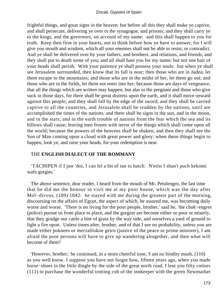frightful things, and great signs in the heaven: but before all this they shall make ye captive, and shall persecute, delivering ye over to the synagogue, and prisons; and they shall carry ye to the kings, and the governors, on account of my name: and this shall happen to you for truth. Keep then firm in your hearts, not to think before how ye have to answer, for I will give you mouth and wisdom, which all your enemies shall not be able to resist, or contradict. And ye shall be delivered over by your fathers, and brothers, and relations, and friends, and they shall put to death some of you; and all shall hate you for my name; but not one hair of your heads shall perish. With your patience ye shall possess your souls: but when ye shall see Jerusalem surrounded, then know that its fall is near; then those who are in Judea, let them escape to the mountains; and those who are in the midst of her, let them go out; and those who are in the fields, let them not enter into her; because those are days of vengeance, that all the things which are written may happen; but alas to the pregnant and those who give suck in those days, for there shall be great distress upon the earth, and it shall move onward against this people; and they shall fall by the edge of the sword; and they shall be carried captive to all the countries, and Jerusalem shall be trodden by the nations, until are accomplished the times of the nations; and there shall be signs in the sun, and in the moon, and in the stars; and in the earth trouble of nations from the fear which the sea and its billows shall cause; leaving men frozen with terror of the things which shall come upon all the world; because the powers of the heavens shall be shaken; and then they shall see the Son of Man coming upon a cloud with great power and glory: when these things begin to happen, look ye, and raise your heads, for your redemption is near.

# THE **ENGLISH DIALECT OF THE ROMMANY**

 'TACHIPEN if I jaw 'doi, I can lel a bit of tan to hatch: N'etist I shan't puch kekomi wafu gorgies.'

 The above sentence, dear reader, I heard from the mouth of Mr. Petulengro, the last time that he did me the honour to visit me at my poor house, which was the day after Mol−divvus, (109) 1842: he stayed with me during the greatest part of the morning, discoursing on the affairs of Egypt, the aspect of which, he assured me, was becoming daily worse and worse. 'There is no living for the poor people, brother,' said he, 'the chok−engres (police) pursue us from place to place, and the gorgios are become either so poor or miserly, that they grudge our cattle a bite of grass by the way side, and ourselves a yard of ground to light a fire upon. Unless times alter, brother, and of that I see no probability, unless you are made either poknees or mecralliskoe geiro (justice of the peace or prime minister), I am afraid the poor persons will have to give up wandering altogether, and then what will become of them?

 'However, brother,' he continued, in a more cheerful tone, 'I am no hindity mush, (110) as you well know. I suppose you have not forgot how, fifteen years ago, when you made horse−shoes in the little dingle by the side of the great north road, I lent you fifty cottors (111) to purchase the wonderful trotting cob of the innkeeper with the green Newmarket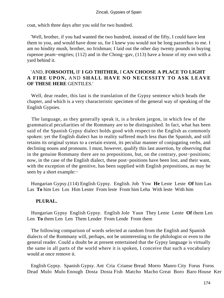coat, which three days after you sold for two hundred.

 'Well, brother, if you had wanted the two hundred, instead of the fifty, I could have lent them to you, and would have done so, for I knew you would not be long pazorrhus to me. I am no hindity mush, brother, no Irishman; I laid out the other day twenty pounds in buying rupenoe peam−engries; (112) and in the Chong−gav, (113) have a house of my own with a yard behind it.

# 'AND, **FORSOOTH,** IF **I GO THITHER,** I **CAN CHOOSE A PLACE TO LIGHT A FIRE UPON,** AND **SHALL HAVE NO NECESSITY TO ASK LEAVE OF THESE HERE** GENTILES.'

 Well, dear reader, this last is the translation of the Gypsy sentence which heads the chapter, and which is a very characteristic specimen of the general way of speaking of the English Gypsies.

 The language, as they generally speak it, is a broken jargon, in which few of the grammatical peculiarities of the Rommany are to be distinguished. In fact, what has been said of the Spanish Gypsy dialect holds good with respect to the English as commonly spoken: yet the English dialect has in reality suffered much less than the Spanish, and still retains its original syntax to a certain extent, its peculiar manner of conjugating verbs, and declining nouns and pronouns. I must, however, qualify this last assertion, by observing that in the genuine Rommany there are no prepositions, but, on the contrary, post−positions; now, in the case of the English dialect, these post−positions have been lost, and their want, with the exception of the genitive, has been supplied with English prepositions, as may be seen by a short example:−

 Hungarian Gypsy.(114) English Gypsy. English. Job Yow **He** Leste Leste **Of** him Las Las **To** him Les Los Him Lester From leste From him Leha With leste With him

### **PLURAL.**

 Hungarian Gypsy English Gypsy. English Jole Yaun They Lente Lente **Of** them Len Len **To** them Len Len Them Lender From Lende From them

 The following comparison of words selected at random from the English and Spanish dialects of the Rommany will, perhaps, not be uninteresting to the philologist or even to the general reader. Could a doubt be at present entertained that the Gypsy language is virtually the same in all parts of the world where it is spoken, I conceive that such a vocabulary would at once remove it.

 English Gypsy. Spanish Gypsy. Ant Cria Crianse Bread Morro Manro City Forus Foros Dead Mulo Mulo Enough Dosta Dosta Fish Matcho Macho Great Boro Baro House Ker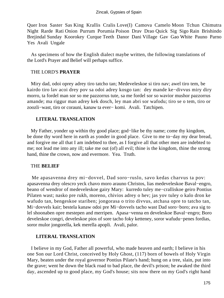Quer Iron Saster Sas King Krallis Cralis Love(I) Camova Camelo Moon Tchun Chimutra Night Rarde Rati Onion Purrum Porumia Poison Drav Drao Quick Sig Sigo Rain Brishindo Brejindal Sunday Koorokey Curque Teeth Danor Dani Village Gav Gao White Pauno Parno Yes Avali Ungale

 As specimens of how the English dialect maybe written, the following translations of the Lord's Prayer and Belief will perhaps suffice.

### THE LORD'S **PRAYER**

 Miry dad, odoi oprey adrey tiro tatcho tan; Medeveleskoe si tiro nav; awel tiro tem, be kairdo tiro lav acoi drey pov sa odoi adrey kosgo tan: dey mande ke−divvus miry diry morro, ta fordel man sor so me pazzorrus tute, sa me fordel sor so wavior mushor pazzorrus amande; ma riggur man adrey kek dosch, ley man abri sor wafodu; tiro se o tem, tiro or zoozli−wast, tiro or corauni, kanaw ta ever− komi. Avali. Tatchipen.

### **LITERAL TRANSLATION**

 My Father, yonder up within thy good place; god−like be thy name; come thy kingdom, be done thy word here in earth as yonder in good place. Give to me to−day my dear bread, and forgive me all that I am indebted to thee, as I forgive all that other men are indebted to me; not lead me into any ill; take me out (of) all evil; thine is the kingdom, thine the strong hand, thine the crown, now and evermore. Yea. Truth.

### THE **BELIEF**

 Me apasavenna drey mi−dovvel, Dad soro−ruslo, savo kedas charvus ta pov: apasavenna drey olescro yeck chavo moro arauno Christos, lias medeveleskoe Baval−engro, beano of wendror of medeveleskoe gairy Mary: kurredo tuley me−cralliskoe geiro Pontius Pilaten wast; nasko pre rukh, moreno, chivios adrey o hev; jas yov tuley o kalo dron ke wafudo tan, bengeskoe stariben; jongorasa o trito divvus, atchasa opre to tatcho tan, Mi−dovvels kair; bestela kanaw odoi pre Mi−dovvels tacho wast Dad soro−boro; ava sig to lel shoonaben opre mestepen and merripen. Apasa−venna en develeskoe Baval−engro; Boro develeskoe congri, develeskoe pios of sore tacho foky ketteney, soror wafudu−penes fordias, soror mulor jongorella, kek merella apopli. Avali, palor.

# **LITERAL TRANSLATION**

 I believe in my God, Father all powerful, who made heaven and earth; I believe in his one Son our Lord Christ, conceived by Holy Ghost, (117) born of bowels of Holy Virgin Mary, beaten under the royal governor Pontius Pilate's hand; hung on a tree, slain, put into the grave; went he down the black road to bad place, the devil's prison; he awaked the third day, ascended up to good place, my God's house; sits now there on my God's right hand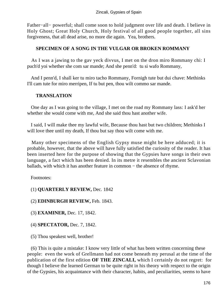Father−all− powerful; shall come soon to hold judgment over life and death. I believe in Holy Ghost; Great Holy Church, Holy festival of all good people together, all sins forgiveness, that all dead arise, no more die again. Yea, brothers.

# **SPECIMEN OF A SONG IN THE VULGAR OR BROKEN ROMMANY**

 As I was a jawing to the gav yeck divvus, I met on the dron miro Rommany chi: I puch'd yoi whether she com sar mande; And she penn'd: tu si wafo Rommany,

 And I penn'd, I shall ker tu miro tacho Rommany, Fornigh tute but dui chave: Methinks I'll cam tute for miro merripen, If tu but pen, thou wilt commo sar mande.

# **TRANSLATION**

 One day as I was going to the village, I met on the road my Rommany lass: I ask'd her whether she would come with me, And she said thou hast another wife.

 I said, I will make thee my lawful wife, Because thou hast but two children; Methinks I will love thee until my death, If thou but say thou wilt come with me.

 Many other specimens of the English Gypsy muse might be here adduced; it is probable, however, that the above will have fully satisfied the curiosity of the reader. It has been inserted here for the purpose of showing that the Gypsies have songs in their own language, a fact which has been denied. In its metre it resembles the ancient Sclavonian ballads, with which it has another feature in common − the absence of rhyme.

Footnotes:

# (1) **QUARTERLY REVIEW,** Dec. 1842

(2) **EDINBURGH REVIEW,** Feb. 1843.

(3) **EXAMINER,** Dec. 17, 1842.

(4) **SPECTATOR,** Dec. 7, 1842.

(5) Thou speakest well, brother!

 (6) This is quite a mistake: I know very little of what has been written concerning these people: even the work of Grellmann had not come beneath my perusal at the time of the publication of the first edition **OF THE ZINCALI,** which I certainly do not regret: for though I believe the learned German to be quite right in his theory with respect to the origin of the Gypsies, his acquaintance with their character, habits, and peculiarities, seems to have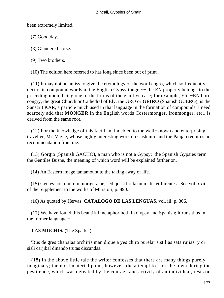been extremely limited.

(7) Good day.

(8) Glandered horse.

(9) Two brothers.

(10) The edition here referred to has long since been out of print.

 (11) It may not be amiss to give the etymology of the word engro, which so frequently occurs in compound words in the English Gypsy tongue:− the EN properly belongs to the preceding noun, being one of the forms of the genitive case; for example, Elik−EN boro congry, the great Church or Cathedral of Ely; the GRO or **GEIRO** (Spanish GUERO), is the Sanscrit KAR, a particle much used in that language in the formation of compounds; I need scarcely add that **MONGER** in the English words Costermonger, Ironmonger, etc., is derived from the same root.

 (12) For the knowledge of this fact I am indebted to the well−known and enterprising traveller, Mr. Vigne, whose highly interesting work on Cashmire and the Panjab requires no recommendation from me.

 (13) Gorgio (Spanish GACHO), a man who is not a Gypsy: the Spanish Gypsies term the Gentiles Busne, the meaning of which word will be explained farther on.

(14) An Eastern image tantamount to the taking away of life.

 (15) Gentes non multum morigeratae, sed quasi bruta animalia et furentes. See vol. xxii. of the Supplement to the works of Muratori, p. 890.

(16) As quoted by Hervas: **CATALOGO DE LAS LENGUAS,** vol. iii. p. 306.

 (17) We have found this beautiful metaphor both in Gypsy and Spanish; it runs thus in the former language:−

'LAS **MUCHIS.** (The Sparks.)

 'Bus de gres chabalas orchiris man dique a yes chiro purelar sistilias sata rujias, y or sisli carjibal dinando trutas discandas.

 (18) In the above little tale the writer confesses that there are many things purely imaginary; the most material point, however, the attempt to sack the town during the pestilence, which was defeated by the courage and activity of an individual, rests on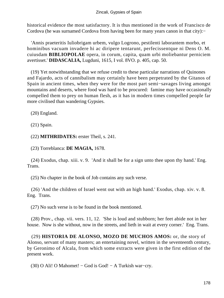historical evidence the most satisfactory. It is thus mentioned in the work of Francisco de Cordova (he was surnamed Cordova from having been for many years canon in that city):−

 'Annis praeteritis Iuliobrigam urbem, vulgo Logrono, pestilenti laborantem morbo, et hominibus vacuam invadere hi ac diripere tentarunt, perfecissentque ni Dens O. M. cuiusdam **BIBLIOPOLAE** opera, in corum, capita, quam urbi moliebantur perniciem avertisset.' **DIDASCALIA,** Lugduni, 1615, I vol. 8VO. p. 405, cap. 50.

 (19) Yet notwithstanding that we refuse credit to these particular narrations of Quinones and Fajardo, acts of cannibalism may certainly have been perpetrated by the Gitanos of Spain in ancient times, when they were for the most part semi−savages living amongst mountains and deserts, where food was hard to be procured: famine may have occasionally compelled them to prey on human flesh, as it has in modern times compelled people far more civilised than wandering Gypsies.

(20) England.

(21) Spain.

(22) **MITHRIDATES:** erster Theil, s. 241.

(23) Torreblanca: **DE MAGIA,** 1678.

 (24) Exodus, chap. xiii. v. 9. 'And it shall be for a sign unto thee upon thy hand.' Eng. Trans.

(25) No chapter in the book of Job contains any such verse.

 (26) 'And the children of Israel went out with an high hand.' Exodus, chap. xiv. v. 8. Eng. Trans.

(27) No such verse is to be found in the book mentioned.

 (28) Prov., chap. vii. vers. 11, 12. 'She is loud and stubborn; her feet abide not in her house. Now is she without, now in the streets, and lieth in wait at every corner.' Eng. Trans.

 (29) **HISTORIA DE ALONSO, MOZO DE MUCHOS AMOS:** or, the story of Alonso, servant of many masters; an entertaining novel, written in the seventeenth century, by Geronimo of Alcala, from which some extracts were given in the first edition of the present work.

(30) O Ali! O Mahomet!  $-$  God is God!  $-$  A Turkish war $-$ cry.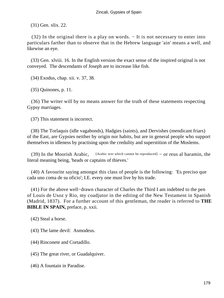(31) Gen. xlix. 22.

(32) In the original there is a play on words. – It is not necessary to enter into particulars farther than to observe that in the Hebrew language 'ain' means a well, and likewise an eye.

 (33) Gen. xlviii. 16. In the English version the exact sense of the inspired original is not conveyed. The descendants of Joseph are to increase like fish.

(34) Exodus, chap. xii. v. 37, 38.

(35) Quinones, p. 11.

 (36) The writer will by no means answer for the truth of these statements respecting Gypsy marriages.

(37) This statement is incorrect.

 (38) The Torlaquis (idle vagabonds), Hadgies (saints), and Dervishes (mendicant friars) of the East, are Gypsies neither by origin nor habits, but are in general people who support themselves in idleness by practising upon the credulity and superstition of the Moslems.

(39) In the Moorish Arabic, [Arabic text which cannot be reproduced] – or reus al haramin, the literal meaning being, 'heads or captains of thieves.'

 (40) A favourite saying amongst this class of people is the following: 'Es preciso que cada uno coma de su oficio'; I.E. every one must live by his trade.

 (41) For the above well−drawn character of Charles the Third I am indebted to the pen of Louis de Usoz y Rio, my coadjutor in the editing of the New Testament in Spanish (Madrid, 1837). For a further account of this gentleman, the reader is referred to **THE BIBLE IN SPAIN,** preface, p. xxii.

(42) Steal a horse.

(43) The lame devil: Asmodeus.

(44) Rinconete and Cortadillo.

(45) The great river, or Guadalquiver.

(46) A fountain in Paradise.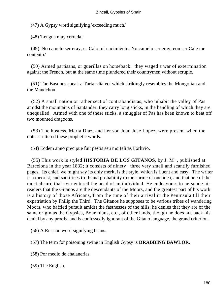(47) A Gypsy word signifying 'exceeding much.'

(48) 'Lengua muy cerrada.'

 (49) 'No camelo ser eray, es Calo mi nacimiento; No camelo ser eray, eon ser Cale me contento.'

 (50) Armed partisans, or guerillas on horseback: they waged a war of extermination against the French, but at the same time plundered their countrymen without scruple.

 (51) The Basques speak a Tartar dialect which strikingly resembles the Mongolian and the Mandchou.

 (52) A small nation or rather sect of contrabandistas, who inhabit the valley of Pas amidst the mountains of Santander; they carry long sticks, in the handling of which they are unequalled. Armed with one of these sticks, a smuggler of Pas has been known to beat off two mounted dragoons.

 (53) The hostess, Maria Diaz, and her son Joan Jose Lopez, were present when the outcast uttered these prophetic words.

(54) Eodem anno precipue fuit pestis seu mortalitas Forlivio.

 (55) This work is styled **HISTORIA DE LOS GITANOS,** by J. M−, published at Barcelona in the year 1832; it consists of ninety− three very small and scantily furnished pages. Its chief, we might say its only merit, is the style, which is fluent and easy. The writer is a theorist, and sacrifices truth and probability to the shrine of one idea, and that one of the most absurd that ever entered the head of an individual. He endeavours to persuade his readers that the Gitanos are the descendants of the Moors, and the greatest part of his work is a history of those Africans, from the time of their arrival in the Peninsula till their expatriation by Philip the Third. The Gitanos he supposes to be various tribes of wandering Moors, who baffled pursuit amidst the fastnesses of the hills; he denies that they are of the same origin as the Gypsies, Bohemians, etc., of other lands, though he does not back his denial by any proofs, and is confessedly ignorant of the Gitano language, the grand criterion.

(56) A Russian word signifying beans.

(57) The term for poisoning swine in English Gypsy is **DRABBING BAWLOR.**

- (58) Por medio de chalanerias.
- (59) The English.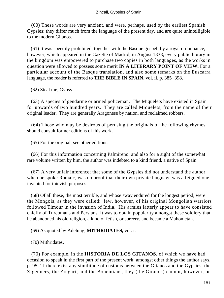## Zincali, Gypsies of Spain

 (60) These words are very ancient, and were, perhaps, used by the earliest Spanish Gypsies; they differ much from the language of the present day, and are quite unintelligible to the modern Gitanos.

 (61) It was speedily prohibited, together with the Basque gospel; by a royal ordonnance, however, which appeared in the Gazette of Madrid, in August 1838, every public library in the kingdom was empowered to purchase two copies in both languages, as the works in question were allowed to possess some merit **IN A LITERARY POINT OF VIEW.** For a particular account of the Basque translation, and also some remarks on the Euscarra language, the reader is referred to **THE BIBLE IN SPAIN,** vol. ii. p. 385−398.

(62) Steal me, Gypsy.

 (63) A species of gendarme or armed policeman. The Miquelets have existed in Spain for upwards of two hundred years. They are called Miquelets, from the name of their original leader. They are generally Aragonese by nation, and reclaimed robbers.

 (64) Those who may be desirous of perusing the originals of the following rhymes should consult former editions of this work.

(65) For the original, see other editions.

 (66) For this information concerning Palmireno, and also for a sight of the somewhat rare volume written by him, the author was indebted to a kind friend, a native of Spain.

 (67) A very unfair inference; that some of the Gypsies did not understand the author when he spoke Romaic, was no proof that their own private language was a feigned one, invented for thievish purposes.

 (68) Of all these, the most terrible, and whose sway endured for the longest period, were the Mongols, as they were called: few, however, of his original Mongolian warriors followed Timour in the invasion of India. His armies latterly appear to have consisted chiefly of Turcomans and Persians. It was to obtain popularity amongst these soldiery that he abandoned his old religion, a kind of fetish, or sorcery, and became a Mahometan.

(69) As quoted by Adelung, **MITHRIDATES,** vol. i.

(70) Mithridates.

 (70) For example, in the **HISTORIA DE LOS GITANOS,** of which we have had occasion to speak in the first part of the present work: amongst other things the author says, p. 95, 'If there exist any similitude of customs between the Gitanos and the Gypsies, the Zigeuners, the Zingari, and the Bohemians, they (the Gitanos) cannot, however, be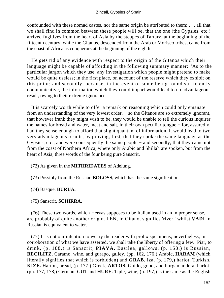confounded with these nomad castes, nor the same origin be attributed to them; . . . all that we shall find in common between these people will be, that the one (the Gypsies, etc.) arrived fugitives from the heart of Asia by the steppes of Tartary, at the beginning of the fifteenth century, while the Gitanos, descended from the Arab or Morisco tribes, came from the coast of Africa as conquerors at the beginning of the eighth.'

 He gets rid of any evidence with respect to the origin of the Gitanos which their language might be capable of affording in the following summary manner: 'As to the particular jargon which they use, any investigation which people might pretend to make would be quite useless; in the first place, on account of the reserve which they exhibit on this point; and secondly, because, in the event of some being found sufficiently communicative, the information which they could impart would lead to no advantageous result, owing to their extreme ignorance.'

 It is scarcely worth while to offer a remark on reasoning which could only emanate from an understanding of the very lowest order, − so the Gitanos are so extremely ignorant, that however frank they might wish to be, they would be unable to tell the curious inquirer the names for bread and water, meat and salt, in their own peculiar tongue − for, assuredly, had they sense enough to afford that slight quantum of information, it would lead to two very advantageous results, by proving, first, that they spoke the same language as the Gypsies, etc., and were consequently the same people − and secondly, that they came not from the coast of Northern Africa, where only Arabic and Shillah are spoken, but from the heart of Asia, three words of the four being pure Sanscrit.

(72) As given in the **MITHRIDATES** of Adelung.

(73) Possibly from the Russian **BOLOSS,** which has the same signification.

- (74) Basque, **BURUA.**
- (75) Sanscrit, **SCHIRRA.**

 (76) These two words, which Hervas supposes to be Italian used in an improper sense, are probably of quite another origin. LEN, in Gitano, signifies 'river,' whilst **VADI** in Russian is equivalent to water.

 (77) It is not our intention to weary the reader with prolix specimens; nevertheless, in corroboration of what we have asserted, we shall take the liberty of offering a few. Piar, to drink, (p. 188,) is Sanscrit, **PIAVA.** Basilea, gallows, (p. 158,) is Russian, **BECILITZ.** Caramo, wine, and gurapo, galley, (pp. 162, 176,) Arabic, **HARAM** (which literally signifies that which is forbidden) and **GRAB.** Iza, (p. 179,) harlot, Turkish, **KIZE.** Harton, bread, (p. 177,) Greek, **ARTOS.** Guido, good, and hurgamandera, harlot, (pp. 177, 178,) German, GUT and **HURE.** Tiple, wine, (p. 197,) is the same as the English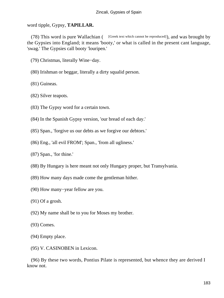## word tipple, Gypsy, **TAPILLAR.**

(78) This word is pure Wallachian ( [Greek text which cannot be reproduced]), and was brought by the Gypsies into England; it means 'booty,' or what is called in the present cant language, 'swag.' The Gypsies call booty 'louripen.'

- (79) Christmas, literally Wine−day.
- (80) Irishman or beggar, literally a dirty squalid person.
- (81) Guineas.
- (82) Silver teapots.
- (83) The Gypsy word for a certain town.
- (84) In the Spanish Gypsy version, 'our bread of each day.'
- (85) Span., 'forgive us our debts as we forgive our debtors.'
- (86) Eng., 'all evil FROM'; Span., 'from all ugliness.'
- (87) Span., 'for thine.'
- (88) By Hungary is here meant not only Hungary proper, but Transylvania.
- (89) How many days made come the gentleman hither.
- (90) How many−year fellow are you.
- (91) Of a grosh.
- (92) My name shall be to you for Moses my brother.
- (93) Comes.
- (94) Empty place.
- (95) V. CASINOBEN in Lexicon.

 (96) By these two words, Pontius Pilate is represented, but whence they are derived I know not.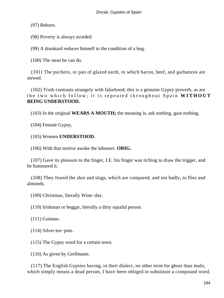(97) Reborn.

(98) Poverty is always avoided.

(99) A drunkard reduces himself to the condition of a hog.

(100) The most he can do.

 (101) The puchero, or pan of glazed earth, in which bacon, beef, and garbanzos are stewed.

 (102) Truth contrasts strangely with falsehood; this is a genuine Gypsy proverb, as are the two which follow; it is repeated throughout Spain **WITHOUT BEING UNDERSTOOD.**

(103) In the original **WEARS A MOUTH;** the meaning is, ask nothing, gain nothing.

(104) Female Gypsy,

(105) Women **UNDERSTOOD.**

(106) With that motive awoke the labourer. **ORIG.**

 (107) Gave its pleasure to the finger, I.E. his finger was itching to draw the trigger, and he humoured it.

 (108) They feared the shot and slugs, which are compared, and not badly, to flies and almonds.

(109) Christmas, literally Wine−day.

(110) Irishman or beggar, literally a dirty squalid person.

(111) Guineas.

(114) Silver tea−pots.

(115) The Gypsy word for a certain town.

(116) As given by Grellmann.

 (117) The English Gypsies having, in their dialect, no other term for ghost than mulo, which simply means a dead person, I have been obliged to substitute a compound word.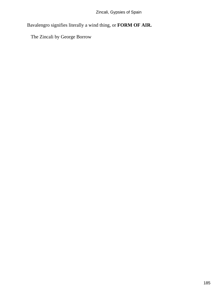Bavalengro signifies literally a wind thing, or **FORM OF AIR.**

The Zincali by George Borrow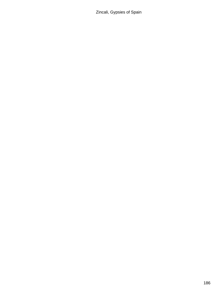Zincali, Gypsies of Spain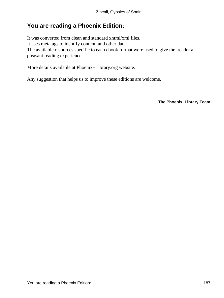## **You are reading a Phoenix Edition:**

It was converted from clean and standard xhtml/xml files. It uses metatags to identify content, and other data. The available resources specific to each ebook format were used to give the reader a pleasant reading experience.

More details available at Phoenix−Library.org website.

Any suggestion that helps us to improve these editions are welcome.

**The Phoenix−Library Team**